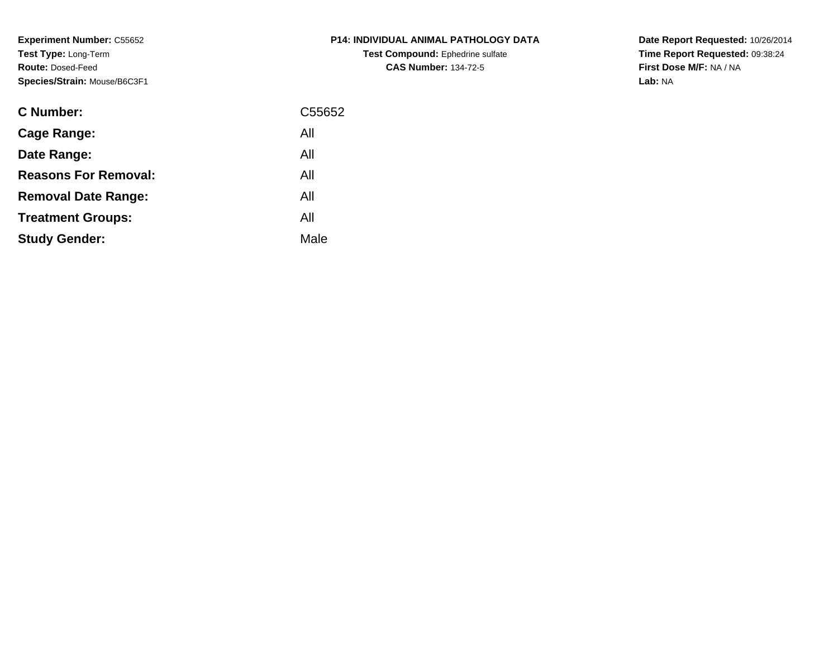**Experiment Number:** C55652**Test Type:** Long-Term**Route:** Dosed-Feed**Species/Strain:** Mouse/B6C3F1

| C Number:                   | C55652 |
|-----------------------------|--------|
| Cage Range:                 | All    |
| Date Range:                 | All    |
| <b>Reasons For Removal:</b> | All    |
| <b>Removal Date Range:</b>  | All    |
| <b>Treatment Groups:</b>    | All    |
| <b>Study Gender:</b>        | Male   |
|                             |        |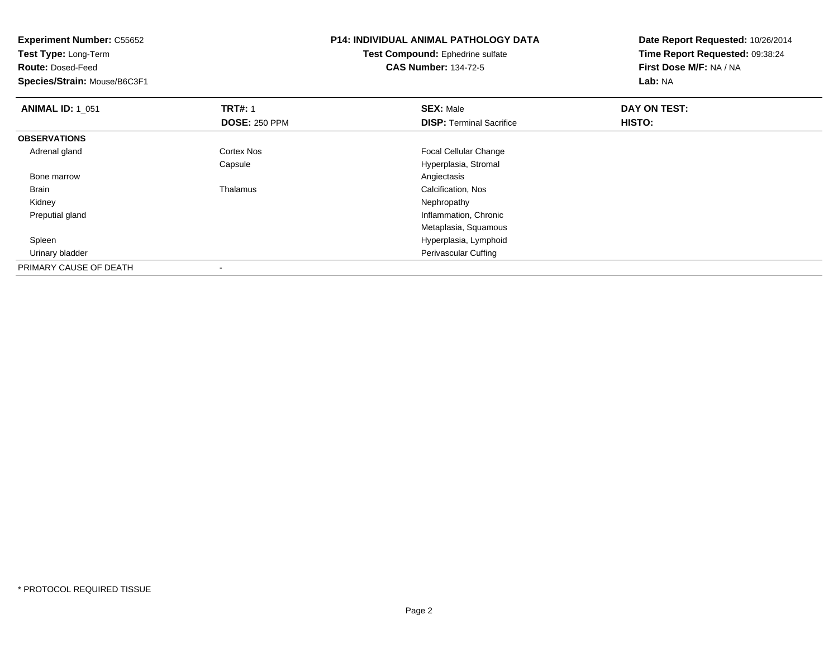| <b>Experiment Number: C55652</b><br>Test Type: Long-Term |                      | <b>P14: INDIVIDUAL ANIMAL PATHOLOGY DATA</b> | Date Report Requested: 10/26/2014 |
|----------------------------------------------------------|----------------------|----------------------------------------------|-----------------------------------|
|                                                          |                      | <b>Test Compound: Ephedrine sulfate</b>      | Time Report Requested: 09:38:24   |
| <b>Route: Dosed-Feed</b>                                 |                      | <b>CAS Number: 134-72-5</b>                  | First Dose M/F: NA / NA           |
| Species/Strain: Mouse/B6C3F1                             |                      |                                              | Lab: NA                           |
| <b>ANIMAL ID: 1_051</b>                                  | <b>TRT#: 1</b>       | <b>SEX: Male</b>                             | DAY ON TEST:                      |
|                                                          | <b>DOSE: 250 PPM</b> | <b>DISP: Terminal Sacrifice</b>              | HISTO:                            |
| <b>OBSERVATIONS</b>                                      |                      |                                              |                                   |
| Adrenal gland                                            | Cortex Nos           | Focal Cellular Change                        |                                   |
|                                                          | Capsule              | Hyperplasia, Stromal                         |                                   |
| Bone marrow                                              |                      | Angiectasis                                  |                                   |
| Brain                                                    | Thalamus             | Calcification, Nos                           |                                   |
| Kidney                                                   |                      | Nephropathy                                  |                                   |
| Preputial gland                                          |                      | Inflammation, Chronic                        |                                   |
|                                                          |                      | Metaplasia, Squamous                         |                                   |
| Spleen                                                   |                      | Hyperplasia, Lymphoid                        |                                   |
| Urinary bladder                                          |                      | Perivascular Cuffing                         |                                   |
| PRIMARY CAUSE OF DEATH                                   |                      |                                              |                                   |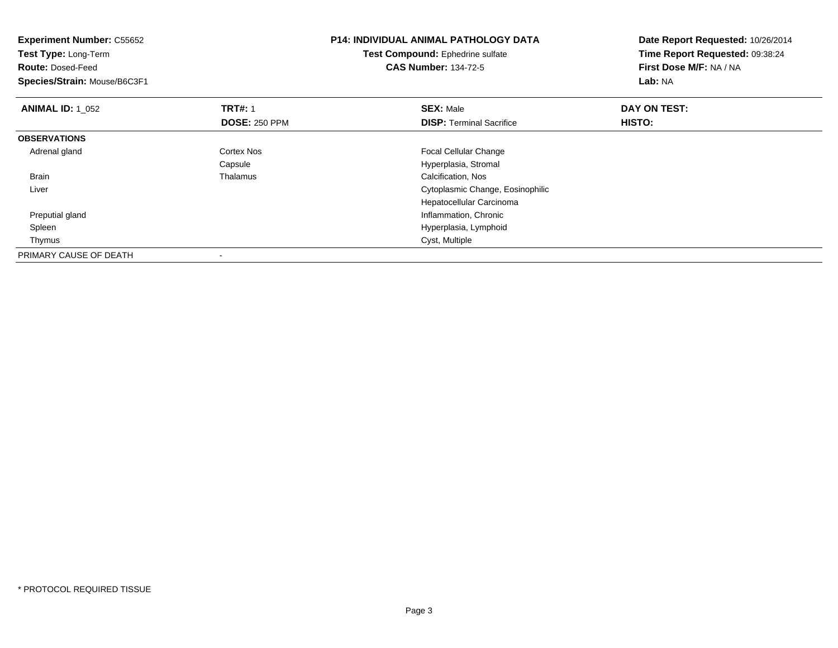| <b>Experiment Number: C55652</b><br>Test Type: Long-Term<br><b>Route: Dosed-Feed</b><br>Species/Strain: Mouse/B6C3F1 |                      | <b>P14: INDIVIDUAL ANIMAL PATHOLOGY DATA</b><br>Test Compound: Ephedrine sulfate<br><b>CAS Number: 134-72-5</b> | Date Report Requested: 10/26/2014<br>Time Report Requested: 09:38:24<br>First Dose M/F: NA / NA<br>Lab: NA |
|----------------------------------------------------------------------------------------------------------------------|----------------------|-----------------------------------------------------------------------------------------------------------------|------------------------------------------------------------------------------------------------------------|
| <b>ANIMAL ID: 1 052</b>                                                                                              | <b>TRT#: 1</b>       | <b>SEX: Male</b>                                                                                                | DAY ON TEST:                                                                                               |
|                                                                                                                      | <b>DOSE: 250 PPM</b> | <b>DISP:</b> Terminal Sacrifice                                                                                 | <b>HISTO:</b>                                                                                              |
| <b>OBSERVATIONS</b>                                                                                                  |                      |                                                                                                                 |                                                                                                            |
| Adrenal gland                                                                                                        | <b>Cortex Nos</b>    | <b>Focal Cellular Change</b>                                                                                    |                                                                                                            |
|                                                                                                                      | Capsule              | Hyperplasia, Stromal                                                                                            |                                                                                                            |
| <b>Brain</b>                                                                                                         | Thalamus             | Calcification, Nos                                                                                              |                                                                                                            |
| Liver                                                                                                                |                      | Cytoplasmic Change, Eosinophilic                                                                                |                                                                                                            |
|                                                                                                                      |                      | Hepatocellular Carcinoma                                                                                        |                                                                                                            |
| Preputial gland                                                                                                      |                      | Inflammation, Chronic                                                                                           |                                                                                                            |
| Spleen                                                                                                               |                      | Hyperplasia, Lymphoid                                                                                           |                                                                                                            |
| Thymus                                                                                                               |                      | Cyst, Multiple                                                                                                  |                                                                                                            |
| PRIMARY CAUSE OF DEATH                                                                                               |                      |                                                                                                                 |                                                                                                            |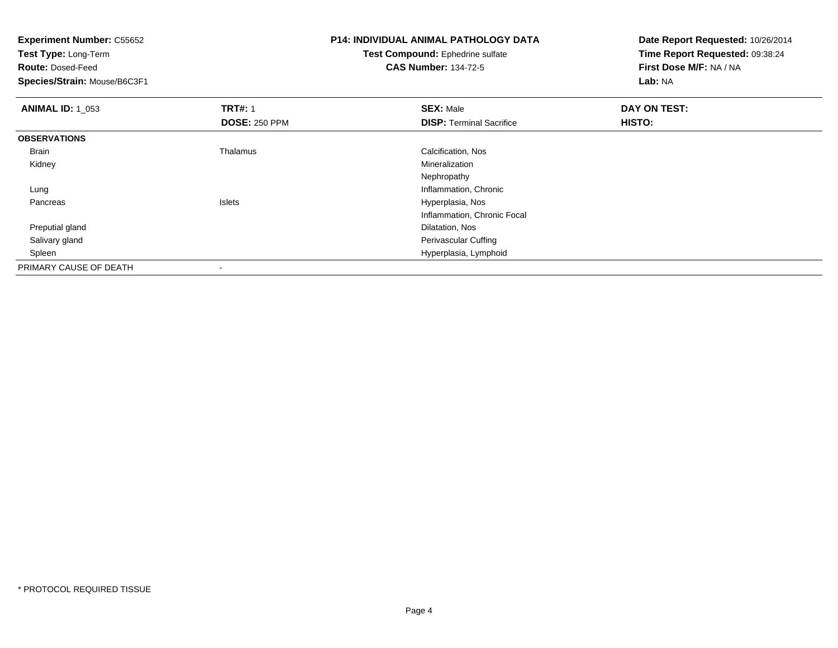**Test Type:** Long-Term

**Route:** Dosed-Feed

**Species/Strain:** Mouse/B6C3F1

# **P14: INDIVIDUAL ANIMAL PATHOLOGY DATA**

**Test Compound:** Ephedrine sulfate**CAS Number:** 134-72-5

| <b>ANIMAL ID: 1_053</b> | <b>TRT#: 1</b>           | <b>SEX: Male</b>                | DAY ON TEST: |  |
|-------------------------|--------------------------|---------------------------------|--------------|--|
|                         | <b>DOSE: 250 PPM</b>     | <b>DISP: Terminal Sacrifice</b> | HISTO:       |  |
| <b>OBSERVATIONS</b>     |                          |                                 |              |  |
| Brain                   | Thalamus                 | Calcification, Nos              |              |  |
| Kidney                  |                          | Mineralization                  |              |  |
|                         |                          | Nephropathy                     |              |  |
| Lung                    |                          | Inflammation, Chronic           |              |  |
| Pancreas                | <b>Islets</b>            | Hyperplasia, Nos                |              |  |
|                         |                          | Inflammation, Chronic Focal     |              |  |
| Preputial gland         |                          | Dilatation, Nos                 |              |  |
| Salivary gland          |                          | Perivascular Cuffing            |              |  |
| Spleen                  |                          | Hyperplasia, Lymphoid           |              |  |
| PRIMARY CAUSE OF DEATH  | $\overline{\phantom{a}}$ |                                 |              |  |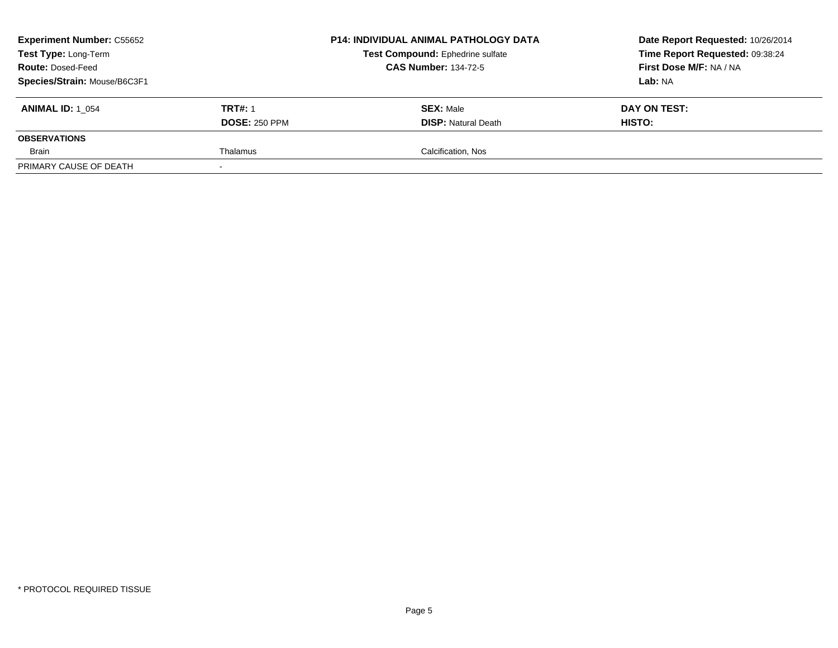| <b>Experiment Number: C55652</b><br>Test Type: Long-Term<br><b>Route: Dosed-Feed</b><br>Species/Strain: Mouse/B6C3F1 |                                        | <b>P14: INDIVIDUAL ANIMAL PATHOLOGY DATA</b><br>Test Compound: Ephedrine sulfate<br><b>CAS Number: 134-72-5</b> | Date Report Requested: 10/26/2014<br>Time Report Requested: 09:38:24<br>First Dose M/F: NA / NA<br>Lab: NA |
|----------------------------------------------------------------------------------------------------------------------|----------------------------------------|-----------------------------------------------------------------------------------------------------------------|------------------------------------------------------------------------------------------------------------|
| <b>ANIMAL ID: 1 054</b>                                                                                              | <b>TRT#: 1</b><br><b>DOSE: 250 PPM</b> | <b>SEX: Male</b><br><b>DISP:</b> Natural Death                                                                  | DAY ON TEST:<br>HISTO:                                                                                     |
| <b>OBSERVATIONS</b>                                                                                                  |                                        |                                                                                                                 |                                                                                                            |
| Brain                                                                                                                | Thalamus                               | Calcification, Nos                                                                                              |                                                                                                            |
| PRIMARY CAUSE OF DEATH                                                                                               |                                        |                                                                                                                 |                                                                                                            |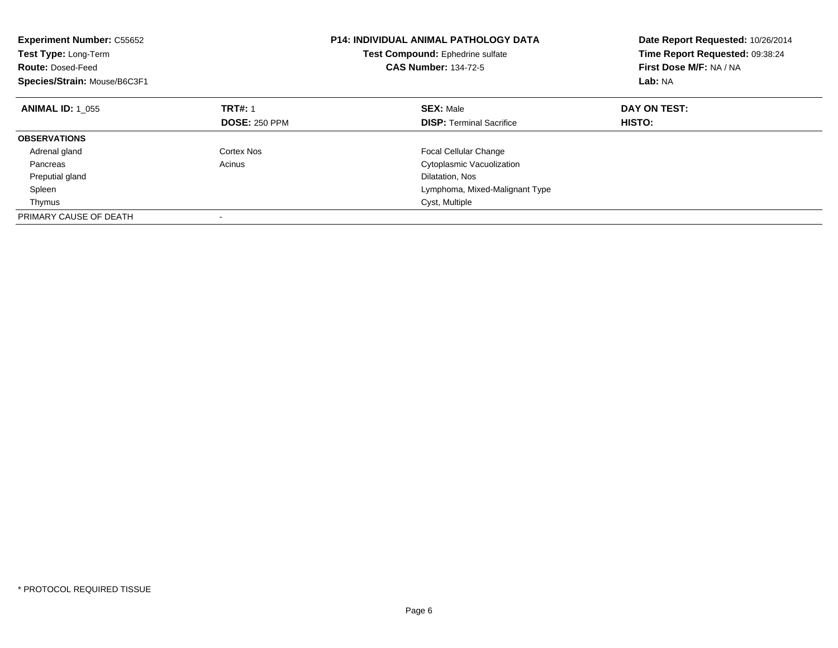| <b>Experiment Number: C55652</b><br>Test Type: Long-Term<br><b>Route: Dosed-Feed</b><br>Species/Strain: Mouse/B6C3F1 |                      | <b>P14: INDIVIDUAL ANIMAL PATHOLOGY DATA</b><br>Test Compound: Ephedrine sulfate<br><b>CAS Number: 134-72-5</b> | Date Report Requested: 10/26/2014<br>Time Report Requested: 09:38:24<br>First Dose M/F: NA / NA<br>Lab: NA |
|----------------------------------------------------------------------------------------------------------------------|----------------------|-----------------------------------------------------------------------------------------------------------------|------------------------------------------------------------------------------------------------------------|
| <b>ANIMAL ID: 1 055</b>                                                                                              | <b>TRT#: 1</b>       | <b>SEX: Male</b>                                                                                                | DAY ON TEST:                                                                                               |
|                                                                                                                      | <b>DOSE: 250 PPM</b> | <b>DISP:</b> Terminal Sacrifice                                                                                 | HISTO:                                                                                                     |
| <b>OBSERVATIONS</b>                                                                                                  |                      |                                                                                                                 |                                                                                                            |
| Adrenal gland                                                                                                        | Cortex Nos           | <b>Focal Cellular Change</b>                                                                                    |                                                                                                            |
| Pancreas                                                                                                             | Acinus               | Cytoplasmic Vacuolization                                                                                       |                                                                                                            |
| Preputial gland                                                                                                      |                      | Dilatation, Nos                                                                                                 |                                                                                                            |
| Spleen                                                                                                               |                      | Lymphoma, Mixed-Malignant Type                                                                                  |                                                                                                            |
| Thymus                                                                                                               |                      | Cyst, Multiple                                                                                                  |                                                                                                            |
| PRIMARY CAUSE OF DEATH                                                                                               |                      |                                                                                                                 |                                                                                                            |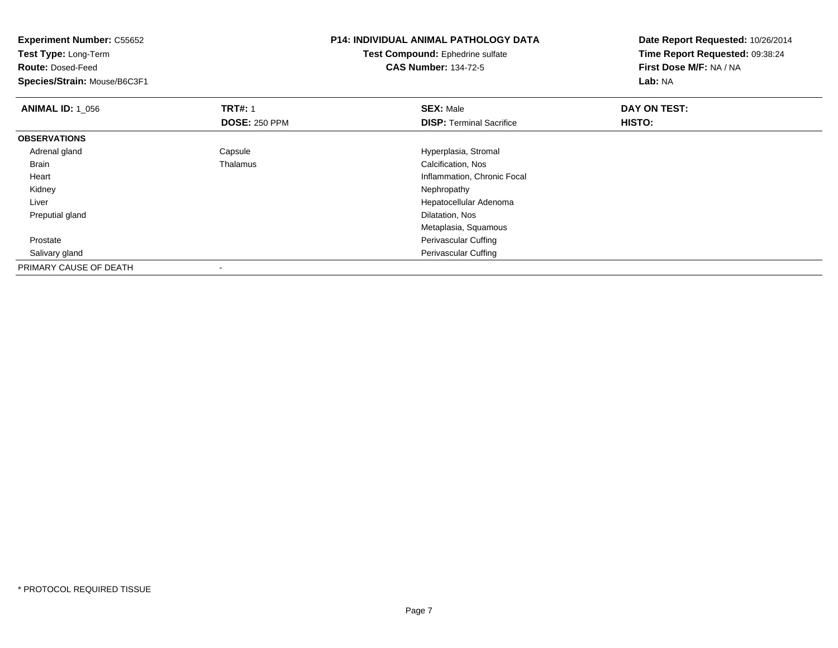| <b>Experiment Number: C55652</b><br>Test Type: Long-Term |                      | <b>P14: INDIVIDUAL ANIMAL PATHOLOGY DATA</b> | Date Report Requested: 10/26/2014 |
|----------------------------------------------------------|----------------------|----------------------------------------------|-----------------------------------|
|                                                          |                      | Test Compound: Ephedrine sulfate             | Time Report Requested: 09:38:24   |
| <b>Route: Dosed-Feed</b>                                 |                      | <b>CAS Number: 134-72-5</b>                  | First Dose M/F: NA / NA           |
| Species/Strain: Mouse/B6C3F1                             |                      |                                              | Lab: NA                           |
| <b>ANIMAL ID: 1 056</b>                                  | <b>TRT#: 1</b>       | <b>SEX: Male</b>                             | DAY ON TEST:                      |
|                                                          | <b>DOSE: 250 PPM</b> | <b>DISP: Terminal Sacrifice</b>              | HISTO:                            |
| <b>OBSERVATIONS</b>                                      |                      |                                              |                                   |
| Adrenal gland                                            | Capsule              | Hyperplasia, Stromal                         |                                   |
| Brain                                                    | Thalamus             | Calcification, Nos                           |                                   |
| Heart                                                    |                      | Inflammation, Chronic Focal                  |                                   |
| Kidney                                                   |                      | Nephropathy                                  |                                   |
| Liver                                                    |                      | Hepatocellular Adenoma                       |                                   |
| Preputial gland                                          |                      | Dilatation, Nos                              |                                   |
|                                                          |                      | Metaplasia, Squamous                         |                                   |
| Prostate                                                 |                      | Perivascular Cuffing                         |                                   |
| Salivary gland                                           |                      | Perivascular Cuffing                         |                                   |
| PRIMARY CAUSE OF DEATH                                   |                      |                                              |                                   |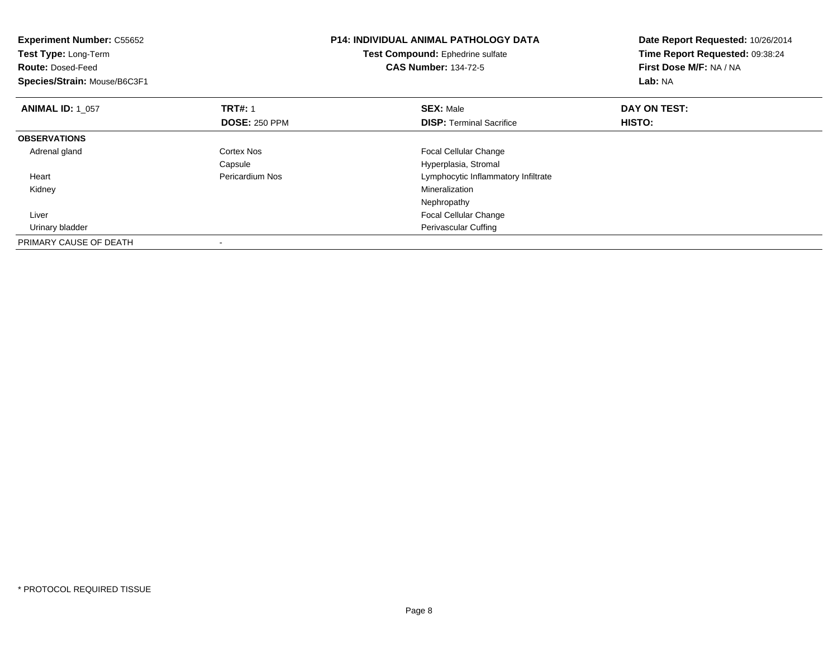| <b>Experiment Number: C55652</b><br>Test Type: Long-Term<br><b>Route: Dosed-Feed</b><br>Species/Strain: Mouse/B6C3F1 |                      | <b>P14: INDIVIDUAL ANIMAL PATHOLOGY DATA</b><br>Test Compound: Ephedrine sulfate<br><b>CAS Number: 134-72-5</b> | Date Report Requested: 10/26/2014<br>Time Report Requested: 09:38:24<br>First Dose M/F: NA / NA<br>Lab: NA |
|----------------------------------------------------------------------------------------------------------------------|----------------------|-----------------------------------------------------------------------------------------------------------------|------------------------------------------------------------------------------------------------------------|
| <b>ANIMAL ID: 1 057</b>                                                                                              | <b>TRT#: 1</b>       | <b>SEX: Male</b>                                                                                                | DAY ON TEST:                                                                                               |
|                                                                                                                      | <b>DOSE: 250 PPM</b> | <b>DISP:</b> Terminal Sacrifice                                                                                 | HISTO:                                                                                                     |
| <b>OBSERVATIONS</b>                                                                                                  |                      |                                                                                                                 |                                                                                                            |
| Adrenal gland                                                                                                        | Cortex Nos           | <b>Focal Cellular Change</b>                                                                                    |                                                                                                            |
|                                                                                                                      | Capsule              | Hyperplasia, Stromal                                                                                            |                                                                                                            |
| Heart                                                                                                                | Pericardium Nos      | Lymphocytic Inflammatory Infiltrate                                                                             |                                                                                                            |
| Kidney                                                                                                               |                      | Mineralization                                                                                                  |                                                                                                            |
|                                                                                                                      |                      | Nephropathy                                                                                                     |                                                                                                            |
| Liver                                                                                                                |                      | <b>Focal Cellular Change</b>                                                                                    |                                                                                                            |
| Urinary bladder                                                                                                      |                      | Perivascular Cuffing                                                                                            |                                                                                                            |
| PRIMARY CAUSE OF DEATH                                                                                               |                      |                                                                                                                 |                                                                                                            |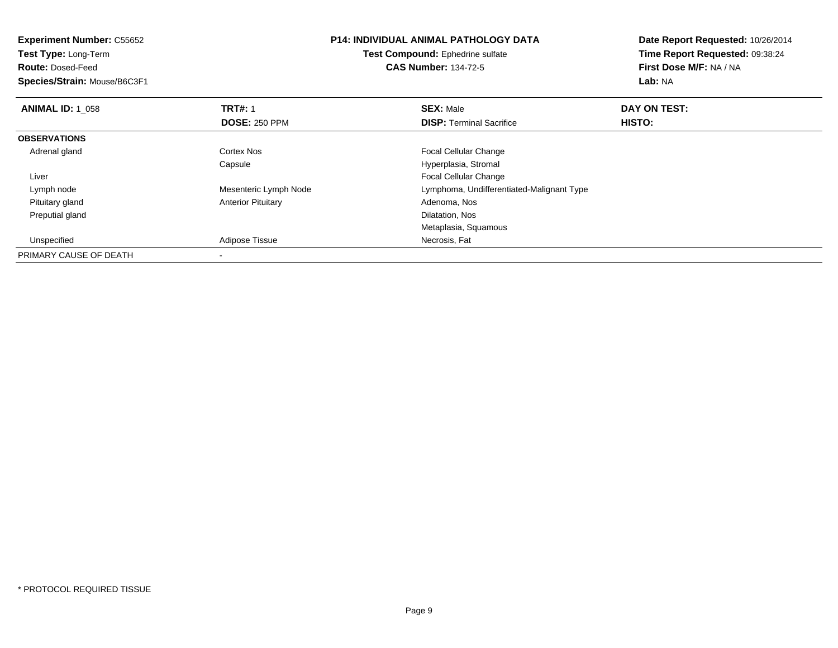**Experiment Number:** C55652**Test Type:** Long-Term**Route:** Dosed-Feed **Species/Strain:** Mouse/B6C3F1**P14: INDIVIDUAL ANIMAL PATHOLOGY DATATest Compound:** Ephedrine sulfate**CAS Number:** 134-72-5**Date Report Requested:** 10/26/2014**Time Report Requested:** 09:38:24**First Dose M/F:** NA / NA**Lab:** NA**ANIMAL ID: 1\_058 REX:** Male **DAY ON TEST: TRT#:** 1 **SEX:** Male **SEX:** Male **DOSE:** 250 PPM**DISP:** Terminal Sacrifice **HISTO: OBSERVATIONS** Adrenal glandCortex Nos **Focal Cellular Change** Capsule Hyperplasia, Stromal Liver Focal Cellular Changee Computer Computer Lymph Node Computer Computer Computer Computer Computer Computer Computer Computer Computer Computer Computer Computer Computer Computer Computer Computer Computer Computer Computer Computer Computer Co Lymph node Pituitary glandAnterior Pituitary **Anterior Pituitary Adenoma, Nos**<br>
Dilatation, Nos Preputial glandd and the control of the control of the control of the control of the control of the control of the control of the control of the control of the control of the control of the control of the control of the control of the co Metaplasia, Squamous UnspecifiedAdipose Tissue **Necrosis**, Fat PRIMARY CAUSE OF DEATH-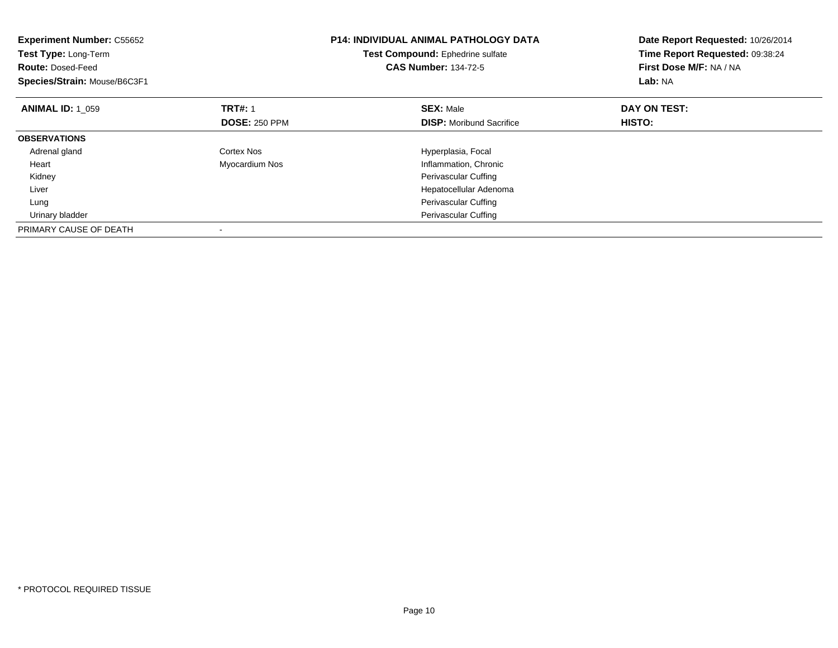| <b>Experiment Number: C55652</b><br>Test Type: Long-Term<br><b>Route: Dosed-Feed</b><br>Species/Strain: Mouse/B6C3F1 |                      | <b>P14: INDIVIDUAL ANIMAL PATHOLOGY DATA</b><br>Test Compound: Ephedrine sulfate<br><b>CAS Number: 134-72-5</b> | Date Report Requested: 10/26/2014<br>Time Report Requested: 09:38:24<br>First Dose M/F: NA / NA<br>Lab: NA |
|----------------------------------------------------------------------------------------------------------------------|----------------------|-----------------------------------------------------------------------------------------------------------------|------------------------------------------------------------------------------------------------------------|
| <b>ANIMAL ID: 1 059</b>                                                                                              | <b>TRT#: 1</b>       | <b>SEX: Male</b>                                                                                                | DAY ON TEST:                                                                                               |
|                                                                                                                      | <b>DOSE: 250 PPM</b> | <b>DISP:</b> Moribund Sacrifice                                                                                 | HISTO:                                                                                                     |
| <b>OBSERVATIONS</b>                                                                                                  |                      |                                                                                                                 |                                                                                                            |
| Adrenal gland                                                                                                        | Cortex Nos           | Hyperplasia, Focal                                                                                              |                                                                                                            |
| Heart                                                                                                                | Myocardium Nos       | Inflammation, Chronic                                                                                           |                                                                                                            |
| Kidney                                                                                                               |                      | Perivascular Cuffing                                                                                            |                                                                                                            |
| Liver                                                                                                                |                      | Hepatocellular Adenoma                                                                                          |                                                                                                            |
| Lung                                                                                                                 |                      | Perivascular Cuffing                                                                                            |                                                                                                            |
| Urinary bladder                                                                                                      |                      | <b>Perivascular Cuffing</b>                                                                                     |                                                                                                            |
| PRIMARY CAUSE OF DEATH                                                                                               |                      |                                                                                                                 |                                                                                                            |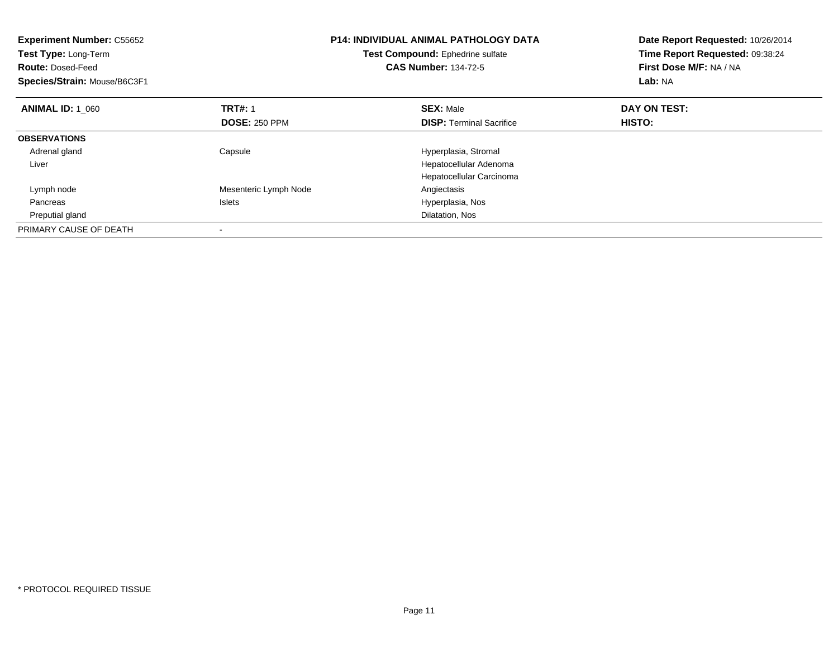| <b>Experiment Number: C55652</b><br>Test Type: Long-Term<br><b>Route: Dosed-Feed</b><br>Species/Strain: Mouse/B6C3F1 |                       | <b>P14: INDIVIDUAL ANIMAL PATHOLOGY DATA</b><br>Test Compound: Ephedrine sulfate<br><b>CAS Number: 134-72-5</b> | Date Report Requested: 10/26/2014<br>Time Report Requested: 09:38:24<br>First Dose M/F: NA / NA<br>Lab: NA |
|----------------------------------------------------------------------------------------------------------------------|-----------------------|-----------------------------------------------------------------------------------------------------------------|------------------------------------------------------------------------------------------------------------|
| <b>ANIMAL ID: 1 060</b>                                                                                              | <b>TRT#: 1</b>        | <b>SEX: Male</b>                                                                                                | DAY ON TEST:                                                                                               |
|                                                                                                                      | <b>DOSE: 250 PPM</b>  | <b>DISP:</b> Terminal Sacrifice                                                                                 | HISTO:                                                                                                     |
| <b>OBSERVATIONS</b>                                                                                                  |                       |                                                                                                                 |                                                                                                            |
| Adrenal gland                                                                                                        | Capsule               | Hyperplasia, Stromal                                                                                            |                                                                                                            |
| Liver                                                                                                                |                       | Hepatocellular Adenoma                                                                                          |                                                                                                            |
|                                                                                                                      |                       | Hepatocellular Carcinoma                                                                                        |                                                                                                            |
| Lymph node                                                                                                           | Mesenteric Lymph Node | Angiectasis                                                                                                     |                                                                                                            |
| Pancreas                                                                                                             | <b>Islets</b>         | Hyperplasia, Nos                                                                                                |                                                                                                            |
| Preputial gland                                                                                                      |                       | Dilatation, Nos                                                                                                 |                                                                                                            |
| PRIMARY CAUSE OF DEATH                                                                                               |                       |                                                                                                                 |                                                                                                            |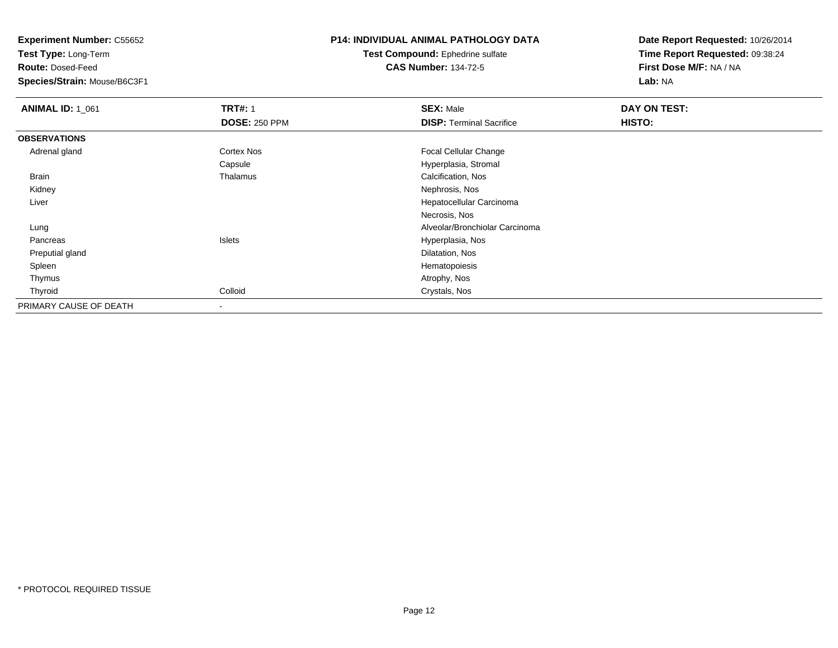**Test Type:** Long-Term

**Route:** Dosed-Feed

**Species/Strain:** Mouse/B6C3F1

## **P14: INDIVIDUAL ANIMAL PATHOLOGY DATA**

**Test Compound:** Ephedrine sulfate**CAS Number:** 134-72-5

| <b>ANIMAL ID: 1_061</b> | <b>TRT#: 1</b>       | <b>SEX: Male</b>                | <b>DAY ON TEST:</b> |  |
|-------------------------|----------------------|---------------------------------|---------------------|--|
|                         | <b>DOSE: 250 PPM</b> | <b>DISP:</b> Terminal Sacrifice | HISTO:              |  |
| <b>OBSERVATIONS</b>     |                      |                                 |                     |  |
| Adrenal gland           | <b>Cortex Nos</b>    | Focal Cellular Change           |                     |  |
|                         | Capsule              | Hyperplasia, Stromal            |                     |  |
| Brain                   | Thalamus             | Calcification, Nos              |                     |  |
| Kidney                  |                      | Nephrosis, Nos                  |                     |  |
| Liver                   |                      | Hepatocellular Carcinoma        |                     |  |
|                         |                      | Necrosis, Nos                   |                     |  |
| Lung                    |                      | Alveolar/Bronchiolar Carcinoma  |                     |  |
| Pancreas                | Islets               | Hyperplasia, Nos                |                     |  |
| Preputial gland         |                      | Dilatation, Nos                 |                     |  |
| Spleen                  |                      | Hematopoiesis                   |                     |  |
| Thymus                  |                      | Atrophy, Nos                    |                     |  |
| Thyroid                 | Colloid              | Crystals, Nos                   |                     |  |
| PRIMARY CAUSE OF DEATH  |                      |                                 |                     |  |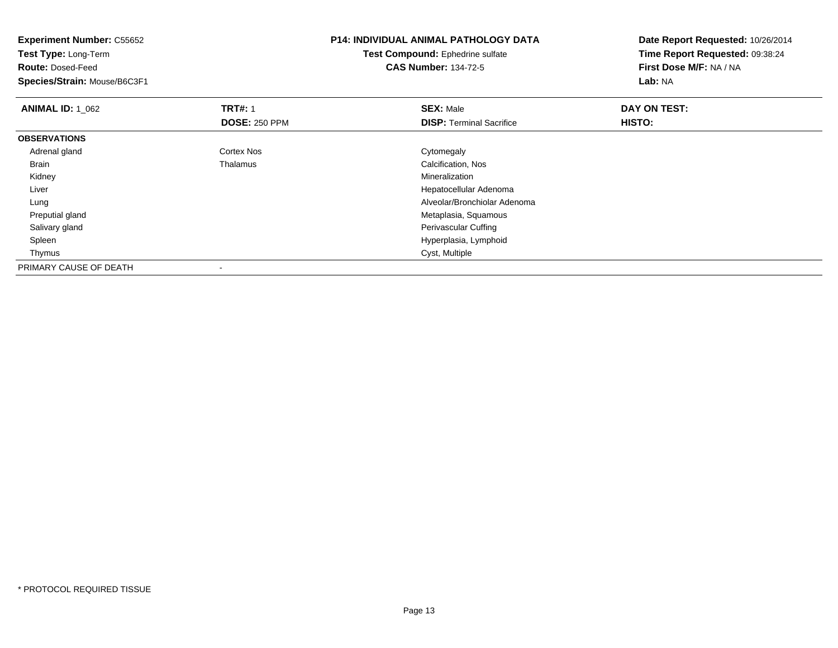| <b>Experiment Number: C55652</b><br>Test Type: Long-Term |                      | <b>P14: INDIVIDUAL ANIMAL PATHOLOGY DATA</b> | Date Report Requested: 10/26/2014 |
|----------------------------------------------------------|----------------------|----------------------------------------------|-----------------------------------|
|                                                          |                      | Test Compound: Ephedrine sulfate             | Time Report Requested: 09:38:24   |
| <b>Route: Dosed-Feed</b>                                 |                      | <b>CAS Number: 134-72-5</b>                  | First Dose M/F: NA / NA           |
| Species/Strain: Mouse/B6C3F1                             |                      |                                              | Lab: NA                           |
| <b>ANIMAL ID: 1 062</b>                                  | <b>TRT#: 1</b>       | <b>SEX: Male</b>                             | DAY ON TEST:                      |
|                                                          | <b>DOSE: 250 PPM</b> | <b>DISP:</b> Terminal Sacrifice              | HISTO:                            |
| <b>OBSERVATIONS</b>                                      |                      |                                              |                                   |
| Adrenal gland                                            | Cortex Nos           | Cytomegaly                                   |                                   |
| Brain                                                    | Thalamus             | Calcification, Nos                           |                                   |
| Kidney                                                   |                      | Mineralization                               |                                   |
| Liver                                                    |                      | Hepatocellular Adenoma                       |                                   |
| Lung                                                     |                      | Alveolar/Bronchiolar Adenoma                 |                                   |
| Preputial gland                                          |                      | Metaplasia, Squamous                         |                                   |
| Salivary gland                                           |                      | Perivascular Cuffing                         |                                   |
| Spleen                                                   |                      | Hyperplasia, Lymphoid                        |                                   |
| Thymus                                                   |                      | Cyst, Multiple                               |                                   |
| PRIMARY CAUSE OF DEATH                                   |                      |                                              |                                   |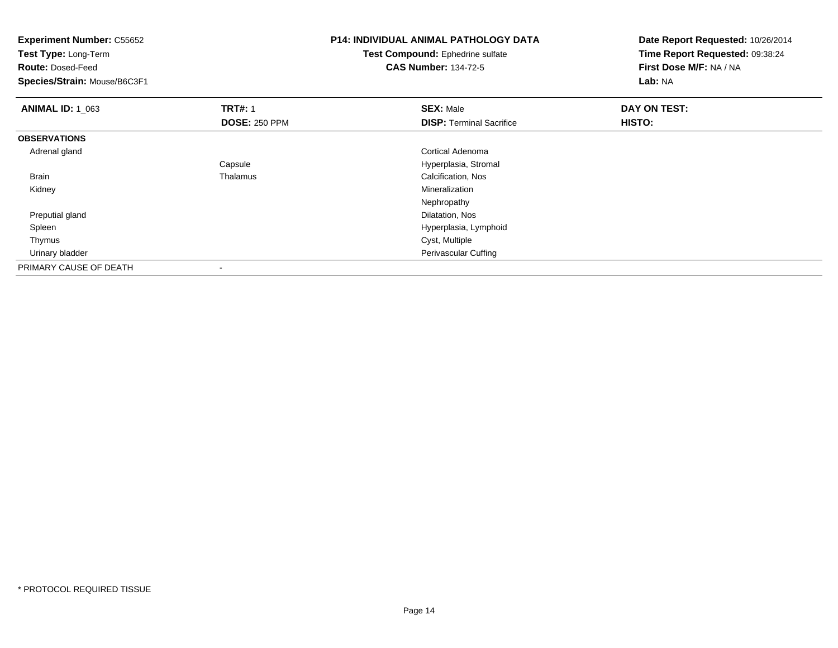| <b>Experiment Number: C55652</b><br>Test Type: Long-Term<br><b>Route: Dosed-Feed</b><br>Species/Strain: Mouse/B6C3F1 |                      | <b>P14: INDIVIDUAL ANIMAL PATHOLOGY DATA</b><br>Test Compound: Ephedrine sulfate<br><b>CAS Number: 134-72-5</b> | Date Report Requested: 10/26/2014<br>Time Report Requested: 09:38:24<br>First Dose M/F: NA / NA<br>Lab: NA |
|----------------------------------------------------------------------------------------------------------------------|----------------------|-----------------------------------------------------------------------------------------------------------------|------------------------------------------------------------------------------------------------------------|
| <b>ANIMAL ID: 1_063</b>                                                                                              | <b>TRT#: 1</b>       | <b>SEX: Male</b>                                                                                                | DAY ON TEST:                                                                                               |
|                                                                                                                      | <b>DOSE: 250 PPM</b> | <b>DISP: Terminal Sacrifice</b>                                                                                 | HISTO:                                                                                                     |
| <b>OBSERVATIONS</b>                                                                                                  |                      |                                                                                                                 |                                                                                                            |
| Adrenal gland                                                                                                        |                      | Cortical Adenoma                                                                                                |                                                                                                            |
|                                                                                                                      | Capsule              | Hyperplasia, Stromal                                                                                            |                                                                                                            |
| Brain                                                                                                                | Thalamus             | Calcification, Nos                                                                                              |                                                                                                            |
| Kidney                                                                                                               |                      | <b>Mineralization</b>                                                                                           |                                                                                                            |
|                                                                                                                      |                      | Nephropathy                                                                                                     |                                                                                                            |
| Preputial gland                                                                                                      |                      | Dilatation, Nos                                                                                                 |                                                                                                            |
| Spleen                                                                                                               |                      | Hyperplasia, Lymphoid                                                                                           |                                                                                                            |
| Thymus                                                                                                               |                      | Cyst, Multiple                                                                                                  |                                                                                                            |
| Urinary bladder                                                                                                      |                      | Perivascular Cuffing                                                                                            |                                                                                                            |
| PRIMARY CAUSE OF DEATH                                                                                               |                      |                                                                                                                 |                                                                                                            |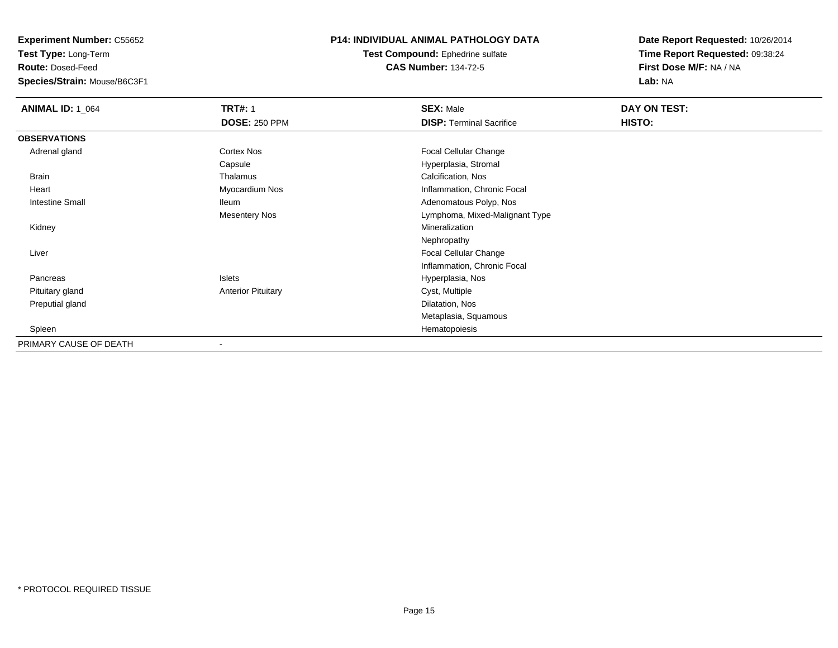**Test Type:** Long-Term

**Route:** Dosed-Feed

**Species/Strain:** Mouse/B6C3F1

### **P14: INDIVIDUAL ANIMAL PATHOLOGY DATA**

**Test Compound:** Ephedrine sulfate**CAS Number:** 134-72-5

| <b>ANIMAL ID: 1_064</b> | <b>TRT#: 1</b>            | <b>SEX: Male</b>                | DAY ON TEST: |  |
|-------------------------|---------------------------|---------------------------------|--------------|--|
|                         | <b>DOSE: 250 PPM</b>      | <b>DISP: Terminal Sacrifice</b> | HISTO:       |  |
| <b>OBSERVATIONS</b>     |                           |                                 |              |  |
| Adrenal gland           | Cortex Nos                | <b>Focal Cellular Change</b>    |              |  |
|                         | Capsule                   | Hyperplasia, Stromal            |              |  |
| Brain                   | Thalamus                  | Calcification, Nos              |              |  |
| Heart                   | Myocardium Nos            | Inflammation, Chronic Focal     |              |  |
| <b>Intestine Small</b>  | <b>Ileum</b>              | Adenomatous Polyp, Nos          |              |  |
|                         | <b>Mesentery Nos</b>      | Lymphoma, Mixed-Malignant Type  |              |  |
| Kidney                  |                           | Mineralization                  |              |  |
|                         |                           | Nephropathy                     |              |  |
| Liver                   |                           | Focal Cellular Change           |              |  |
|                         |                           | Inflammation, Chronic Focal     |              |  |
| Pancreas                | Islets                    | Hyperplasia, Nos                |              |  |
| Pituitary gland         | <b>Anterior Pituitary</b> | Cyst, Multiple                  |              |  |
| Preputial gland         |                           | Dilatation, Nos                 |              |  |
|                         |                           | Metaplasia, Squamous            |              |  |
| Spleen                  |                           | Hematopoiesis                   |              |  |
| PRIMARY CAUSE OF DEATH  |                           |                                 |              |  |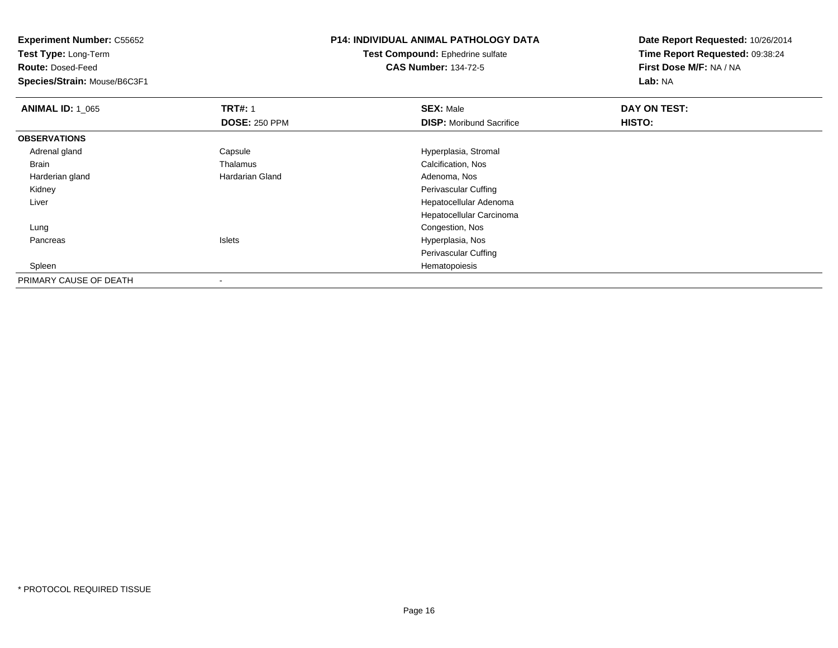**Test Type:** Long-Term

**Route:** Dosed-Feed

**Species/Strain:** Mouse/B6C3F1

## **P14: INDIVIDUAL ANIMAL PATHOLOGY DATA**

**Test Compound:** Ephedrine sulfate**CAS Number:** 134-72-5

| <b>ANIMAL ID: 1 065</b> | <b>TRT#: 1</b>         | <b>SEX: Male</b>                | DAY ON TEST: |  |
|-------------------------|------------------------|---------------------------------|--------------|--|
|                         | <b>DOSE: 250 PPM</b>   | <b>DISP:</b> Moribund Sacrifice | HISTO:       |  |
| <b>OBSERVATIONS</b>     |                        |                                 |              |  |
| Adrenal gland           | Capsule                | Hyperplasia, Stromal            |              |  |
| Brain                   | Thalamus               | Calcification, Nos              |              |  |
| Harderian gland         | <b>Hardarian Gland</b> | Adenoma, Nos                    |              |  |
| Kidney                  |                        | Perivascular Cuffing            |              |  |
| Liver                   |                        | Hepatocellular Adenoma          |              |  |
|                         |                        | Hepatocellular Carcinoma        |              |  |
| Lung                    |                        | Congestion, Nos                 |              |  |
| Pancreas                | Islets                 | Hyperplasia, Nos                |              |  |
|                         |                        | Perivascular Cuffing            |              |  |
| Spleen                  |                        | Hematopoiesis                   |              |  |
| PRIMARY CAUSE OF DEATH  |                        |                                 |              |  |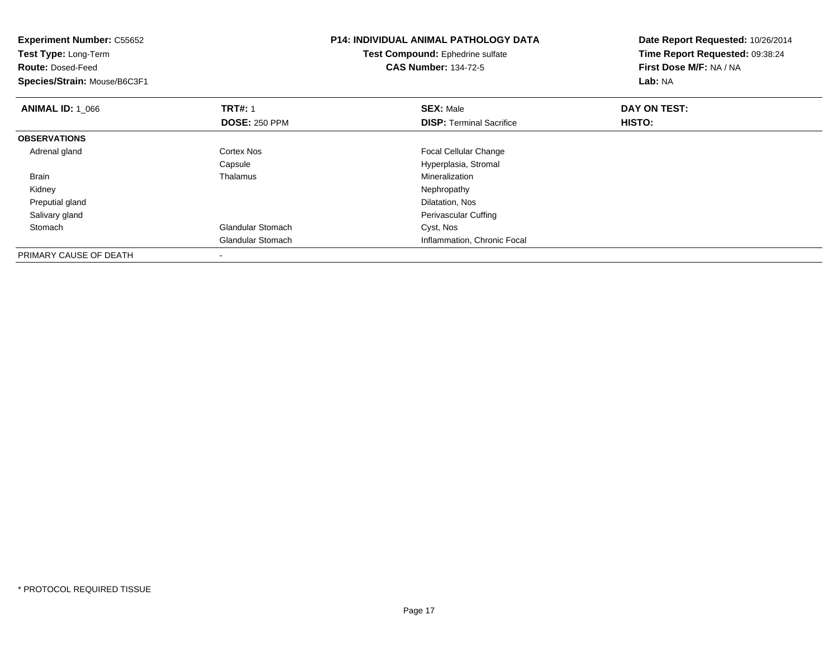| <b>Experiment Number: C55652</b><br>Test Type: Long-Term<br><b>Route: Dosed-Feed</b><br>Species/Strain: Mouse/B6C3F1 |                          | <b>P14: INDIVIDUAL ANIMAL PATHOLOGY DATA</b><br>Test Compound: Ephedrine sulfate<br><b>CAS Number: 134-72-5</b> | Date Report Requested: 10/26/2014<br>Time Report Requested: 09:38:24<br>First Dose M/F: NA / NA<br>Lab: NA |
|----------------------------------------------------------------------------------------------------------------------|--------------------------|-----------------------------------------------------------------------------------------------------------------|------------------------------------------------------------------------------------------------------------|
| <b>ANIMAL ID: 1 066</b>                                                                                              | <b>TRT#: 1</b>           | <b>SEX: Male</b>                                                                                                | DAY ON TEST:                                                                                               |
|                                                                                                                      | <b>DOSE: 250 PPM</b>     | <b>DISP: Terminal Sacrifice</b>                                                                                 | HISTO:                                                                                                     |
| <b>OBSERVATIONS</b>                                                                                                  |                          |                                                                                                                 |                                                                                                            |
| Adrenal gland                                                                                                        | Cortex Nos               | <b>Focal Cellular Change</b>                                                                                    |                                                                                                            |
|                                                                                                                      | Capsule                  | Hyperplasia, Stromal                                                                                            |                                                                                                            |
| Brain                                                                                                                | Thalamus                 | Mineralization                                                                                                  |                                                                                                            |
| Kidney                                                                                                               |                          | Nephropathy                                                                                                     |                                                                                                            |
| Preputial gland                                                                                                      |                          | Dilatation, Nos                                                                                                 |                                                                                                            |
| Salivary gland                                                                                                       |                          | Perivascular Cuffing                                                                                            |                                                                                                            |
| Stomach                                                                                                              | <b>Glandular Stomach</b> | Cyst, Nos                                                                                                       |                                                                                                            |
|                                                                                                                      | <b>Glandular Stomach</b> | Inflammation, Chronic Focal                                                                                     |                                                                                                            |
| PRIMARY CAUSE OF DEATH                                                                                               |                          |                                                                                                                 |                                                                                                            |

-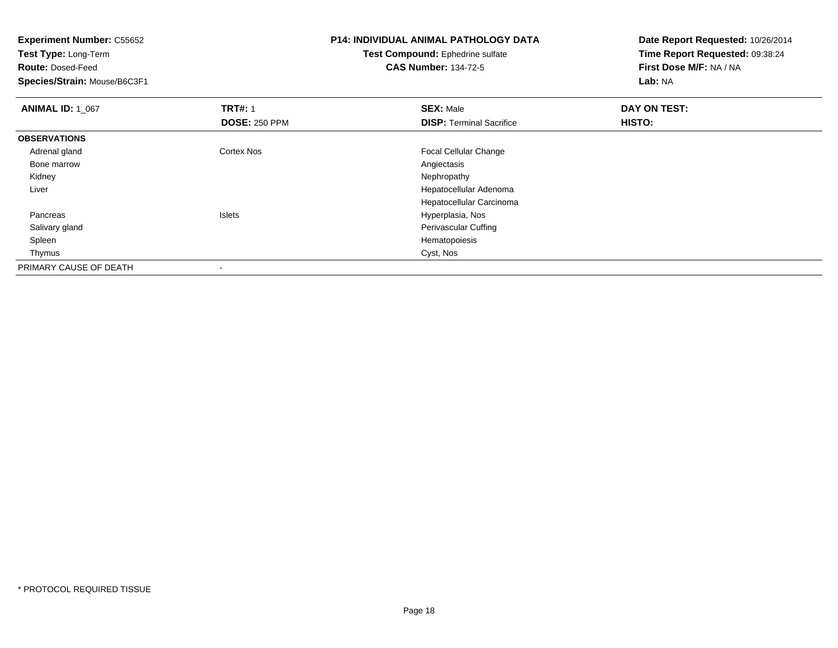**Experiment Number:** C55652**Test Type:** Long-Term**Route:** Dosed-Feed **Species/Strain:** Mouse/B6C3F1**P14: INDIVIDUAL ANIMAL PATHOLOGY DATATest Compound:** Ephedrine sulfate**CAS Number:** 134-72-5**Date Report Requested:** 10/26/2014**Time Report Requested:** 09:38:24**First Dose M/F:** NA / NA**Lab:** NA**ANIMAL ID: 1\_067 TRT#:** <sup>1</sup> **SEX:** Male **DAY ON TEST: DOSE:** 250 PPM**DISP:** Terminal Sacrifice **HISTO: OBSERVATIONS** Adrenal glandCortex Nos Focal Cellular Change<br>
Angiectasis Bone marroww Angiectasis and the contract of the contract of the contract of the contract of the contract of the contract of the contract of the contract of the contract of the contract of the contract of the contract of the contract Kidneyy the control of the control of the control of the control of the control of the control of the control of the control of the control of the control of the control of the control of the control of the control of the contro Liver Hepatocellular Adenoma Hepatocellular Carcinoma Pancreas Islets Hyperplasia, Nos Salivary glandPerivascular Cuffing<br>Hematopoiesis Spleenn and the state of the state of the state of the state of the state of the state of the state of the state of the state of the state of the state of the state of the state of the state of the state of the state of the stat Thymuss and the contract of the contract of the contract of the contract of the contract of the contract of the contract of the contract of the contract of the contract of the contract of the contract of the contract of the cont PRIMARY CAUSE OF DEATH

-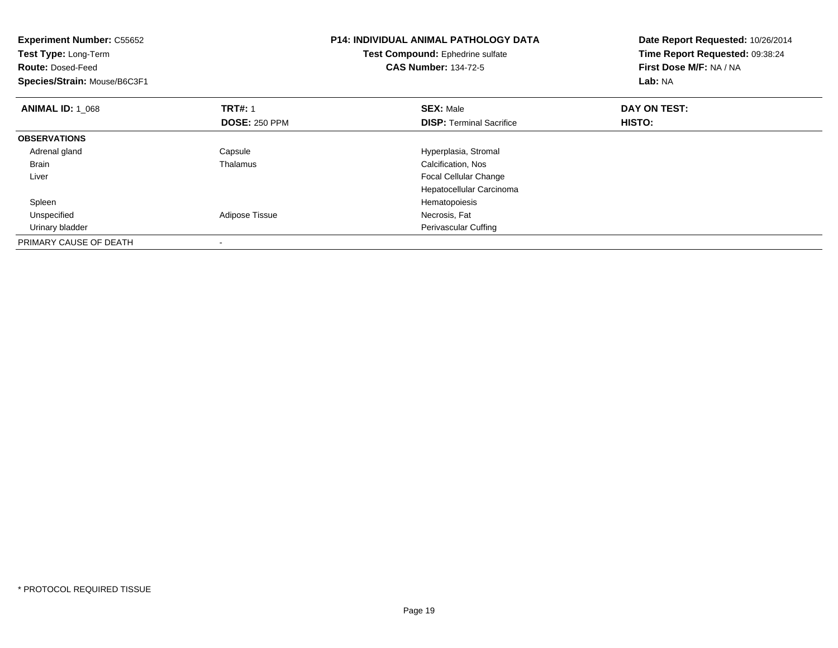| <b>Experiment Number: C55652</b><br>Test Type: Long-Term<br><b>Route: Dosed-Feed</b><br>Species/Strain: Mouse/B6C3F1 |                                        | <b>P14: INDIVIDUAL ANIMAL PATHOLOGY DATA</b><br>Test Compound: Ephedrine sulfate<br><b>CAS Number: 134-72-5</b> | Date Report Requested: 10/26/2014<br>Time Report Requested: 09:38:24<br>First Dose M/F: NA / NA<br>Lab: NA |
|----------------------------------------------------------------------------------------------------------------------|----------------------------------------|-----------------------------------------------------------------------------------------------------------------|------------------------------------------------------------------------------------------------------------|
| <b>ANIMAL ID: 1 068</b>                                                                                              | <b>TRT#: 1</b><br><b>DOSE: 250 PPM</b> | <b>SEX: Male</b><br><b>DISP:</b> Terminal Sacrifice                                                             | DAY ON TEST:<br>HISTO:                                                                                     |
| <b>OBSERVATIONS</b>                                                                                                  |                                        |                                                                                                                 |                                                                                                            |
| Adrenal gland                                                                                                        | Capsule                                | Hyperplasia, Stromal                                                                                            |                                                                                                            |
| <b>Brain</b>                                                                                                         | Thalamus                               | Calcification, Nos                                                                                              |                                                                                                            |
| Liver                                                                                                                |                                        | <b>Focal Cellular Change</b>                                                                                    |                                                                                                            |
|                                                                                                                      |                                        | Hepatocellular Carcinoma                                                                                        |                                                                                                            |
| Spleen                                                                                                               |                                        | Hematopoiesis                                                                                                   |                                                                                                            |
| Unspecified                                                                                                          | Adipose Tissue                         | Necrosis, Fat                                                                                                   |                                                                                                            |
| Urinary bladder                                                                                                      |                                        | Perivascular Cuffing                                                                                            |                                                                                                            |
| PRIMARY CAUSE OF DEATH                                                                                               |                                        |                                                                                                                 |                                                                                                            |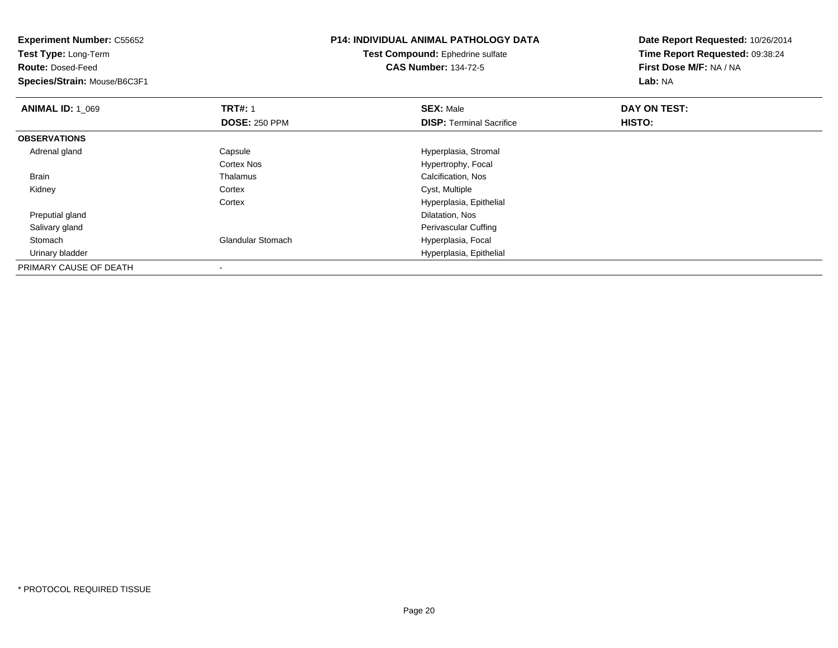| <b>Experiment Number: C55652</b><br><b>Test Type: Long-Term</b> |                          | <b>P14: INDIVIDUAL ANIMAL PATHOLOGY DATA</b> | Date Report Requested: 10/26/2014 |  |
|-----------------------------------------------------------------|--------------------------|----------------------------------------------|-----------------------------------|--|
|                                                                 |                          | Test Compound: Ephedrine sulfate             | Time Report Requested: 09:38:24   |  |
| <b>Route: Dosed-Feed</b>                                        |                          | <b>CAS Number: 134-72-5</b>                  | First Dose M/F: NA / NA           |  |
| Species/Strain: Mouse/B6C3F1                                    |                          |                                              | Lab: NA                           |  |
| <b>ANIMAL ID: 1_069</b>                                         | <b>TRT#: 1</b>           | <b>SEX: Male</b>                             | DAY ON TEST:                      |  |
|                                                                 | <b>DOSE: 250 PPM</b>     | <b>DISP: Terminal Sacrifice</b>              | HISTO:                            |  |
| <b>OBSERVATIONS</b>                                             |                          |                                              |                                   |  |
| Adrenal gland                                                   | Capsule                  | Hyperplasia, Stromal                         |                                   |  |
|                                                                 | Cortex Nos               | Hypertrophy, Focal                           |                                   |  |
| Brain                                                           | Thalamus                 | Calcification, Nos                           |                                   |  |
| Kidney                                                          | Cortex                   | Cyst, Multiple                               |                                   |  |
|                                                                 | Cortex                   | Hyperplasia, Epithelial                      |                                   |  |
| Preputial gland                                                 |                          | Dilatation, Nos                              |                                   |  |
| Salivary gland                                                  |                          | Perivascular Cuffing                         |                                   |  |
| Stomach                                                         | <b>Glandular Stomach</b> | Hyperplasia, Focal                           |                                   |  |
| Urinary bladder                                                 |                          | Hyperplasia, Epithelial                      |                                   |  |
| PRIMARY CAUSE OF DEATH                                          |                          |                                              |                                   |  |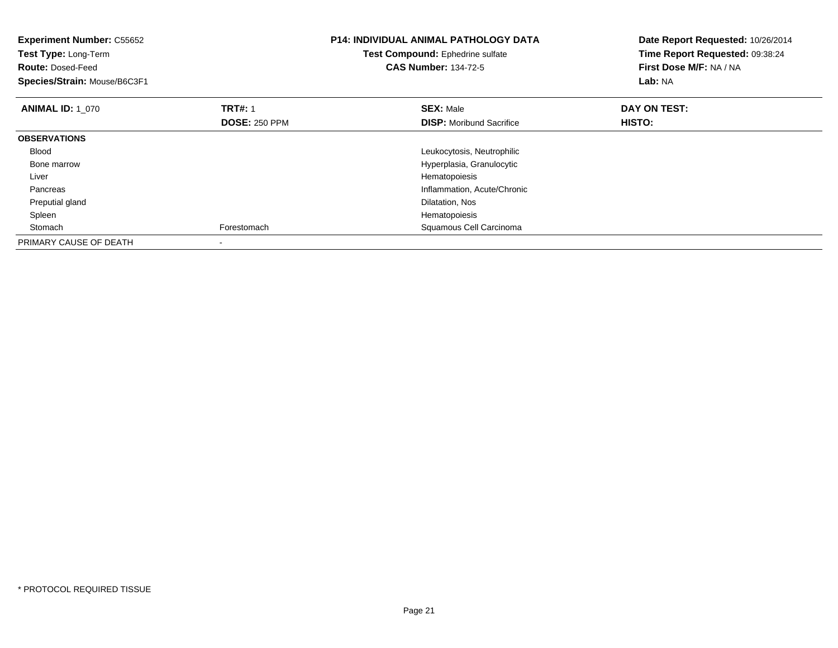| <b>Experiment Number: C55652</b><br>Test Type: Long-Term<br><b>Route: Dosed-Feed</b><br>Species/Strain: Mouse/B6C3F1 |                                        | <b>P14: INDIVIDUAL ANIMAL PATHOLOGY DATA</b><br>Test Compound: Ephedrine sulfate<br><b>CAS Number: 134-72-5</b> | Date Report Requested: 10/26/2014<br>Time Report Requested: 09:38:24<br>First Dose M/F: NA / NA<br>Lab: NA |
|----------------------------------------------------------------------------------------------------------------------|----------------------------------------|-----------------------------------------------------------------------------------------------------------------|------------------------------------------------------------------------------------------------------------|
| <b>ANIMAL ID: 1 070</b>                                                                                              | <b>TRT#: 1</b><br><b>DOSE: 250 PPM</b> | <b>SEX: Male</b><br><b>DISP:</b> Moribund Sacrifice                                                             | DAY ON TEST:<br>HISTO:                                                                                     |
| <b>OBSERVATIONS</b>                                                                                                  |                                        |                                                                                                                 |                                                                                                            |
| <b>Blood</b>                                                                                                         |                                        | Leukocytosis, Neutrophilic                                                                                      |                                                                                                            |
| Bone marrow                                                                                                          |                                        | Hyperplasia, Granulocytic                                                                                       |                                                                                                            |
| Liver                                                                                                                |                                        | Hematopoiesis                                                                                                   |                                                                                                            |
| Pancreas                                                                                                             |                                        | Inflammation, Acute/Chronic                                                                                     |                                                                                                            |
| Preputial gland                                                                                                      |                                        | Dilatation, Nos                                                                                                 |                                                                                                            |
| Spleen                                                                                                               |                                        | Hematopoiesis                                                                                                   |                                                                                                            |
| Stomach                                                                                                              | Forestomach                            | Squamous Cell Carcinoma                                                                                         |                                                                                                            |
| PRIMARY CAUSE OF DEATH                                                                                               |                                        |                                                                                                                 |                                                                                                            |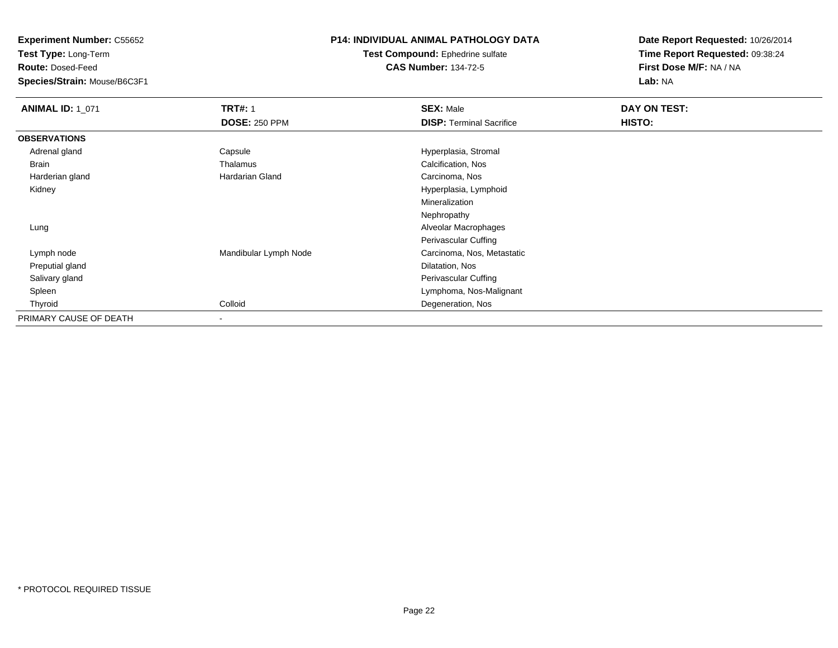**Test Type:** Long-Term

**Route:** Dosed-Feed

**Species/Strain:** Mouse/B6C3F1

### **P14: INDIVIDUAL ANIMAL PATHOLOGY DATA**

**Test Compound:** Ephedrine sulfate**CAS Number:** 134-72-5

| <b>ANIMAL ID: 1_071</b> | <b>TRT#: 1</b>           | <b>SEX: Male</b>                | DAY ON TEST: |  |
|-------------------------|--------------------------|---------------------------------|--------------|--|
|                         | <b>DOSE: 250 PPM</b>     | <b>DISP: Terminal Sacrifice</b> | HISTO:       |  |
| <b>OBSERVATIONS</b>     |                          |                                 |              |  |
| Adrenal gland           | Capsule                  | Hyperplasia, Stromal            |              |  |
| Brain                   | Thalamus                 | Calcification, Nos              |              |  |
| Harderian gland         | <b>Hardarian Gland</b>   | Carcinoma, Nos                  |              |  |
| Kidney                  |                          | Hyperplasia, Lymphoid           |              |  |
|                         |                          | Mineralization                  |              |  |
|                         |                          | Nephropathy                     |              |  |
| Lung                    |                          | Alveolar Macrophages            |              |  |
|                         |                          | Perivascular Cuffing            |              |  |
| Lymph node              | Mandibular Lymph Node    | Carcinoma, Nos, Metastatic      |              |  |
| Preputial gland         |                          | Dilatation, Nos                 |              |  |
| Salivary gland          |                          | Perivascular Cuffing            |              |  |
| Spleen                  |                          | Lymphoma, Nos-Malignant         |              |  |
| Thyroid                 | Colloid                  | Degeneration, Nos               |              |  |
| PRIMARY CAUSE OF DEATH  | $\overline{\phantom{a}}$ |                                 |              |  |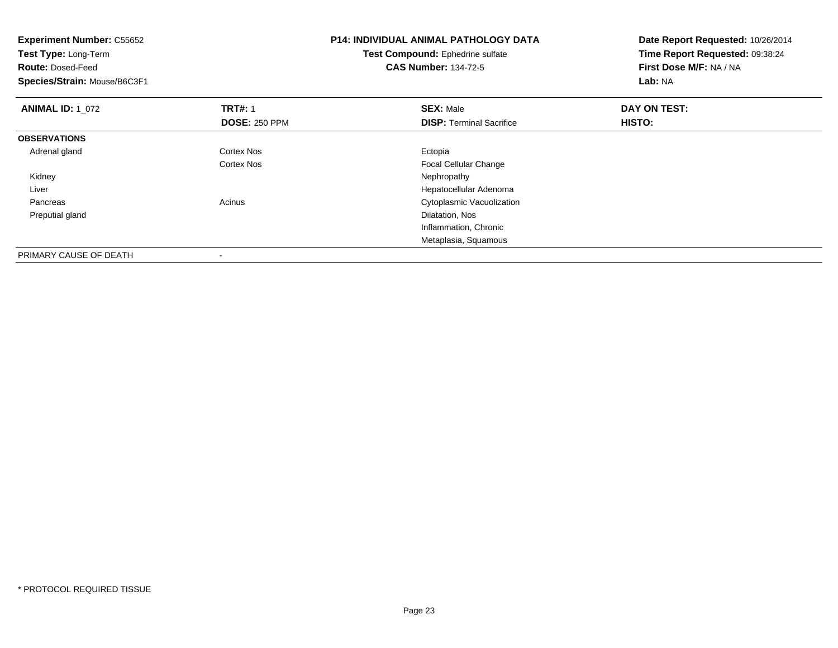| <b>SEX: Male</b><br><b>DISP:</b> Terminal Sacrifice | DAY ON TEST:<br>HISTO: |
|-----------------------------------------------------|------------------------|
|                                                     |                        |
|                                                     |                        |
|                                                     |                        |
| Ectopia                                             |                        |
| Focal Cellular Change                               |                        |
| Nephropathy                                         |                        |
| Hepatocellular Adenoma                              |                        |
| Cytoplasmic Vacuolization                           |                        |
| Dilatation, Nos                                     |                        |
| Inflammation, Chronic                               |                        |
|                                                     |                        |
|                                                     | Metaplasia, Squamous   |

-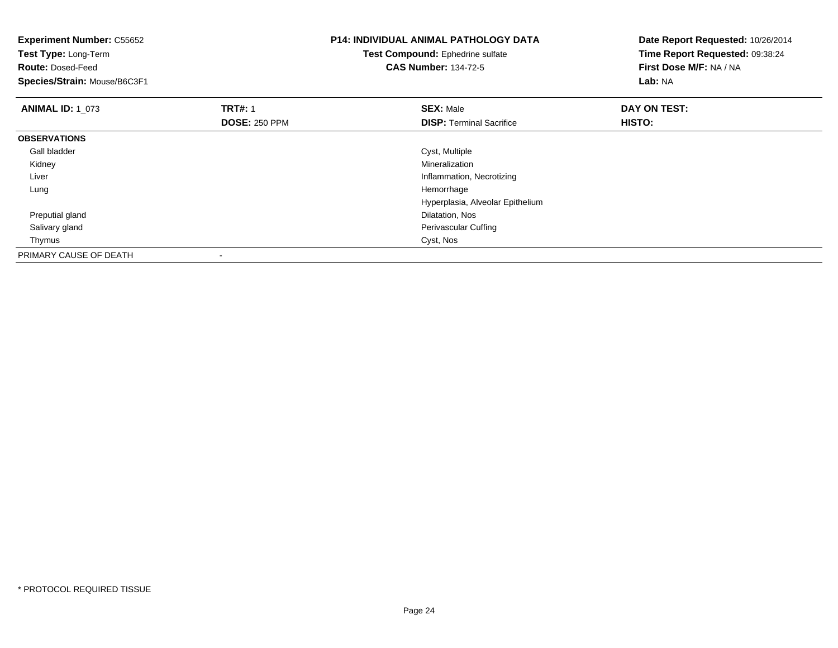| <b>Experiment Number: C55652</b><br>Test Type: Long-Term |                      | <b>P14: INDIVIDUAL ANIMAL PATHOLOGY DATA</b> | Date Report Requested: 10/26/2014<br>Time Report Requested: 09:38:24 |  |
|----------------------------------------------------------|----------------------|----------------------------------------------|----------------------------------------------------------------------|--|
|                                                          |                      | Test Compound: Ephedrine sulfate             |                                                                      |  |
| <b>Route: Dosed-Feed</b>                                 |                      | <b>CAS Number: 134-72-5</b>                  | First Dose M/F: NA / NA                                              |  |
| Species/Strain: Mouse/B6C3F1                             |                      |                                              | Lab: NA                                                              |  |
| <b>ANIMAL ID: 1 073</b>                                  | <b>TRT#: 1</b>       | <b>SEX: Male</b>                             | DAY ON TEST:                                                         |  |
|                                                          | <b>DOSE: 250 PPM</b> | <b>DISP:</b> Terminal Sacrifice              | HISTO:                                                               |  |
| <b>OBSERVATIONS</b>                                      |                      |                                              |                                                                      |  |
| Gall bladder                                             |                      | Cyst, Multiple                               |                                                                      |  |
| Kidney                                                   |                      | Mineralization                               |                                                                      |  |
| Liver                                                    |                      | Inflammation, Necrotizing                    |                                                                      |  |
| Lung                                                     |                      | Hemorrhage                                   |                                                                      |  |
|                                                          |                      | Hyperplasia, Alveolar Epithelium             |                                                                      |  |
| Preputial gland                                          |                      | Dilatation, Nos                              |                                                                      |  |
| Salivary gland                                           |                      | Perivascular Cuffing                         |                                                                      |  |
| Thymus                                                   |                      | Cyst, Nos                                    |                                                                      |  |
| PRIMARY CAUSE OF DEATH                                   |                      |                                              |                                                                      |  |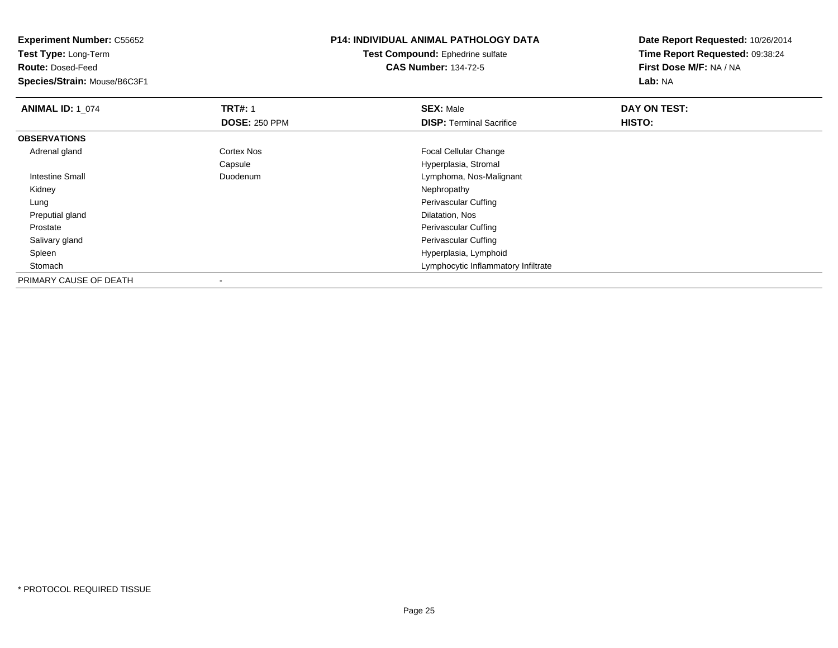**Experiment Number:** C55652**Test Type:** Long-Term**Route:** Dosed-Feed **Species/Strain:** Mouse/B6C3F1**P14: INDIVIDUAL ANIMAL PATHOLOGY DATATest Compound:** Ephedrine sulfate**CAS Number:** 134-72-5**Date Report Requested:** 10/26/2014**Time Report Requested:** 09:38:24**First Dose M/F:** NA / NA**Lab:** NA**ANIMAL ID: 1\_074 1 TRT#:** 1 **SEX:** Male **DAY ON TEST: DOSE:** 250 PPM**DISP:** Terminal Sacrifice **HISTO: OBSERVATIONS** Adrenal glandCortex Nos **Focal Cellular Change** Capsule Hyperplasia, Stromal Intestine Small Duodenum Lymphoma, Nos-Malignant Kidneyy the control of the control of the control of the control of the control of the control of the control of the control of the control of the control of the control of the control of the control of the control of the contro LungPerivascular Cuffing<br>Dilatation, Nos Preputial glandd and the control of the control of the control of the control of the control of the control of the control of the control of the control of the control of the control of the control of the control of the control of the co Prostate Perivascular Cuffing Salivary gland Perivascular Cuffing Spleen Hyperplasia, Lymphoid Stomach Lymphocytic Inflammatory Infiltrate PRIMARY CAUSE OF DEATH-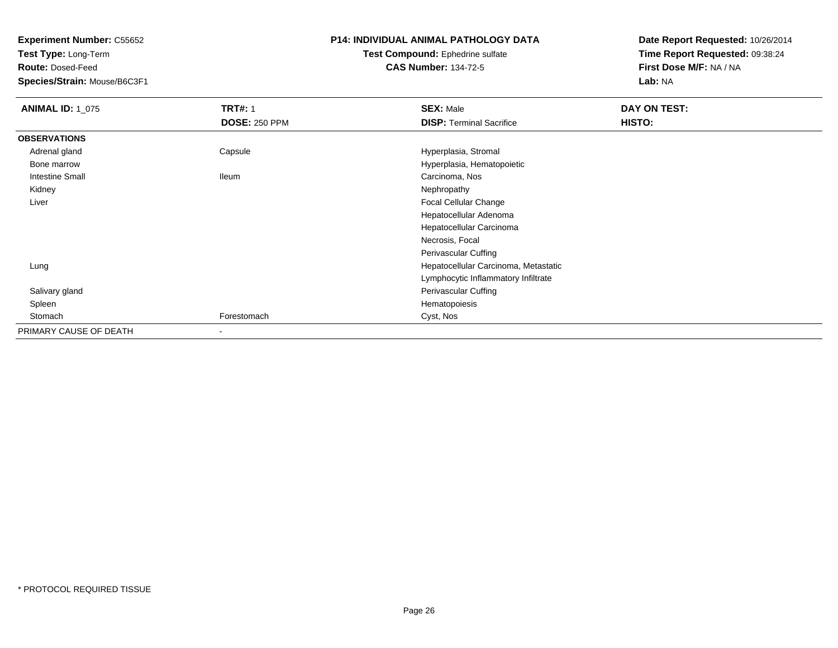**Test Type:** Long-Term

**Route:** Dosed-Feed

**Species/Strain:** Mouse/B6C3F1

### **P14: INDIVIDUAL ANIMAL PATHOLOGY DATA**

#### **Test Compound:** Ephedrine sulfate**CAS Number:** 134-72-5

| <b>ANIMAL ID: 1_075</b> | <b>TRT#: 1</b>       | <b>SEX: Male</b>                     | DAY ON TEST: |  |
|-------------------------|----------------------|--------------------------------------|--------------|--|
|                         | <b>DOSE: 250 PPM</b> | <b>DISP: Terminal Sacrifice</b>      | HISTO:       |  |
| <b>OBSERVATIONS</b>     |                      |                                      |              |  |
| Adrenal gland           | Capsule              | Hyperplasia, Stromal                 |              |  |
| Bone marrow             |                      | Hyperplasia, Hematopoietic           |              |  |
| <b>Intestine Small</b>  | lleum                | Carcinoma, Nos                       |              |  |
| Kidney                  |                      | Nephropathy                          |              |  |
| Liver                   |                      | Focal Cellular Change                |              |  |
|                         |                      | Hepatocellular Adenoma               |              |  |
|                         |                      | Hepatocellular Carcinoma             |              |  |
|                         |                      | Necrosis, Focal                      |              |  |
|                         |                      | Perivascular Cuffing                 |              |  |
| Lung                    |                      | Hepatocellular Carcinoma, Metastatic |              |  |
|                         |                      | Lymphocytic Inflammatory Infiltrate  |              |  |
| Salivary gland          |                      | Perivascular Cuffing                 |              |  |
| Spleen                  |                      | Hematopoiesis                        |              |  |
| Stomach                 | Forestomach          | Cyst, Nos                            |              |  |
| PRIMARY CAUSE OF DEATH  | $\blacksquare$       |                                      |              |  |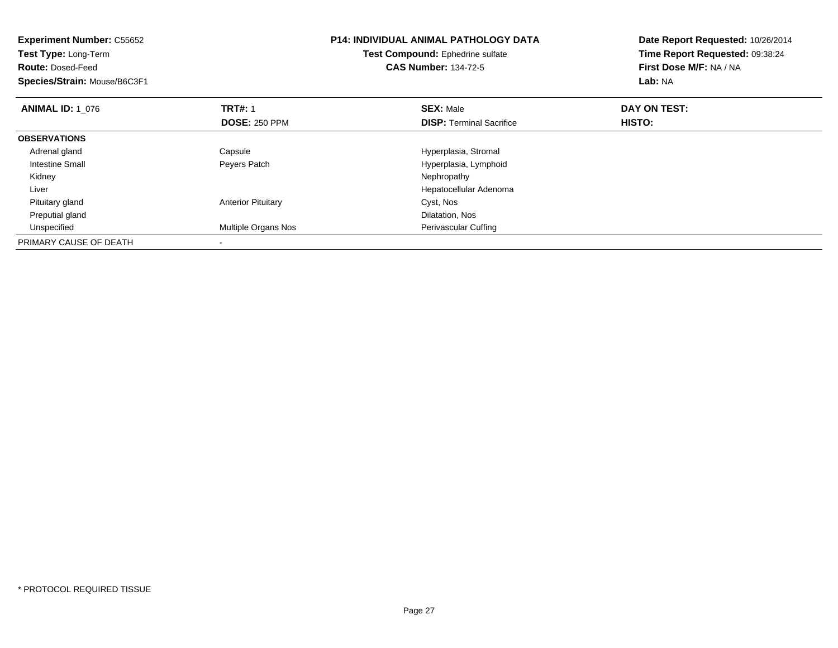| <b>Experiment Number: C55652</b><br>Test Type: Long-Term<br><b>Route: Dosed-Feed</b><br>Species/Strain: Mouse/B6C3F1 |                            | <b>P14: INDIVIDUAL ANIMAL PATHOLOGY DATA</b><br>Test Compound: Ephedrine sulfate<br><b>CAS Number: 134-72-5</b> | Date Report Requested: 10/26/2014<br>Time Report Requested: 09:38:24<br>First Dose M/F: NA / NA<br>Lab: NA |
|----------------------------------------------------------------------------------------------------------------------|----------------------------|-----------------------------------------------------------------------------------------------------------------|------------------------------------------------------------------------------------------------------------|
| <b>ANIMAL ID: 1 076</b>                                                                                              | <b>TRT#: 1</b>             | <b>SEX: Male</b>                                                                                                | DAY ON TEST:                                                                                               |
|                                                                                                                      | <b>DOSE: 250 PPM</b>       | <b>DISP:</b> Terminal Sacrifice                                                                                 | HISTO:                                                                                                     |
| <b>OBSERVATIONS</b>                                                                                                  |                            |                                                                                                                 |                                                                                                            |
| Adrenal gland                                                                                                        | Capsule                    | Hyperplasia, Stromal                                                                                            |                                                                                                            |
| Intestine Small                                                                                                      | Peyers Patch               | Hyperplasia, Lymphoid                                                                                           |                                                                                                            |
| Kidney                                                                                                               |                            | Nephropathy                                                                                                     |                                                                                                            |
| Liver                                                                                                                |                            | Hepatocellular Adenoma                                                                                          |                                                                                                            |
| Pituitary gland                                                                                                      | <b>Anterior Pituitary</b>  | Cyst, Nos                                                                                                       |                                                                                                            |
| Preputial gland                                                                                                      |                            | Dilatation, Nos                                                                                                 |                                                                                                            |
| Unspecified                                                                                                          | <b>Multiple Organs Nos</b> | Perivascular Cuffing                                                                                            |                                                                                                            |
| PRIMARY CAUSE OF DEATH                                                                                               |                            |                                                                                                                 |                                                                                                            |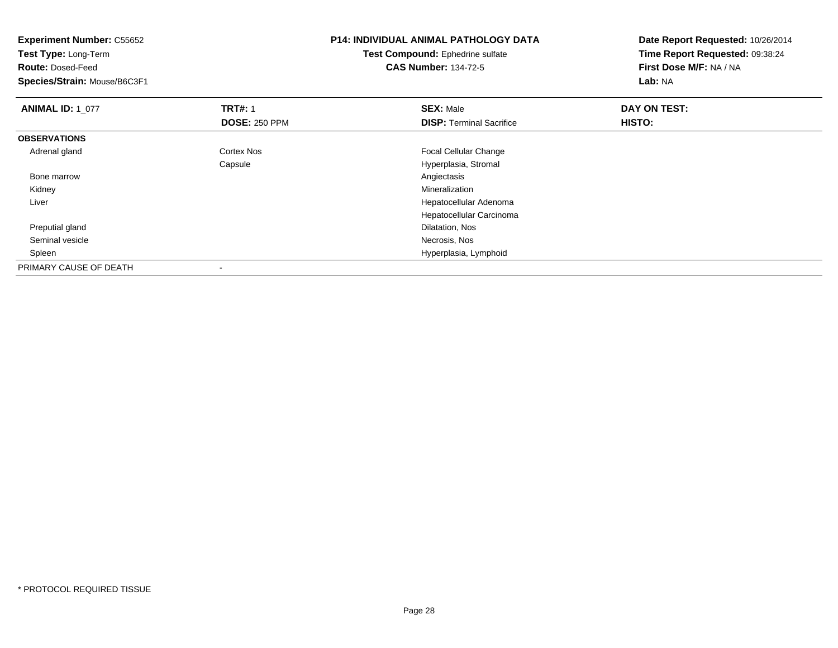| <b>Experiment Number: C55652</b><br>Test Type: Long-Term<br><b>Route: Dosed-Feed</b><br>Species/Strain: Mouse/B6C3F1 |                                        | <b>P14: INDIVIDUAL ANIMAL PATHOLOGY DATA</b><br>Test Compound: Ephedrine sulfate<br><b>CAS Number: 134-72-5</b> | Date Report Requested: 10/26/2014<br>Time Report Requested: 09:38:24<br>First Dose M/F: NA / NA<br>Lab: NA |  |
|----------------------------------------------------------------------------------------------------------------------|----------------------------------------|-----------------------------------------------------------------------------------------------------------------|------------------------------------------------------------------------------------------------------------|--|
| <b>ANIMAL ID: 1_077</b>                                                                                              | <b>TRT#: 1</b><br><b>DOSE: 250 PPM</b> | <b>SEX: Male</b><br><b>DISP: Terminal Sacrifice</b>                                                             | DAY ON TEST:<br>HISTO:                                                                                     |  |
| <b>OBSERVATIONS</b>                                                                                                  |                                        |                                                                                                                 |                                                                                                            |  |
| Adrenal gland                                                                                                        | Cortex Nos                             | Focal Cellular Change                                                                                           |                                                                                                            |  |
|                                                                                                                      | Capsule                                | Hyperplasia, Stromal                                                                                            |                                                                                                            |  |
| Bone marrow                                                                                                          |                                        | Angiectasis                                                                                                     |                                                                                                            |  |
| Kidney                                                                                                               |                                        | Mineralization                                                                                                  |                                                                                                            |  |
| Liver                                                                                                                |                                        | Hepatocellular Adenoma                                                                                          |                                                                                                            |  |
|                                                                                                                      |                                        | Hepatocellular Carcinoma                                                                                        |                                                                                                            |  |
| Preputial gland                                                                                                      |                                        | Dilatation, Nos                                                                                                 |                                                                                                            |  |
| Seminal vesicle                                                                                                      |                                        | Necrosis, Nos                                                                                                   |                                                                                                            |  |
| Spleen                                                                                                               |                                        | Hyperplasia, Lymphoid                                                                                           |                                                                                                            |  |
| PRIMARY CAUSE OF DEATH                                                                                               |                                        |                                                                                                                 |                                                                                                            |  |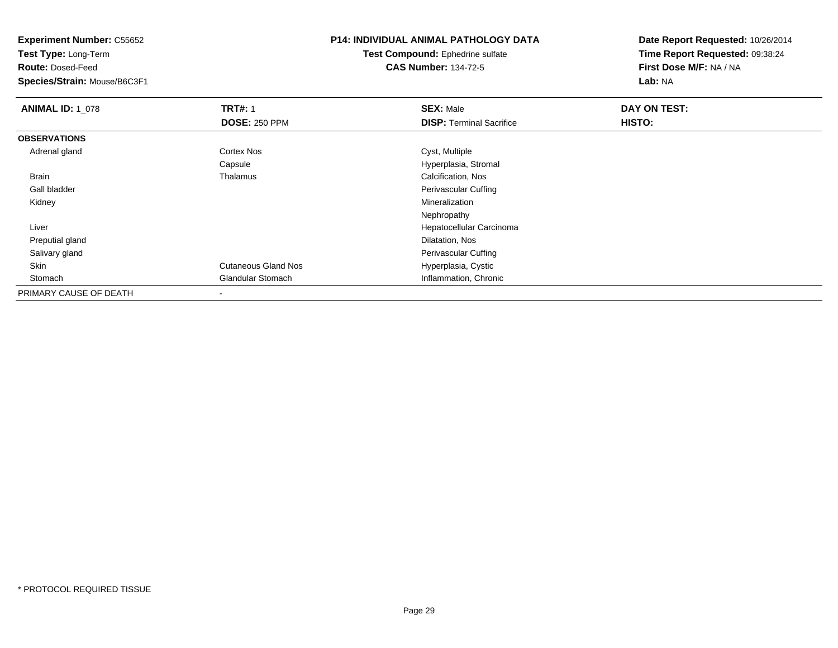**Test Type:** Long-Term

**Route:** Dosed-Feed

**Species/Strain:** Mouse/B6C3F1

## **P14: INDIVIDUAL ANIMAL PATHOLOGY DATA**

#### **Test Compound:** Ephedrine sulfate**CAS Number:** 134-72-5

| <b>ANIMAL ID: 1_078</b> | <b>TRT#: 1</b>             | <b>SEX: Male</b>                | DAY ON TEST: |  |
|-------------------------|----------------------------|---------------------------------|--------------|--|
|                         | <b>DOSE: 250 PPM</b>       | <b>DISP: Terminal Sacrifice</b> | HISTO:       |  |
| <b>OBSERVATIONS</b>     |                            |                                 |              |  |
| Adrenal gland           | <b>Cortex Nos</b>          | Cyst, Multiple                  |              |  |
|                         | Capsule                    | Hyperplasia, Stromal            |              |  |
| Brain                   | Thalamus                   | Calcification, Nos              |              |  |
| Gall bladder            |                            | Perivascular Cuffing            |              |  |
| Kidney                  |                            | Mineralization                  |              |  |
|                         |                            | Nephropathy                     |              |  |
| Liver                   |                            | Hepatocellular Carcinoma        |              |  |
| Preputial gland         |                            | Dilatation, Nos                 |              |  |
| Salivary gland          |                            | Perivascular Cuffing            |              |  |
| Skin                    | <b>Cutaneous Gland Nos</b> | Hyperplasia, Cystic             |              |  |
| Stomach                 | <b>Glandular Stomach</b>   | Inflammation, Chronic           |              |  |
| PRIMARY CAUSE OF DEATH  | $\blacksquare$             |                                 |              |  |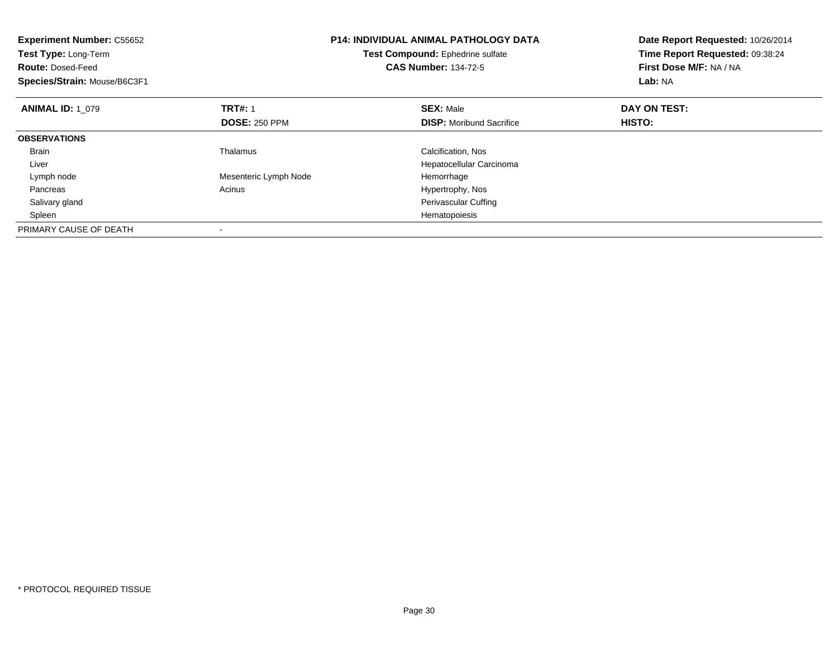| <b>Experiment Number: C55652</b><br>Test Type: Long-Term<br><b>Route: Dosed-Feed</b><br>Species/Strain: Mouse/B6C3F1 |                       | <b>P14: INDIVIDUAL ANIMAL PATHOLOGY DATA</b><br>Test Compound: Ephedrine sulfate<br><b>CAS Number: 134-72-5</b> | Date Report Requested: 10/26/2014<br>Time Report Requested: 09:38:24<br>First Dose M/F: NA / NA<br>Lab: NA |
|----------------------------------------------------------------------------------------------------------------------|-----------------------|-----------------------------------------------------------------------------------------------------------------|------------------------------------------------------------------------------------------------------------|
| <b>ANIMAL ID: 1 079</b>                                                                                              | <b>TRT#: 1</b>        | <b>SEX: Male</b>                                                                                                | DAY ON TEST:                                                                                               |
|                                                                                                                      | <b>DOSE: 250 PPM</b>  | <b>DISP:</b> Moribund Sacrifice                                                                                 | HISTO:                                                                                                     |
| <b>OBSERVATIONS</b>                                                                                                  |                       |                                                                                                                 |                                                                                                            |
| <b>Brain</b>                                                                                                         | Thalamus              | Calcification, Nos                                                                                              |                                                                                                            |
| Liver                                                                                                                |                       | Hepatocellular Carcinoma                                                                                        |                                                                                                            |
| Lymph node                                                                                                           | Mesenteric Lymph Node | Hemorrhage                                                                                                      |                                                                                                            |
| Pancreas                                                                                                             | Acinus                | Hypertrophy, Nos                                                                                                |                                                                                                            |
| Salivary gland                                                                                                       |                       | Perivascular Cuffing                                                                                            |                                                                                                            |
| Spleen                                                                                                               |                       | Hematopoiesis                                                                                                   |                                                                                                            |
| PRIMARY CAUSE OF DEATH                                                                                               |                       |                                                                                                                 |                                                                                                            |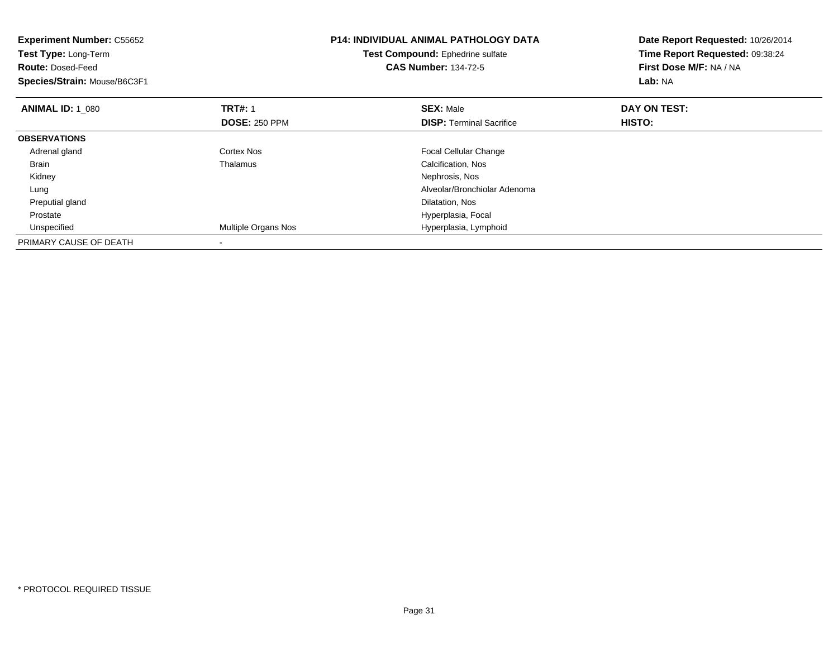| <b>Experiment Number: C55652</b><br>Test Type: Long-Term<br><b>Route: Dosed-Feed</b><br>Species/Strain: Mouse/B6C3F1 |                            | <b>P14: INDIVIDUAL ANIMAL PATHOLOGY DATA</b><br>Test Compound: Ephedrine sulfate<br><b>CAS Number: 134-72-5</b> | Date Report Requested: 10/26/2014<br>Time Report Requested: 09:38:24<br>First Dose M/F: NA / NA<br>Lab: NA |
|----------------------------------------------------------------------------------------------------------------------|----------------------------|-----------------------------------------------------------------------------------------------------------------|------------------------------------------------------------------------------------------------------------|
| <b>ANIMAL ID: 1 080</b>                                                                                              | <b>TRT#: 1</b>             | <b>SEX: Male</b>                                                                                                | DAY ON TEST:                                                                                               |
|                                                                                                                      | <b>DOSE: 250 PPM</b>       | <b>DISP:</b> Terminal Sacrifice                                                                                 | <b>HISTO:</b>                                                                                              |
| <b>OBSERVATIONS</b>                                                                                                  |                            |                                                                                                                 |                                                                                                            |
| Adrenal gland                                                                                                        | Cortex Nos                 | Focal Cellular Change                                                                                           |                                                                                                            |
| Brain                                                                                                                | Thalamus                   | Calcification, Nos                                                                                              |                                                                                                            |
| Kidney                                                                                                               |                            | Nephrosis, Nos                                                                                                  |                                                                                                            |
| Lung                                                                                                                 |                            | Alveolar/Bronchiolar Adenoma                                                                                    |                                                                                                            |
| Preputial gland                                                                                                      |                            | Dilatation, Nos                                                                                                 |                                                                                                            |
| Prostate                                                                                                             |                            | Hyperplasia, Focal                                                                                              |                                                                                                            |
| Unspecified                                                                                                          | <b>Multiple Organs Nos</b> | Hyperplasia, Lymphoid                                                                                           |                                                                                                            |
| PRIMARY CAUSE OF DEATH                                                                                               |                            |                                                                                                                 |                                                                                                            |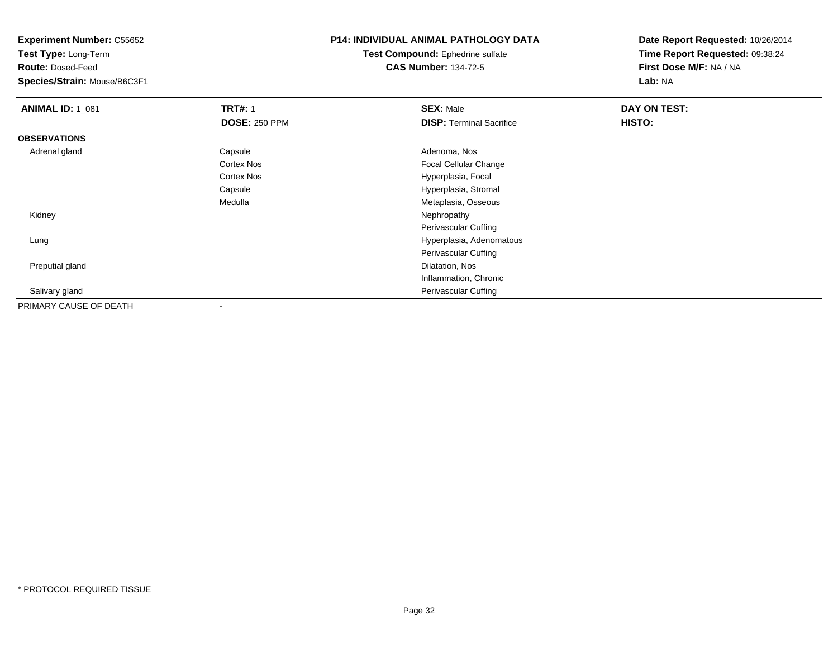**Test Type:** Long-Term

**Route:** Dosed-Feed

**Species/Strain:** Mouse/B6C3F1

## **P14: INDIVIDUAL ANIMAL PATHOLOGY DATA**

#### **Test Compound:** Ephedrine sulfate**CAS Number:** 134-72-5

| <b>ANIMAL ID: 1_081</b> | <b>TRT#: 1</b>       | <b>SEX: Male</b>                | DAY ON TEST: |  |
|-------------------------|----------------------|---------------------------------|--------------|--|
|                         | <b>DOSE: 250 PPM</b> | <b>DISP: Terminal Sacrifice</b> | HISTO:       |  |
| <b>OBSERVATIONS</b>     |                      |                                 |              |  |
| Adrenal gland           | Capsule              | Adenoma, Nos                    |              |  |
|                         | <b>Cortex Nos</b>    | <b>Focal Cellular Change</b>    |              |  |
|                         | <b>Cortex Nos</b>    | Hyperplasia, Focal              |              |  |
|                         | Capsule              | Hyperplasia, Stromal            |              |  |
|                         | Medulla              | Metaplasia, Osseous             |              |  |
| Kidney                  |                      | Nephropathy                     |              |  |
|                         |                      | Perivascular Cuffing            |              |  |
| Lung                    |                      | Hyperplasia, Adenomatous        |              |  |
|                         |                      | Perivascular Cuffing            |              |  |
| Preputial gland         |                      | Dilatation, Nos                 |              |  |
|                         |                      | Inflammation, Chronic           |              |  |
| Salivary gland          |                      | Perivascular Cuffing            |              |  |
| PRIMARY CAUSE OF DEATH  |                      |                                 |              |  |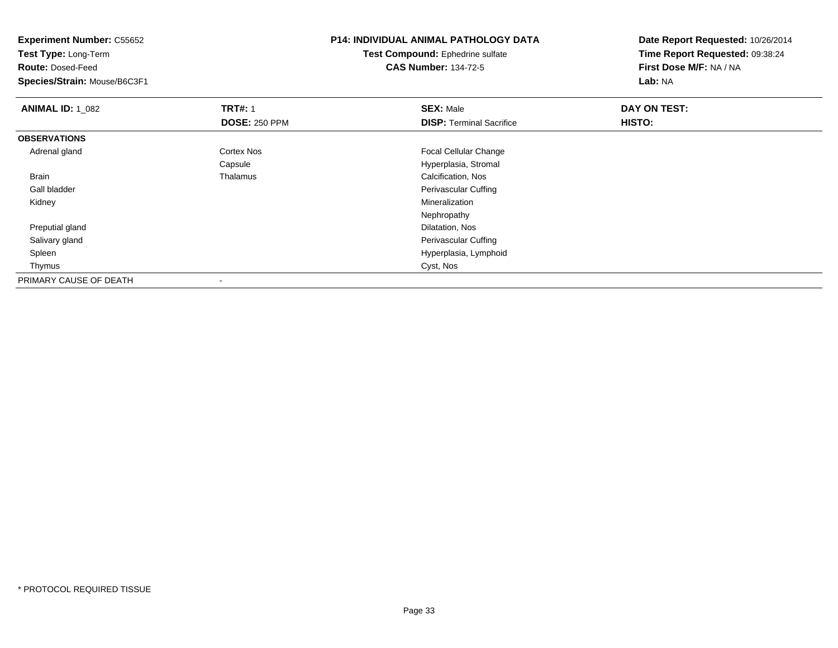| <b>P14: INDIVIDUAL ANIMAL PATHOLOGY DATA</b> | Date Report Requested: 10/26/2014 |  |
|----------------------------------------------|-----------------------------------|--|
| Test Compound: Ephedrine sulfate             | Time Report Requested: 09:38:24   |  |
| <b>CAS Number: 134-72-5</b>                  | First Dose M/F: NA / NA           |  |
|                                              | Lab: NA                           |  |
| <b>SEX: Male</b>                             | DAY ON TEST:                      |  |
| <b>DISP: Terminal Sacrifice</b>              | HISTO:                            |  |
|                                              |                                   |  |
| Focal Cellular Change                        |                                   |  |
| Hyperplasia, Stromal                         |                                   |  |
| Calcification, Nos                           |                                   |  |
| Perivascular Cuffing                         |                                   |  |
| Mineralization                               |                                   |  |
| Nephropathy                                  |                                   |  |
| Dilatation, Nos                              |                                   |  |
| Perivascular Cuffing                         |                                   |  |
| Hyperplasia, Lymphoid                        |                                   |  |
| Cyst, Nos                                    |                                   |  |
|                                              |                                   |  |
|                                              |                                   |  |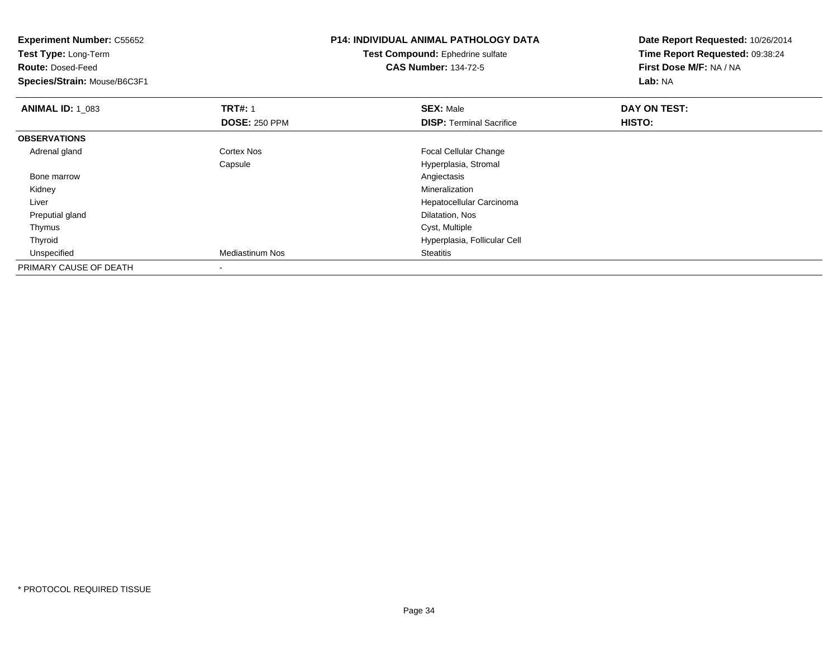| <b>Experiment Number: C55652</b><br>Test Type: Long-Term |                        | <b>P14: INDIVIDUAL ANIMAL PATHOLOGY DATA</b> | Date Report Requested: 10/26/2014<br>Time Report Requested: 09:38:24 |  |
|----------------------------------------------------------|------------------------|----------------------------------------------|----------------------------------------------------------------------|--|
|                                                          |                        | Test Compound: Ephedrine sulfate             |                                                                      |  |
| <b>Route: Dosed-Feed</b>                                 |                        | <b>CAS Number: 134-72-5</b>                  | First Dose M/F: NA / NA                                              |  |
| Species/Strain: Mouse/B6C3F1                             |                        |                                              | Lab: NA                                                              |  |
| <b>ANIMAL ID: 1_083</b>                                  | <b>TRT#: 1</b>         | <b>SEX: Male</b>                             | DAY ON TEST:                                                         |  |
|                                                          | <b>DOSE: 250 PPM</b>   | <b>DISP:</b> Terminal Sacrifice              | HISTO:                                                               |  |
| <b>OBSERVATIONS</b>                                      |                        |                                              |                                                                      |  |
| Adrenal gland                                            | Cortex Nos             | <b>Focal Cellular Change</b>                 |                                                                      |  |
|                                                          | Capsule                | Hyperplasia, Stromal                         |                                                                      |  |
| Bone marrow                                              |                        | Angiectasis                                  |                                                                      |  |
| Kidney                                                   |                        | <b>Mineralization</b>                        |                                                                      |  |
| Liver                                                    |                        | Hepatocellular Carcinoma                     |                                                                      |  |
| Preputial gland                                          |                        | Dilatation, Nos                              |                                                                      |  |
| Thymus                                                   |                        | Cyst, Multiple                               |                                                                      |  |
| Thyroid                                                  |                        | Hyperplasia, Follicular Cell                 |                                                                      |  |
| Unspecified                                              | <b>Mediastinum Nos</b> | <b>Steatitis</b>                             |                                                                      |  |
| PRIMARY CAUSE OF DEATH                                   |                        |                                              |                                                                      |  |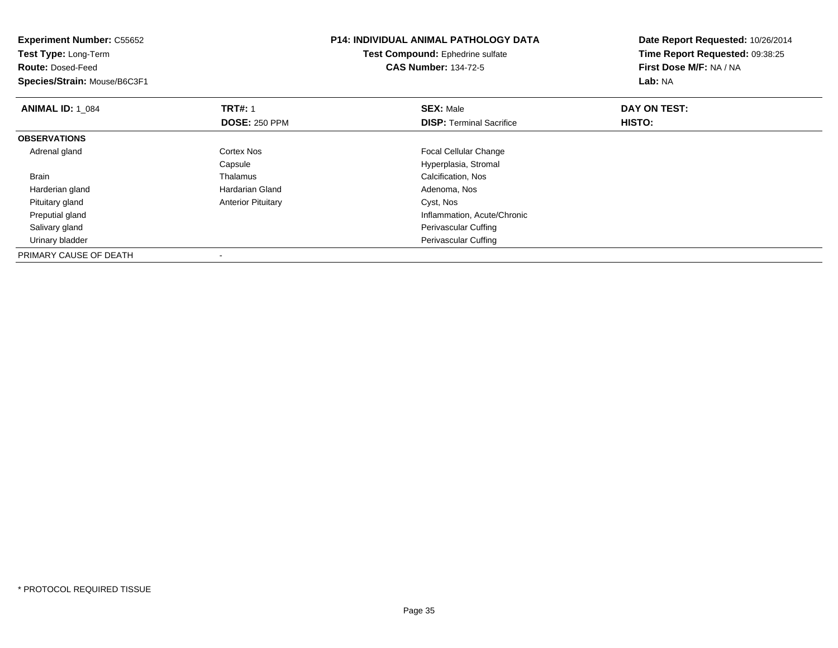| <b>Experiment Number: C55652</b><br>Test Type: Long-Term |                           | <b>P14: INDIVIDUAL ANIMAL PATHOLOGY DATA</b> | Date Report Requested: 10/26/2014<br>Time Report Requested: 09:38:25 |  |
|----------------------------------------------------------|---------------------------|----------------------------------------------|----------------------------------------------------------------------|--|
|                                                          |                           | Test Compound: Ephedrine sulfate             |                                                                      |  |
| <b>Route: Dosed-Feed</b>                                 |                           | <b>CAS Number: 134-72-5</b>                  | First Dose M/F: NA / NA                                              |  |
| Species/Strain: Mouse/B6C3F1                             |                           |                                              | Lab: NA                                                              |  |
| <b>ANIMAL ID: 1 084</b>                                  | <b>TRT#: 1</b>            | <b>SEX: Male</b>                             | DAY ON TEST:                                                         |  |
|                                                          | <b>DOSE: 250 PPM</b>      | <b>DISP: Terminal Sacrifice</b>              | HISTO:                                                               |  |
| <b>OBSERVATIONS</b>                                      |                           |                                              |                                                                      |  |
| Adrenal gland                                            | Cortex Nos                | <b>Focal Cellular Change</b>                 |                                                                      |  |
|                                                          | Capsule                   | Hyperplasia, Stromal                         |                                                                      |  |
| <b>Brain</b>                                             | Thalamus                  | Calcification, Nos                           |                                                                      |  |
| Harderian gland                                          | Hardarian Gland           | Adenoma, Nos                                 |                                                                      |  |
| Pituitary gland                                          | <b>Anterior Pituitary</b> | Cyst, Nos                                    |                                                                      |  |
| Preputial gland                                          |                           | Inflammation, Acute/Chronic                  |                                                                      |  |
| Salivary gland                                           |                           | Perivascular Cuffing                         |                                                                      |  |
| Urinary bladder                                          |                           | Perivascular Cuffing                         |                                                                      |  |
| PRIMARY CAUSE OF DEATH                                   |                           |                                              |                                                                      |  |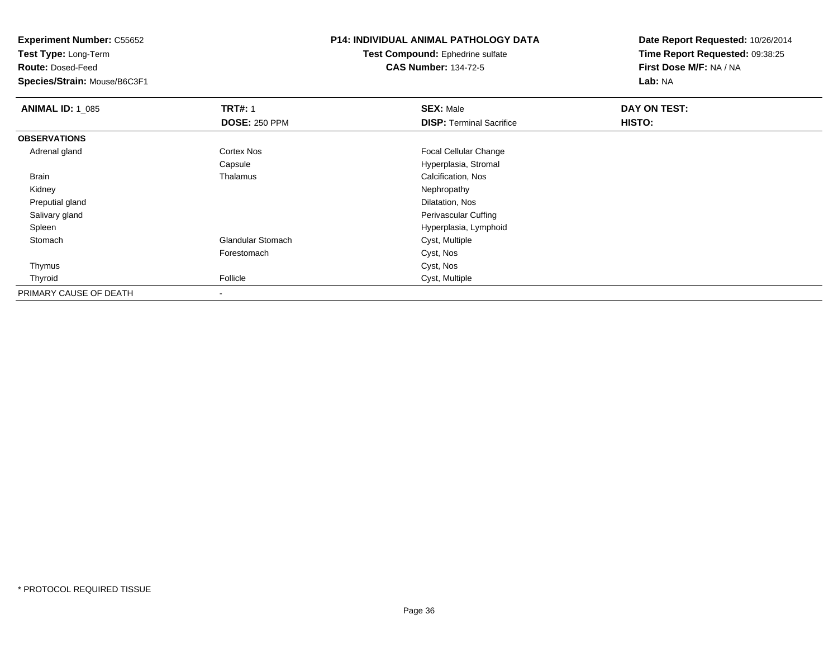**Test Type:** Long-Term

**Route:** Dosed-Feed

**Species/Strain:** Mouse/B6C3F1

## **P14: INDIVIDUAL ANIMAL PATHOLOGY DATA**

**Test Compound:** Ephedrine sulfate**CAS Number:** 134-72-5

| <b>ANIMAL ID: 1_085</b> | <b>TRT#: 1</b>           | <b>SEX: Male</b>                | DAY ON TEST: |  |
|-------------------------|--------------------------|---------------------------------|--------------|--|
|                         | <b>DOSE: 250 PPM</b>     | <b>DISP: Terminal Sacrifice</b> | HISTO:       |  |
| <b>OBSERVATIONS</b>     |                          |                                 |              |  |
| Adrenal gland           | <b>Cortex Nos</b>        | <b>Focal Cellular Change</b>    |              |  |
|                         | Capsule                  | Hyperplasia, Stromal            |              |  |
| <b>Brain</b>            | Thalamus                 | Calcification, Nos              |              |  |
| Kidney                  |                          | Nephropathy                     |              |  |
| Preputial gland         |                          | Dilatation, Nos                 |              |  |
| Salivary gland          |                          | Perivascular Cuffing            |              |  |
| Spleen                  |                          | Hyperplasia, Lymphoid           |              |  |
| Stomach                 | <b>Glandular Stomach</b> | Cyst, Multiple                  |              |  |
|                         | Forestomach              | Cyst, Nos                       |              |  |
| Thymus                  |                          | Cyst, Nos                       |              |  |
| Thyroid                 | Follicle                 | Cyst, Multiple                  |              |  |
| PRIMARY CAUSE OF DEATH  |                          |                                 |              |  |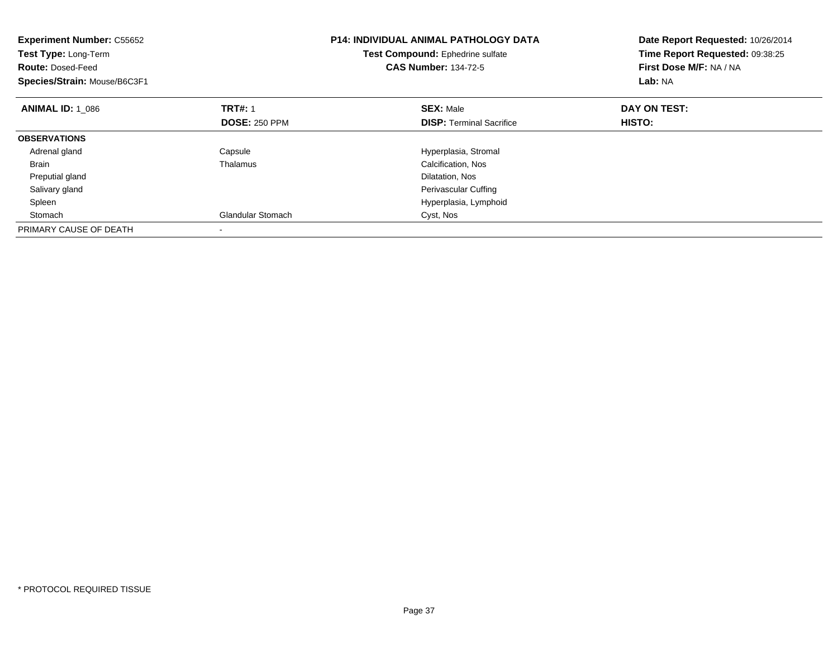| <b>Experiment Number: C55652</b><br>Test Type: Long-Term<br><b>Route: Dosed-Feed</b><br>Species/Strain: Mouse/B6C3F1 |                          | <b>P14: INDIVIDUAL ANIMAL PATHOLOGY DATA</b><br>Test Compound: Ephedrine sulfate<br><b>CAS Number: 134-72-5</b> | Date Report Requested: 10/26/2014<br>Time Report Requested: 09:38:25<br>First Dose M/F: NA / NA<br>Lab: NA |
|----------------------------------------------------------------------------------------------------------------------|--------------------------|-----------------------------------------------------------------------------------------------------------------|------------------------------------------------------------------------------------------------------------|
| <b>ANIMAL ID: 1 086</b>                                                                                              | <b>TRT#: 1</b>           | <b>SEX: Male</b>                                                                                                | DAY ON TEST:                                                                                               |
|                                                                                                                      | <b>DOSE: 250 PPM</b>     | <b>DISP:</b> Terminal Sacrifice                                                                                 | <b>HISTO:</b>                                                                                              |
| <b>OBSERVATIONS</b>                                                                                                  |                          |                                                                                                                 |                                                                                                            |
| Adrenal gland                                                                                                        | Capsule                  | Hyperplasia, Stromal                                                                                            |                                                                                                            |
| <b>Brain</b>                                                                                                         | Thalamus                 | Calcification, Nos                                                                                              |                                                                                                            |
| Preputial gland                                                                                                      |                          | Dilatation, Nos                                                                                                 |                                                                                                            |
| Salivary gland                                                                                                       |                          | <b>Perivascular Cuffing</b>                                                                                     |                                                                                                            |
| Spleen                                                                                                               |                          | Hyperplasia, Lymphoid                                                                                           |                                                                                                            |
| Stomach                                                                                                              | <b>Glandular Stomach</b> | Cyst, Nos                                                                                                       |                                                                                                            |
| PRIMARY CAUSE OF DEATH                                                                                               |                          |                                                                                                                 |                                                                                                            |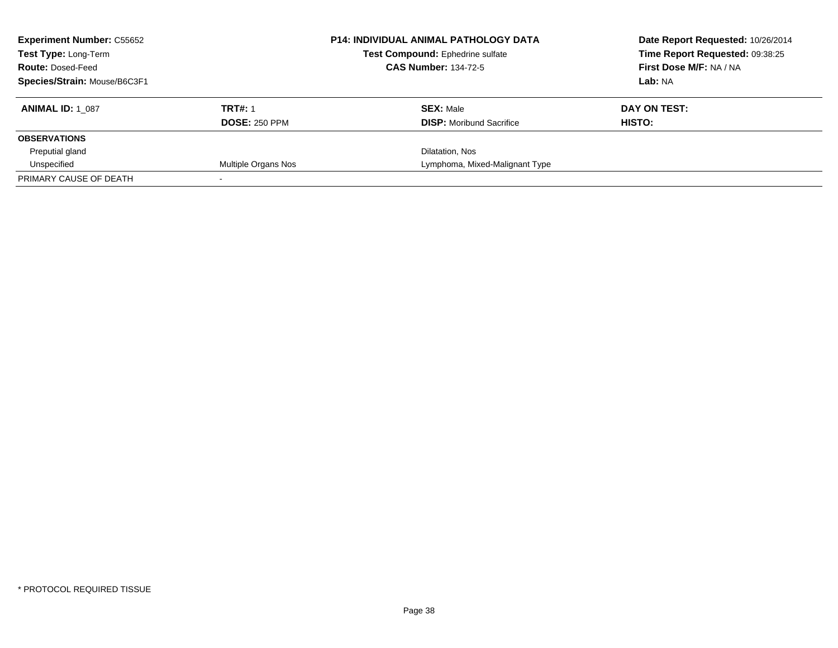| <b>Experiment Number: C55652</b><br><b>Test Type: Long-Term</b><br><b>Route: Dosed-Feed</b><br>Species/Strain: Mouse/B6C3F1 |                                        | <b>P14: INDIVIDUAL ANIMAL PATHOLOGY DATA</b><br>Test Compound: Ephedrine sulfate<br><b>CAS Number: 134-72-5</b> | Date Report Requested: 10/26/2014<br>Time Report Requested: 09:38:25<br>First Dose M/F: NA / NA<br>Lab: NA |
|-----------------------------------------------------------------------------------------------------------------------------|----------------------------------------|-----------------------------------------------------------------------------------------------------------------|------------------------------------------------------------------------------------------------------------|
| <b>ANIMAL ID: 1 087</b>                                                                                                     | <b>TRT#: 1</b><br><b>DOSE: 250 PPM</b> | <b>SEX: Male</b><br><b>DISP:</b> Moribund Sacrifice                                                             | DAY ON TEST:<br>HISTO:                                                                                     |
| <b>OBSERVATIONS</b>                                                                                                         |                                        |                                                                                                                 |                                                                                                            |
| Preputial gland                                                                                                             |                                        | Dilatation, Nos                                                                                                 |                                                                                                            |
| Unspecified                                                                                                                 | Multiple Organs Nos                    | Lymphoma, Mixed-Malignant Type                                                                                  |                                                                                                            |
| PRIMARY CAUSE OF DEATH                                                                                                      |                                        |                                                                                                                 |                                                                                                            |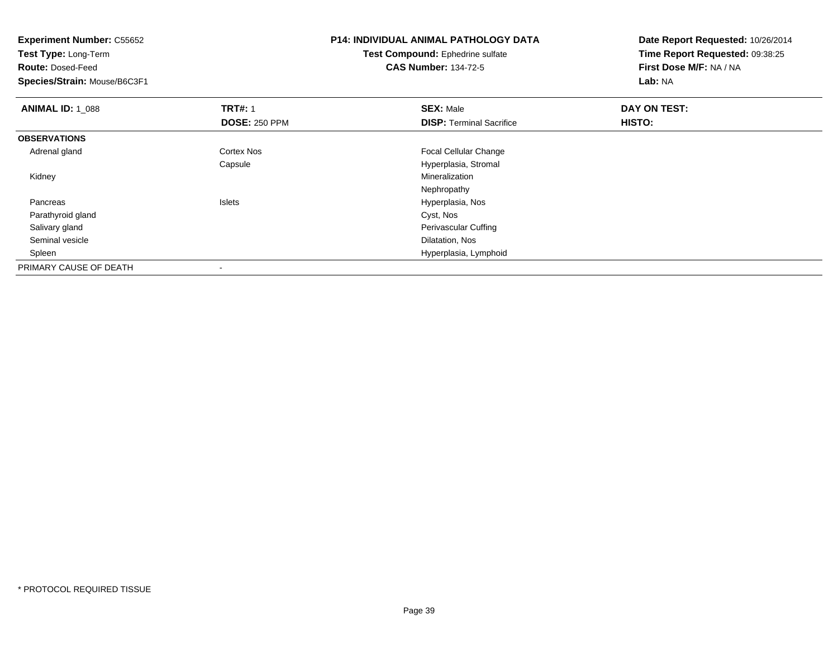| <b>Experiment Number: C55652</b> |                      | <b>P14: INDIVIDUAL ANIMAL PATHOLOGY DATA</b> | Date Report Requested: 10/26/2014 |  |
|----------------------------------|----------------------|----------------------------------------------|-----------------------------------|--|
| Test Type: Long-Term             |                      | Test Compound: Ephedrine sulfate             | Time Report Requested: 09:38:25   |  |
| <b>Route: Dosed-Feed</b>         |                      | <b>CAS Number: 134-72-5</b>                  | First Dose M/F: NA / NA           |  |
| Species/Strain: Mouse/B6C3F1     |                      |                                              | Lab: NA                           |  |
| <b>ANIMAL ID: 1 088</b>          | <b>TRT#: 1</b>       | <b>SEX: Male</b>                             | DAY ON TEST:                      |  |
|                                  | <b>DOSE: 250 PPM</b> | <b>DISP:</b> Terminal Sacrifice              | HISTO:                            |  |
| <b>OBSERVATIONS</b>              |                      |                                              |                                   |  |
| Adrenal gland                    | Cortex Nos           | Focal Cellular Change                        |                                   |  |
|                                  | Capsule              | Hyperplasia, Stromal                         |                                   |  |
| Kidney                           |                      | Mineralization                               |                                   |  |
|                                  |                      | Nephropathy                                  |                                   |  |
| Pancreas                         | Islets               | Hyperplasia, Nos                             |                                   |  |
| Parathyroid gland                |                      | Cyst, Nos                                    |                                   |  |
| Salivary gland                   |                      | Perivascular Cuffing                         |                                   |  |
| Seminal vesicle                  |                      | Dilatation, Nos                              |                                   |  |
| Spleen                           |                      | Hyperplasia, Lymphoid                        |                                   |  |
| PRIMARY CAUSE OF DEATH           |                      |                                              |                                   |  |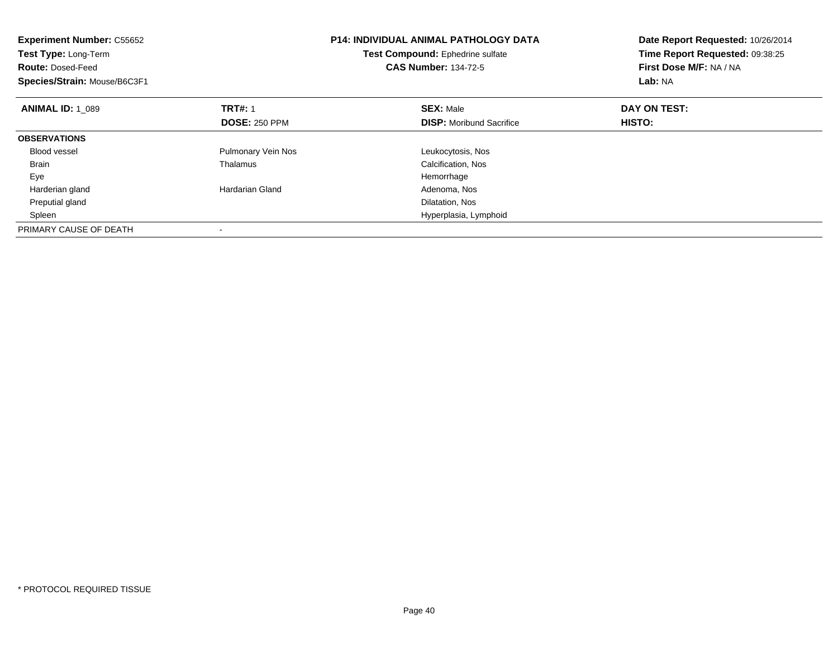| <b>Experiment Number: C55652</b><br>Test Type: Long-Term<br><b>Route: Dosed-Feed</b><br>Species/Strain: Mouse/B6C3F1 |                      | <b>P14: INDIVIDUAL ANIMAL PATHOLOGY DATA</b><br>Test Compound: Ephedrine sulfate<br><b>CAS Number: 134-72-5</b> | Date Report Requested: 10/26/2014<br>Time Report Requested: 09:38:25<br>First Dose M/F: NA / NA<br>Lab: NA |  |
|----------------------------------------------------------------------------------------------------------------------|----------------------|-----------------------------------------------------------------------------------------------------------------|------------------------------------------------------------------------------------------------------------|--|
| <b>ANIMAL ID: 1 089</b>                                                                                              | <b>TRT#: 1</b>       | <b>SEX: Male</b>                                                                                                | DAY ON TEST:                                                                                               |  |
|                                                                                                                      | <b>DOSE: 250 PPM</b> | <b>DISP:</b> Moribund Sacrifice                                                                                 | HISTO:                                                                                                     |  |
| <b>OBSERVATIONS</b>                                                                                                  |                      |                                                                                                                 |                                                                                                            |  |
| <b>Blood vessel</b>                                                                                                  | Pulmonary Vein Nos   | Leukocytosis, Nos                                                                                               |                                                                                                            |  |
| <b>Brain</b>                                                                                                         | Thalamus             | Calcification, Nos                                                                                              |                                                                                                            |  |
| Eye                                                                                                                  |                      | Hemorrhage                                                                                                      |                                                                                                            |  |
| Harderian gland                                                                                                      | Hardarian Gland      | Adenoma, Nos                                                                                                    |                                                                                                            |  |
| Preputial gland                                                                                                      |                      | Dilatation, Nos                                                                                                 |                                                                                                            |  |
| Spleen                                                                                                               |                      | Hyperplasia, Lymphoid                                                                                           |                                                                                                            |  |
| PRIMARY CAUSE OF DEATH                                                                                               |                      |                                                                                                                 |                                                                                                            |  |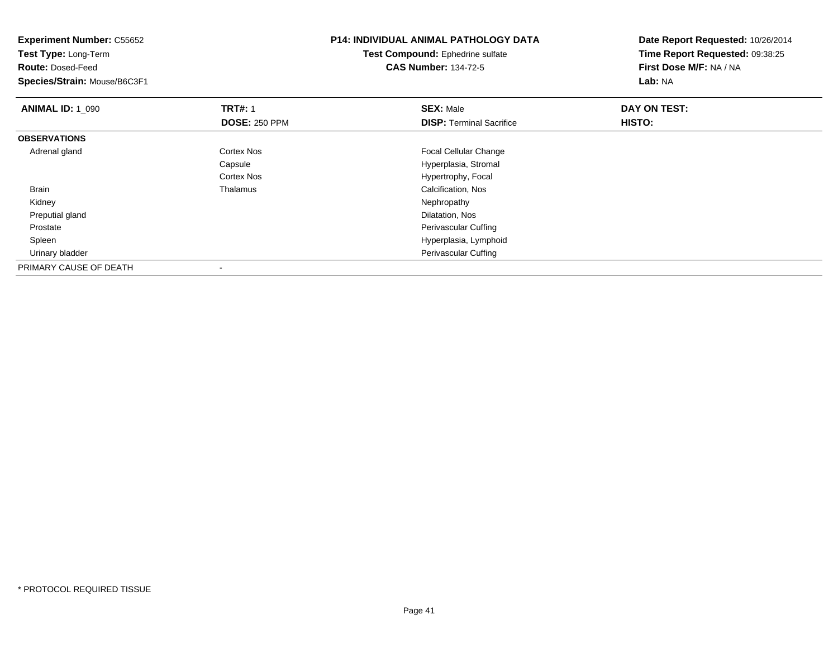| <b>Experiment Number: C55652</b><br>Test Type: Long-Term<br><b>Route: Dosed-Feed</b><br>Species/Strain: Mouse/B6C3F1 |                                        | <b>P14: INDIVIDUAL ANIMAL PATHOLOGY DATA</b><br><b>Test Compound: Ephedrine sulfate</b><br><b>CAS Number: 134-72-5</b> | Date Report Requested: 10/26/2014<br>Time Report Requested: 09:38:25<br>First Dose M/F: NA / NA<br>Lab: NA |
|----------------------------------------------------------------------------------------------------------------------|----------------------------------------|------------------------------------------------------------------------------------------------------------------------|------------------------------------------------------------------------------------------------------------|
| <b>ANIMAL ID: 1_090</b>                                                                                              | <b>TRT#: 1</b><br><b>DOSE: 250 PPM</b> | <b>SEX: Male</b><br><b>DISP: Terminal Sacrifice</b>                                                                    | DAY ON TEST:<br>HISTO:                                                                                     |
| <b>OBSERVATIONS</b>                                                                                                  |                                        |                                                                                                                        |                                                                                                            |
| Adrenal gland                                                                                                        | Cortex Nos                             | <b>Focal Cellular Change</b>                                                                                           |                                                                                                            |
|                                                                                                                      | Capsule                                | Hyperplasia, Stromal                                                                                                   |                                                                                                            |
|                                                                                                                      | Cortex Nos                             | Hypertrophy, Focal                                                                                                     |                                                                                                            |
| Brain                                                                                                                | Thalamus                               | Calcification, Nos                                                                                                     |                                                                                                            |
| Kidney                                                                                                               |                                        | Nephropathy                                                                                                            |                                                                                                            |
| Preputial gland                                                                                                      |                                        | Dilatation, Nos                                                                                                        |                                                                                                            |
| Prostate                                                                                                             |                                        | Perivascular Cuffing                                                                                                   |                                                                                                            |
| Spleen                                                                                                               |                                        | Hyperplasia, Lymphoid                                                                                                  |                                                                                                            |
| Urinary bladder                                                                                                      |                                        | Perivascular Cuffing                                                                                                   |                                                                                                            |
| PRIMARY CAUSE OF DEATH                                                                                               |                                        |                                                                                                                        |                                                                                                            |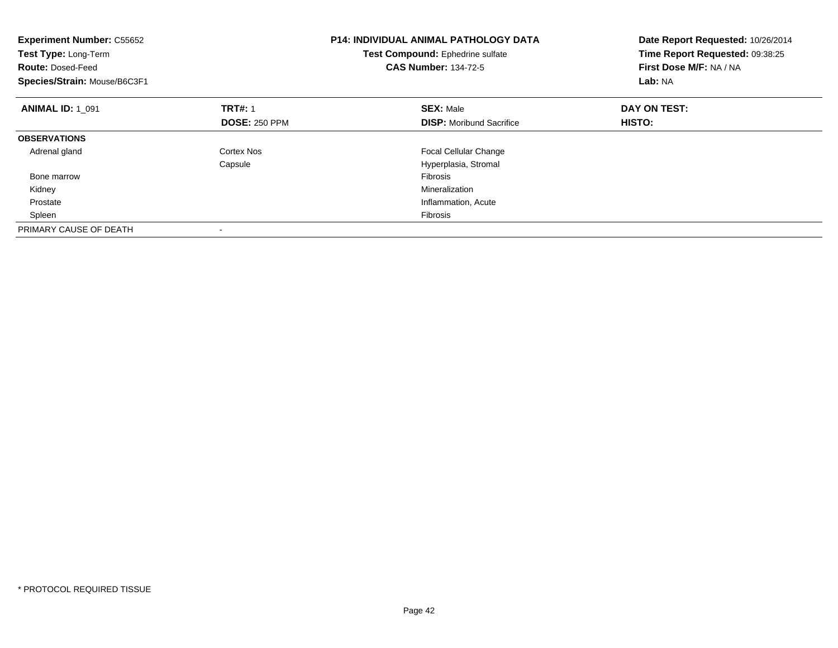| <b>Experiment Number: C55652</b><br>Test Type: Long-Term<br><b>Route: Dosed-Feed</b><br>Species/Strain: Mouse/B6C3F1 |                      | P14: INDIVIDUAL ANIMAL PATHOLOGY DATA<br>Test Compound: Ephedrine sulfate<br><b>CAS Number: 134-72-5</b> | Date Report Requested: 10/26/2014<br>Time Report Requested: 09:38:25<br>First Dose M/F: NA / NA<br>Lab: NA |  |
|----------------------------------------------------------------------------------------------------------------------|----------------------|----------------------------------------------------------------------------------------------------------|------------------------------------------------------------------------------------------------------------|--|
| <b>ANIMAL ID: 1 091</b>                                                                                              | <b>TRT#: 1</b>       | <b>SEX: Male</b>                                                                                         | DAY ON TEST:                                                                                               |  |
|                                                                                                                      | <b>DOSE: 250 PPM</b> | <b>DISP:</b> Moribund Sacrifice                                                                          | HISTO:                                                                                                     |  |
| <b>OBSERVATIONS</b>                                                                                                  |                      |                                                                                                          |                                                                                                            |  |
| Adrenal gland                                                                                                        | Cortex Nos           | <b>Focal Cellular Change</b>                                                                             |                                                                                                            |  |
|                                                                                                                      | Capsule              | Hyperplasia, Stromal                                                                                     |                                                                                                            |  |
| Bone marrow                                                                                                          |                      | Fibrosis                                                                                                 |                                                                                                            |  |
| Kidney                                                                                                               |                      | Mineralization                                                                                           |                                                                                                            |  |
| Prostate                                                                                                             |                      | Inflammation, Acute                                                                                      |                                                                                                            |  |
| Spleen                                                                                                               |                      | Fibrosis                                                                                                 |                                                                                                            |  |
| PRIMARY CAUSE OF DEATH                                                                                               |                      |                                                                                                          |                                                                                                            |  |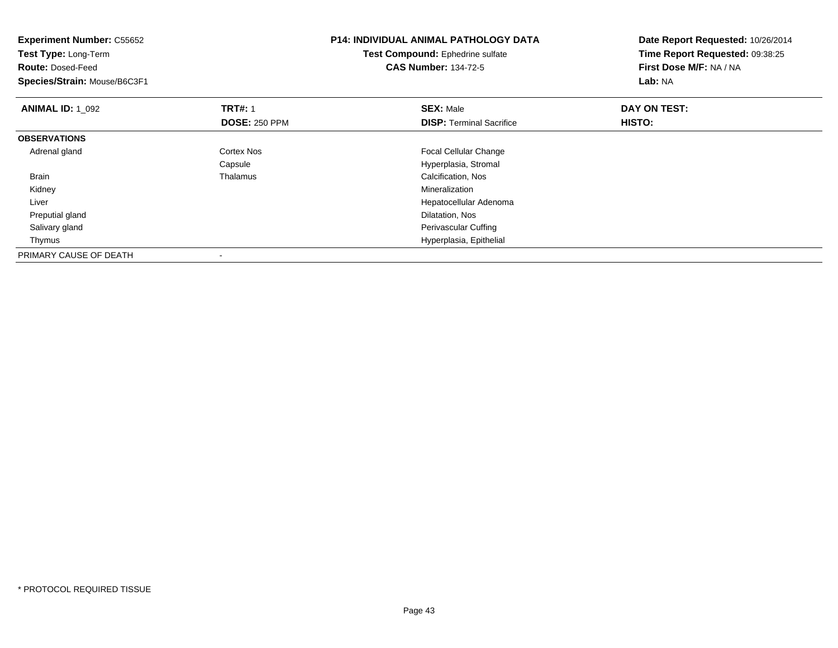| <b>Experiment Number: C55652</b><br>Test Type: Long-Term<br><b>Route: Dosed-Feed</b><br>Species/Strain: Mouse/B6C3F1 |                      | <b>P14: INDIVIDUAL ANIMAL PATHOLOGY DATA</b><br>Test Compound: Ephedrine sulfate<br><b>CAS Number: 134-72-5</b> | Date Report Requested: 10/26/2014<br>Time Report Requested: 09:38:25<br>First Dose M/F: NA / NA<br>Lab: NA |
|----------------------------------------------------------------------------------------------------------------------|----------------------|-----------------------------------------------------------------------------------------------------------------|------------------------------------------------------------------------------------------------------------|
| <b>ANIMAL ID: 1 092</b>                                                                                              | <b>TRT#: 1</b>       | <b>SEX: Male</b>                                                                                                | DAY ON TEST:                                                                                               |
|                                                                                                                      | <b>DOSE: 250 PPM</b> | <b>DISP:</b> Terminal Sacrifice                                                                                 | HISTO:                                                                                                     |
| <b>OBSERVATIONS</b>                                                                                                  |                      |                                                                                                                 |                                                                                                            |
| Adrenal gland                                                                                                        | Cortex Nos           | <b>Focal Cellular Change</b>                                                                                    |                                                                                                            |
|                                                                                                                      | Capsule              | Hyperplasia, Stromal                                                                                            |                                                                                                            |
| <b>Brain</b>                                                                                                         | Thalamus             | Calcification, Nos                                                                                              |                                                                                                            |
| Kidney                                                                                                               |                      | Mineralization                                                                                                  |                                                                                                            |
| Liver                                                                                                                |                      | Hepatocellular Adenoma                                                                                          |                                                                                                            |
| Preputial gland                                                                                                      |                      | Dilatation, Nos                                                                                                 |                                                                                                            |
| Salivary gland                                                                                                       |                      | Perivascular Cuffing                                                                                            |                                                                                                            |
| Thymus                                                                                                               |                      | Hyperplasia, Epithelial                                                                                         |                                                                                                            |
| PRIMARY CAUSE OF DEATH                                                                                               |                      |                                                                                                                 |                                                                                                            |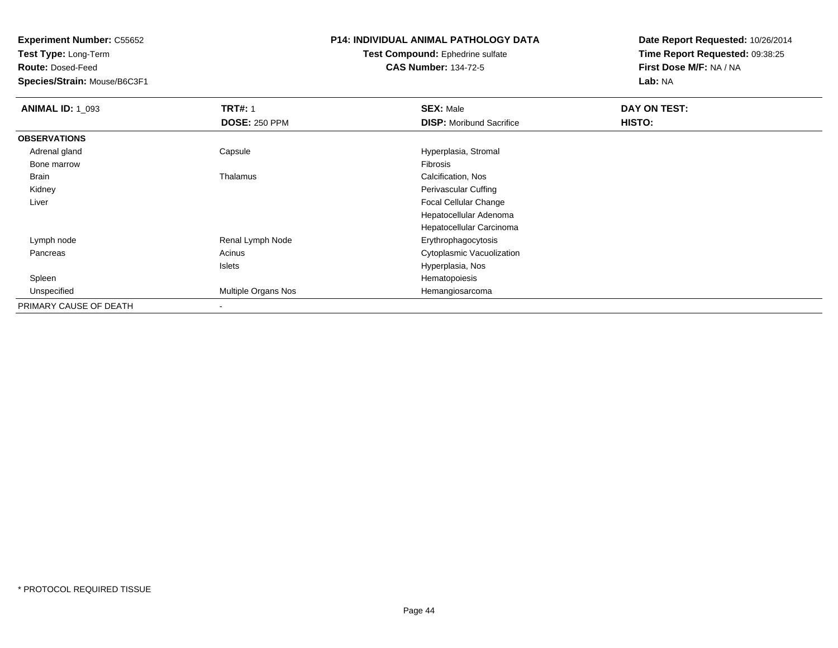**Test Type:** Long-Term

**Route:** Dosed-Feed

**Species/Strain:** Mouse/B6C3F1

## **P14: INDIVIDUAL ANIMAL PATHOLOGY DATA**

#### **Test Compound:** Ephedrine sulfate**CAS Number:** 134-72-5

| <b>ANIMAL ID: 1_093</b> | <b>TRT#: 1</b>       | <b>SEX: Male</b>                | DAY ON TEST: |  |
|-------------------------|----------------------|---------------------------------|--------------|--|
|                         | <b>DOSE: 250 PPM</b> | <b>DISP:</b> Moribund Sacrifice | HISTO:       |  |
| <b>OBSERVATIONS</b>     |                      |                                 |              |  |
| Adrenal gland           | Capsule              | Hyperplasia, Stromal            |              |  |
| Bone marrow             |                      | Fibrosis                        |              |  |
| Brain                   | Thalamus             | Calcification, Nos              |              |  |
| Kidney                  |                      | Perivascular Cuffing            |              |  |
| Liver                   |                      | <b>Focal Cellular Change</b>    |              |  |
|                         |                      | Hepatocellular Adenoma          |              |  |
|                         |                      | Hepatocellular Carcinoma        |              |  |
| Lymph node              | Renal Lymph Node     | Erythrophagocytosis             |              |  |
| Pancreas                | Acinus               | Cytoplasmic Vacuolization       |              |  |
|                         | Islets               | Hyperplasia, Nos                |              |  |
| Spleen                  |                      | Hematopoiesis                   |              |  |
| Unspecified             | Multiple Organs Nos  | Hemangiosarcoma                 |              |  |
| PRIMARY CAUSE OF DEATH  |                      |                                 |              |  |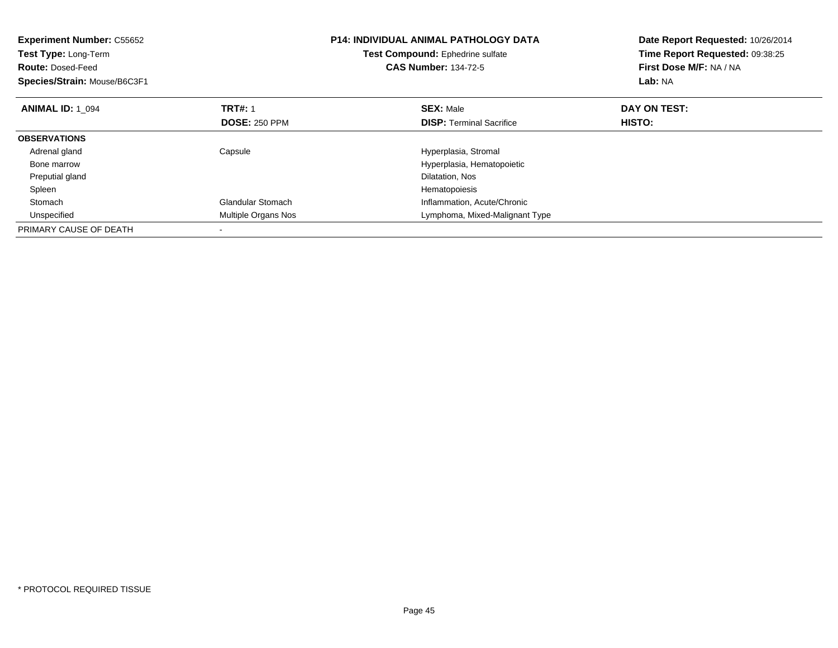| <b>Experiment Number: C55652</b><br>Test Type: Long-Term<br><b>Route: Dosed-Feed</b><br>Species/Strain: Mouse/B6C3F1 |                          | <b>P14: INDIVIDUAL ANIMAL PATHOLOGY DATA</b><br>Test Compound: Ephedrine sulfate<br><b>CAS Number: 134-72-5</b> | Date Report Requested: 10/26/2014<br>Time Report Requested: 09:38:25<br>First Dose M/F: NA / NA<br>Lab: NA |
|----------------------------------------------------------------------------------------------------------------------|--------------------------|-----------------------------------------------------------------------------------------------------------------|------------------------------------------------------------------------------------------------------------|
| <b>ANIMAL ID: 1_094</b>                                                                                              | <b>TRT#: 1</b>           | <b>SEX: Male</b>                                                                                                | DAY ON TEST:                                                                                               |
|                                                                                                                      | <b>DOSE: 250 PPM</b>     | <b>DISP:</b> Terminal Sacrifice                                                                                 | <b>HISTO:</b>                                                                                              |
| <b>OBSERVATIONS</b>                                                                                                  |                          |                                                                                                                 |                                                                                                            |
| Adrenal gland                                                                                                        | Capsule                  | Hyperplasia, Stromal                                                                                            |                                                                                                            |
| Bone marrow                                                                                                          |                          | Hyperplasia, Hematopoietic                                                                                      |                                                                                                            |
| Preputial gland                                                                                                      |                          | Dilatation, Nos                                                                                                 |                                                                                                            |
| Spleen                                                                                                               |                          | Hematopoiesis                                                                                                   |                                                                                                            |
| Stomach                                                                                                              | <b>Glandular Stomach</b> | Inflammation, Acute/Chronic                                                                                     |                                                                                                            |
| Unspecified                                                                                                          | Multiple Organs Nos      | Lymphoma, Mixed-Malignant Type                                                                                  |                                                                                                            |
| PRIMARY CAUSE OF DEATH                                                                                               |                          |                                                                                                                 |                                                                                                            |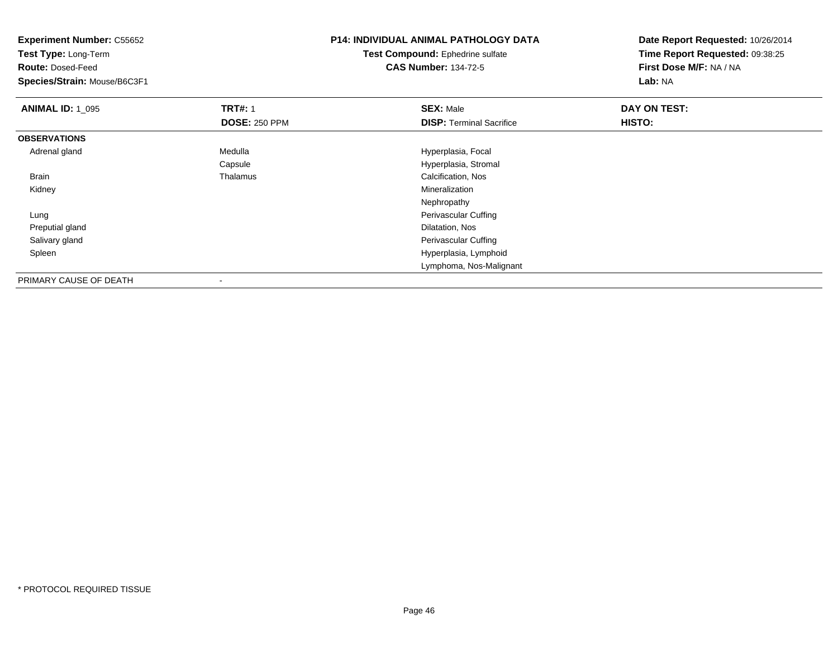| <b>Experiment Number: C55652</b> |                      | <b>P14: INDIVIDUAL ANIMAL PATHOLOGY DATA</b> | Date Report Requested: 10/26/2014 |  |
|----------------------------------|----------------------|----------------------------------------------|-----------------------------------|--|
| Test Type: Long-Term             |                      | Test Compound: Ephedrine sulfate             | Time Report Requested: 09:38:25   |  |
| <b>Route: Dosed-Feed</b>         |                      | <b>CAS Number: 134-72-5</b>                  | First Dose M/F: NA / NA           |  |
| Species/Strain: Mouse/B6C3F1     |                      |                                              | Lab: NA                           |  |
| <b>ANIMAL ID: 1_095</b>          | <b>TRT#: 1</b>       | <b>SEX: Male</b>                             | DAY ON TEST:                      |  |
|                                  | <b>DOSE: 250 PPM</b> | <b>DISP: Terminal Sacrifice</b>              | <b>HISTO:</b>                     |  |
| <b>OBSERVATIONS</b>              |                      |                                              |                                   |  |
| Adrenal gland                    | Medulla              | Hyperplasia, Focal                           |                                   |  |
|                                  | Capsule              | Hyperplasia, Stromal                         |                                   |  |
| Brain                            | Thalamus             | Calcification, Nos                           |                                   |  |
| Kidney                           |                      | Mineralization                               |                                   |  |
|                                  |                      | Nephropathy                                  |                                   |  |
| Lung                             |                      | Perivascular Cuffing                         |                                   |  |
| Preputial gland                  |                      | Dilatation, Nos                              |                                   |  |
| Salivary gland                   |                      | Perivascular Cuffing                         |                                   |  |
| Spleen                           |                      | Hyperplasia, Lymphoid                        |                                   |  |
|                                  |                      | Lymphoma, Nos-Malignant                      |                                   |  |
| PRIMARY CAUSE OF DEATH           |                      |                                              |                                   |  |

-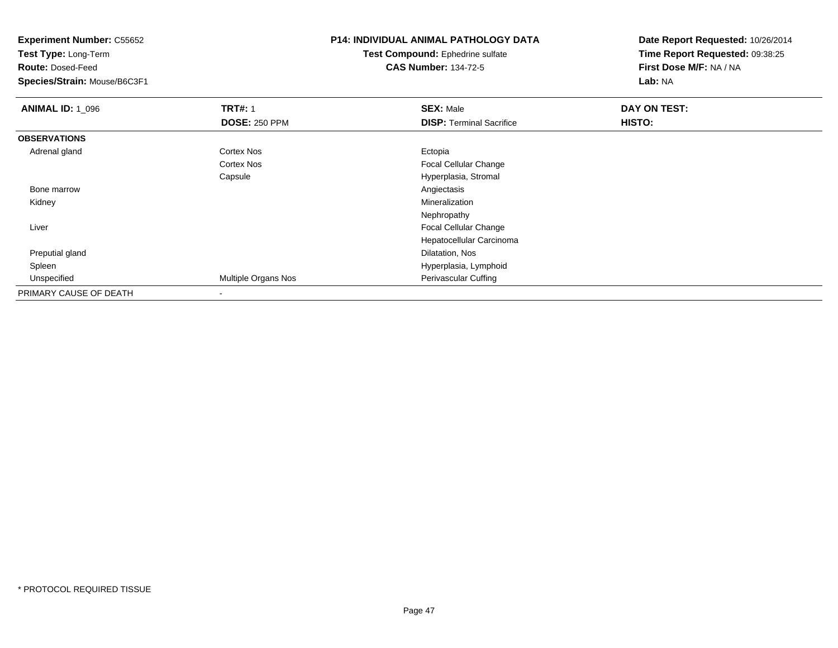**Experiment Number:** C55652**Test Type:** Long-Term**Route:** Dosed-Feed **Species/Strain:** Mouse/B6C3F1**P14: INDIVIDUAL ANIMAL PATHOLOGY DATATest Compound:** Ephedrine sulfate**CAS Number:** 134-72-5**Date Report Requested:** 10/26/2014**Time Report Requested:** 09:38:25**First Dose M/F:** NA / NA**Lab:** NA**ANIMAL ID: 1\_096 6 DAY ON TRT#:** 1 **SEX:** Male **SEX:** Male **DAY ON TEST: DOSE:** 250 PPM**DISP:** Terminal Sacrifice **HISTO: OBSERVATIONS** Adrenal glandd Cortex Nos **Ectopia** Cortex Nos Focal Cellular Changee external extension of the Hyperplasia, Stromal Capsule Bone marroww Angiectasis and the contract of the contract of the contract of the contract of the contract of the contract of the contract of the contract of the contract of the contract of the contract of the contract of the contract Kidneyy with the control of the control of the control of the control of the control of the control of the control of the control of the control of the control of the control of the control of the control of the control of the c Nephropathy Focal Cellular Change Liver Hepatocellular Carcinoma Preputial gland Dilatation, Nos Spleen Hyperplasia, Lymphoid UnspecifiedMultiple Organs Nos **Perivascular Cuffing** PRIMARY CAUSE OF DEATH-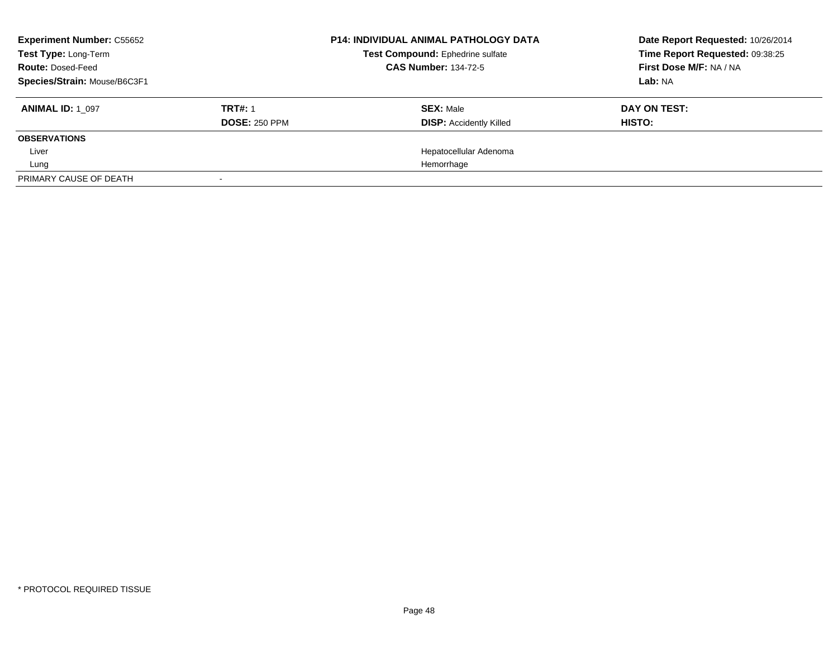| <b>Experiment Number: C55652</b><br>Test Type: Long-Term<br><b>Route: Dosed-Feed</b><br>Species/Strain: Mouse/B6C3F1 |                                        | <b>P14: INDIVIDUAL ANIMAL PATHOLOGY DATA</b><br>Test Compound: Ephedrine sulfate<br><b>CAS Number: 134-72-5</b> | Date Report Requested: 10/26/2014<br>Time Report Requested: 09:38:25<br>First Dose M/F: NA / NA<br>Lab: NA |  |
|----------------------------------------------------------------------------------------------------------------------|----------------------------------------|-----------------------------------------------------------------------------------------------------------------|------------------------------------------------------------------------------------------------------------|--|
| <b>ANIMAL ID: 1 097</b>                                                                                              | <b>TRT#: 1</b><br><b>DOSE: 250 PPM</b> | <b>SEX: Male</b><br><b>DISP:</b> Accidently Killed                                                              | DAY ON TEST:<br>HISTO:                                                                                     |  |
| <b>OBSERVATIONS</b>                                                                                                  |                                        |                                                                                                                 |                                                                                                            |  |
| Liver                                                                                                                |                                        | Hepatocellular Adenoma                                                                                          |                                                                                                            |  |
| Lung                                                                                                                 |                                        | Hemorrhage                                                                                                      |                                                                                                            |  |
| PRIMARY CAUSE OF DEATH                                                                                               |                                        |                                                                                                                 |                                                                                                            |  |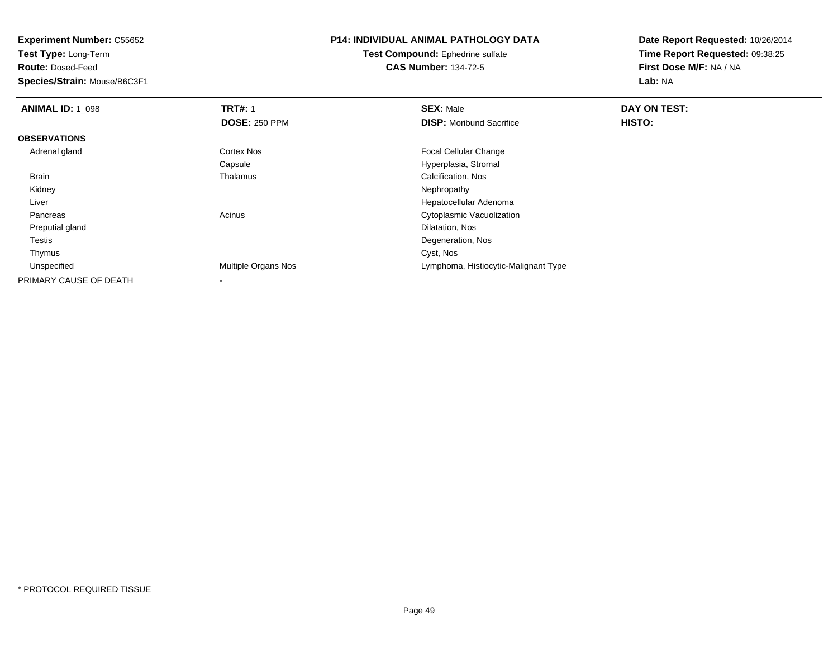**Test Type:** Long-Term

**Route:** Dosed-Feed

**Species/Strain:** Mouse/B6C3F1

# **P14: INDIVIDUAL ANIMAL PATHOLOGY DATA**

**Test Compound:** Ephedrine sulfate**CAS Number:** 134-72-5

| <b>ANIMAL ID: 1 098</b> | <b>TRT#: 1</b>       | <b>SEX: Male</b>                     | DAY ON TEST: |  |
|-------------------------|----------------------|--------------------------------------|--------------|--|
|                         | <b>DOSE: 250 PPM</b> | <b>DISP:</b> Moribund Sacrifice      | HISTO:       |  |
| <b>OBSERVATIONS</b>     |                      |                                      |              |  |
| Adrenal gland           | <b>Cortex Nos</b>    | <b>Focal Cellular Change</b>         |              |  |
|                         | Capsule              | Hyperplasia, Stromal                 |              |  |
| Brain                   | Thalamus             | Calcification, Nos                   |              |  |
| Kidney                  |                      | Nephropathy                          |              |  |
| Liver                   |                      | Hepatocellular Adenoma               |              |  |
| Pancreas                | Acinus               | Cytoplasmic Vacuolization            |              |  |
| Preputial gland         |                      | Dilatation, Nos                      |              |  |
| Testis                  |                      | Degeneration, Nos                    |              |  |
| Thymus                  |                      | Cyst, Nos                            |              |  |
| Unspecified             | Multiple Organs Nos  | Lymphoma, Histiocytic-Malignant Type |              |  |
| PRIMARY CAUSE OF DEATH  | $\,$                 |                                      |              |  |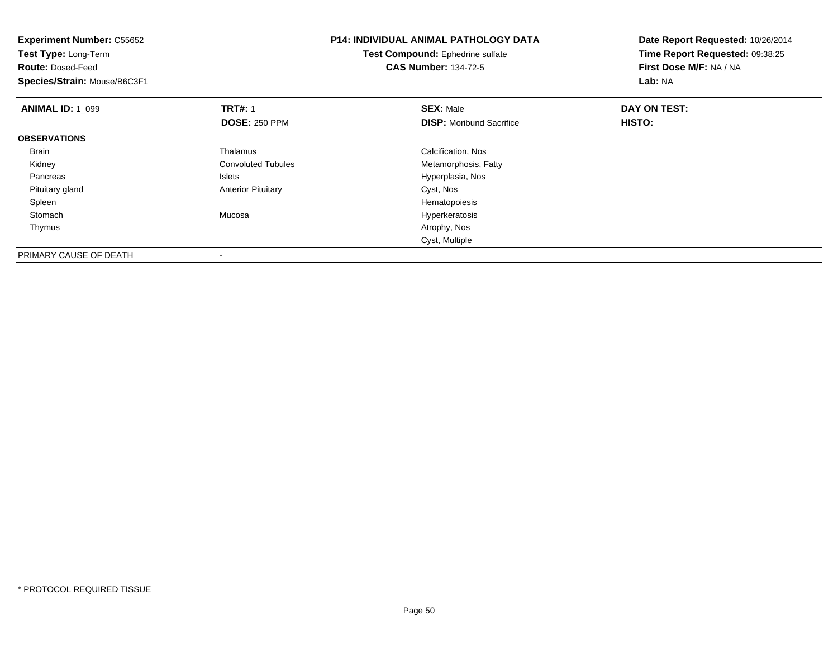| <b>Experiment Number: C55652</b><br>Test Type: Long-Term<br><b>Route: Dosed-Feed</b> |                           | <b>P14: INDIVIDUAL ANIMAL PATHOLOGY DATA</b>                    | Date Report Requested: 10/26/2014                          |
|--------------------------------------------------------------------------------------|---------------------------|-----------------------------------------------------------------|------------------------------------------------------------|
|                                                                                      |                           | Test Compound: Ephedrine sulfate<br><b>CAS Number: 134-72-5</b> | Time Report Requested: 09:38:25<br>First Dose M/F: NA / NA |
| Species/Strain: Mouse/B6C3F1                                                         |                           |                                                                 | Lab: NA                                                    |
| <b>ANIMAL ID: 1_099</b>                                                              | <b>TRT#: 1</b>            | <b>SEX: Male</b>                                                | DAY ON TEST:                                               |
|                                                                                      | <b>DOSE: 250 PPM</b>      | <b>DISP:</b> Moribund Sacrifice                                 | HISTO:                                                     |
| <b>OBSERVATIONS</b>                                                                  |                           |                                                                 |                                                            |
| Brain                                                                                | Thalamus                  | Calcification, Nos                                              |                                                            |
| Kidney                                                                               | <b>Convoluted Tubules</b> | Metamorphosis, Fatty                                            |                                                            |
| Pancreas                                                                             | Islets                    | Hyperplasia, Nos                                                |                                                            |
| Pituitary gland                                                                      | <b>Anterior Pituitary</b> | Cyst, Nos                                                       |                                                            |
| Spleen                                                                               |                           | Hematopoiesis                                                   |                                                            |
| Stomach                                                                              | Mucosa                    | Hyperkeratosis                                                  |                                                            |
| Thymus                                                                               |                           | Atrophy, Nos                                                    |                                                            |
|                                                                                      |                           | Cyst, Multiple                                                  |                                                            |
| PRIMARY CAUSE OF DEATH                                                               |                           |                                                                 |                                                            |

-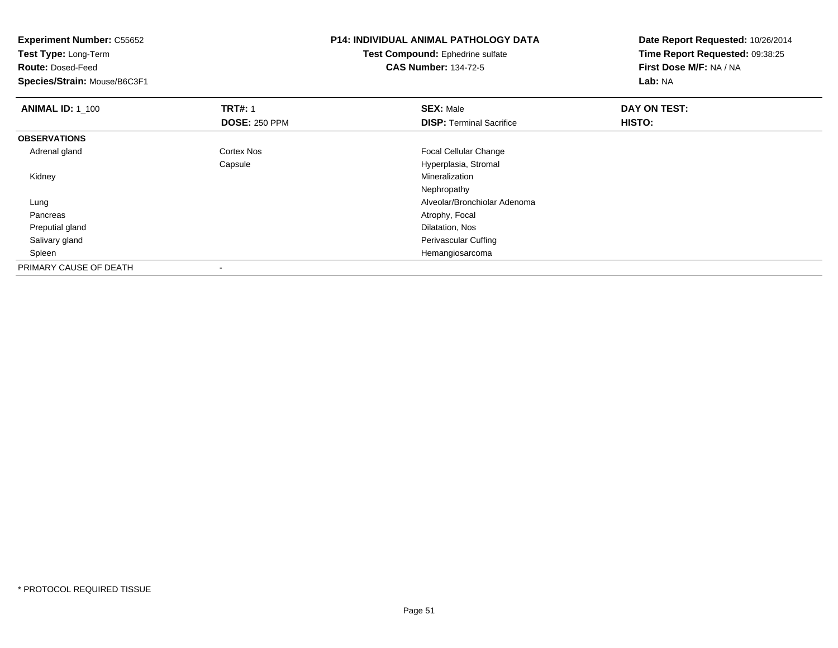| <b>Experiment Number: C55652</b><br>Test Type: Long-Term |                      | <b>P14: INDIVIDUAL ANIMAL PATHOLOGY DATA</b> | Date Report Requested: 10/26/2014 |
|----------------------------------------------------------|----------------------|----------------------------------------------|-----------------------------------|
|                                                          |                      | <b>Test Compound: Ephedrine sulfate</b>      | Time Report Requested: 09:38:25   |
| <b>Route: Dosed-Feed</b>                                 |                      | <b>CAS Number: 134-72-5</b>                  | First Dose M/F: NA / NA           |
| Species/Strain: Mouse/B6C3F1                             |                      |                                              | Lab: NA                           |
| <b>ANIMAL ID: 1_100</b>                                  | <b>TRT#: 1</b>       | <b>SEX: Male</b>                             | DAY ON TEST:                      |
|                                                          | <b>DOSE: 250 PPM</b> | <b>DISP: Terminal Sacrifice</b>              | HISTO:                            |
| <b>OBSERVATIONS</b>                                      |                      |                                              |                                   |
| Adrenal gland                                            | <b>Cortex Nos</b>    | Focal Cellular Change                        |                                   |
|                                                          | Capsule              | Hyperplasia, Stromal                         |                                   |
| Kidney                                                   |                      | Mineralization                               |                                   |
|                                                          |                      | Nephropathy                                  |                                   |
| Lung                                                     |                      | Alveolar/Bronchiolar Adenoma                 |                                   |
| Pancreas                                                 |                      | Atrophy, Focal                               |                                   |
| Preputial gland                                          |                      | Dilatation, Nos                              |                                   |
| Salivary gland                                           |                      | Perivascular Cuffing                         |                                   |
| Spleen                                                   |                      | Hemangiosarcoma                              |                                   |
| PRIMARY CAUSE OF DEATH                                   |                      |                                              |                                   |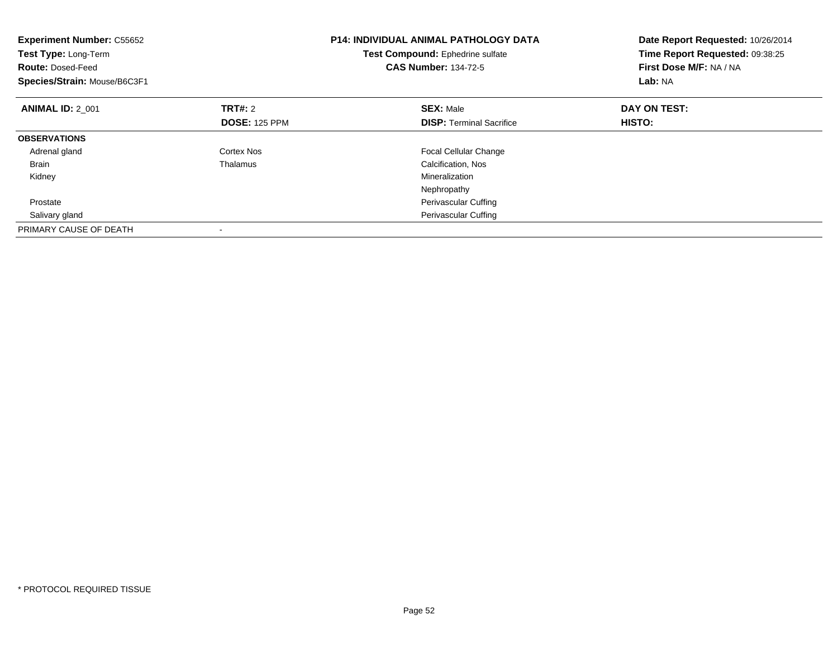| <b>Experiment Number: C55652</b><br>Test Type: Long-Term<br><b>Route: Dosed-Feed</b><br>Species/Strain: Mouse/B6C3F1 |                      | <b>P14: INDIVIDUAL ANIMAL PATHOLOGY DATA</b><br>Test Compound: Ephedrine sulfate<br><b>CAS Number: 134-72-5</b> | Date Report Requested: 10/26/2014<br>Time Report Requested: 09:38:25<br>First Dose M/F: NA / NA<br>Lab: NA |
|----------------------------------------------------------------------------------------------------------------------|----------------------|-----------------------------------------------------------------------------------------------------------------|------------------------------------------------------------------------------------------------------------|
| <b>ANIMAL ID: 2 001</b>                                                                                              | <b>TRT#:</b> 2       | <b>SEX: Male</b>                                                                                                | DAY ON TEST:                                                                                               |
|                                                                                                                      | <b>DOSE: 125 PPM</b> | <b>DISP:</b> Terminal Sacrifice                                                                                 | HISTO:                                                                                                     |
| <b>OBSERVATIONS</b>                                                                                                  |                      |                                                                                                                 |                                                                                                            |
| Adrenal gland                                                                                                        | Cortex Nos           | <b>Focal Cellular Change</b>                                                                                    |                                                                                                            |
| Brain                                                                                                                | Thalamus             | Calcification, Nos                                                                                              |                                                                                                            |
| Kidney                                                                                                               |                      | Mineralization                                                                                                  |                                                                                                            |
|                                                                                                                      |                      | Nephropathy                                                                                                     |                                                                                                            |
| Prostate                                                                                                             |                      | Perivascular Cuffing                                                                                            |                                                                                                            |
| Salivary gland                                                                                                       |                      | <b>Perivascular Cuffing</b>                                                                                     |                                                                                                            |
| PRIMARY CAUSE OF DEATH                                                                                               |                      |                                                                                                                 |                                                                                                            |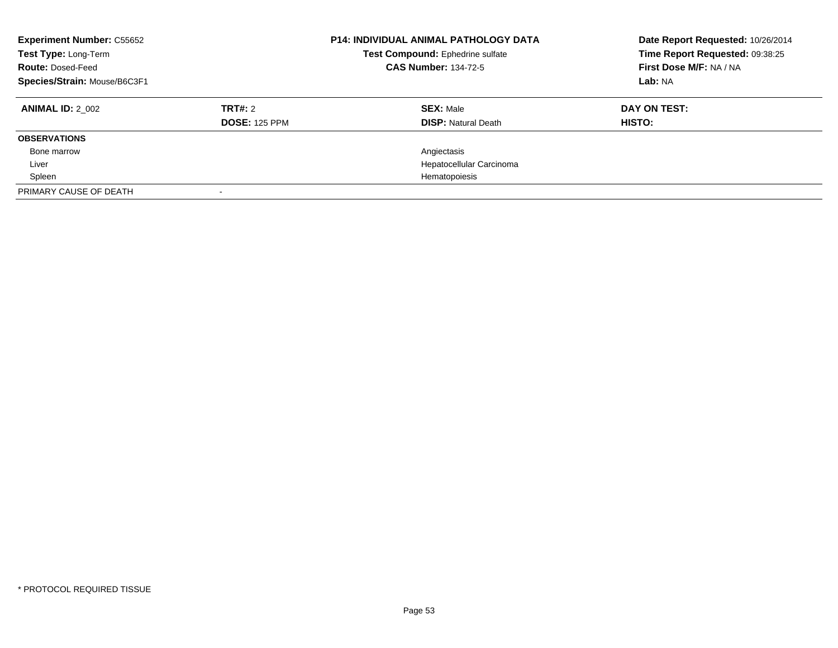| <b>Experiment Number: C55652</b><br>Test Type: Long-Term<br><b>Route: Dosed-Feed</b><br>Species/Strain: Mouse/B6C3F1 |                                 | <b>P14: INDIVIDUAL ANIMAL PATHOLOGY DATA</b><br>Test Compound: Ephedrine sulfate<br><b>CAS Number: 134-72-5</b> | Date Report Requested: 10/26/2014<br>Time Report Requested: 09:38:25<br>First Dose M/F: NA / NA<br>Lab: NA |
|----------------------------------------------------------------------------------------------------------------------|---------------------------------|-----------------------------------------------------------------------------------------------------------------|------------------------------------------------------------------------------------------------------------|
| <b>ANIMAL ID: 2 002</b>                                                                                              | TRT#: 2<br><b>DOSE: 125 PPM</b> | <b>SEX: Male</b><br><b>DISP:</b> Natural Death                                                                  | DAY ON TEST:<br>HISTO:                                                                                     |
| <b>OBSERVATIONS</b>                                                                                                  |                                 |                                                                                                                 |                                                                                                            |
| Bone marrow                                                                                                          |                                 | Angiectasis                                                                                                     |                                                                                                            |
| Liver                                                                                                                |                                 | Hepatocellular Carcinoma                                                                                        |                                                                                                            |
| Spleen                                                                                                               |                                 | Hematopoiesis                                                                                                   |                                                                                                            |
| PRIMARY CAUSE OF DEATH                                                                                               |                                 |                                                                                                                 |                                                                                                            |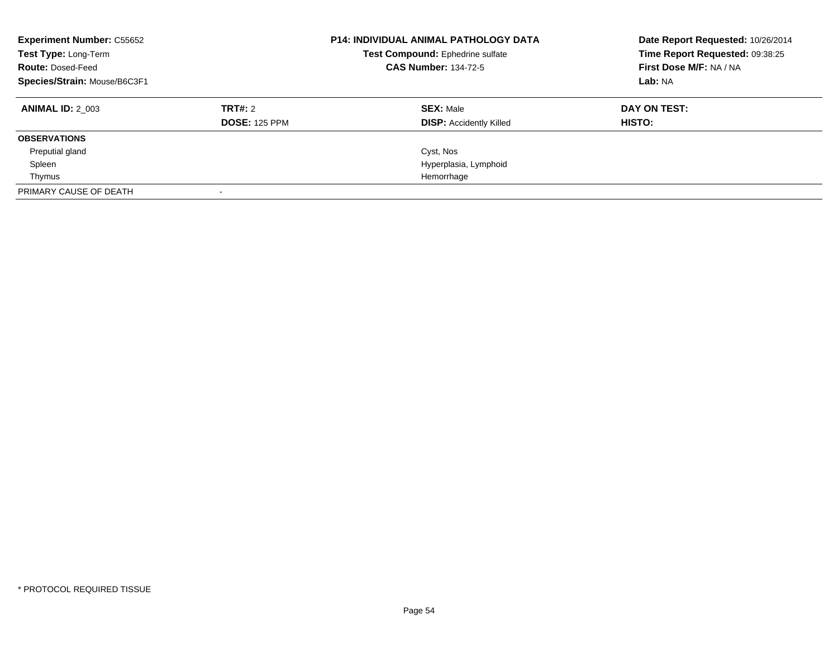| <b>Experiment Number: C55652</b><br>Test Type: Long-Term<br><b>Route: Dosed-Feed</b><br>Species/Strain: Mouse/B6C3F1 |                      | <b>P14: INDIVIDUAL ANIMAL PATHOLOGY DATA</b><br>Test Compound: Ephedrine sulfate<br><b>CAS Number: 134-72-5</b> | Date Report Requested: 10/26/2014<br>Time Report Requested: 09:38:25<br>First Dose M/F: NA / NA<br>Lab: NA |
|----------------------------------------------------------------------------------------------------------------------|----------------------|-----------------------------------------------------------------------------------------------------------------|------------------------------------------------------------------------------------------------------------|
| <b>ANIMAL ID: 2 003</b>                                                                                              | TRT#: 2              | <b>SEX: Male</b>                                                                                                | DAY ON TEST:                                                                                               |
|                                                                                                                      | <b>DOSE: 125 PPM</b> | <b>DISP:</b> Accidently Killed                                                                                  | HISTO:                                                                                                     |
| <b>OBSERVATIONS</b>                                                                                                  |                      |                                                                                                                 |                                                                                                            |
| Preputial gland                                                                                                      |                      | Cyst, Nos                                                                                                       |                                                                                                            |
| Spleen                                                                                                               |                      | Hyperplasia, Lymphoid                                                                                           |                                                                                                            |
| Thymus                                                                                                               |                      | Hemorrhage                                                                                                      |                                                                                                            |
| PRIMARY CAUSE OF DEATH                                                                                               |                      |                                                                                                                 |                                                                                                            |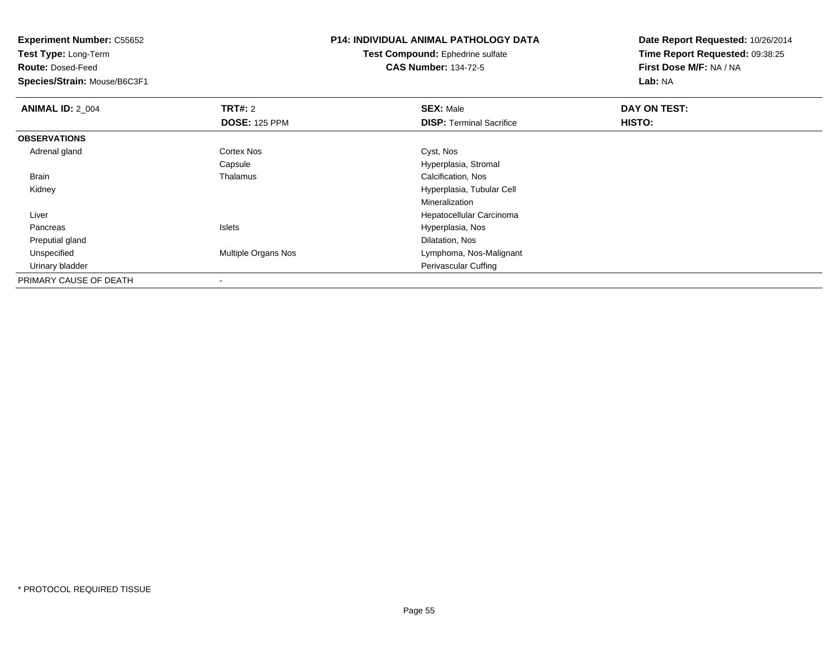**Test Type:** Long-Term

**Route:** Dosed-Feed

**Species/Strain:** Mouse/B6C3F1

# **P14: INDIVIDUAL ANIMAL PATHOLOGY DATA**

**Test Compound:** Ephedrine sulfate**CAS Number:** 134-72-5

| <b>ANIMAL ID: 2_004</b> | <b>TRT#: 2</b>       | <b>SEX: Male</b>                | DAY ON TEST: |  |
|-------------------------|----------------------|---------------------------------|--------------|--|
|                         | <b>DOSE: 125 PPM</b> | <b>DISP: Terminal Sacrifice</b> | HISTO:       |  |
| <b>OBSERVATIONS</b>     |                      |                                 |              |  |
| Adrenal gland           | <b>Cortex Nos</b>    | Cyst, Nos                       |              |  |
|                         | Capsule              | Hyperplasia, Stromal            |              |  |
| Brain                   | Thalamus             | Calcification, Nos              |              |  |
| Kidney                  |                      | Hyperplasia, Tubular Cell       |              |  |
|                         |                      | Mineralization                  |              |  |
| Liver                   |                      | Hepatocellular Carcinoma        |              |  |
| Pancreas                | <b>Islets</b>        | Hyperplasia, Nos                |              |  |
| Preputial gland         |                      | Dilatation, Nos                 |              |  |
| Unspecified             | Multiple Organs Nos  | Lymphoma, Nos-Malignant         |              |  |
| Urinary bladder         |                      | Perivascular Cuffing            |              |  |
| PRIMARY CAUSE OF DEATH  | $\,$                 |                                 |              |  |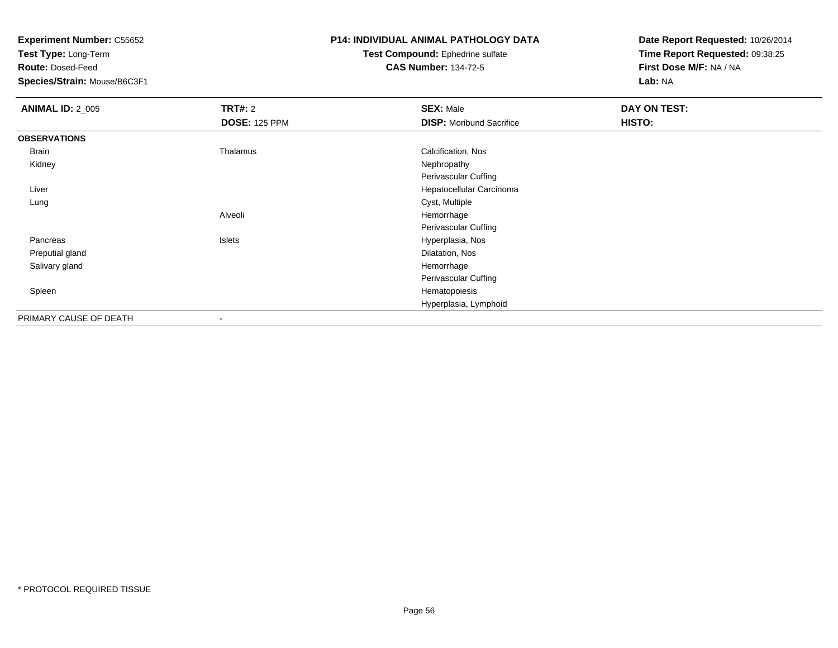**Test Type:** Long-Term

**Route:** Dosed-Feed

**Species/Strain:** Mouse/B6C3F1

### **P14: INDIVIDUAL ANIMAL PATHOLOGY DATA**

#### **Test Compound:** Ephedrine sulfate**CAS Number:** 134-72-5

| <b>ANIMAL ID: 2_005</b> | TRT#: 2                  | <b>SEX: Male</b>                | <b>DAY ON TEST:</b> |
|-------------------------|--------------------------|---------------------------------|---------------------|
|                         | <b>DOSE: 125 PPM</b>     | <b>DISP: Moribund Sacrifice</b> | HISTO:              |
| <b>OBSERVATIONS</b>     |                          |                                 |                     |
| Brain                   | Thalamus                 | Calcification, Nos              |                     |
| Kidney                  |                          | Nephropathy                     |                     |
|                         |                          | Perivascular Cuffing            |                     |
| Liver                   |                          | Hepatocellular Carcinoma        |                     |
| Lung                    |                          | Cyst, Multiple                  |                     |
|                         | Alveoli                  | Hemorrhage                      |                     |
|                         |                          | Perivascular Cuffing            |                     |
| Pancreas                | Islets                   | Hyperplasia, Nos                |                     |
| Preputial gland         |                          | Dilatation, Nos                 |                     |
| Salivary gland          |                          | Hemorrhage                      |                     |
|                         |                          | Perivascular Cuffing            |                     |
| Spleen                  |                          | Hematopoiesis                   |                     |
|                         |                          | Hyperplasia, Lymphoid           |                     |
| PRIMARY CAUSE OF DEATH  | $\overline{\phantom{a}}$ |                                 |                     |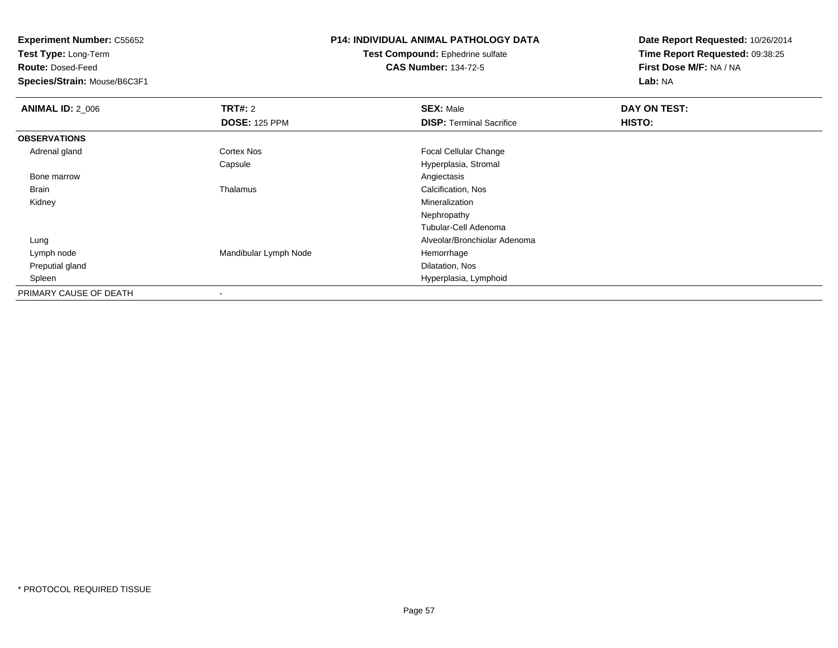**Test Type:** Long-Term

**Route:** Dosed-Feed

**Species/Strain:** Mouse/B6C3F1

# **P14: INDIVIDUAL ANIMAL PATHOLOGY DATA**

**Test Compound:** Ephedrine sulfate**CAS Number:** 134-72-5

| <b>ANIMAL ID: 2_006</b> | TRT#: 2               | <b>SEX: Male</b>                | DAY ON TEST: |  |
|-------------------------|-----------------------|---------------------------------|--------------|--|
|                         | <b>DOSE: 125 PPM</b>  | <b>DISP: Terminal Sacrifice</b> | HISTO:       |  |
| <b>OBSERVATIONS</b>     |                       |                                 |              |  |
| Adrenal gland           | <b>Cortex Nos</b>     | <b>Focal Cellular Change</b>    |              |  |
|                         | Capsule               | Hyperplasia, Stromal            |              |  |
| Bone marrow             |                       | Angiectasis                     |              |  |
| Brain                   | Thalamus              | Calcification, Nos              |              |  |
| Kidney                  |                       | Mineralization                  |              |  |
|                         |                       | Nephropathy                     |              |  |
|                         |                       | Tubular-Cell Adenoma            |              |  |
| Lung                    |                       | Alveolar/Bronchiolar Adenoma    |              |  |
| Lymph node              | Mandibular Lymph Node | Hemorrhage                      |              |  |
| Preputial gland         |                       | Dilatation, Nos                 |              |  |
| Spleen                  |                       | Hyperplasia, Lymphoid           |              |  |
| PRIMARY CAUSE OF DEATH  |                       |                                 |              |  |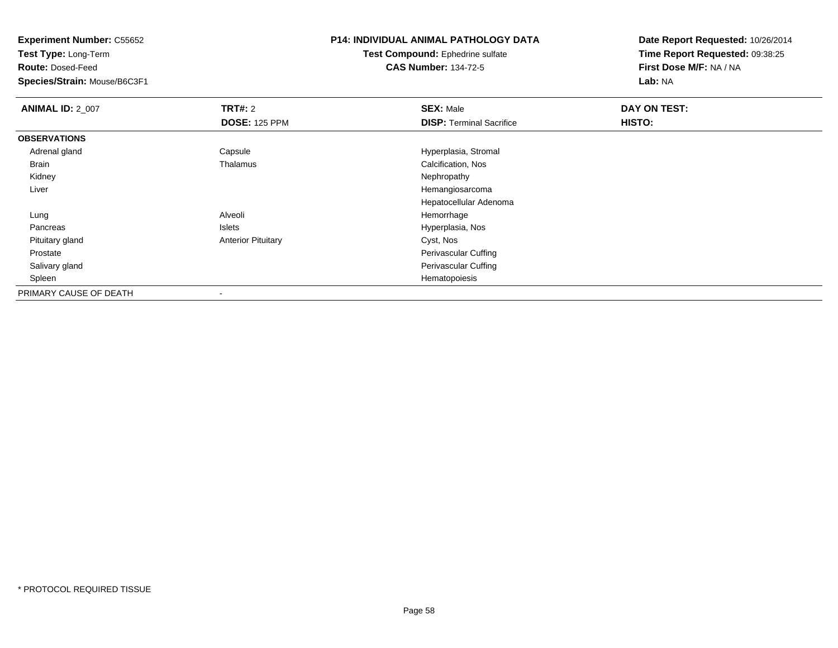**Test Type:** Long-Term

**Route:** Dosed-Feed

**Species/Strain:** Mouse/B6C3F1

## **P14: INDIVIDUAL ANIMAL PATHOLOGY DATA**

**Test Compound:** Ephedrine sulfate**CAS Number:** 134-72-5

| <b>ANIMAL ID: 2_007</b> | <b>TRT#: 2</b>            | <b>SEX: Male</b>                | DAY ON TEST: |  |
|-------------------------|---------------------------|---------------------------------|--------------|--|
|                         | <b>DOSE: 125 PPM</b>      | <b>DISP: Terminal Sacrifice</b> | HISTO:       |  |
| <b>OBSERVATIONS</b>     |                           |                                 |              |  |
| Adrenal gland           | Capsule                   | Hyperplasia, Stromal            |              |  |
| Brain                   | Thalamus                  | Calcification, Nos              |              |  |
| Kidney                  |                           | Nephropathy                     |              |  |
| Liver                   |                           | Hemangiosarcoma                 |              |  |
|                         |                           | Hepatocellular Adenoma          |              |  |
| Lung                    | Alveoli                   | Hemorrhage                      |              |  |
| Pancreas                | Islets                    | Hyperplasia, Nos                |              |  |
| Pituitary gland         | <b>Anterior Pituitary</b> | Cyst, Nos                       |              |  |
| Prostate                |                           | Perivascular Cuffing            |              |  |
| Salivary gland          |                           | Perivascular Cuffing            |              |  |
| Spleen                  |                           | Hematopoiesis                   |              |  |
| PRIMARY CAUSE OF DEATH  | $\overline{\phantom{a}}$  |                                 |              |  |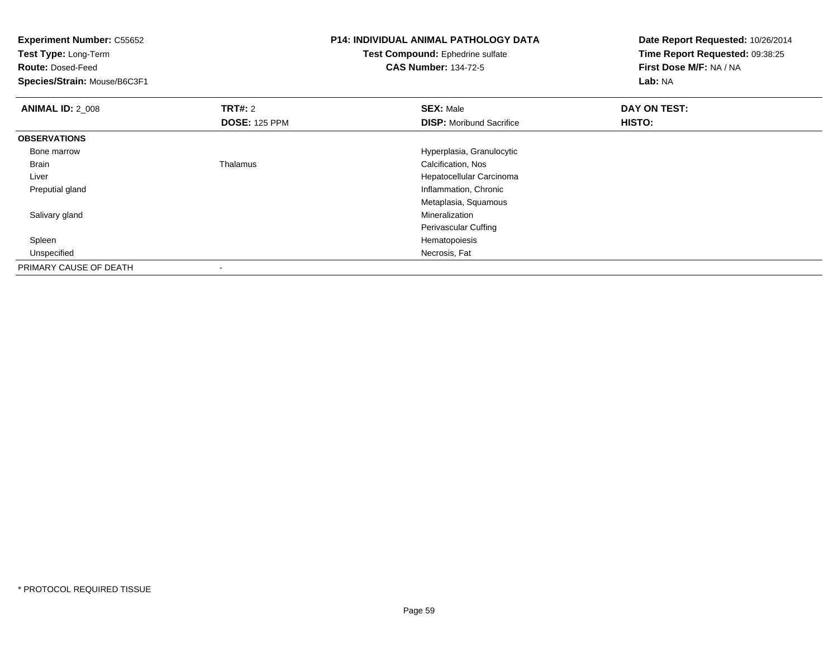**Experiment Number:** C55652**Test Type:** Long-Term**Route:** Dosed-Feed **Species/Strain:** Mouse/B6C3F1**P14: INDIVIDUAL ANIMAL PATHOLOGY DATATest Compound:** Ephedrine sulfate**CAS Number:** 134-72-5**Date Report Requested:** 10/26/2014**Time Report Requested:** 09:38:25**First Dose M/F:** NA / NA**Lab:** NA**ANIMAL ID: 2 008 REX:** Male **DAY ON TEST: CONSIST: SEX:** Male **DOSE:** 125 PPM**DISP:** Moribund Sacrifice **HISTO: OBSERVATIONS** Bone marrowHyperplasia, Granulocytic<br>
Calcification, Nos<br>
Calcification, Nos BrainCalcification, Nos Liver Hepatocellular Carcinoma Preputial gland Inflammation, Chronic Metaplasia, Squamous Salivary glandd and the control of the control of the control of the control of the control of the control of the control of the control of the control of the control of the control of the control of the control of the control of the co Perivascular Cuffing Spleenn and the state of the state of the state of the state of the state of the state of the state of the state of the state of the state of the state of the state of the state of the state of the state of the state of the stat Unspecifiedd **Necrosis, Fature 2018 Necrosis, Fature 2018 Necrosis, Fature 2019 Necrosis, Fature 2019** PRIMARY CAUSE OF DEATH-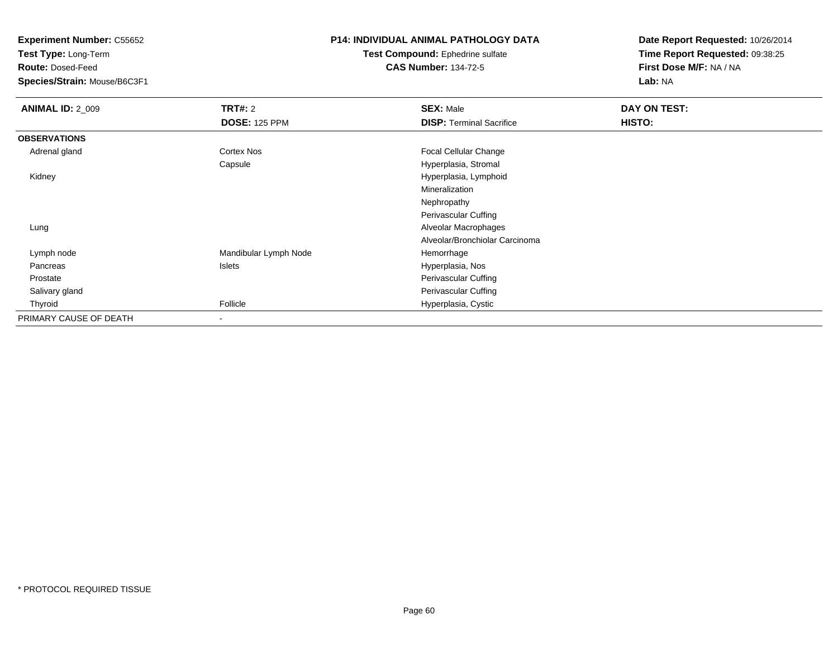**Test Type:** Long-Term

**Route:** Dosed-Feed

**Species/Strain:** Mouse/B6C3F1

### **P14: INDIVIDUAL ANIMAL PATHOLOGY DATA**

#### **Test Compound:** Ephedrine sulfate**CAS Number:** 134-72-5

| <b>ANIMAL ID: 2_009</b> | <b>TRT#: 2</b>        | <b>SEX: Male</b>                | DAY ON TEST: |  |
|-------------------------|-----------------------|---------------------------------|--------------|--|
|                         | <b>DOSE: 125 PPM</b>  | <b>DISP: Terminal Sacrifice</b> | HISTO:       |  |
| <b>OBSERVATIONS</b>     |                       |                                 |              |  |
| Adrenal gland           | Cortex Nos            | <b>Focal Cellular Change</b>    |              |  |
|                         | Capsule               | Hyperplasia, Stromal            |              |  |
| Kidney                  |                       | Hyperplasia, Lymphoid           |              |  |
|                         |                       | Mineralization                  |              |  |
|                         |                       | Nephropathy                     |              |  |
|                         |                       | Perivascular Cuffing            |              |  |
| Lung                    |                       | Alveolar Macrophages            |              |  |
|                         |                       | Alveolar/Bronchiolar Carcinoma  |              |  |
| Lymph node              | Mandibular Lymph Node | Hemorrhage                      |              |  |
| Pancreas                | Islets                | Hyperplasia, Nos                |              |  |
| Prostate                |                       | Perivascular Cuffing            |              |  |
| Salivary gland          |                       | Perivascular Cuffing            |              |  |
| Thyroid                 | Follicle              | Hyperplasia, Cystic             |              |  |
| PRIMARY CAUSE OF DEATH  |                       |                                 |              |  |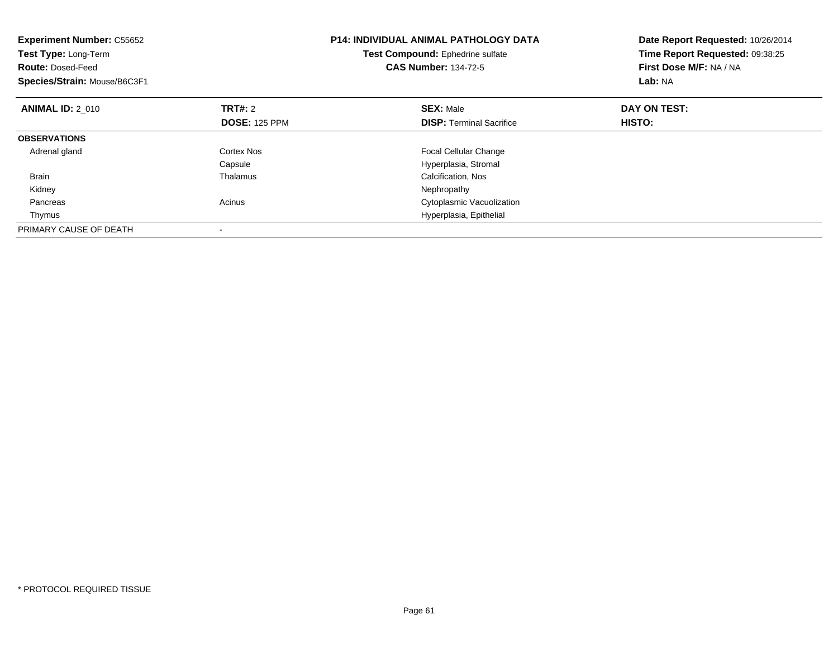| <b>Experiment Number: C55652</b><br>Test Type: Long-Term<br><b>Route: Dosed-Feed</b><br>Species/Strain: Mouse/B6C3F1 |                      | <b>P14: INDIVIDUAL ANIMAL PATHOLOGY DATA</b><br>Test Compound: Ephedrine sulfate<br><b>CAS Number: 134-72-5</b> | Date Report Requested: 10/26/2014<br>Time Report Requested: 09:38:25<br>First Dose M/F: NA / NA<br>Lab: NA |
|----------------------------------------------------------------------------------------------------------------------|----------------------|-----------------------------------------------------------------------------------------------------------------|------------------------------------------------------------------------------------------------------------|
| <b>ANIMAL ID: 2 010</b>                                                                                              | <b>TRT#:</b> 2       | <b>SEX: Male</b>                                                                                                | DAY ON TEST:                                                                                               |
|                                                                                                                      | <b>DOSE: 125 PPM</b> | <b>DISP:</b> Terminal Sacrifice                                                                                 | HISTO:                                                                                                     |
| <b>OBSERVATIONS</b>                                                                                                  |                      |                                                                                                                 |                                                                                                            |
| Adrenal gland                                                                                                        | Cortex Nos           | <b>Focal Cellular Change</b>                                                                                    |                                                                                                            |
|                                                                                                                      | Capsule              | Hyperplasia, Stromal                                                                                            |                                                                                                            |
| <b>Brain</b>                                                                                                         | Thalamus             | Calcification, Nos                                                                                              |                                                                                                            |
| Kidney                                                                                                               |                      | Nephropathy                                                                                                     |                                                                                                            |
| Pancreas                                                                                                             | Acinus               | Cytoplasmic Vacuolization                                                                                       |                                                                                                            |
| Thymus                                                                                                               |                      | Hyperplasia, Epithelial                                                                                         |                                                                                                            |
| PRIMARY CAUSE OF DEATH                                                                                               |                      |                                                                                                                 |                                                                                                            |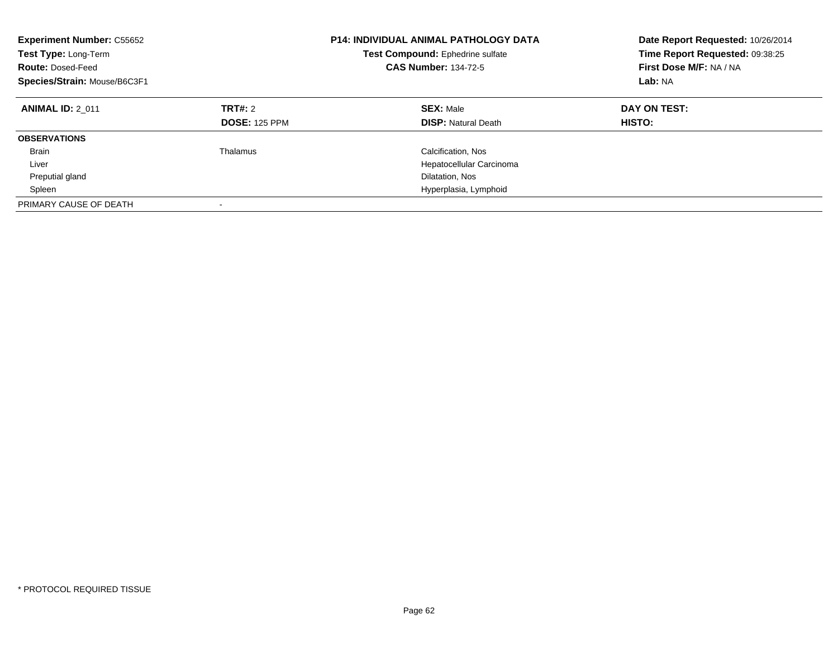| <b>Experiment Number: C55652</b><br>Test Type: Long-Term<br><b>Route: Dosed-Feed</b><br>Species/Strain: Mouse/B6C3F1 |                                 | <b>P14: INDIVIDUAL ANIMAL PATHOLOGY DATA</b><br>Test Compound: Ephedrine sulfate<br><b>CAS Number: 134-72-5</b> | Date Report Requested: 10/26/2014<br>Time Report Requested: 09:38:25<br>First Dose M/F: NA / NA<br>Lab: NA |
|----------------------------------------------------------------------------------------------------------------------|---------------------------------|-----------------------------------------------------------------------------------------------------------------|------------------------------------------------------------------------------------------------------------|
| <b>ANIMAL ID: 2 011</b>                                                                                              | TRT#: 2<br><b>DOSE: 125 PPM</b> | <b>SEX: Male</b><br><b>DISP:</b> Natural Death                                                                  | DAY ON TEST:<br>HISTO:                                                                                     |
| <b>OBSERVATIONS</b>                                                                                                  |                                 |                                                                                                                 |                                                                                                            |
| <b>Brain</b>                                                                                                         | Thalamus                        | Calcification, Nos                                                                                              |                                                                                                            |
| Liver                                                                                                                |                                 | Hepatocellular Carcinoma                                                                                        |                                                                                                            |
| Preputial gland                                                                                                      |                                 | Dilatation, Nos                                                                                                 |                                                                                                            |
| Spleen                                                                                                               |                                 | Hyperplasia, Lymphoid                                                                                           |                                                                                                            |
| PRIMARY CAUSE OF DEATH                                                                                               |                                 |                                                                                                                 |                                                                                                            |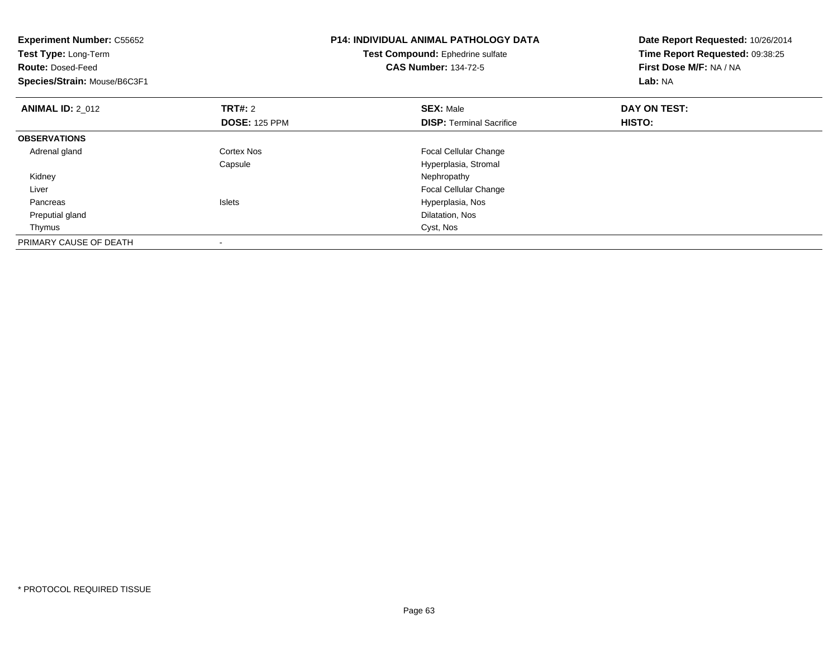| <b>Experiment Number: C55652</b><br>Test Type: Long-Term<br><b>Route: Dosed-Feed</b><br>Species/Strain: Mouse/B6C3F1 |                                 | <b>P14: INDIVIDUAL ANIMAL PATHOLOGY DATA</b><br>Test Compound: Ephedrine sulfate<br><b>CAS Number: 134-72-5</b> | Date Report Requested: 10/26/2014<br>Time Report Requested: 09:38:25<br>First Dose M/F: NA / NA<br>Lab: NA |  |
|----------------------------------------------------------------------------------------------------------------------|---------------------------------|-----------------------------------------------------------------------------------------------------------------|------------------------------------------------------------------------------------------------------------|--|
| <b>ANIMAL ID: 2_012</b>                                                                                              | TRT#: 2<br><b>DOSE: 125 PPM</b> | <b>SEX: Male</b><br><b>DISP:</b> Terminal Sacrifice                                                             | DAY ON TEST:<br>HISTO:                                                                                     |  |
| <b>OBSERVATIONS</b>                                                                                                  |                                 |                                                                                                                 |                                                                                                            |  |
| Adrenal gland                                                                                                        | Cortex Nos<br>Capsule           | <b>Focal Cellular Change</b><br>Hyperplasia, Stromal                                                            |                                                                                                            |  |
| Kidney                                                                                                               |                                 | Nephropathy                                                                                                     |                                                                                                            |  |
| Liver                                                                                                                |                                 | <b>Focal Cellular Change</b>                                                                                    |                                                                                                            |  |
| Pancreas                                                                                                             | <b>Islets</b>                   | Hyperplasia, Nos                                                                                                |                                                                                                            |  |
| Preputial gland                                                                                                      |                                 | Dilatation, Nos                                                                                                 |                                                                                                            |  |
| Thymus                                                                                                               |                                 | Cyst, Nos                                                                                                       |                                                                                                            |  |
| PRIMARY CAUSE OF DEATH                                                                                               |                                 |                                                                                                                 |                                                                                                            |  |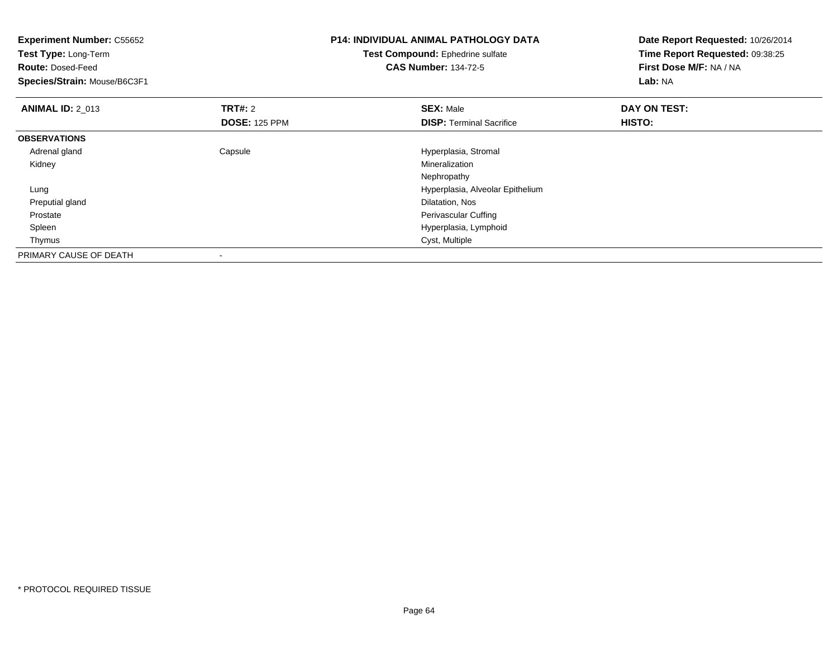| <b>Experiment Number: C55652</b><br>Test Type: Long-Term |                      | <b>P14: INDIVIDUAL ANIMAL PATHOLOGY DATA</b> | Date Report Requested: 10/26/2014 |
|----------------------------------------------------------|----------------------|----------------------------------------------|-----------------------------------|
|                                                          |                      | Test Compound: Ephedrine sulfate             | Time Report Requested: 09:38:25   |
| <b>Route: Dosed-Feed</b>                                 |                      | <b>CAS Number: 134-72-5</b>                  | First Dose M/F: NA / NA           |
| Species/Strain: Mouse/B6C3F1                             |                      |                                              | Lab: NA                           |
| <b>ANIMAL ID: 2 013</b>                                  | <b>TRT#: 2</b>       | <b>SEX: Male</b>                             | DAY ON TEST:                      |
|                                                          | <b>DOSE: 125 PPM</b> | <b>DISP:</b> Terminal Sacrifice              | HISTO:                            |
| <b>OBSERVATIONS</b>                                      |                      |                                              |                                   |
| Adrenal gland                                            | Capsule              | Hyperplasia, Stromal                         |                                   |
| Kidney                                                   |                      | Mineralization                               |                                   |
|                                                          |                      | Nephropathy                                  |                                   |
| Lung                                                     |                      | Hyperplasia, Alveolar Epithelium             |                                   |
| Preputial gland                                          |                      | Dilatation, Nos                              |                                   |
| Prostate                                                 |                      | Perivascular Cuffing                         |                                   |
| Spleen                                                   |                      | Hyperplasia, Lymphoid                        |                                   |
| Thymus                                                   |                      | Cyst, Multiple                               |                                   |
| PRIMARY CAUSE OF DEATH                                   |                      |                                              |                                   |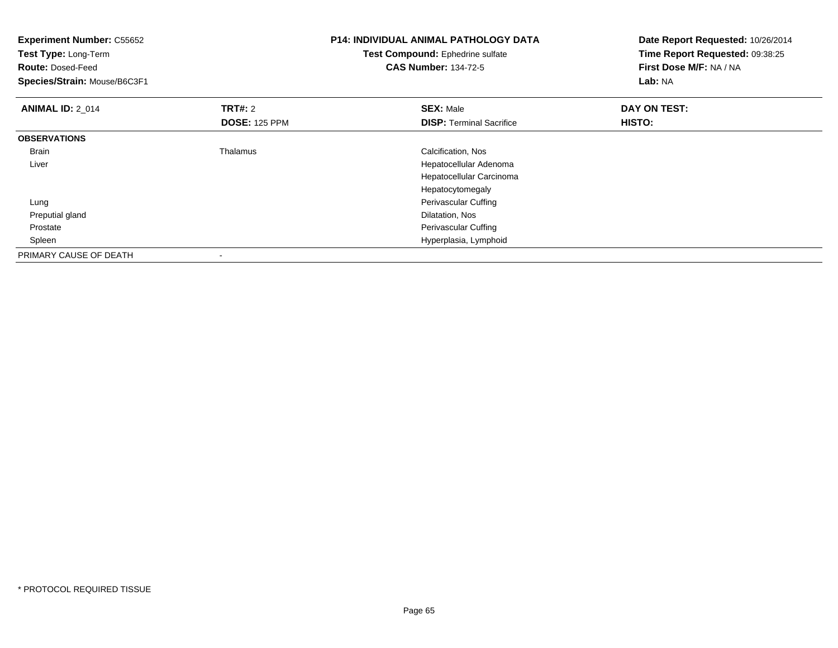| <b>Experiment Number: C55652</b><br>Test Type: Long-Term<br><b>Route: Dosed-Feed</b><br>Species/Strain: Mouse/B6C3F1 |                      | <b>P14: INDIVIDUAL ANIMAL PATHOLOGY DATA</b><br>Test Compound: Ephedrine sulfate<br><b>CAS Number: 134-72-5</b> | Date Report Requested: 10/26/2014<br>Time Report Requested: 09:38:25<br>First Dose M/F: NA / NA<br>Lab: NA |
|----------------------------------------------------------------------------------------------------------------------|----------------------|-----------------------------------------------------------------------------------------------------------------|------------------------------------------------------------------------------------------------------------|
| <b>ANIMAL ID: 2 014</b>                                                                                              | <b>TRT#: 2</b>       | <b>SEX: Male</b>                                                                                                | DAY ON TEST:                                                                                               |
|                                                                                                                      | <b>DOSE: 125 PPM</b> | <b>DISP:</b> Terminal Sacrifice                                                                                 | HISTO:                                                                                                     |
| <b>OBSERVATIONS</b>                                                                                                  |                      |                                                                                                                 |                                                                                                            |
| Brain                                                                                                                | Thalamus             | Calcification, Nos                                                                                              |                                                                                                            |
| Liver                                                                                                                |                      | Hepatocellular Adenoma                                                                                          |                                                                                                            |
|                                                                                                                      |                      | Hepatocellular Carcinoma                                                                                        |                                                                                                            |
|                                                                                                                      |                      | Hepatocytomegaly                                                                                                |                                                                                                            |
| Lung                                                                                                                 |                      | Perivascular Cuffing                                                                                            |                                                                                                            |
| Preputial gland                                                                                                      |                      | Dilatation, Nos                                                                                                 |                                                                                                            |
| Prostate                                                                                                             |                      | Perivascular Cuffing                                                                                            |                                                                                                            |
| Spleen                                                                                                               |                      | Hyperplasia, Lymphoid                                                                                           |                                                                                                            |
| PRIMARY CAUSE OF DEATH                                                                                               |                      |                                                                                                                 |                                                                                                            |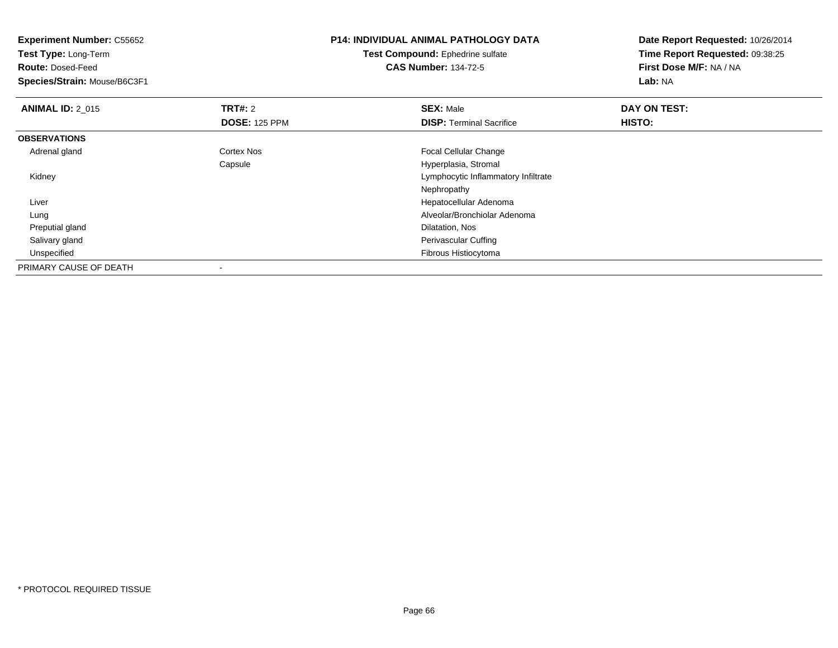| <b>Experiment Number: C55652</b> |                      | <b>P14: INDIVIDUAL ANIMAL PATHOLOGY DATA</b> | Date Report Requested: 10/26/2014 |  |
|----------------------------------|----------------------|----------------------------------------------|-----------------------------------|--|
| Test Type: Long-Term             |                      | Test Compound: Ephedrine sulfate             | Time Report Requested: 09:38:25   |  |
| <b>Route: Dosed-Feed</b>         |                      | <b>CAS Number: 134-72-5</b>                  | First Dose M/F: NA / NA           |  |
| Species/Strain: Mouse/B6C3F1     |                      |                                              | Lab: NA                           |  |
| <b>ANIMAL ID: 2 015</b>          | <b>TRT#: 2</b>       | <b>SEX: Male</b>                             | DAY ON TEST:                      |  |
|                                  | <b>DOSE: 125 PPM</b> | <b>DISP: Terminal Sacrifice</b>              | HISTO:                            |  |
| <b>OBSERVATIONS</b>              |                      |                                              |                                   |  |
| Adrenal gland                    | Cortex Nos           | Focal Cellular Change                        |                                   |  |
|                                  | Capsule              | Hyperplasia, Stromal                         |                                   |  |
| Kidney                           |                      | Lymphocytic Inflammatory Infiltrate          |                                   |  |
|                                  |                      | Nephropathy                                  |                                   |  |
| Liver                            |                      | Hepatocellular Adenoma                       |                                   |  |
| Lung                             |                      | Alveolar/Bronchiolar Adenoma                 |                                   |  |
| Preputial gland                  |                      | Dilatation, Nos                              |                                   |  |
| Salivary gland                   |                      | Perivascular Cuffing                         |                                   |  |
| Unspecified                      |                      | Fibrous Histiocytoma                         |                                   |  |
| PRIMARY CAUSE OF DEATH           |                      |                                              |                                   |  |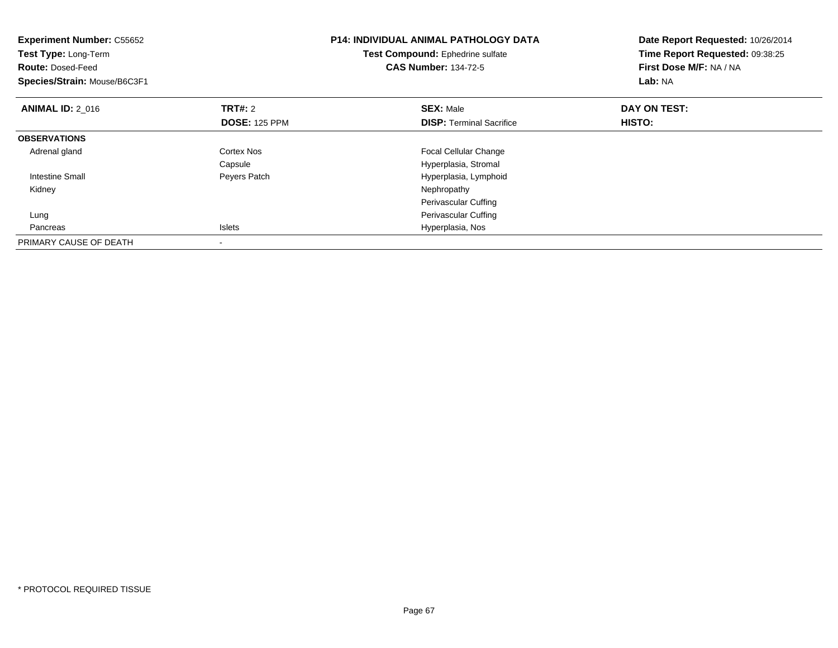| <b>Experiment Number: C55652</b><br>Test Type: Long-Term<br><b>Route: Dosed-Feed</b><br>Species/Strain: Mouse/B6C3F1 |                      | <b>P14: INDIVIDUAL ANIMAL PATHOLOGY DATA</b><br>Test Compound: Ephedrine sulfate<br><b>CAS Number: 134-72-5</b> | Date Report Requested: 10/26/2014<br>Time Report Requested: 09:38:25<br>First Dose M/F: NA / NA<br>Lab: NA |  |
|----------------------------------------------------------------------------------------------------------------------|----------------------|-----------------------------------------------------------------------------------------------------------------|------------------------------------------------------------------------------------------------------------|--|
| <b>ANIMAL ID: 2_016</b>                                                                                              | <b>TRT#: 2</b>       | <b>SEX: Male</b>                                                                                                | DAY ON TEST:                                                                                               |  |
|                                                                                                                      | <b>DOSE: 125 PPM</b> | <b>DISP: Terminal Sacrifice</b>                                                                                 | HISTO:                                                                                                     |  |
| <b>OBSERVATIONS</b>                                                                                                  |                      |                                                                                                                 |                                                                                                            |  |
| Adrenal gland                                                                                                        | Cortex Nos           | Focal Cellular Change                                                                                           |                                                                                                            |  |
|                                                                                                                      | Capsule              | Hyperplasia, Stromal                                                                                            |                                                                                                            |  |
| <b>Intestine Small</b>                                                                                               | Peyers Patch         | Hyperplasia, Lymphoid                                                                                           |                                                                                                            |  |
| Kidney                                                                                                               |                      | Nephropathy                                                                                                     |                                                                                                            |  |
|                                                                                                                      |                      | Perivascular Cuffing                                                                                            |                                                                                                            |  |
| Lung                                                                                                                 |                      | Perivascular Cuffing                                                                                            |                                                                                                            |  |
| Pancreas                                                                                                             | Islets               | Hyperplasia, Nos                                                                                                |                                                                                                            |  |
| PRIMARY CAUSE OF DEATH                                                                                               |                      |                                                                                                                 |                                                                                                            |  |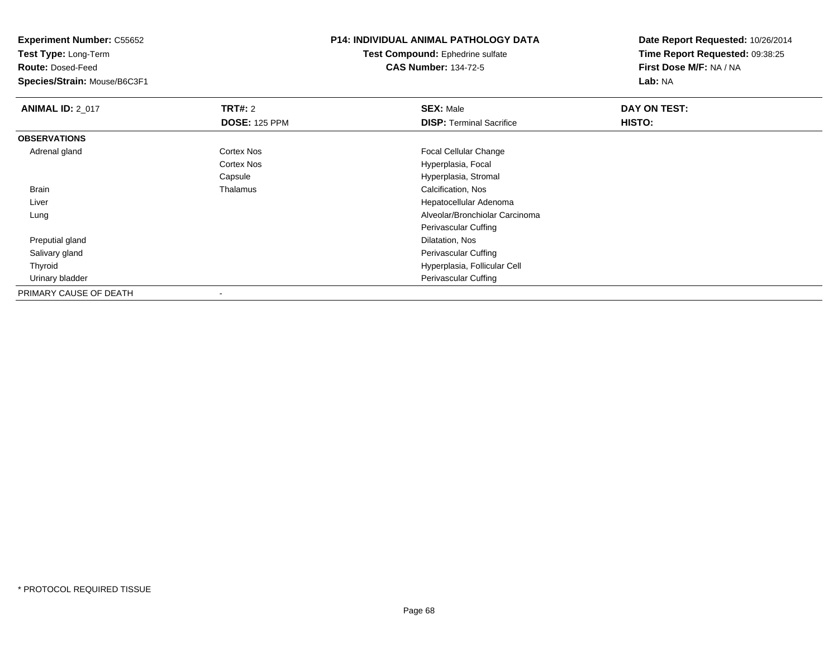**Test Type:** Long-Term

**Route:** Dosed-Feed

**Species/Strain:** Mouse/B6C3F1

### **P14: INDIVIDUAL ANIMAL PATHOLOGY DATA**

**Test Compound:** Ephedrine sulfate**CAS Number:** 134-72-5

| <b>ANIMAL ID: 2_017</b> | TRT#: 2              | <b>SEX: Male</b>                | DAY ON TEST: |  |
|-------------------------|----------------------|---------------------------------|--------------|--|
|                         | <b>DOSE: 125 PPM</b> | <b>DISP: Terminal Sacrifice</b> | HISTO:       |  |
| <b>OBSERVATIONS</b>     |                      |                                 |              |  |
| Adrenal gland           | <b>Cortex Nos</b>    | <b>Focal Cellular Change</b>    |              |  |
|                         | Cortex Nos           | Hyperplasia, Focal              |              |  |
|                         | Capsule              | Hyperplasia, Stromal            |              |  |
| <b>Brain</b>            | Thalamus             | Calcification, Nos              |              |  |
| Liver                   |                      | Hepatocellular Adenoma          |              |  |
| Lung                    |                      | Alveolar/Bronchiolar Carcinoma  |              |  |
|                         |                      | Perivascular Cuffing            |              |  |
| Preputial gland         |                      | Dilatation, Nos                 |              |  |
| Salivary gland          |                      | Perivascular Cuffing            |              |  |
| Thyroid                 |                      | Hyperplasia, Follicular Cell    |              |  |
| Urinary bladder         |                      | Perivascular Cuffing            |              |  |
| PRIMARY CAUSE OF DEATH  |                      |                                 |              |  |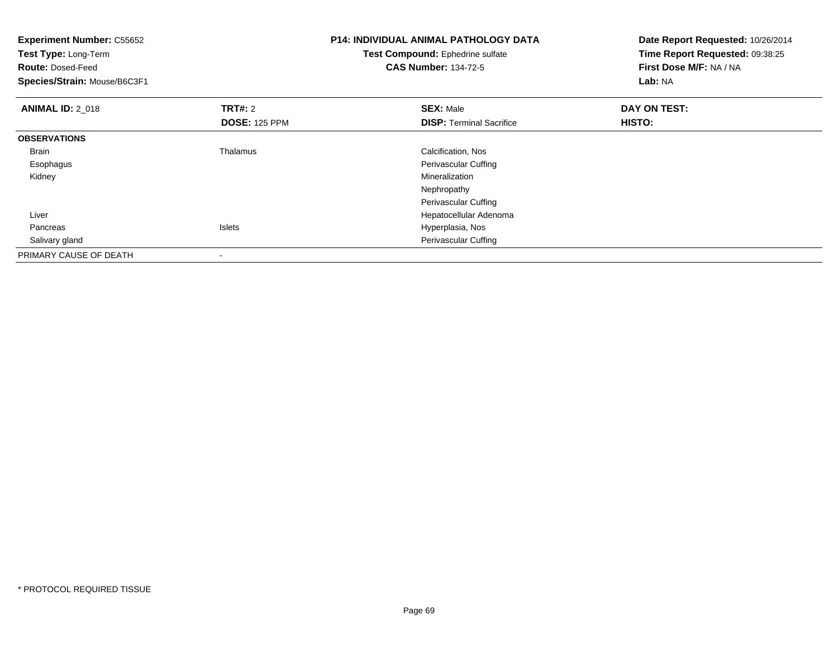| <b>Experiment Number: C55652</b><br>Test Type: Long-Term<br><b>Route: Dosed-Feed</b><br>Species/Strain: Mouse/B6C3F1 |                      | P14: INDIVIDUAL ANIMAL PATHOLOGY DATA<br>Test Compound: Ephedrine sulfate<br><b>CAS Number: 134-72-5</b> | Date Report Requested: 10/26/2014<br>Time Report Requested: 09:38:25<br>First Dose M/F: NA / NA<br>Lab: NA |
|----------------------------------------------------------------------------------------------------------------------|----------------------|----------------------------------------------------------------------------------------------------------|------------------------------------------------------------------------------------------------------------|
| <b>ANIMAL ID: 2_018</b>                                                                                              | <b>TRT#: 2</b>       | <b>SEX: Male</b>                                                                                         | DAY ON TEST:                                                                                               |
|                                                                                                                      | <b>DOSE: 125 PPM</b> | <b>DISP:</b> Terminal Sacrifice                                                                          | HISTO:                                                                                                     |
| <b>OBSERVATIONS</b>                                                                                                  |                      |                                                                                                          |                                                                                                            |
| Brain                                                                                                                | Thalamus             | Calcification, Nos                                                                                       |                                                                                                            |
| Esophagus                                                                                                            |                      | Perivascular Cuffing                                                                                     |                                                                                                            |
| Kidney                                                                                                               |                      | Mineralization                                                                                           |                                                                                                            |
|                                                                                                                      |                      | Nephropathy                                                                                              |                                                                                                            |
|                                                                                                                      |                      | Perivascular Cuffing                                                                                     |                                                                                                            |
| Liver                                                                                                                |                      | Hepatocellular Adenoma                                                                                   |                                                                                                            |
| Pancreas                                                                                                             | <b>Islets</b>        | Hyperplasia, Nos                                                                                         |                                                                                                            |
| Salivary gland                                                                                                       |                      | Perivascular Cuffing                                                                                     |                                                                                                            |
| PRIMARY CAUSE OF DEATH                                                                                               |                      |                                                                                                          |                                                                                                            |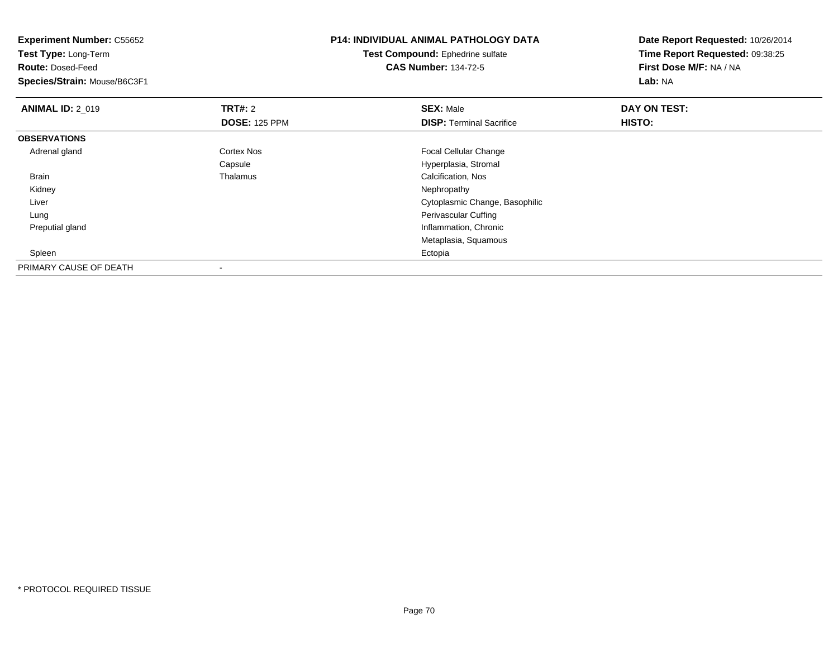| <b>Experiment Number: C55652</b><br>Test Type: Long-Term<br><b>Route: Dosed-Feed</b><br>Species/Strain: Mouse/B6C3F1 |                                        | <b>P14: INDIVIDUAL ANIMAL PATHOLOGY DATA</b><br>Test Compound: Ephedrine sulfate<br><b>CAS Number: 134-72-5</b> | Date Report Requested: 10/26/2014<br>Time Report Requested: 09:38:25<br>First Dose M/F: NA / NA<br>Lab: NA |  |
|----------------------------------------------------------------------------------------------------------------------|----------------------------------------|-----------------------------------------------------------------------------------------------------------------|------------------------------------------------------------------------------------------------------------|--|
| <b>ANIMAL ID: 2 019</b>                                                                                              | <b>TRT#: 2</b><br><b>DOSE: 125 PPM</b> | <b>SEX: Male</b><br><b>DISP: Terminal Sacrifice</b>                                                             | DAY ON TEST:<br>HISTO:                                                                                     |  |
| <b>OBSERVATIONS</b>                                                                                                  |                                        |                                                                                                                 |                                                                                                            |  |
| Adrenal gland                                                                                                        | Cortex Nos                             | Focal Cellular Change                                                                                           |                                                                                                            |  |
|                                                                                                                      | Capsule                                | Hyperplasia, Stromal                                                                                            |                                                                                                            |  |
| Brain                                                                                                                | Thalamus                               | Calcification, Nos                                                                                              |                                                                                                            |  |
| Kidney                                                                                                               |                                        | Nephropathy                                                                                                     |                                                                                                            |  |
| Liver                                                                                                                |                                        | Cytoplasmic Change, Basophilic                                                                                  |                                                                                                            |  |
| Lung                                                                                                                 |                                        | Perivascular Cuffing                                                                                            |                                                                                                            |  |
| Preputial gland                                                                                                      |                                        | Inflammation, Chronic                                                                                           |                                                                                                            |  |
|                                                                                                                      |                                        | Metaplasia, Squamous                                                                                            |                                                                                                            |  |
| Spleen                                                                                                               |                                        | Ectopia                                                                                                         |                                                                                                            |  |
| PRIMARY CAUSE OF DEATH                                                                                               |                                        |                                                                                                                 |                                                                                                            |  |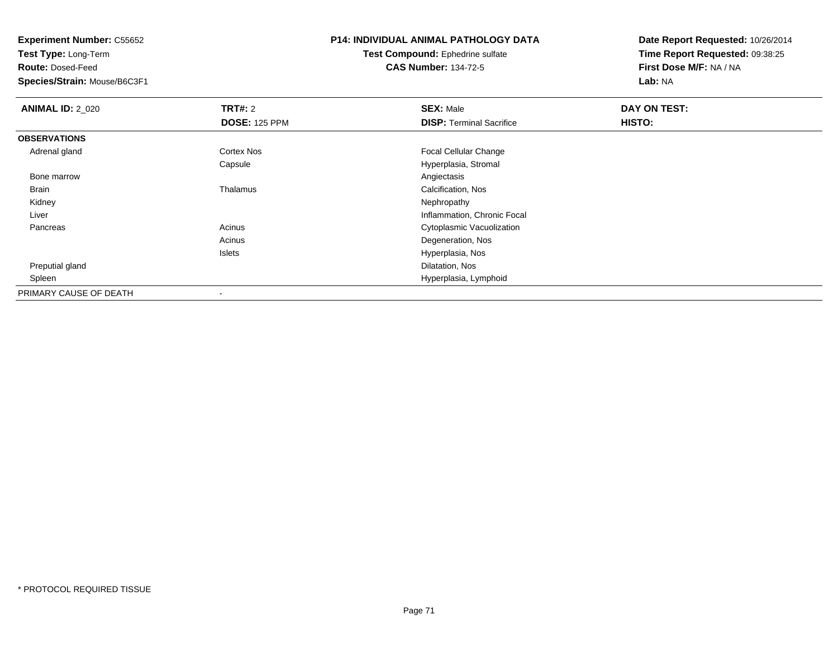**Test Type:** Long-Term

**Route:** Dosed-Feed

**Species/Strain:** Mouse/B6C3F1

## **P14: INDIVIDUAL ANIMAL PATHOLOGY DATA**

**Test Compound:** Ephedrine sulfate**CAS Number:** 134-72-5

| <b>ANIMAL ID: 2_020</b> | TRT#: 2                  | <b>SEX: Male</b>                | DAY ON TEST: |  |
|-------------------------|--------------------------|---------------------------------|--------------|--|
|                         | <b>DOSE: 125 PPM</b>     | <b>DISP: Terminal Sacrifice</b> | HISTO:       |  |
| <b>OBSERVATIONS</b>     |                          |                                 |              |  |
| Adrenal gland           | Cortex Nos               | <b>Focal Cellular Change</b>    |              |  |
|                         | Capsule                  | Hyperplasia, Stromal            |              |  |
| Bone marrow             |                          | Angiectasis                     |              |  |
| <b>Brain</b>            | Thalamus                 | Calcification, Nos              |              |  |
| Kidney                  |                          | Nephropathy                     |              |  |
| Liver                   |                          | Inflammation, Chronic Focal     |              |  |
| Pancreas                | Acinus                   | Cytoplasmic Vacuolization       |              |  |
|                         | Acinus                   | Degeneration, Nos               |              |  |
|                         | Islets                   | Hyperplasia, Nos                |              |  |
| Preputial gland         |                          | Dilatation, Nos                 |              |  |
| Spleen                  |                          | Hyperplasia, Lymphoid           |              |  |
| PRIMARY CAUSE OF DEATH  | $\overline{\phantom{a}}$ |                                 |              |  |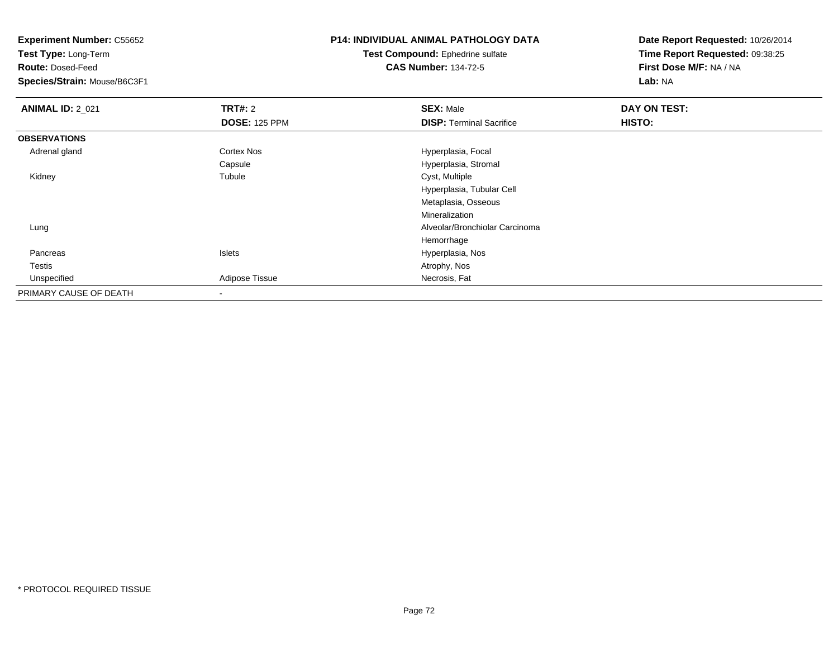**Test Type:** Long-Term

**Route:** Dosed-Feed

**Species/Strain:** Mouse/B6C3F1

## **P14: INDIVIDUAL ANIMAL PATHOLOGY DATA**

#### **Test Compound:** Ephedrine sulfate**CAS Number:** 134-72-5

| <b>ANIMAL ID: 2_021</b> | <b>TRT#: 2</b>       | <b>SEX: Male</b>                | DAY ON TEST: |  |
|-------------------------|----------------------|---------------------------------|--------------|--|
|                         | <b>DOSE: 125 PPM</b> | <b>DISP: Terminal Sacrifice</b> | HISTO:       |  |
| <b>OBSERVATIONS</b>     |                      |                                 |              |  |
| Adrenal gland           | Cortex Nos           | Hyperplasia, Focal              |              |  |
|                         | Capsule              | Hyperplasia, Stromal            |              |  |
| Kidney                  | Tubule               | Cyst, Multiple                  |              |  |
|                         |                      | Hyperplasia, Tubular Cell       |              |  |
|                         |                      | Metaplasia, Osseous             |              |  |
|                         |                      | Mineralization                  |              |  |
| Lung                    |                      | Alveolar/Bronchiolar Carcinoma  |              |  |
|                         |                      | Hemorrhage                      |              |  |
| Pancreas                | Islets               | Hyperplasia, Nos                |              |  |
| Testis                  |                      | Atrophy, Nos                    |              |  |
| Unspecified             | Adipose Tissue       | Necrosis, Fat                   |              |  |
| PRIMARY CAUSE OF DEATH  |                      |                                 |              |  |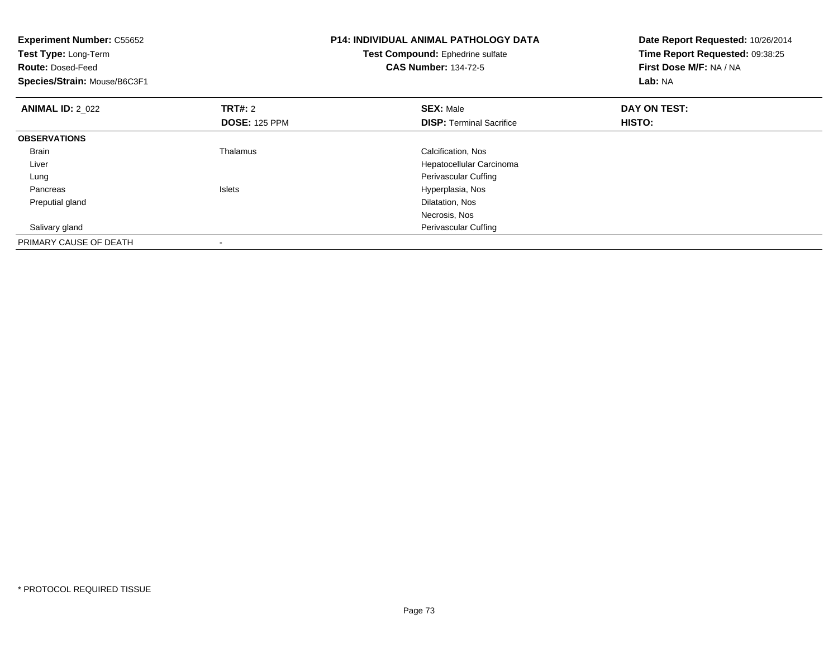| <b>Experiment Number: C55652</b><br><b>Test Type: Long-Term</b><br><b>Route: Dosed-Feed</b><br>Species/Strain: Mouse/B6C3F1 |                                 | <b>P14: INDIVIDUAL ANIMAL PATHOLOGY DATA</b><br>Test Compound: Ephedrine sulfate<br><b>CAS Number: 134-72-5</b> | Date Report Requested: 10/26/2014<br>Time Report Requested: 09:38:25<br>First Dose M/F: NA / NA<br>Lab: NA |
|-----------------------------------------------------------------------------------------------------------------------------|---------------------------------|-----------------------------------------------------------------------------------------------------------------|------------------------------------------------------------------------------------------------------------|
| <b>ANIMAL ID: 2 022</b>                                                                                                     | TRT#: 2<br><b>DOSE: 125 PPM</b> | <b>SEX: Male</b><br><b>DISP:</b> Terminal Sacrifice                                                             | DAY ON TEST:<br>HISTO:                                                                                     |
| <b>OBSERVATIONS</b>                                                                                                         |                                 |                                                                                                                 |                                                                                                            |
| <b>Brain</b>                                                                                                                | Thalamus                        | Calcification, Nos                                                                                              |                                                                                                            |
| Liver                                                                                                                       |                                 | Hepatocellular Carcinoma                                                                                        |                                                                                                            |
| Lung                                                                                                                        |                                 | Perivascular Cuffing                                                                                            |                                                                                                            |
| Pancreas                                                                                                                    | <b>Islets</b>                   | Hyperplasia, Nos                                                                                                |                                                                                                            |
| Preputial gland                                                                                                             |                                 | Dilatation, Nos                                                                                                 |                                                                                                            |
|                                                                                                                             |                                 | Necrosis, Nos                                                                                                   |                                                                                                            |
| Salivary gland                                                                                                              |                                 | Perivascular Cuffing                                                                                            |                                                                                                            |
| PRIMARY CAUSE OF DEATH                                                                                                      |                                 |                                                                                                                 |                                                                                                            |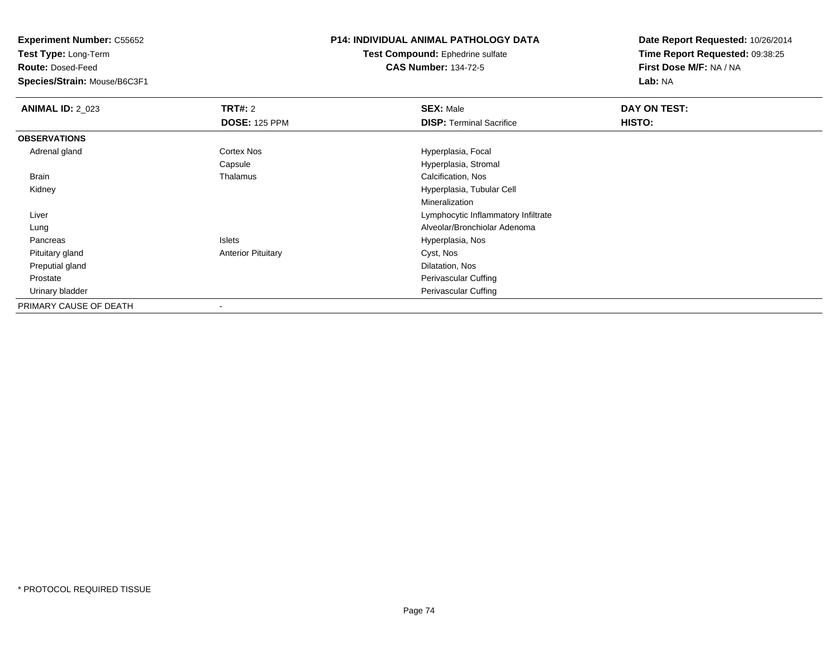**Test Type:** Long-Term

**Route:** Dosed-Feed

**Species/Strain:** Mouse/B6C3F1

## **P14: INDIVIDUAL ANIMAL PATHOLOGY DATA**

**Test Compound:** Ephedrine sulfate**CAS Number:** 134-72-5

| <b>ANIMAL ID: 2_023</b> | TRT#: 2                   | <b>SEX: Male</b>                    | DAY ON TEST: |  |
|-------------------------|---------------------------|-------------------------------------|--------------|--|
|                         | <b>DOSE: 125 PPM</b>      | <b>DISP:</b> Terminal Sacrifice     | HISTO:       |  |
| <b>OBSERVATIONS</b>     |                           |                                     |              |  |
| Adrenal gland           | <b>Cortex Nos</b>         | Hyperplasia, Focal                  |              |  |
|                         | Capsule                   | Hyperplasia, Stromal                |              |  |
| Brain                   | Thalamus                  | Calcification, Nos                  |              |  |
| Kidney                  |                           | Hyperplasia, Tubular Cell           |              |  |
|                         |                           | Mineralization                      |              |  |
| Liver                   |                           | Lymphocytic Inflammatory Infiltrate |              |  |
| Lung                    |                           | Alveolar/Bronchiolar Adenoma        |              |  |
| Pancreas                | Islets                    | Hyperplasia, Nos                    |              |  |
| Pituitary gland         | <b>Anterior Pituitary</b> | Cyst, Nos                           |              |  |
| Preputial gland         |                           | Dilatation, Nos                     |              |  |
| Prostate                |                           | Perivascular Cuffing                |              |  |
| Urinary bladder         |                           | Perivascular Cuffing                |              |  |
| PRIMARY CAUSE OF DEATH  |                           |                                     |              |  |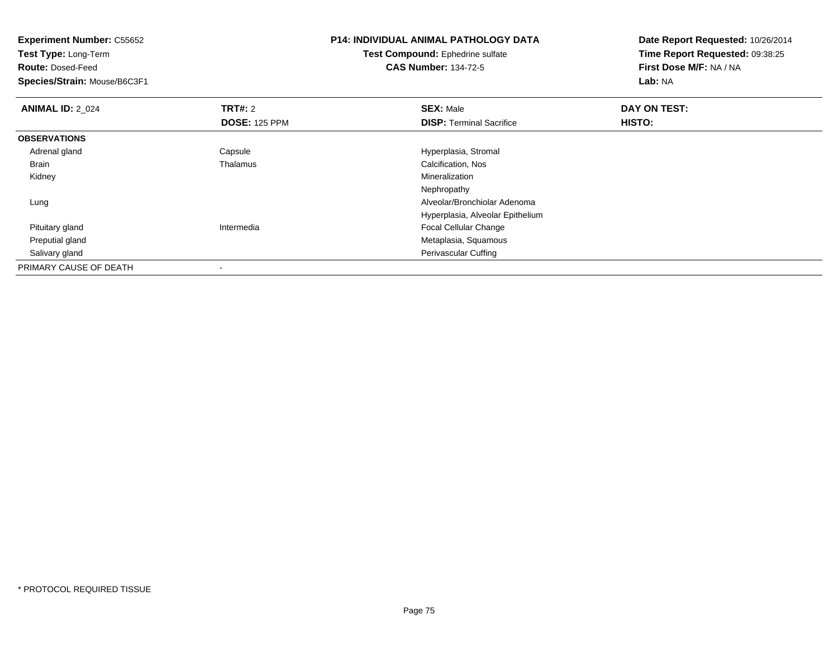| <b>Experiment Number: C55652</b> |                      | <b>P14: INDIVIDUAL ANIMAL PATHOLOGY DATA</b> | Date Report Requested: 10/26/2014 |  |
|----------------------------------|----------------------|----------------------------------------------|-----------------------------------|--|
| <b>Test Type: Long-Term</b>      |                      | Test Compound: Ephedrine sulfate             | Time Report Requested: 09:38:25   |  |
| <b>Route: Dosed-Feed</b>         |                      | <b>CAS Number: 134-72-5</b>                  | First Dose M/F: NA / NA           |  |
| Species/Strain: Mouse/B6C3F1     |                      |                                              | Lab: NA                           |  |
| <b>ANIMAL ID: 2 024</b>          | <b>TRT#: 2</b>       | <b>SEX: Male</b>                             | DAY ON TEST:                      |  |
|                                  | <b>DOSE: 125 PPM</b> | <b>DISP: Terminal Sacrifice</b>              | <b>HISTO:</b>                     |  |
| <b>OBSERVATIONS</b>              |                      |                                              |                                   |  |
| Adrenal gland                    | Capsule              | Hyperplasia, Stromal                         |                                   |  |
| Brain                            | Thalamus             | Calcification, Nos                           |                                   |  |
| Kidney                           |                      | Mineralization                               |                                   |  |
|                                  |                      | Nephropathy                                  |                                   |  |
| Lung                             |                      | Alveolar/Bronchiolar Adenoma                 |                                   |  |
|                                  |                      | Hyperplasia, Alveolar Epithelium             |                                   |  |
| Pituitary gland                  | Intermedia           | <b>Focal Cellular Change</b>                 |                                   |  |
| Preputial gland                  |                      | Metaplasia, Squamous                         |                                   |  |
| Salivary gland                   |                      | Perivascular Cuffing                         |                                   |  |
| PRIMARY CAUSE OF DEATH           | ٠                    |                                              |                                   |  |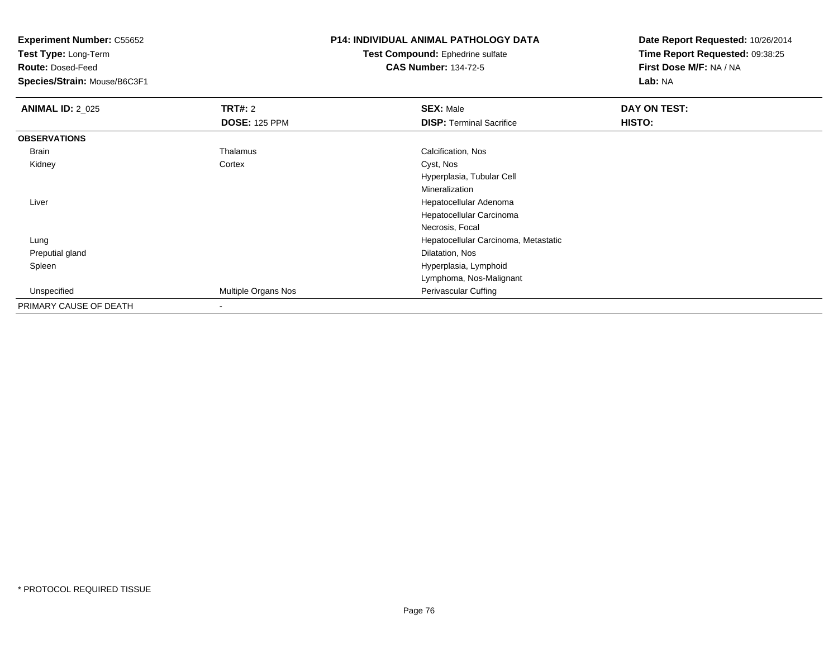**Test Type:** Long-Term

**Route:** Dosed-Feed

**Species/Strain:** Mouse/B6C3F1

## **P14: INDIVIDUAL ANIMAL PATHOLOGY DATA**

#### **Test Compound:** Ephedrine sulfate**CAS Number:** 134-72-5

| <b>ANIMAL ID: 2_025</b> | <b>TRT#: 2</b>       | <b>SEX: Male</b>                     | DAY ON TEST: |  |
|-------------------------|----------------------|--------------------------------------|--------------|--|
|                         | <b>DOSE: 125 PPM</b> | <b>DISP: Terminal Sacrifice</b>      | HISTO:       |  |
| <b>OBSERVATIONS</b>     |                      |                                      |              |  |
| Brain                   | Thalamus             | Calcification, Nos                   |              |  |
| Kidney                  | Cortex               | Cyst, Nos                            |              |  |
|                         |                      | Hyperplasia, Tubular Cell            |              |  |
|                         |                      | Mineralization                       |              |  |
| Liver                   |                      | Hepatocellular Adenoma               |              |  |
|                         |                      | Hepatocellular Carcinoma             |              |  |
|                         |                      | Necrosis, Focal                      |              |  |
| Lung                    |                      | Hepatocellular Carcinoma, Metastatic |              |  |
| Preputial gland         |                      | Dilatation, Nos                      |              |  |
| Spleen                  |                      | Hyperplasia, Lymphoid                |              |  |
|                         |                      | Lymphoma, Nos-Malignant              |              |  |
| Unspecified             | Multiple Organs Nos  | Perivascular Cuffing                 |              |  |
| PRIMARY CAUSE OF DEATH  |                      |                                      |              |  |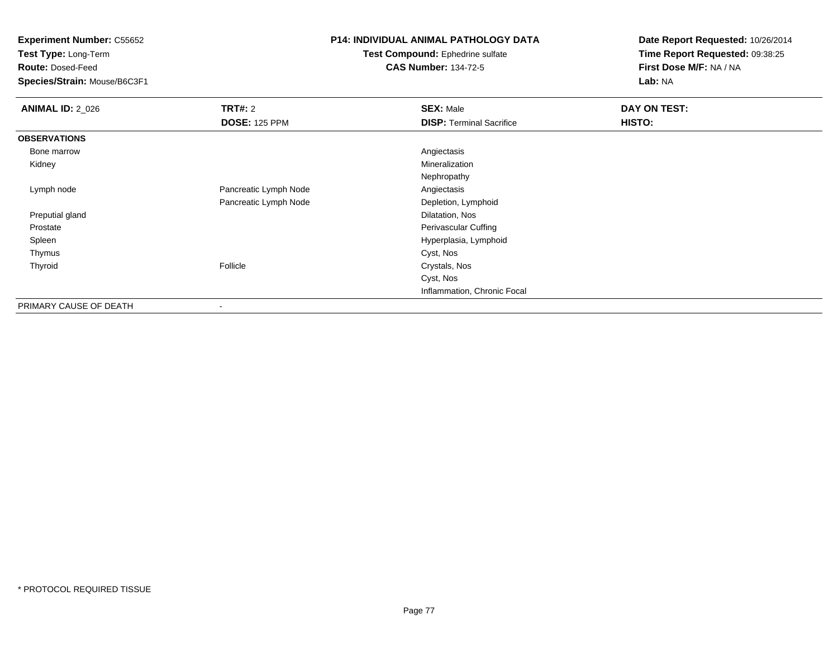**Test Type:** Long-Term

**Route:** Dosed-Feed

**Species/Strain:** Mouse/B6C3F1

#### **P14: INDIVIDUAL ANIMAL PATHOLOGY DATA**

**Test Compound:** Ephedrine sulfate**CAS Number:** 134-72-5

| <b>ANIMAL ID: 2_026</b> | TRT#: 2               | <b>SEX: Male</b>                | DAY ON TEST: |  |
|-------------------------|-----------------------|---------------------------------|--------------|--|
|                         | <b>DOSE: 125 PPM</b>  | <b>DISP: Terminal Sacrifice</b> | HISTO:       |  |
| <b>OBSERVATIONS</b>     |                       |                                 |              |  |
| Bone marrow             |                       | Angiectasis                     |              |  |
| Kidney                  |                       | Mineralization                  |              |  |
|                         |                       | Nephropathy                     |              |  |
| Lymph node              | Pancreatic Lymph Node | Angiectasis                     |              |  |
|                         | Pancreatic Lymph Node | Depletion, Lymphoid             |              |  |
| Preputial gland         |                       | Dilatation, Nos                 |              |  |
| Prostate                |                       | Perivascular Cuffing            |              |  |
| Spleen                  |                       | Hyperplasia, Lymphoid           |              |  |
| Thymus                  |                       | Cyst, Nos                       |              |  |
| Thyroid                 | Follicle              | Crystals, Nos                   |              |  |
|                         |                       | Cyst, Nos                       |              |  |
|                         |                       | Inflammation, Chronic Focal     |              |  |
| PRIMARY CAUSE OF DEATH  | ٠                     |                                 |              |  |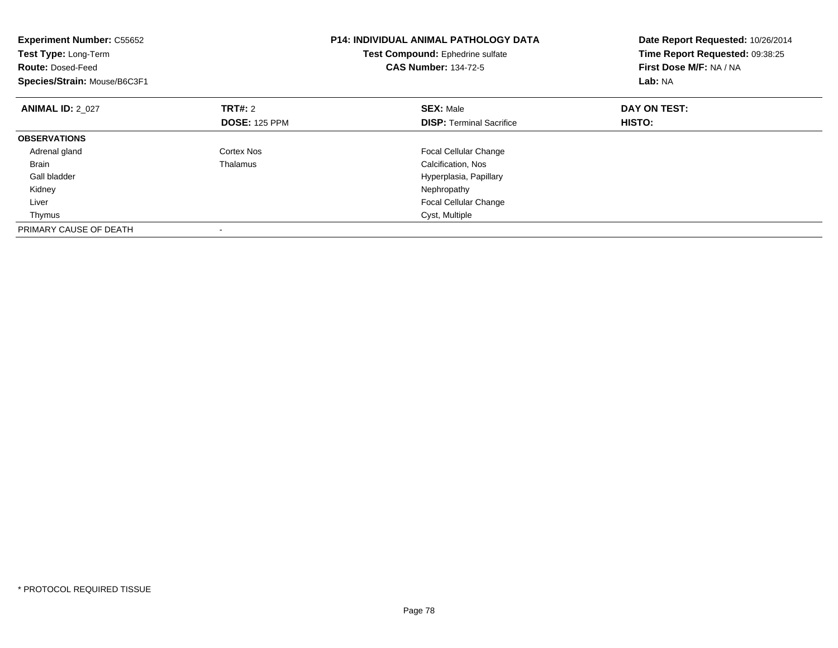| <b>Experiment Number: C55652</b><br>Test Type: Long-Term<br><b>Route: Dosed-Feed</b><br>Species/Strain: Mouse/B6C3F1 |                      | P14: INDIVIDUAL ANIMAL PATHOLOGY DATA<br>Test Compound: Ephedrine sulfate<br><b>CAS Number: 134-72-5</b> | Date Report Requested: 10/26/2014<br>Time Report Requested: 09:38:25<br>First Dose M/F: NA / NA<br>Lab: NA |
|----------------------------------------------------------------------------------------------------------------------|----------------------|----------------------------------------------------------------------------------------------------------|------------------------------------------------------------------------------------------------------------|
| <b>ANIMAL ID: 2 027</b>                                                                                              | <b>TRT#:</b> 2       | <b>SEX: Male</b>                                                                                         | DAY ON TEST:                                                                                               |
|                                                                                                                      | <b>DOSE: 125 PPM</b> | <b>DISP:</b> Terminal Sacrifice                                                                          | HISTO:                                                                                                     |
| <b>OBSERVATIONS</b>                                                                                                  |                      |                                                                                                          |                                                                                                            |
| Adrenal gland                                                                                                        | Cortex Nos           | <b>Focal Cellular Change</b>                                                                             |                                                                                                            |
| <b>Brain</b>                                                                                                         | Thalamus             | Calcification, Nos                                                                                       |                                                                                                            |
| Gall bladder                                                                                                         |                      | Hyperplasia, Papillary                                                                                   |                                                                                                            |
| Kidney                                                                                                               |                      | Nephropathy                                                                                              |                                                                                                            |
| Liver                                                                                                                |                      | <b>Focal Cellular Change</b>                                                                             |                                                                                                            |
| Thymus                                                                                                               |                      | Cyst, Multiple                                                                                           |                                                                                                            |
| PRIMARY CAUSE OF DEATH                                                                                               |                      |                                                                                                          |                                                                                                            |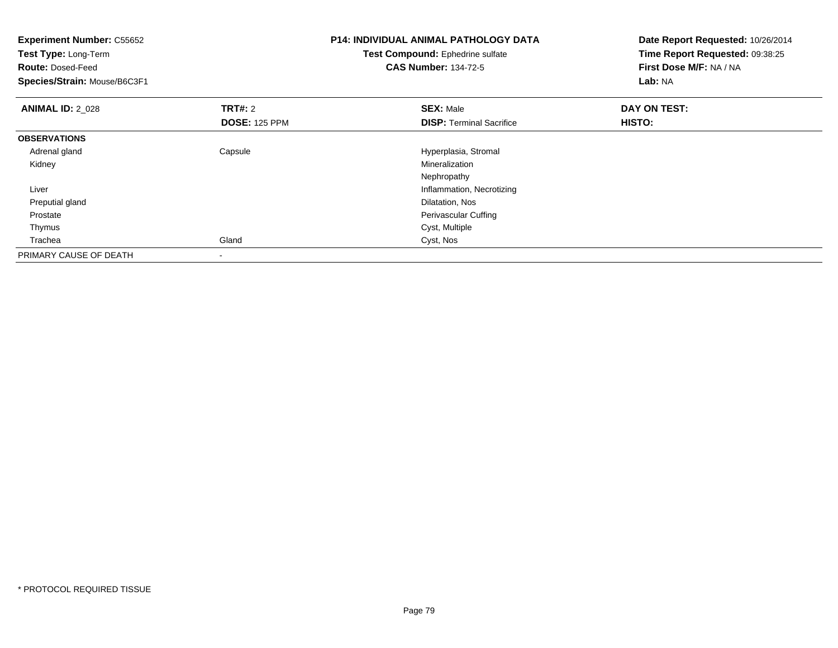| <b>Experiment Number: C55652</b><br>Test Type: Long-Term<br><b>Route: Dosed-Feed</b> |                      | <b>P14: INDIVIDUAL ANIMAL PATHOLOGY DATA</b><br>Test Compound: Ephedrine sulfate<br><b>CAS Number: 134-72-5</b> | Date Report Requested: 10/26/2014<br>Time Report Requested: 09:38:25<br>First Dose M/F: NA / NA |
|--------------------------------------------------------------------------------------|----------------------|-----------------------------------------------------------------------------------------------------------------|-------------------------------------------------------------------------------------------------|
| Species/Strain: Mouse/B6C3F1                                                         |                      |                                                                                                                 | Lab: NA                                                                                         |
| <b>ANIMAL ID: 2 028</b>                                                              | <b>TRT#: 2</b>       | <b>SEX: Male</b>                                                                                                | DAY ON TEST:                                                                                    |
|                                                                                      | <b>DOSE: 125 PPM</b> | <b>DISP: Terminal Sacrifice</b>                                                                                 | HISTO:                                                                                          |
| <b>OBSERVATIONS</b>                                                                  |                      |                                                                                                                 |                                                                                                 |
| Adrenal gland                                                                        | Capsule              | Hyperplasia, Stromal                                                                                            |                                                                                                 |
| Kidney                                                                               |                      | Mineralization                                                                                                  |                                                                                                 |
|                                                                                      |                      | Nephropathy                                                                                                     |                                                                                                 |
| Liver                                                                                |                      | Inflammation, Necrotizing                                                                                       |                                                                                                 |
| Preputial gland                                                                      |                      | Dilatation, Nos                                                                                                 |                                                                                                 |
| Prostate                                                                             |                      | Perivascular Cuffing                                                                                            |                                                                                                 |
| Thymus                                                                               |                      | Cyst, Multiple                                                                                                  |                                                                                                 |
| Trachea                                                                              | Gland                | Cyst, Nos                                                                                                       |                                                                                                 |
| PRIMARY CAUSE OF DEATH                                                               |                      |                                                                                                                 |                                                                                                 |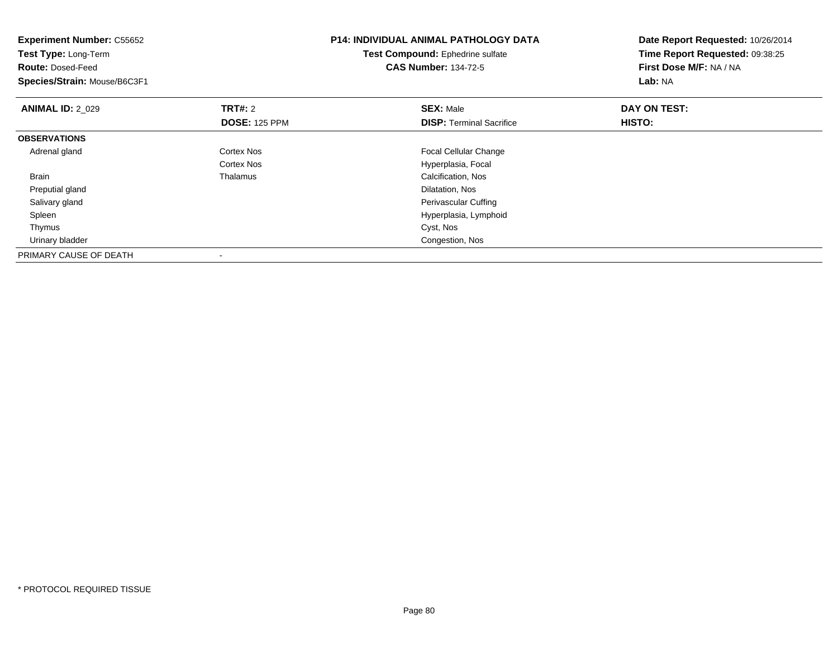| <b>Experiment Number: C55652</b><br>Test Type: Long-Term<br><b>Route: Dosed-Feed</b><br>Species/Strain: Mouse/B6C3F1 |                      | <b>P14: INDIVIDUAL ANIMAL PATHOLOGY DATA</b><br>Test Compound: Ephedrine sulfate<br><b>CAS Number: 134-72-5</b> | Date Report Requested: 10/26/2014<br>Time Report Requested: 09:38:25<br>First Dose M/F: NA / NA<br>Lab: NA |
|----------------------------------------------------------------------------------------------------------------------|----------------------|-----------------------------------------------------------------------------------------------------------------|------------------------------------------------------------------------------------------------------------|
| <b>ANIMAL ID: 2 029</b>                                                                                              | <b>TRT#: 2</b>       | <b>SEX: Male</b>                                                                                                | DAY ON TEST:                                                                                               |
|                                                                                                                      | <b>DOSE: 125 PPM</b> | <b>DISP:</b> Terminal Sacrifice                                                                                 | <b>HISTO:</b>                                                                                              |
| <b>OBSERVATIONS</b>                                                                                                  |                      |                                                                                                                 |                                                                                                            |
| Adrenal gland                                                                                                        | Cortex Nos           | <b>Focal Cellular Change</b>                                                                                    |                                                                                                            |
|                                                                                                                      | <b>Cortex Nos</b>    | Hyperplasia, Focal                                                                                              |                                                                                                            |
| <b>Brain</b>                                                                                                         | Thalamus             | Calcification, Nos                                                                                              |                                                                                                            |
| Preputial gland                                                                                                      |                      | Dilatation, Nos                                                                                                 |                                                                                                            |
| Salivary gland                                                                                                       |                      | Perivascular Cuffing                                                                                            |                                                                                                            |
| Spleen                                                                                                               |                      | Hyperplasia, Lymphoid                                                                                           |                                                                                                            |
| Thymus                                                                                                               |                      | Cyst, Nos                                                                                                       |                                                                                                            |
| Urinary bladder                                                                                                      |                      | Congestion, Nos                                                                                                 |                                                                                                            |
| PRIMARY CAUSE OF DEATH                                                                                               |                      |                                                                                                                 |                                                                                                            |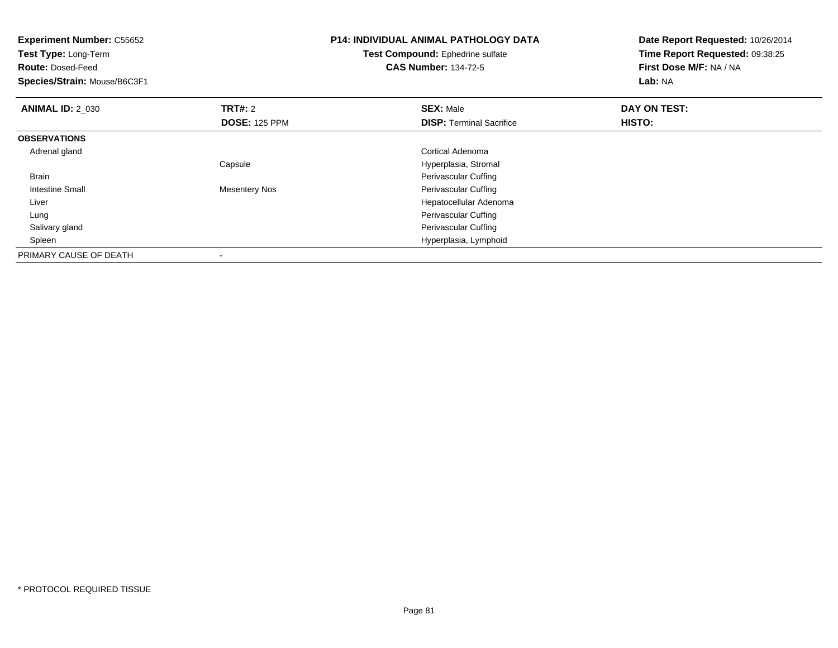| <b>Experiment Number: C55652</b><br>Test Type: Long-Term<br><b>Route: Dosed-Feed</b><br>Species/Strain: Mouse/B6C3F1 |                      | <b>P14: INDIVIDUAL ANIMAL PATHOLOGY DATA</b><br>Test Compound: Ephedrine sulfate<br><b>CAS Number: 134-72-5</b> | Date Report Requested: 10/26/2014<br>Time Report Requested: 09:38:25<br>First Dose M/F: NA / NA<br>Lab: NA |
|----------------------------------------------------------------------------------------------------------------------|----------------------|-----------------------------------------------------------------------------------------------------------------|------------------------------------------------------------------------------------------------------------|
| <b>ANIMAL ID: 2_030</b>                                                                                              | <b>TRT#: 2</b>       | <b>SEX: Male</b>                                                                                                | DAY ON TEST:                                                                                               |
|                                                                                                                      | <b>DOSE: 125 PPM</b> | <b>DISP:</b> Terminal Sacrifice                                                                                 | HISTO:                                                                                                     |
| <b>OBSERVATIONS</b>                                                                                                  |                      |                                                                                                                 |                                                                                                            |
| Adrenal gland                                                                                                        |                      | Cortical Adenoma                                                                                                |                                                                                                            |
|                                                                                                                      | Capsule              | Hyperplasia, Stromal                                                                                            |                                                                                                            |
| <b>Brain</b>                                                                                                         |                      | Perivascular Cuffing                                                                                            |                                                                                                            |
| Intestine Small                                                                                                      | Mesentery Nos        | Perivascular Cuffing                                                                                            |                                                                                                            |
| Liver                                                                                                                |                      | Hepatocellular Adenoma                                                                                          |                                                                                                            |
| Lung                                                                                                                 |                      | Perivascular Cuffing                                                                                            |                                                                                                            |
| Salivary gland                                                                                                       |                      | Perivascular Cuffing                                                                                            |                                                                                                            |
| Spleen                                                                                                               |                      | Hyperplasia, Lymphoid                                                                                           |                                                                                                            |
| PRIMARY CAUSE OF DEATH                                                                                               |                      |                                                                                                                 |                                                                                                            |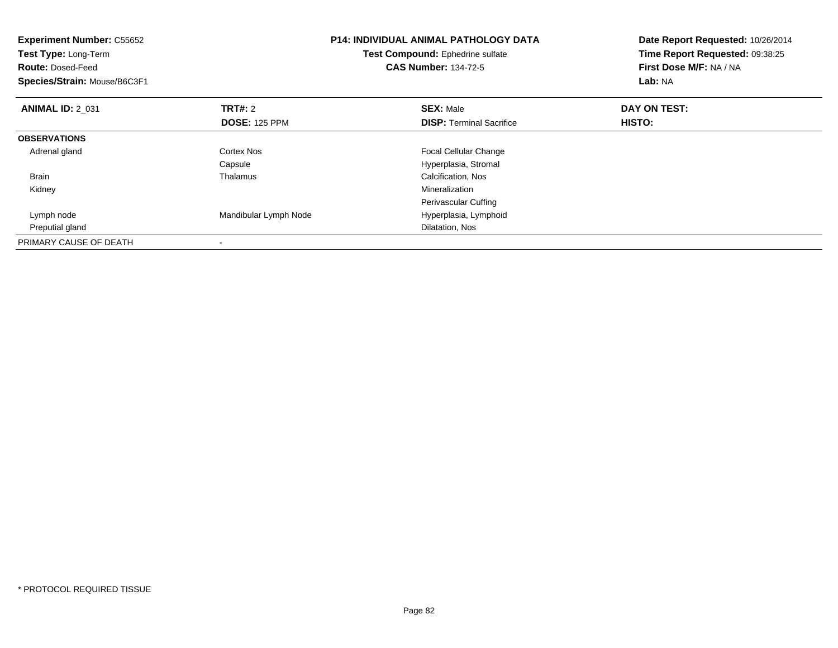| <b>Experiment Number: C55652</b><br>Test Type: Long-Term<br><b>Route: Dosed-Feed</b><br>Species/Strain: Mouse/B6C3F1 |                       | <b>P14: INDIVIDUAL ANIMAL PATHOLOGY DATA</b><br>Test Compound: Ephedrine sulfate<br><b>CAS Number: 134-72-5</b> | Date Report Requested: 10/26/2014<br>Time Report Requested: 09:38:25<br>First Dose M/F: NA / NA<br>Lab: NA |
|----------------------------------------------------------------------------------------------------------------------|-----------------------|-----------------------------------------------------------------------------------------------------------------|------------------------------------------------------------------------------------------------------------|
| <b>ANIMAL ID: 2 031</b>                                                                                              | TRT#: 2               | <b>SEX: Male</b>                                                                                                | DAY ON TEST:                                                                                               |
|                                                                                                                      | <b>DOSE: 125 PPM</b>  | <b>DISP:</b> Terminal Sacrifice                                                                                 | HISTO:                                                                                                     |
| <b>OBSERVATIONS</b>                                                                                                  |                       |                                                                                                                 |                                                                                                            |
| Adrenal gland                                                                                                        | Cortex Nos            | <b>Focal Cellular Change</b>                                                                                    |                                                                                                            |
|                                                                                                                      | Capsule               | Hyperplasia, Stromal                                                                                            |                                                                                                            |
| <b>Brain</b>                                                                                                         | Thalamus              | Calcification, Nos                                                                                              |                                                                                                            |
| Kidney                                                                                                               |                       | Mineralization                                                                                                  |                                                                                                            |
|                                                                                                                      |                       | Perivascular Cuffing                                                                                            |                                                                                                            |
| Lymph node                                                                                                           | Mandibular Lymph Node | Hyperplasia, Lymphoid                                                                                           |                                                                                                            |
| Preputial gland                                                                                                      |                       | Dilatation, Nos                                                                                                 |                                                                                                            |
| PRIMARY CAUSE OF DEATH                                                                                               | $\,$                  |                                                                                                                 |                                                                                                            |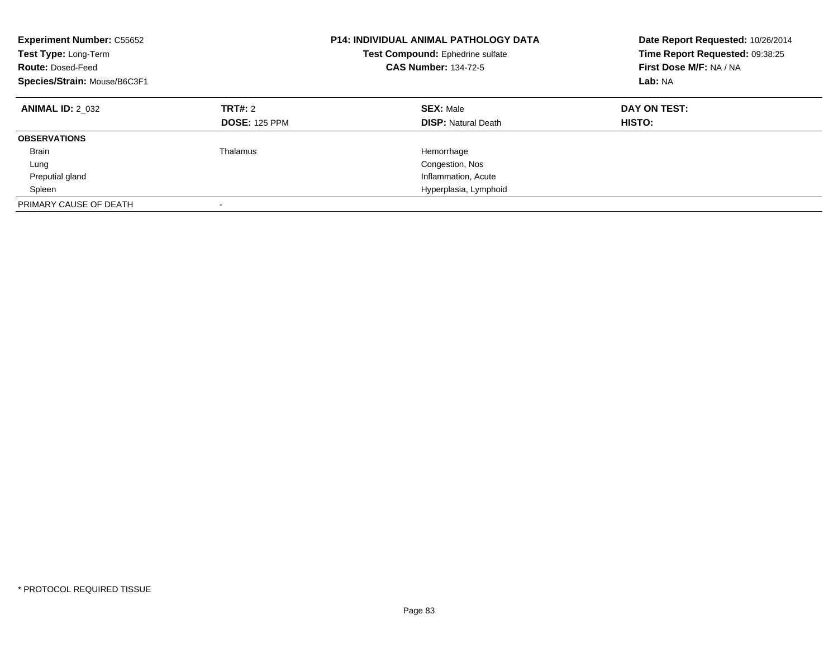| <b>Experiment Number: C55652</b><br>Test Type: Long-Term<br><b>Route: Dosed-Feed</b><br>Species/Strain: Mouse/B6C3F1 |                                 | <b>P14: INDIVIDUAL ANIMAL PATHOLOGY DATA</b><br>Test Compound: Ephedrine sulfate<br><b>CAS Number: 134-72-5</b> | Date Report Requested: 10/26/2014<br>Time Report Requested: 09:38:25<br>First Dose M/F: NA / NA<br>Lab: NA |
|----------------------------------------------------------------------------------------------------------------------|---------------------------------|-----------------------------------------------------------------------------------------------------------------|------------------------------------------------------------------------------------------------------------|
| <b>ANIMAL ID: 2 032</b>                                                                                              | TRT#: 2<br><b>DOSE: 125 PPM</b> | <b>SEX: Male</b><br><b>DISP:</b> Natural Death                                                                  | DAY ON TEST:<br>HISTO:                                                                                     |
| <b>OBSERVATIONS</b>                                                                                                  |                                 |                                                                                                                 |                                                                                                            |
| <b>Brain</b>                                                                                                         | Thalamus                        | Hemorrhage                                                                                                      |                                                                                                            |
| Lung                                                                                                                 |                                 | Congestion, Nos                                                                                                 |                                                                                                            |
| Preputial gland                                                                                                      |                                 | Inflammation, Acute                                                                                             |                                                                                                            |
| Spleen                                                                                                               |                                 | Hyperplasia, Lymphoid                                                                                           |                                                                                                            |
| PRIMARY CAUSE OF DEATH                                                                                               |                                 |                                                                                                                 |                                                                                                            |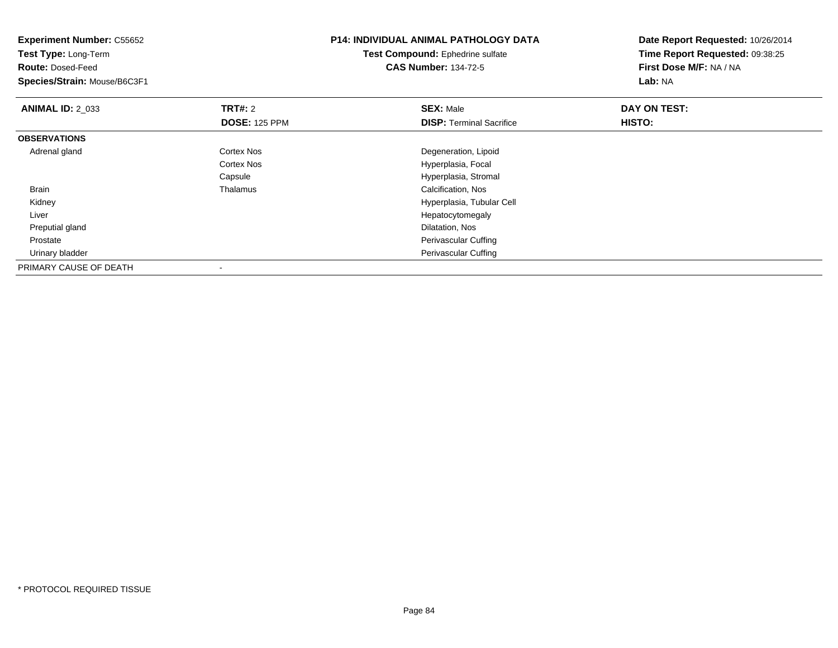| <b>Experiment Number: C55652</b><br><b>Test Type: Long-Term</b> |                      | <b>P14: INDIVIDUAL ANIMAL PATHOLOGY DATA</b> | Date Report Requested: 10/26/2014 |
|-----------------------------------------------------------------|----------------------|----------------------------------------------|-----------------------------------|
|                                                                 |                      | Test Compound: Ephedrine sulfate             | Time Report Requested: 09:38:25   |
| <b>Route: Dosed-Feed</b>                                        |                      | <b>CAS Number: 134-72-5</b>                  | First Dose M/F: NA / NA           |
| Species/Strain: Mouse/B6C3F1                                    |                      |                                              | Lab: NA                           |
| <b>ANIMAL ID: 2_033</b>                                         | <b>TRT#: 2</b>       | <b>SEX: Male</b>                             | DAY ON TEST:                      |
|                                                                 | <b>DOSE: 125 PPM</b> | <b>DISP: Terminal Sacrifice</b>              | HISTO:                            |
| <b>OBSERVATIONS</b>                                             |                      |                                              |                                   |
| Adrenal gland                                                   | Cortex Nos           | Degeneration, Lipoid                         |                                   |
|                                                                 | Cortex Nos           | Hyperplasia, Focal                           |                                   |
|                                                                 | Capsule              | Hyperplasia, Stromal                         |                                   |
| Brain                                                           | Thalamus             | Calcification, Nos                           |                                   |
| Kidney                                                          |                      | Hyperplasia, Tubular Cell                    |                                   |
| Liver                                                           |                      | Hepatocytomegaly                             |                                   |
| Preputial gland                                                 |                      | Dilatation, Nos                              |                                   |
| Prostate                                                        |                      | Perivascular Cuffing                         |                                   |
| Urinary bladder                                                 |                      | Perivascular Cuffing                         |                                   |
| PRIMARY CAUSE OF DEATH                                          |                      |                                              |                                   |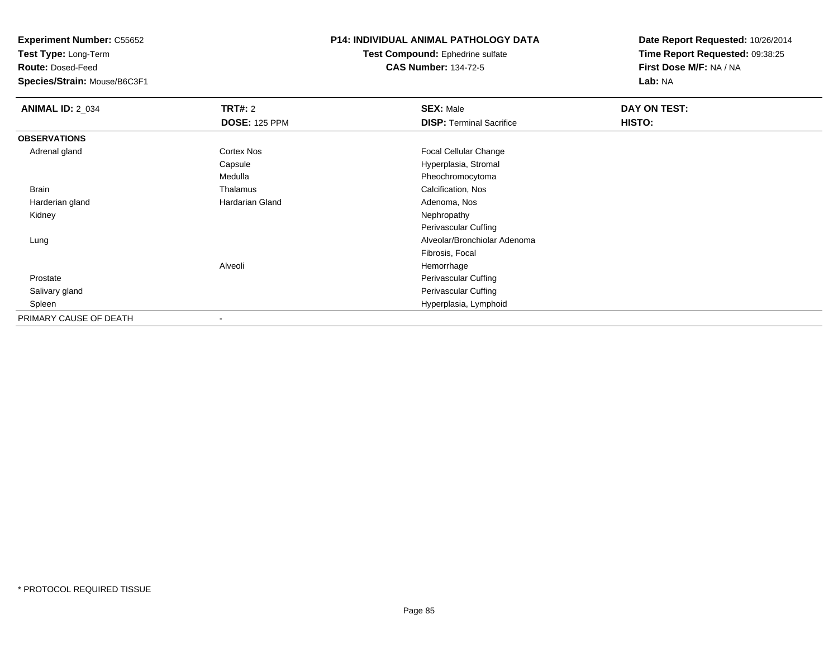**Test Type:** Long-Term

**Route:** Dosed-Feed

**Species/Strain:** Mouse/B6C3F1

#### **P14: INDIVIDUAL ANIMAL PATHOLOGY DATA**

**Test Compound:** Ephedrine sulfate**CAS Number:** 134-72-5

| <b>ANIMAL ID: 2_034</b> | <b>TRT#: 2</b>       | <b>SEX: Male</b>                | DAY ON TEST: |  |
|-------------------------|----------------------|---------------------------------|--------------|--|
|                         | <b>DOSE: 125 PPM</b> | <b>DISP: Terminal Sacrifice</b> | HISTO:       |  |
| <b>OBSERVATIONS</b>     |                      |                                 |              |  |
| Adrenal gland           | Cortex Nos           | Focal Cellular Change           |              |  |
|                         | Capsule              | Hyperplasia, Stromal            |              |  |
|                         | Medulla              | Pheochromocytoma                |              |  |
| <b>Brain</b>            | Thalamus             | Calcification, Nos              |              |  |
| Harderian gland         | Hardarian Gland      | Adenoma, Nos                    |              |  |
| Kidney                  |                      | Nephropathy                     |              |  |
|                         |                      | Perivascular Cuffing            |              |  |
| Lung                    |                      | Alveolar/Bronchiolar Adenoma    |              |  |
|                         |                      | Fibrosis, Focal                 |              |  |
|                         | Alveoli              | Hemorrhage                      |              |  |
| Prostate                |                      | Perivascular Cuffing            |              |  |
| Salivary gland          |                      | Perivascular Cuffing            |              |  |
| Spleen                  |                      | Hyperplasia, Lymphoid           |              |  |
| PRIMARY CAUSE OF DEATH  |                      |                                 |              |  |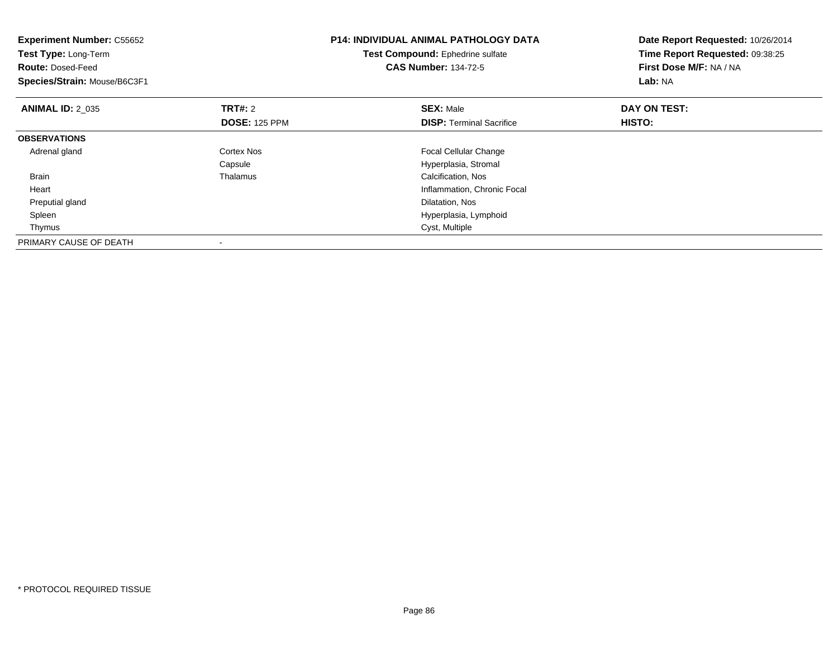| <b>Experiment Number: C55652</b><br><b>Test Type: Long-Term</b><br><b>Route: Dosed-Feed</b><br>Species/Strain: Mouse/B6C3F1 |                                 | <b>P14: INDIVIDUAL ANIMAL PATHOLOGY DATA</b><br>Test Compound: Ephedrine sulfate<br><b>CAS Number: 134-72-5</b> | Date Report Requested: 10/26/2014<br>Time Report Requested: 09:38:25<br>First Dose M/F: NA / NA<br>Lab: NA |
|-----------------------------------------------------------------------------------------------------------------------------|---------------------------------|-----------------------------------------------------------------------------------------------------------------|------------------------------------------------------------------------------------------------------------|
| <b>ANIMAL ID: 2 035</b>                                                                                                     | TRT#: 2<br><b>DOSE: 125 PPM</b> | <b>SEX: Male</b><br><b>DISP:</b> Terminal Sacrifice                                                             | DAY ON TEST:<br>HISTO:                                                                                     |
| <b>OBSERVATIONS</b>                                                                                                         |                                 |                                                                                                                 |                                                                                                            |
| Adrenal gland                                                                                                               | Cortex Nos<br>Capsule           | Focal Cellular Change<br>Hyperplasia, Stromal                                                                   |                                                                                                            |
| Brain                                                                                                                       | Thalamus                        | Calcification, Nos                                                                                              |                                                                                                            |
| Heart                                                                                                                       |                                 | Inflammation, Chronic Focal                                                                                     |                                                                                                            |
| Preputial gland                                                                                                             |                                 | Dilatation, Nos                                                                                                 |                                                                                                            |
| Spleen                                                                                                                      |                                 | Hyperplasia, Lymphoid                                                                                           |                                                                                                            |
| Thymus                                                                                                                      |                                 | Cyst, Multiple                                                                                                  |                                                                                                            |
| PRIMARY CAUSE OF DEATH                                                                                                      |                                 |                                                                                                                 |                                                                                                            |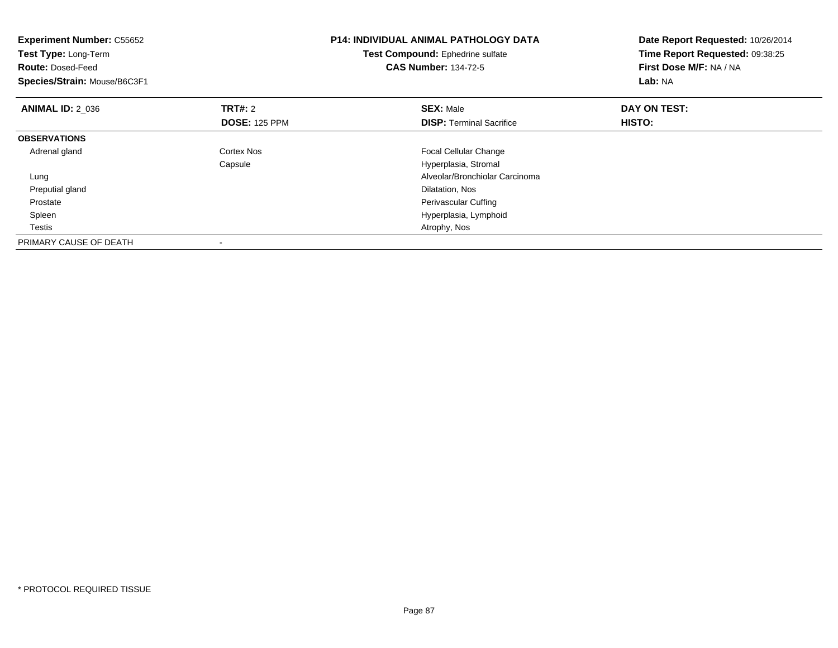| <b>Experiment Number: C55652</b><br>Test Type: Long-Term<br><b>Route: Dosed-Feed</b><br>Species/Strain: Mouse/B6C3F1 |                                        | <b>P14: INDIVIDUAL ANIMAL PATHOLOGY DATA</b><br>Test Compound: Ephedrine sulfate<br><b>CAS Number: 134-72-5</b> | Date Report Requested: 10/26/2014<br>Time Report Requested: 09:38:25<br>First Dose M/F: NA / NA<br>Lab: NA |
|----------------------------------------------------------------------------------------------------------------------|----------------------------------------|-----------------------------------------------------------------------------------------------------------------|------------------------------------------------------------------------------------------------------------|
| <b>ANIMAL ID: 2_036</b>                                                                                              | <b>TRT#: 2</b><br><b>DOSE: 125 PPM</b> | <b>SEX: Male</b><br><b>DISP:</b> Terminal Sacrifice                                                             | DAY ON TEST:<br>HISTO:                                                                                     |
| <b>OBSERVATIONS</b>                                                                                                  |                                        |                                                                                                                 |                                                                                                            |
| Adrenal gland                                                                                                        | Cortex Nos<br>Capsule                  | <b>Focal Cellular Change</b><br>Hyperplasia, Stromal                                                            |                                                                                                            |
| Lung                                                                                                                 |                                        | Alveolar/Bronchiolar Carcinoma                                                                                  |                                                                                                            |
| Preputial gland                                                                                                      |                                        | Dilatation, Nos                                                                                                 |                                                                                                            |
| Prostate                                                                                                             |                                        | <b>Perivascular Cuffing</b>                                                                                     |                                                                                                            |
| Spleen                                                                                                               |                                        | Hyperplasia, Lymphoid                                                                                           |                                                                                                            |
| Testis                                                                                                               |                                        | Atrophy, Nos                                                                                                    |                                                                                                            |
| PRIMARY CAUSE OF DEATH                                                                                               |                                        |                                                                                                                 |                                                                                                            |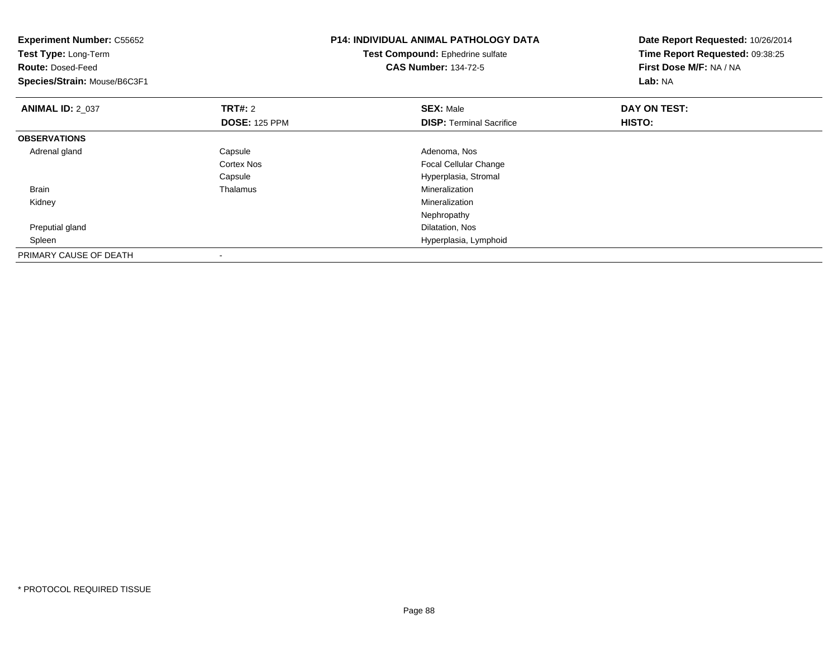| <b>Experiment Number: C55652</b><br>Test Type: Long-Term<br><b>Route: Dosed-Feed</b><br>Species/Strain: Mouse/B6C3F1 |                          | <b>P14: INDIVIDUAL ANIMAL PATHOLOGY DATA</b><br>Test Compound: Ephedrine sulfate<br><b>CAS Number: 134-72-5</b> | Date Report Requested: 10/26/2014<br>Time Report Requested: 09:38:25<br>First Dose M/F: NA / NA<br>Lab: NA |
|----------------------------------------------------------------------------------------------------------------------|--------------------------|-----------------------------------------------------------------------------------------------------------------|------------------------------------------------------------------------------------------------------------|
| <b>ANIMAL ID: 2_037</b>                                                                                              | <b>TRT#: 2</b>           | <b>SEX: Male</b>                                                                                                | DAY ON TEST:                                                                                               |
|                                                                                                                      | <b>DOSE: 125 PPM</b>     | <b>DISP: Terminal Sacrifice</b>                                                                                 | <b>HISTO:</b>                                                                                              |
| <b>OBSERVATIONS</b>                                                                                                  |                          |                                                                                                                 |                                                                                                            |
| Adrenal gland                                                                                                        | Capsule                  | Adenoma, Nos                                                                                                    |                                                                                                            |
|                                                                                                                      | Cortex Nos               | <b>Focal Cellular Change</b>                                                                                    |                                                                                                            |
|                                                                                                                      | Capsule                  | Hyperplasia, Stromal                                                                                            |                                                                                                            |
| <b>Brain</b>                                                                                                         | Thalamus                 | Mineralization                                                                                                  |                                                                                                            |
| Kidney                                                                                                               |                          | Mineralization                                                                                                  |                                                                                                            |
|                                                                                                                      |                          | Nephropathy                                                                                                     |                                                                                                            |
| Preputial gland                                                                                                      |                          | Dilatation, Nos                                                                                                 |                                                                                                            |
| Spleen                                                                                                               |                          | Hyperplasia, Lymphoid                                                                                           |                                                                                                            |
| PRIMARY CAUSE OF DEATH                                                                                               | $\overline{\phantom{a}}$ |                                                                                                                 |                                                                                                            |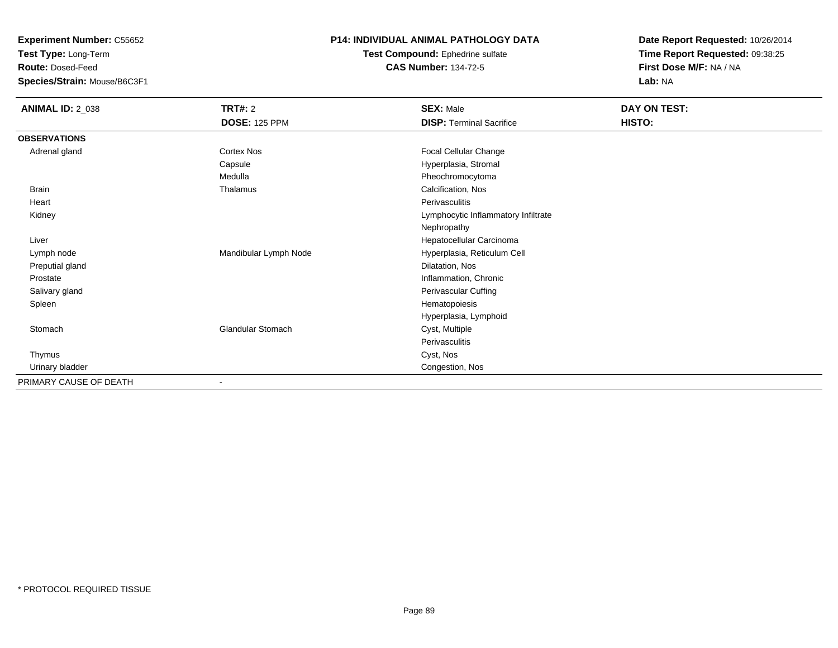**Test Type:** Long-Term

**Route:** Dosed-Feed

**Species/Strain:** Mouse/B6C3F1

#### **P14: INDIVIDUAL ANIMAL PATHOLOGY DATA**

**Test Compound:** Ephedrine sulfate**CAS Number:** 134-72-5

| <b>ANIMAL ID: 2_038</b> | <b>TRT#: 2</b>           | <b>SEX: Male</b>                    | DAY ON TEST: |
|-------------------------|--------------------------|-------------------------------------|--------------|
|                         | <b>DOSE: 125 PPM</b>     | <b>DISP: Terminal Sacrifice</b>     | HISTO:       |
| <b>OBSERVATIONS</b>     |                          |                                     |              |
| Adrenal gland           | <b>Cortex Nos</b>        | Focal Cellular Change               |              |
|                         | Capsule                  | Hyperplasia, Stromal                |              |
|                         | Medulla                  | Pheochromocytoma                    |              |
| <b>Brain</b>            | Thalamus                 | Calcification, Nos                  |              |
| Heart                   |                          | Perivasculitis                      |              |
| Kidney                  |                          | Lymphocytic Inflammatory Infiltrate |              |
|                         |                          | Nephropathy                         |              |
| Liver                   |                          | Hepatocellular Carcinoma            |              |
| Lymph node              | Mandibular Lymph Node    | Hyperplasia, Reticulum Cell         |              |
| Preputial gland         |                          | Dilatation, Nos                     |              |
| Prostate                |                          | Inflammation, Chronic               |              |
| Salivary gland          |                          | Perivascular Cuffing                |              |
| Spleen                  |                          | Hematopoiesis                       |              |
|                         |                          | Hyperplasia, Lymphoid               |              |
| Stomach                 | Glandular Stomach        | Cyst, Multiple                      |              |
|                         |                          | Perivasculitis                      |              |
| Thymus                  |                          | Cyst, Nos                           |              |
| Urinary bladder         |                          | Congestion, Nos                     |              |
| PRIMARY CAUSE OF DEATH  | $\overline{\phantom{a}}$ |                                     |              |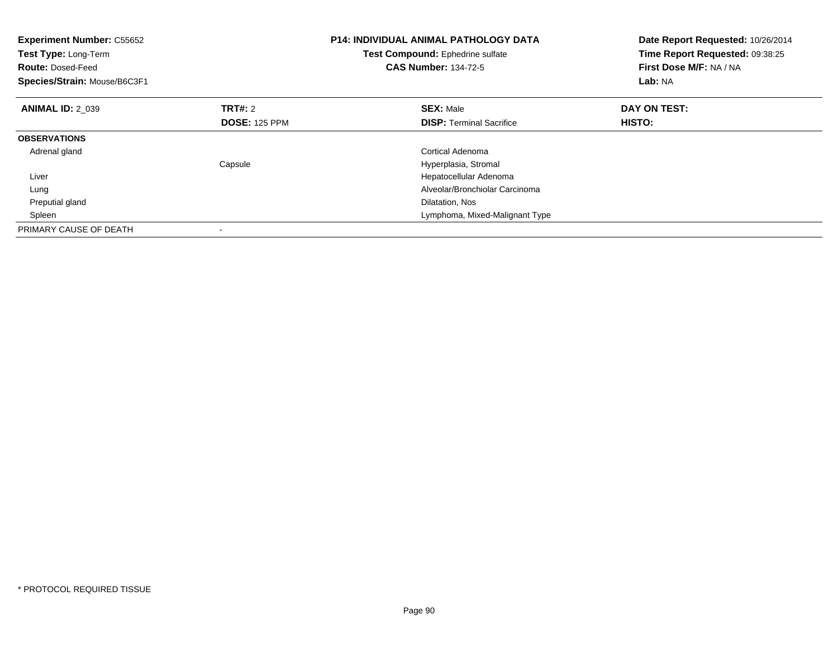| <b>Experiment Number: C55652</b><br>Test Type: Long-Term<br><b>Route: Dosed-Feed</b><br>Species/Strain: Mouse/B6C3F1 |                      | <b>P14: INDIVIDUAL ANIMAL PATHOLOGY DATA</b><br>Test Compound: Ephedrine sulfate<br><b>CAS Number: 134-72-5</b> | Date Report Requested: 10/26/2014<br>Time Report Requested: 09:38:25<br>First Dose M/F: NA / NA<br>Lab: NA |
|----------------------------------------------------------------------------------------------------------------------|----------------------|-----------------------------------------------------------------------------------------------------------------|------------------------------------------------------------------------------------------------------------|
| <b>ANIMAL ID: 2 039</b>                                                                                              | <b>TRT#: 2</b>       | <b>SEX: Male</b>                                                                                                | DAY ON TEST:                                                                                               |
|                                                                                                                      | <b>DOSE: 125 PPM</b> | <b>DISP:</b> Terminal Sacrifice                                                                                 | HISTO:                                                                                                     |
| <b>OBSERVATIONS</b>                                                                                                  |                      |                                                                                                                 |                                                                                                            |
| Adrenal gland                                                                                                        |                      | Cortical Adenoma                                                                                                |                                                                                                            |
|                                                                                                                      | Capsule              | Hyperplasia, Stromal                                                                                            |                                                                                                            |
| Liver                                                                                                                |                      | Hepatocellular Adenoma                                                                                          |                                                                                                            |
| Lung                                                                                                                 |                      | Alveolar/Bronchiolar Carcinoma                                                                                  |                                                                                                            |
| Preputial gland                                                                                                      |                      | Dilatation, Nos                                                                                                 |                                                                                                            |
| Spleen                                                                                                               |                      | Lymphoma, Mixed-Malignant Type                                                                                  |                                                                                                            |
| PRIMARY CAUSE OF DEATH                                                                                               |                      |                                                                                                                 |                                                                                                            |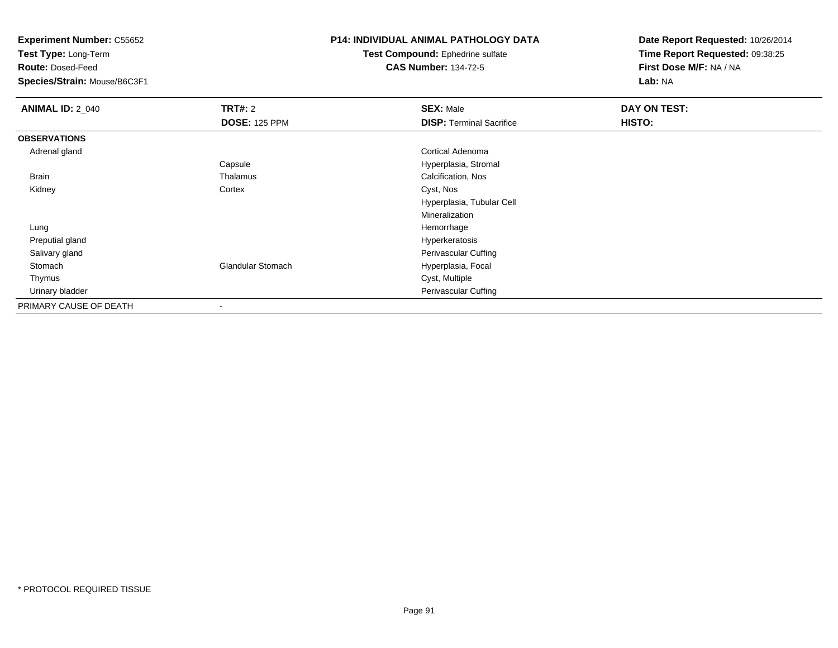**Test Type:** Long-Term

**Route:** Dosed-Feed

**Species/Strain:** Mouse/B6C3F1

### **P14: INDIVIDUAL ANIMAL PATHOLOGY DATA**

**Test Compound:** Ephedrine sulfate**CAS Number:** 134-72-5

| <b>ANIMAL ID: 2_040</b> | <b>TRT#: 2</b>       | <b>SEX: Male</b>                | DAY ON TEST: |  |
|-------------------------|----------------------|---------------------------------|--------------|--|
|                         | <b>DOSE: 125 PPM</b> | <b>DISP: Terminal Sacrifice</b> | HISTO:       |  |
| <b>OBSERVATIONS</b>     |                      |                                 |              |  |
| Adrenal gland           |                      | Cortical Adenoma                |              |  |
|                         | Capsule              | Hyperplasia, Stromal            |              |  |
| Brain                   | Thalamus             | Calcification, Nos              |              |  |
| Kidney                  | Cortex               | Cyst, Nos                       |              |  |
|                         |                      | Hyperplasia, Tubular Cell       |              |  |
|                         |                      | Mineralization                  |              |  |
| Lung                    |                      | Hemorrhage                      |              |  |
| Preputial gland         |                      | Hyperkeratosis                  |              |  |
| Salivary gland          |                      | Perivascular Cuffing            |              |  |
| Stomach                 | Glandular Stomach    | Hyperplasia, Focal              |              |  |
| Thymus                  |                      | Cyst, Multiple                  |              |  |
| Urinary bladder         |                      | <b>Perivascular Cuffing</b>     |              |  |
| PRIMARY CAUSE OF DEATH  |                      |                                 |              |  |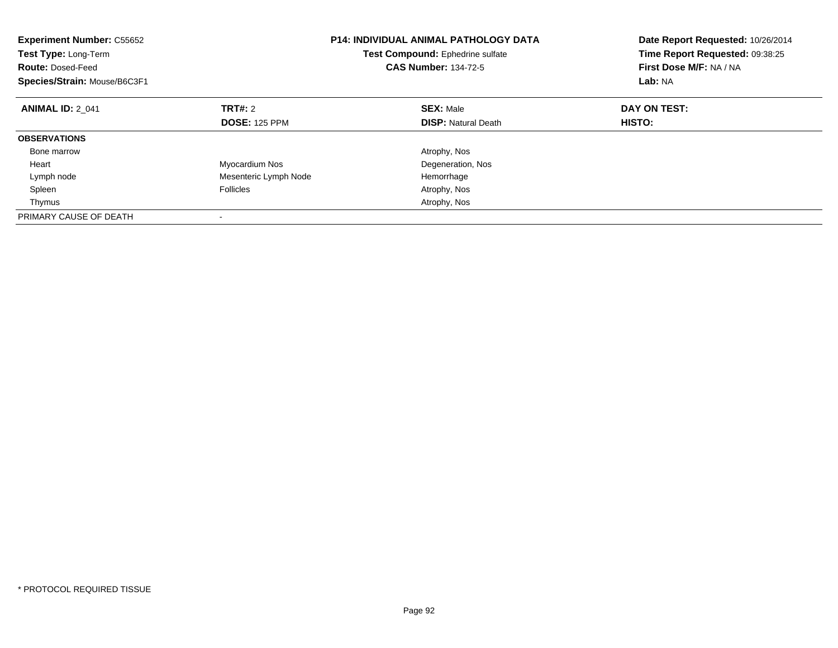| <b>Experiment Number: C55652</b><br>Test Type: Long-Term<br><b>Route: Dosed-Feed</b><br>Species/Strain: Mouse/B6C3F1 |                       | <b>P14: INDIVIDUAL ANIMAL PATHOLOGY DATA</b><br>Test Compound: Ephedrine sulfate<br><b>CAS Number: 134-72-5</b> | Date Report Requested: 10/26/2014<br>Time Report Requested: 09:38:25<br>First Dose M/F: NA / NA<br>Lab: NA |
|----------------------------------------------------------------------------------------------------------------------|-----------------------|-----------------------------------------------------------------------------------------------------------------|------------------------------------------------------------------------------------------------------------|
| <b>ANIMAL ID: 2 041</b>                                                                                              | TRT#: 2               | <b>SEX: Male</b>                                                                                                | DAY ON TEST:                                                                                               |
|                                                                                                                      | <b>DOSE: 125 PPM</b>  | <b>DISP: Natural Death</b>                                                                                      | HISTO:                                                                                                     |
| <b>OBSERVATIONS</b>                                                                                                  |                       |                                                                                                                 |                                                                                                            |
| Bone marrow                                                                                                          |                       | Atrophy, Nos                                                                                                    |                                                                                                            |
| Heart                                                                                                                | Myocardium Nos        | Degeneration, Nos                                                                                               |                                                                                                            |
| Lymph node                                                                                                           | Mesenteric Lymph Node | Hemorrhage                                                                                                      |                                                                                                            |
| Spleen                                                                                                               | <b>Follicles</b>      | Atrophy, Nos                                                                                                    |                                                                                                            |
| Thymus                                                                                                               |                       | Atrophy, Nos                                                                                                    |                                                                                                            |
| PRIMARY CAUSE OF DEATH                                                                                               |                       |                                                                                                                 |                                                                                                            |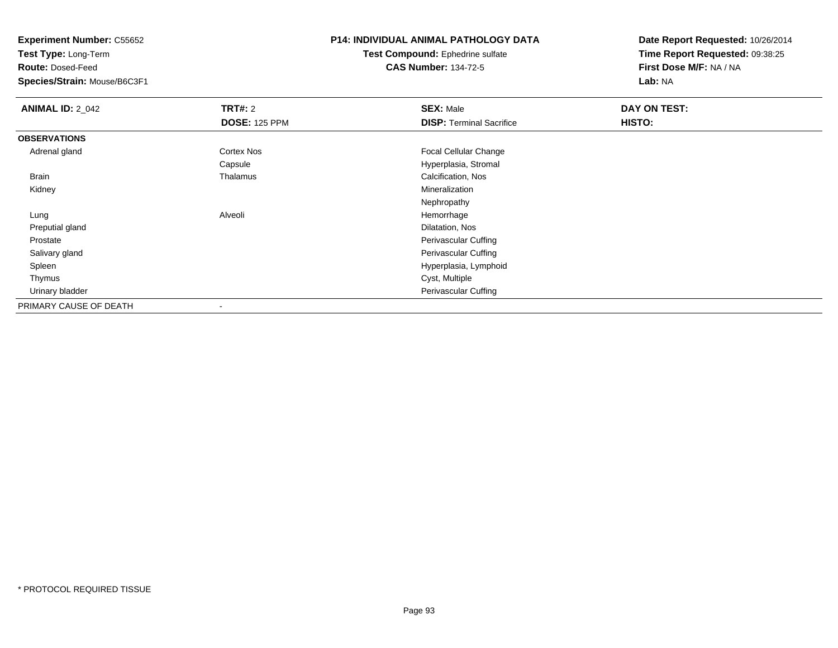**Test Type:** Long-Term

**Route:** Dosed-Feed

**Species/Strain:** Mouse/B6C3F1

## **P14: INDIVIDUAL ANIMAL PATHOLOGY DATA**

**Test Compound:** Ephedrine sulfate**CAS Number:** 134-72-5

| <b>ANIMAL ID: 2_042</b> | TRT#: 2                  | <b>SEX: Male</b>                | DAY ON TEST: |  |
|-------------------------|--------------------------|---------------------------------|--------------|--|
|                         | <b>DOSE: 125 PPM</b>     | <b>DISP: Terminal Sacrifice</b> | HISTO:       |  |
| <b>OBSERVATIONS</b>     |                          |                                 |              |  |
| Adrenal gland           | Cortex Nos               | Focal Cellular Change           |              |  |
|                         | Capsule                  | Hyperplasia, Stromal            |              |  |
| Brain                   | Thalamus                 | Calcification, Nos              |              |  |
| Kidney                  |                          | Mineralization                  |              |  |
|                         |                          | Nephropathy                     |              |  |
| Lung                    | Alveoli                  | Hemorrhage                      |              |  |
| Preputial gland         |                          | Dilatation, Nos                 |              |  |
| Prostate                |                          | Perivascular Cuffing            |              |  |
| Salivary gland          |                          | Perivascular Cuffing            |              |  |
| Spleen                  |                          | Hyperplasia, Lymphoid           |              |  |
| Thymus                  |                          | Cyst, Multiple                  |              |  |
| Urinary bladder         |                          | Perivascular Cuffing            |              |  |
| PRIMARY CAUSE OF DEATH  | $\overline{\phantom{a}}$ |                                 |              |  |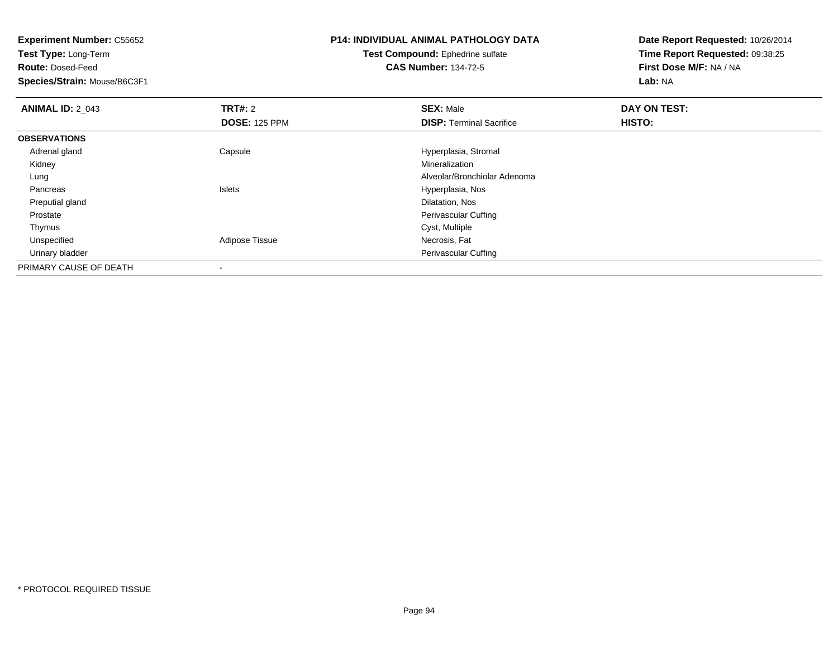**Test Type:** Long-Term

**Route:** Dosed-Feed

**Species/Strain:** Mouse/B6C3F1

# **P14: INDIVIDUAL ANIMAL PATHOLOGY DATA**

**Test Compound:** Ephedrine sulfate**CAS Number:** 134-72-5

| <b>ANIMAL ID: 2 043</b> | <b>TRT#: 2</b>       | <b>SEX: Male</b>                | DAY ON TEST: |  |
|-------------------------|----------------------|---------------------------------|--------------|--|
|                         | <b>DOSE: 125 PPM</b> | <b>DISP:</b> Terminal Sacrifice | HISTO:       |  |
| <b>OBSERVATIONS</b>     |                      |                                 |              |  |
| Adrenal gland           | Capsule              | Hyperplasia, Stromal            |              |  |
| Kidney                  |                      | Mineralization                  |              |  |
| Lung                    |                      | Alveolar/Bronchiolar Adenoma    |              |  |
| Pancreas                | Islets               | Hyperplasia, Nos                |              |  |
| Preputial gland         |                      | Dilatation, Nos                 |              |  |
| Prostate                |                      | <b>Perivascular Cuffing</b>     |              |  |
| Thymus                  |                      | Cyst, Multiple                  |              |  |
| Unspecified             | Adipose Tissue       | Necrosis, Fat                   |              |  |
| Urinary bladder         |                      | <b>Perivascular Cuffing</b>     |              |  |
| PRIMARY CAUSE OF DEATH  |                      |                                 |              |  |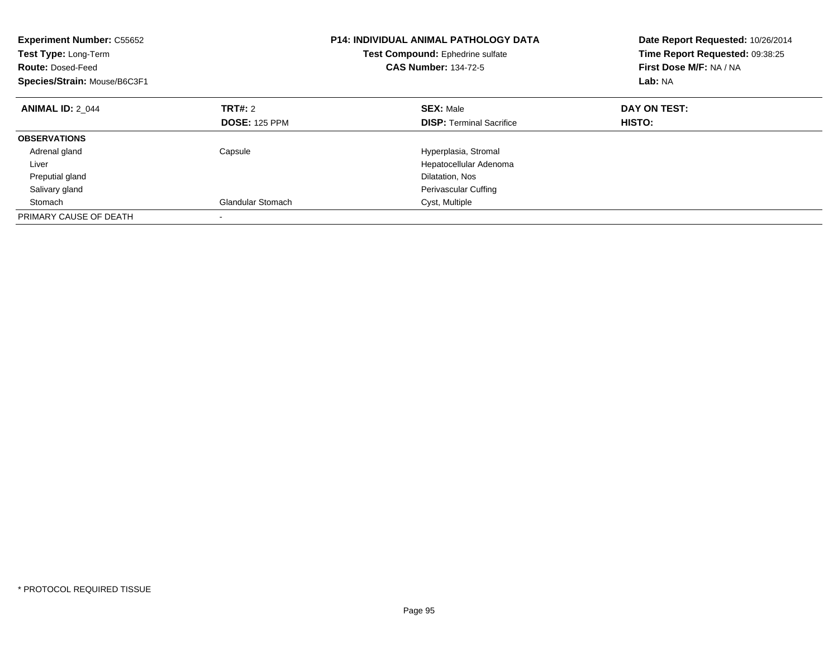| <b>Experiment Number: C55652</b><br>Test Type: Long-Term<br><b>Route: Dosed-Feed</b><br>Species/Strain: Mouse/B6C3F1 |                          | <b>P14: INDIVIDUAL ANIMAL PATHOLOGY DATA</b><br>Test Compound: Ephedrine sulfate<br><b>CAS Number: 134-72-5</b> | Date Report Requested: 10/26/2014<br>Time Report Requested: 09:38:25<br>First Dose M/F: NA / NA<br>Lab: NA |
|----------------------------------------------------------------------------------------------------------------------|--------------------------|-----------------------------------------------------------------------------------------------------------------|------------------------------------------------------------------------------------------------------------|
| <b>ANIMAL ID: 2 044</b>                                                                                              | TRT#: 2                  | <b>SEX: Male</b>                                                                                                | DAY ON TEST:                                                                                               |
|                                                                                                                      | <b>DOSE: 125 PPM</b>     | <b>DISP:</b> Terminal Sacrifice                                                                                 | HISTO:                                                                                                     |
| <b>OBSERVATIONS</b>                                                                                                  |                          |                                                                                                                 |                                                                                                            |
| Adrenal gland                                                                                                        | Capsule                  | Hyperplasia, Stromal                                                                                            |                                                                                                            |
| Liver                                                                                                                |                          | Hepatocellular Adenoma                                                                                          |                                                                                                            |
| Preputial gland                                                                                                      |                          | Dilatation, Nos                                                                                                 |                                                                                                            |
| Salivary gland                                                                                                       |                          | <b>Perivascular Cuffing</b>                                                                                     |                                                                                                            |
| Stomach                                                                                                              | <b>Glandular Stomach</b> | Cyst, Multiple                                                                                                  |                                                                                                            |
| PRIMARY CAUSE OF DEATH                                                                                               |                          |                                                                                                                 |                                                                                                            |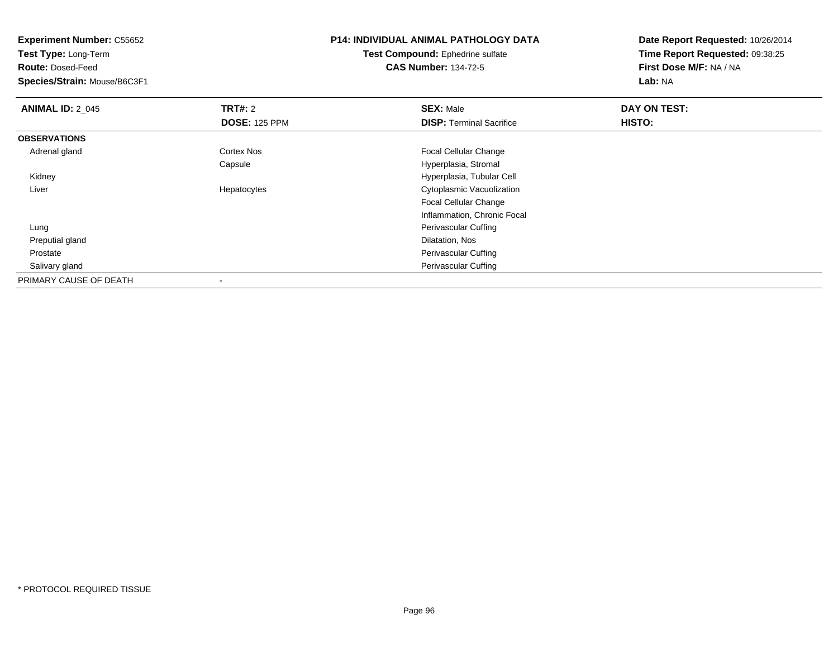**Test Type:** Long-Term

**Route:** Dosed-Feed

**Species/Strain:** Mouse/B6C3F1

## **P14: INDIVIDUAL ANIMAL PATHOLOGY DATA**

**Test Compound:** Ephedrine sulfate**CAS Number:** 134-72-5

| <b>ANIMAL ID: 2 045</b> | TRT#: 2              | <b>SEX: Male</b>                | DAY ON TEST: |  |
|-------------------------|----------------------|---------------------------------|--------------|--|
|                         | <b>DOSE: 125 PPM</b> | <b>DISP: Terminal Sacrifice</b> | HISTO:       |  |
| <b>OBSERVATIONS</b>     |                      |                                 |              |  |
| Adrenal gland           | Cortex Nos           | <b>Focal Cellular Change</b>    |              |  |
|                         | Capsule              | Hyperplasia, Stromal            |              |  |
| Kidney                  |                      | Hyperplasia, Tubular Cell       |              |  |
| Liver                   | Hepatocytes          | Cytoplasmic Vacuolization       |              |  |
|                         |                      | <b>Focal Cellular Change</b>    |              |  |
|                         |                      | Inflammation, Chronic Focal     |              |  |
| Lung                    |                      | Perivascular Cuffing            |              |  |
| Preputial gland         |                      | Dilatation, Nos                 |              |  |
| Prostate                |                      | Perivascular Cuffing            |              |  |
| Salivary gland          |                      | Perivascular Cuffing            |              |  |
| PRIMARY CAUSE OF DEATH  |                      |                                 |              |  |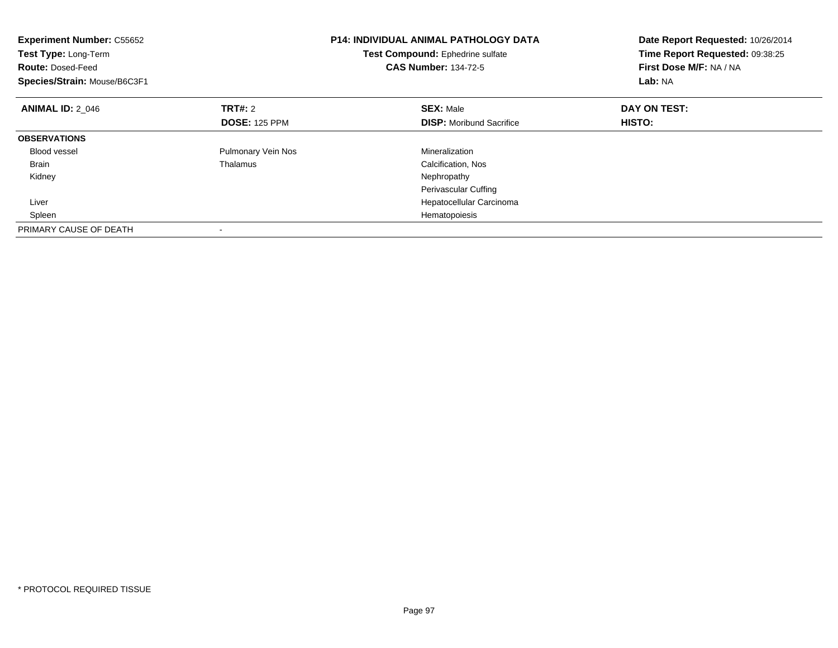| <b>Experiment Number: C55652</b><br>Test Type: Long-Term<br><b>Route: Dosed-Feed</b><br>Species/Strain: Mouse/B6C3F1 |                      | <b>P14: INDIVIDUAL ANIMAL PATHOLOGY DATA</b><br>Test Compound: Ephedrine sulfate<br><b>CAS Number: 134-72-5</b> | Date Report Requested: 10/26/2014<br>Time Report Requested: 09:38:25<br>First Dose M/F: NA / NA<br>Lab: NA |
|----------------------------------------------------------------------------------------------------------------------|----------------------|-----------------------------------------------------------------------------------------------------------------|------------------------------------------------------------------------------------------------------------|
| <b>ANIMAL ID: 2 046</b>                                                                                              | <b>TRT#:</b> 2       | <b>SEX: Male</b>                                                                                                | DAY ON TEST:                                                                                               |
|                                                                                                                      | <b>DOSE: 125 PPM</b> | <b>DISP:</b> Moribund Sacrifice                                                                                 | <b>HISTO:</b>                                                                                              |
| <b>OBSERVATIONS</b>                                                                                                  |                      |                                                                                                                 |                                                                                                            |
| <b>Blood vessel</b>                                                                                                  | Pulmonary Vein Nos   | Mineralization                                                                                                  |                                                                                                            |
| <b>Brain</b>                                                                                                         | Thalamus             | Calcification, Nos                                                                                              |                                                                                                            |
| Kidney                                                                                                               |                      | Nephropathy                                                                                                     |                                                                                                            |
|                                                                                                                      |                      | Perivascular Cuffing                                                                                            |                                                                                                            |
| Liver                                                                                                                |                      | Hepatocellular Carcinoma                                                                                        |                                                                                                            |
| Spleen                                                                                                               |                      | Hematopoiesis                                                                                                   |                                                                                                            |
| PRIMARY CAUSE OF DEATH                                                                                               |                      |                                                                                                                 |                                                                                                            |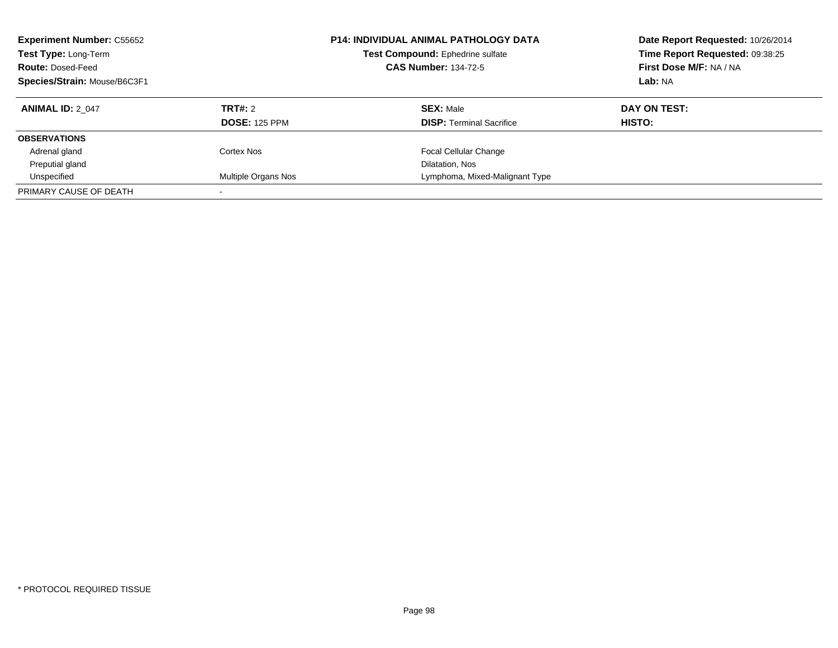| <b>Experiment Number: C55652</b><br>Test Type: Long-Term<br><b>Route: Dosed-Feed</b><br>Species/Strain: Mouse/B6C3F1 |                      | <b>P14: INDIVIDUAL ANIMAL PATHOLOGY DATA</b><br>Test Compound: Ephedrine sulfate<br><b>CAS Number: 134-72-5</b> | Date Report Requested: 10/26/2014<br>Time Report Requested: 09:38:25<br>First Dose M/F: NA / NA<br>Lab: NA |  |
|----------------------------------------------------------------------------------------------------------------------|----------------------|-----------------------------------------------------------------------------------------------------------------|------------------------------------------------------------------------------------------------------------|--|
| <b>ANIMAL ID: 2 047</b>                                                                                              | <b>TRT#: 2</b>       | <b>SEX: Male</b>                                                                                                | DAY ON TEST:                                                                                               |  |
|                                                                                                                      | <b>DOSE: 125 PPM</b> | <b>DISP:</b> Terminal Sacrifice                                                                                 | HISTO:                                                                                                     |  |
| <b>OBSERVATIONS</b>                                                                                                  |                      |                                                                                                                 |                                                                                                            |  |
| Adrenal gland                                                                                                        | Cortex Nos           | <b>Focal Cellular Change</b>                                                                                    |                                                                                                            |  |
| Preputial gland                                                                                                      |                      | Dilatation, Nos                                                                                                 |                                                                                                            |  |
| Unspecified                                                                                                          | Multiple Organs Nos  | Lymphoma, Mixed-Malignant Type                                                                                  |                                                                                                            |  |
| PRIMARY CAUSE OF DEATH                                                                                               |                      |                                                                                                                 |                                                                                                            |  |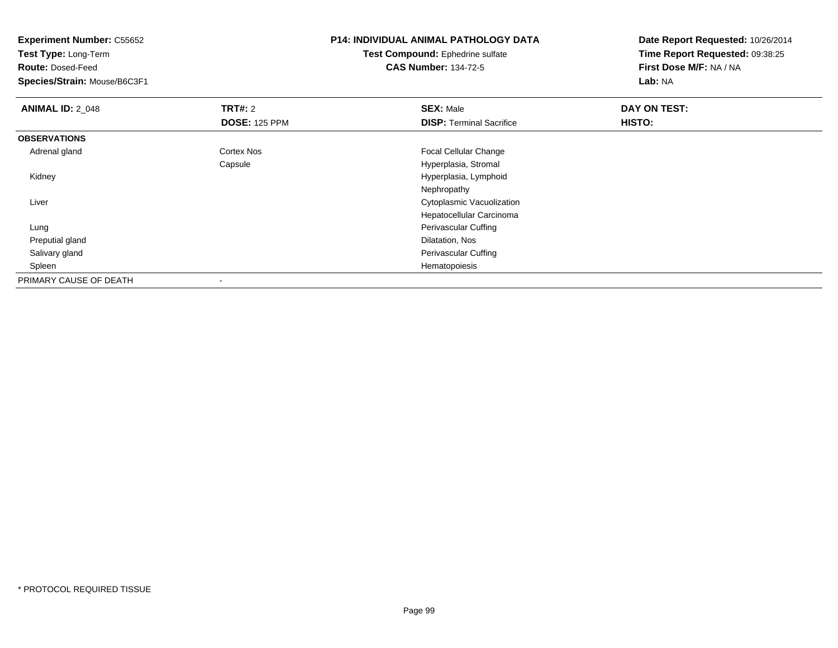**Experiment Number:** C55652**Test Type:** Long-Term**Route:** Dosed-Feed **Species/Strain:** Mouse/B6C3F1**P14: INDIVIDUAL ANIMAL PATHOLOGY DATATest Compound:** Ephedrine sulfate**CAS Number:** 134-72-5**Date Report Requested:** 10/26/2014**Time Report Requested:** 09:38:25**First Dose M/F:** NA / NA**Lab:** NA**ANIMAL ID: 2 048 REX:** Male **DAY ON TEST: CONSIST: SEX:** Male **DOSE:** 125 PPM**DISP:** Terminal Sacrifice **HISTO: OBSERVATIONS** Adrenal glandCortex Nos **Focal Cellular Change** Capsule Hyperplasia, Stromal Kidney Hyperplasia, LymphoidNephropathy**Cytoplasmic Vacuolization** Control of the Control of the Control of Cytoplasmic Vacuolization Liver Hepatocellular Carcinoma LungPerivascular Cuffing<br>Dilatation, Nos Preputial glandd and the control of the control of the control of the control of the control of the control of the control of the control of the control of the control of the control of the control of the control of the control of the co Salivary glandPerivascular Cuffing<br>Hematopoiesis Spleenn and the control of the control of the control of the control of the control of the control of the control of the control of the control of the control of the control of the control of the control of the control of the co PRIMARY CAUSE OF DEATH-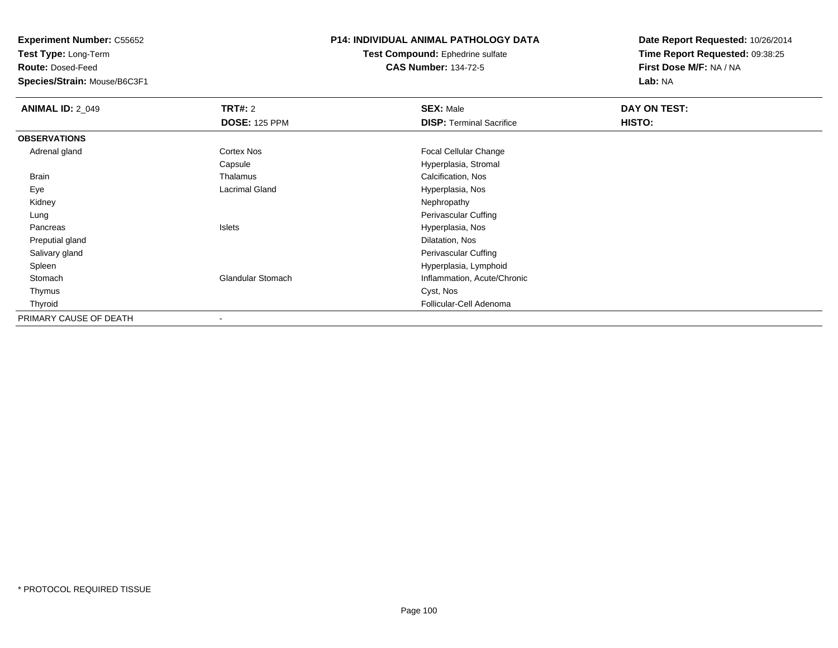**Test Type:** Long-Term

**Route:** Dosed-Feed

**Species/Strain:** Mouse/B6C3F1

#### **P14: INDIVIDUAL ANIMAL PATHOLOGY DATA**

**Test Compound:** Ephedrine sulfate**CAS Number:** 134-72-5

| <b>ANIMAL ID: 2_049</b> | <b>TRT#: 2</b>           | <b>SEX: Male</b>                | DAY ON TEST: |  |
|-------------------------|--------------------------|---------------------------------|--------------|--|
|                         | <b>DOSE: 125 PPM</b>     | <b>DISP: Terminal Sacrifice</b> | HISTO:       |  |
| <b>OBSERVATIONS</b>     |                          |                                 |              |  |
| Adrenal gland           | Cortex Nos               | Focal Cellular Change           |              |  |
|                         | Capsule                  | Hyperplasia, Stromal            |              |  |
| Brain                   | Thalamus                 | Calcification, Nos              |              |  |
| Eye                     | <b>Lacrimal Gland</b>    | Hyperplasia, Nos                |              |  |
| Kidney                  |                          | Nephropathy                     |              |  |
| Lung                    |                          | Perivascular Cuffing            |              |  |
| Pancreas                | Islets                   | Hyperplasia, Nos                |              |  |
| Preputial gland         |                          | Dilatation, Nos                 |              |  |
| Salivary gland          |                          | Perivascular Cuffing            |              |  |
| Spleen                  |                          | Hyperplasia, Lymphoid           |              |  |
| Stomach                 | <b>Glandular Stomach</b> | Inflammation, Acute/Chronic     |              |  |
| Thymus                  |                          | Cyst, Nos                       |              |  |
| Thyroid                 |                          | Follicular-Cell Adenoma         |              |  |
| PRIMARY CAUSE OF DEATH  |                          |                                 |              |  |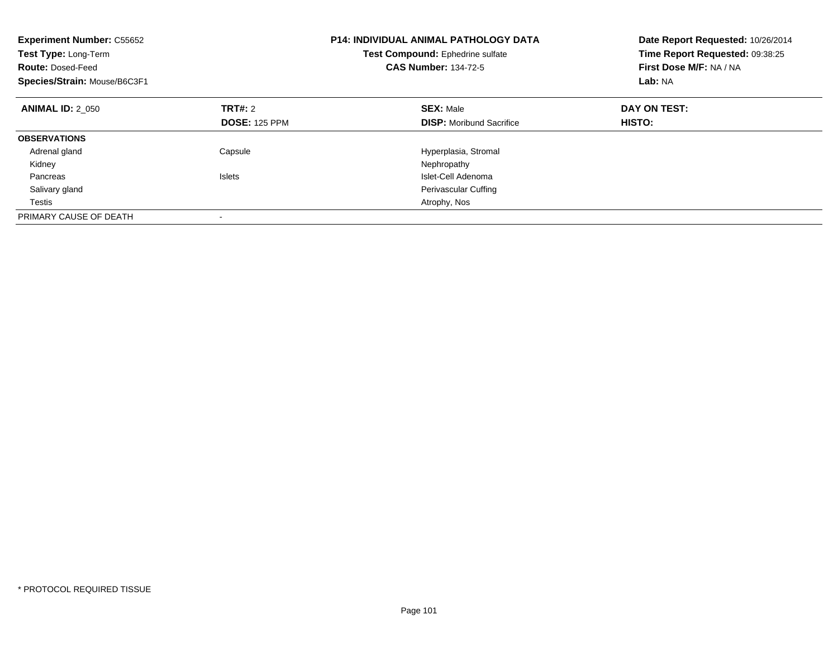| <b>Experiment Number: C55652</b><br>Test Type: Long-Term<br><b>Route: Dosed-Feed</b><br>Species/Strain: Mouse/B6C3F1 |                      | <b>P14: INDIVIDUAL ANIMAL PATHOLOGY DATA</b><br>Test Compound: Ephedrine sulfate<br><b>CAS Number: 134-72-5</b> | Date Report Requested: 10/26/2014<br>Time Report Requested: 09:38:25<br>First Dose M/F: NA / NA<br>Lab: NA |
|----------------------------------------------------------------------------------------------------------------------|----------------------|-----------------------------------------------------------------------------------------------------------------|------------------------------------------------------------------------------------------------------------|
| <b>ANIMAL ID: 2 050</b>                                                                                              | <b>TRT#: 2</b>       | <b>SEX: Male</b>                                                                                                | DAY ON TEST:                                                                                               |
|                                                                                                                      | <b>DOSE: 125 PPM</b> | <b>DISP:</b> Moribund Sacrifice                                                                                 | HISTO:                                                                                                     |
| <b>OBSERVATIONS</b>                                                                                                  |                      |                                                                                                                 |                                                                                                            |
| Adrenal gland                                                                                                        | Capsule              | Hyperplasia, Stromal                                                                                            |                                                                                                            |
| Kidney                                                                                                               |                      | Nephropathy                                                                                                     |                                                                                                            |
| Pancreas                                                                                                             | <b>Islets</b>        | Islet-Cell Adenoma                                                                                              |                                                                                                            |
| Salivary gland                                                                                                       |                      | <b>Perivascular Cuffing</b>                                                                                     |                                                                                                            |
| Testis                                                                                                               |                      | Atrophy, Nos                                                                                                    |                                                                                                            |
| PRIMARY CAUSE OF DEATH                                                                                               |                      |                                                                                                                 |                                                                                                            |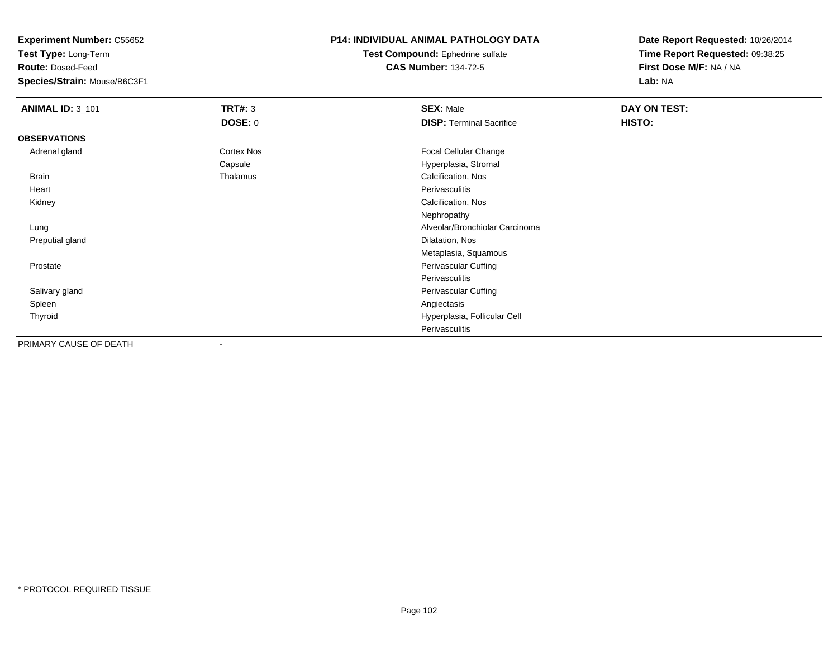**Test Type:** Long-Term

**Route:** Dosed-Feed

**Species/Strain:** Mouse/B6C3F1

#### **P14: INDIVIDUAL ANIMAL PATHOLOGY DATA**

**Test Compound:** Ephedrine sulfate**CAS Number:** 134-72-5

| <b>ANIMAL ID: 3_101</b> | <b>TRT#: 3</b> | <b>SEX: Male</b>                | DAY ON TEST: |  |
|-------------------------|----------------|---------------------------------|--------------|--|
|                         | DOSE: 0        | <b>DISP: Terminal Sacrifice</b> | HISTO:       |  |
| <b>OBSERVATIONS</b>     |                |                                 |              |  |
| Adrenal gland           | Cortex Nos     | Focal Cellular Change           |              |  |
|                         | Capsule        | Hyperplasia, Stromal            |              |  |
| <b>Brain</b>            | Thalamus       | Calcification, Nos              |              |  |
| Heart                   |                | Perivasculitis                  |              |  |
| Kidney                  |                | Calcification, Nos              |              |  |
|                         |                | Nephropathy                     |              |  |
| Lung                    |                | Alveolar/Bronchiolar Carcinoma  |              |  |
| Preputial gland         |                | Dilatation, Nos                 |              |  |
|                         |                | Metaplasia, Squamous            |              |  |
| Prostate                |                | Perivascular Cuffing            |              |  |
|                         |                | Perivasculitis                  |              |  |
| Salivary gland          |                | Perivascular Cuffing            |              |  |
| Spleen                  |                | Angiectasis                     |              |  |
| Thyroid                 |                | Hyperplasia, Follicular Cell    |              |  |
|                         |                | Perivasculitis                  |              |  |
| PRIMARY CAUSE OF DEATH  |                |                                 |              |  |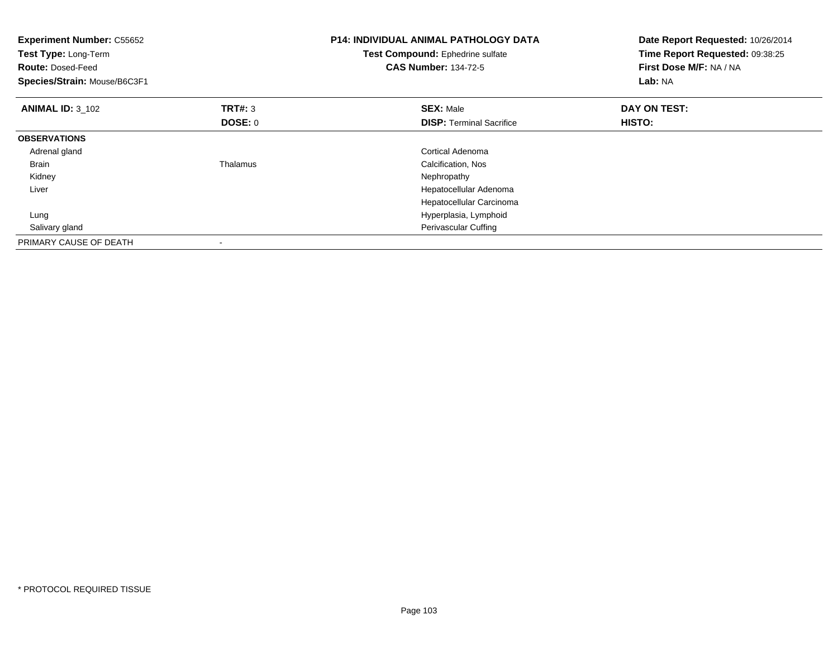| <b>Experiment Number: C55652</b><br>Test Type: Long-Term<br><b>Route: Dosed-Feed</b><br>Species/Strain: Mouse/B6C3F1 |                | <b>P14: INDIVIDUAL ANIMAL PATHOLOGY DATA</b><br>Test Compound: Ephedrine sulfate<br><b>CAS Number: 134-72-5</b> | Date Report Requested: 10/26/2014<br>Time Report Requested: 09:38:25<br>First Dose M/F: NA / NA<br>Lab: NA |
|----------------------------------------------------------------------------------------------------------------------|----------------|-----------------------------------------------------------------------------------------------------------------|------------------------------------------------------------------------------------------------------------|
| <b>ANIMAL ID: 3 102</b>                                                                                              | <b>TRT#: 3</b> | <b>SEX: Male</b>                                                                                                | DAY ON TEST:                                                                                               |
|                                                                                                                      | <b>DOSE: 0</b> | <b>DISP:</b> Terminal Sacrifice                                                                                 | HISTO:                                                                                                     |
| <b>OBSERVATIONS</b>                                                                                                  |                |                                                                                                                 |                                                                                                            |
| Adrenal gland                                                                                                        |                | Cortical Adenoma                                                                                                |                                                                                                            |
| <b>Brain</b>                                                                                                         | Thalamus       | Calcification, Nos                                                                                              |                                                                                                            |
| Kidney                                                                                                               |                | Nephropathy                                                                                                     |                                                                                                            |
| Liver                                                                                                                |                | Hepatocellular Adenoma                                                                                          |                                                                                                            |
|                                                                                                                      |                | Hepatocellular Carcinoma                                                                                        |                                                                                                            |
| Lung                                                                                                                 |                | Hyperplasia, Lymphoid                                                                                           |                                                                                                            |
| Salivary gland                                                                                                       |                | <b>Perivascular Cuffing</b>                                                                                     |                                                                                                            |
| PRIMARY CAUSE OF DEATH                                                                                               |                |                                                                                                                 |                                                                                                            |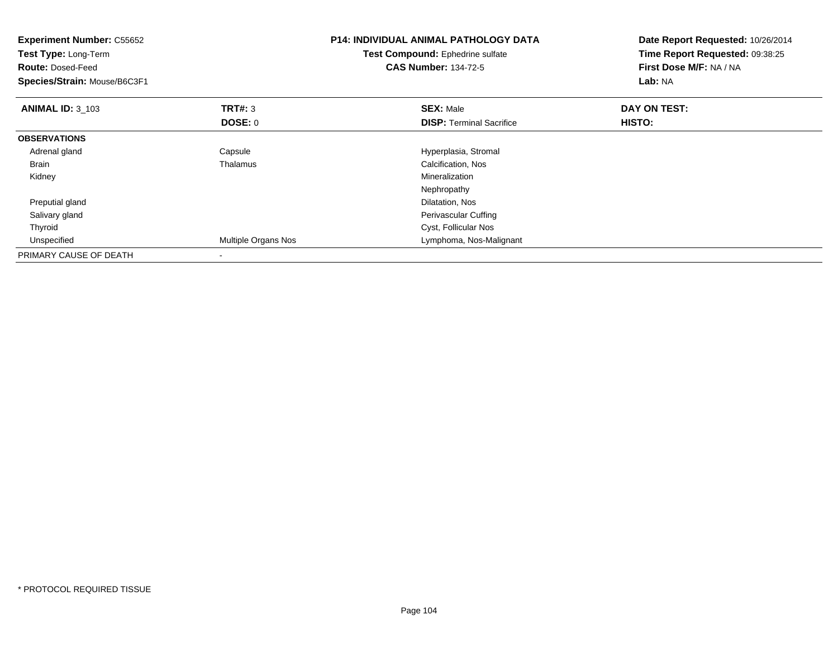| <b>Experiment Number: C55652</b><br>Test Type: Long-Term<br><b>Route: Dosed-Feed</b><br>Species/Strain: Mouse/B6C3F1 |                     | <b>P14: INDIVIDUAL ANIMAL PATHOLOGY DATA</b><br>Test Compound: Ephedrine sulfate<br><b>CAS Number: 134-72-5</b> | Date Report Requested: 10/26/2014<br>Time Report Requested: 09:38:25<br>First Dose M/F: NA / NA<br>Lab: NA |
|----------------------------------------------------------------------------------------------------------------------|---------------------|-----------------------------------------------------------------------------------------------------------------|------------------------------------------------------------------------------------------------------------|
| <b>ANIMAL ID: 3_103</b>                                                                                              | <b>TRT#:</b> 3      | <b>SEX: Male</b>                                                                                                | DAY ON TEST:                                                                                               |
|                                                                                                                      | DOSE: 0             | <b>DISP:</b> Terminal Sacrifice                                                                                 | HISTO:                                                                                                     |
| <b>OBSERVATIONS</b>                                                                                                  |                     |                                                                                                                 |                                                                                                            |
| Adrenal gland                                                                                                        | Capsule             | Hyperplasia, Stromal                                                                                            |                                                                                                            |
| <b>Brain</b>                                                                                                         | Thalamus            | Calcification, Nos                                                                                              |                                                                                                            |
| Kidney                                                                                                               |                     | <b>Mineralization</b>                                                                                           |                                                                                                            |
|                                                                                                                      |                     | Nephropathy                                                                                                     |                                                                                                            |
| Preputial gland                                                                                                      |                     | Dilatation, Nos                                                                                                 |                                                                                                            |
| Salivary gland                                                                                                       |                     | Perivascular Cuffing                                                                                            |                                                                                                            |
| Thyroid                                                                                                              |                     | Cyst, Follicular Nos                                                                                            |                                                                                                            |
| Unspecified                                                                                                          | Multiple Organs Nos | Lymphoma, Nos-Malignant                                                                                         |                                                                                                            |
| PRIMARY CAUSE OF DEATH                                                                                               |                     |                                                                                                                 |                                                                                                            |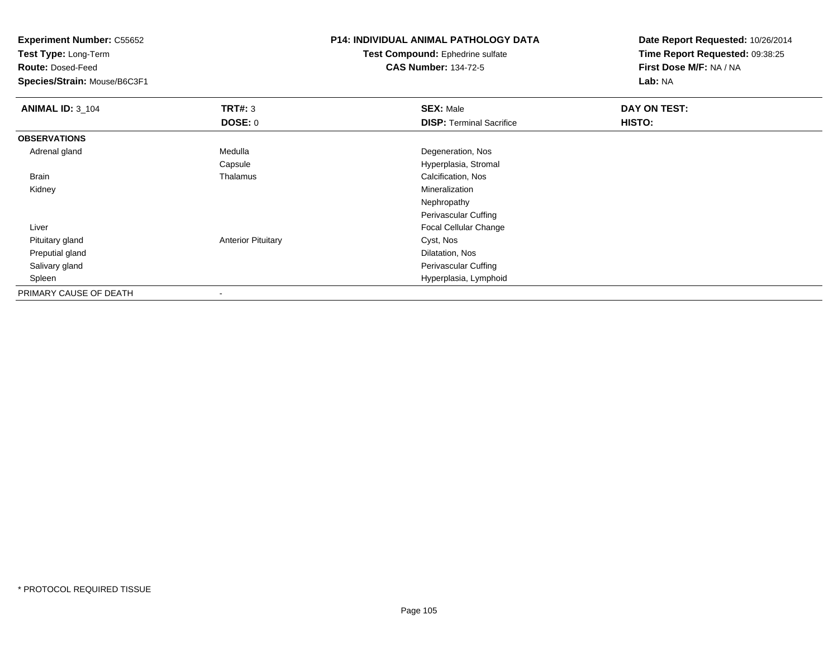**Test Type:** Long-Term

**Route:** Dosed-Feed

**Species/Strain:** Mouse/B6C3F1

## **P14: INDIVIDUAL ANIMAL PATHOLOGY DATA**

**Test Compound:** Ephedrine sulfate**CAS Number:** 134-72-5

| <b>ANIMAL ID: 3_104</b> | TRT#: 3                   | <b>SEX: Male</b>                | DAY ON TEST: |  |
|-------------------------|---------------------------|---------------------------------|--------------|--|
|                         | <b>DOSE: 0</b>            | <b>DISP: Terminal Sacrifice</b> | HISTO:       |  |
| <b>OBSERVATIONS</b>     |                           |                                 |              |  |
| Adrenal gland           | Medulla                   | Degeneration, Nos               |              |  |
|                         | Capsule                   | Hyperplasia, Stromal            |              |  |
| Brain                   | Thalamus                  | Calcification, Nos              |              |  |
| Kidney                  |                           | Mineralization                  |              |  |
|                         |                           | Nephropathy                     |              |  |
|                         |                           | <b>Perivascular Cuffing</b>     |              |  |
| Liver                   |                           | <b>Focal Cellular Change</b>    |              |  |
| Pituitary gland         | <b>Anterior Pituitary</b> | Cyst, Nos                       |              |  |
| Preputial gland         |                           | Dilatation, Nos                 |              |  |
| Salivary gland          |                           | <b>Perivascular Cuffing</b>     |              |  |
| Spleen                  |                           | Hyperplasia, Lymphoid           |              |  |
| PRIMARY CAUSE OF DEATH  |                           |                                 |              |  |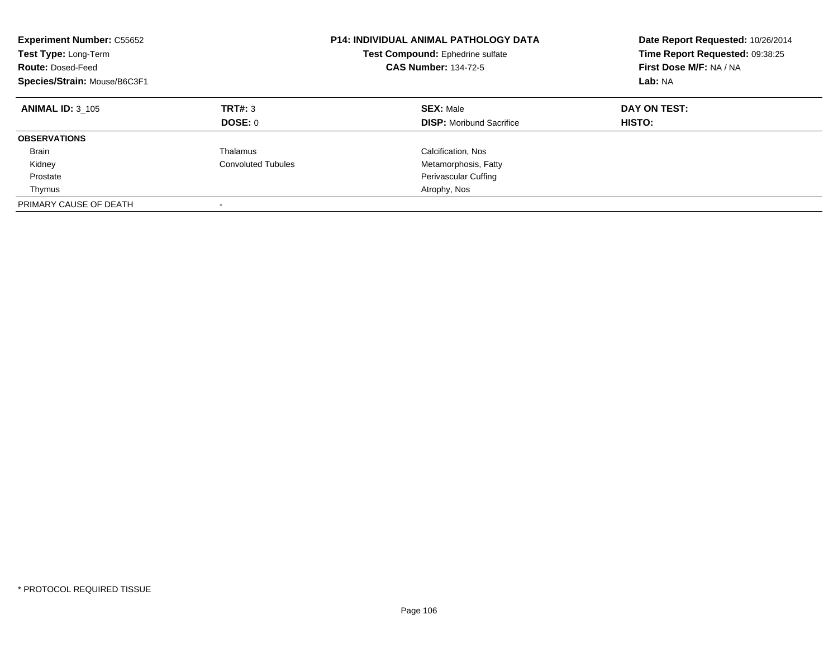| <b>Experiment Number: C55652</b><br>Test Type: Long-Term<br><b>Route: Dosed-Feed</b><br>Species/Strain: Mouse/B6C3F1 |                           | <b>P14: INDIVIDUAL ANIMAL PATHOLOGY DATA</b><br>Test Compound: Ephedrine sulfate<br><b>CAS Number: 134-72-5</b> | Date Report Requested: 10/26/2014<br>Time Report Requested: 09:38:25<br>First Dose M/F: NA / NA<br>Lab: NA |
|----------------------------------------------------------------------------------------------------------------------|---------------------------|-----------------------------------------------------------------------------------------------------------------|------------------------------------------------------------------------------------------------------------|
| <b>ANIMAL ID: 3 105</b>                                                                                              | TRT#: 3<br>DOSE: 0        | <b>SEX: Male</b><br><b>DISP:</b> Moribund Sacrifice                                                             | DAY ON TEST:<br>HISTO:                                                                                     |
| <b>OBSERVATIONS</b>                                                                                                  |                           |                                                                                                                 |                                                                                                            |
| <b>Brain</b>                                                                                                         | Thalamus                  | Calcification, Nos                                                                                              |                                                                                                            |
| Kidney                                                                                                               | <b>Convoluted Tubules</b> | Metamorphosis, Fatty                                                                                            |                                                                                                            |
| Prostate                                                                                                             |                           | Perivascular Cuffing                                                                                            |                                                                                                            |
| Thymus                                                                                                               |                           | Atrophy, Nos                                                                                                    |                                                                                                            |
| PRIMARY CAUSE OF DEATH                                                                                               |                           |                                                                                                                 |                                                                                                            |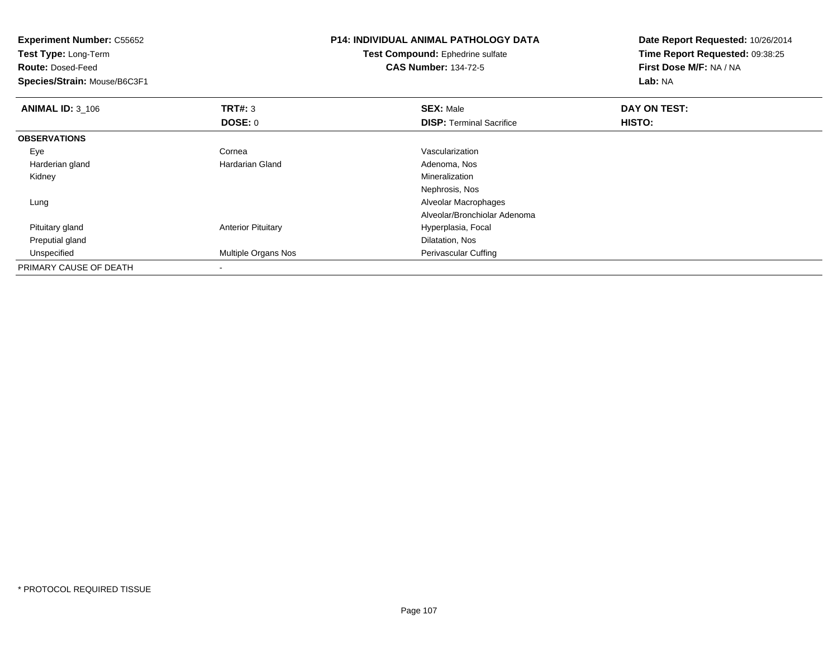| <b>Experiment Number: C55652</b><br>Test Type: Long-Term<br><b>Route: Dosed-Feed</b> |                           | <b>P14: INDIVIDUAL ANIMAL PATHOLOGY DATA</b><br>Test Compound: Ephedrine sulfate<br><b>CAS Number: 134-72-5</b> | Date Report Requested: 10/26/2014<br>Time Report Requested: 09:38:25<br>First Dose M/F: NA / NA |
|--------------------------------------------------------------------------------------|---------------------------|-----------------------------------------------------------------------------------------------------------------|-------------------------------------------------------------------------------------------------|
| Species/Strain: Mouse/B6C3F1                                                         |                           |                                                                                                                 | Lab: NA                                                                                         |
| <b>ANIMAL ID: 3_106</b>                                                              | TRT#: 3                   | <b>SEX: Male</b>                                                                                                | DAY ON TEST:                                                                                    |
|                                                                                      | DOSE: 0                   | <b>DISP: Terminal Sacrifice</b>                                                                                 | HISTO:                                                                                          |
| <b>OBSERVATIONS</b>                                                                  |                           |                                                                                                                 |                                                                                                 |
| Eye                                                                                  | Cornea                    | Vascularization                                                                                                 |                                                                                                 |
| Harderian gland                                                                      | Hardarian Gland           | Adenoma, Nos                                                                                                    |                                                                                                 |
| Kidney                                                                               |                           | Mineralization                                                                                                  |                                                                                                 |
|                                                                                      |                           | Nephrosis, Nos                                                                                                  |                                                                                                 |
| Lung                                                                                 |                           | Alveolar Macrophages                                                                                            |                                                                                                 |
|                                                                                      |                           | Alveolar/Bronchiolar Adenoma                                                                                    |                                                                                                 |
| Pituitary gland                                                                      | <b>Anterior Pituitary</b> | Hyperplasia, Focal                                                                                              |                                                                                                 |
| Preputial gland                                                                      |                           | Dilatation, Nos                                                                                                 |                                                                                                 |
| Unspecified                                                                          | Multiple Organs Nos       | Perivascular Cuffing                                                                                            |                                                                                                 |
| PRIMARY CAUSE OF DEATH                                                               |                           |                                                                                                                 |                                                                                                 |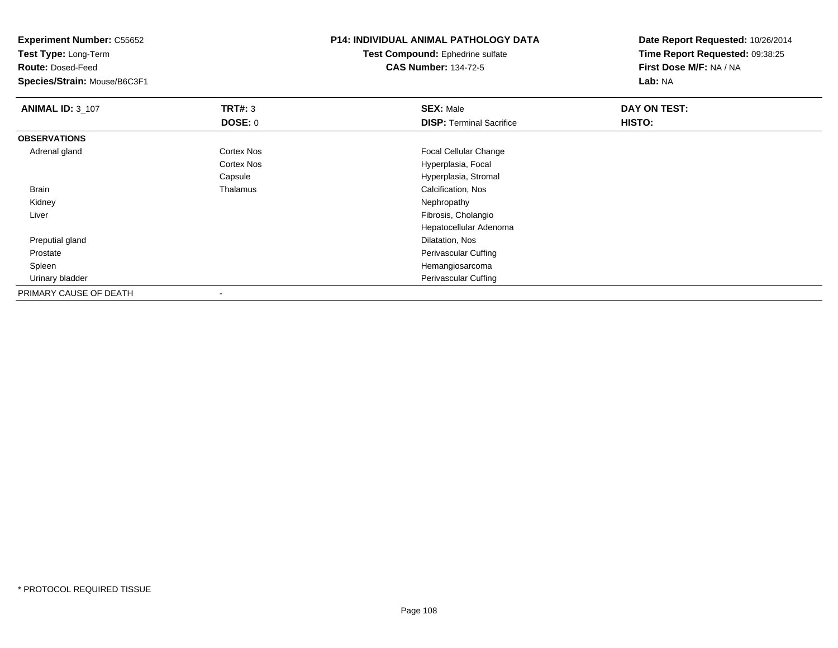**Test Type:** Long-Term

**Route:** Dosed-Feed

**Species/Strain:** Mouse/B6C3F1

### **P14: INDIVIDUAL ANIMAL PATHOLOGY DATA**

**Test Compound:** Ephedrine sulfate**CAS Number:** 134-72-5

| <b>ANIMAL ID: 3_107</b> | TRT#: 3           | <b>SEX: Male</b>                | DAY ON TEST: |  |
|-------------------------|-------------------|---------------------------------|--------------|--|
|                         | <b>DOSE: 0</b>    | <b>DISP: Terminal Sacrifice</b> | HISTO:       |  |
| <b>OBSERVATIONS</b>     |                   |                                 |              |  |
| Adrenal gland           | <b>Cortex Nos</b> | <b>Focal Cellular Change</b>    |              |  |
|                         | <b>Cortex Nos</b> | Hyperplasia, Focal              |              |  |
|                         | Capsule           | Hyperplasia, Stromal            |              |  |
| Brain                   | Thalamus          | Calcification, Nos              |              |  |
| Kidney                  |                   | Nephropathy                     |              |  |
| Liver                   |                   | Fibrosis, Cholangio             |              |  |
|                         |                   | Hepatocellular Adenoma          |              |  |
| Preputial gland         |                   | Dilatation, Nos                 |              |  |
| Prostate                |                   | Perivascular Cuffing            |              |  |
| Spleen                  |                   | Hemangiosarcoma                 |              |  |
| Urinary bladder         |                   | Perivascular Cuffing            |              |  |
| PRIMARY CAUSE OF DEATH  |                   |                                 |              |  |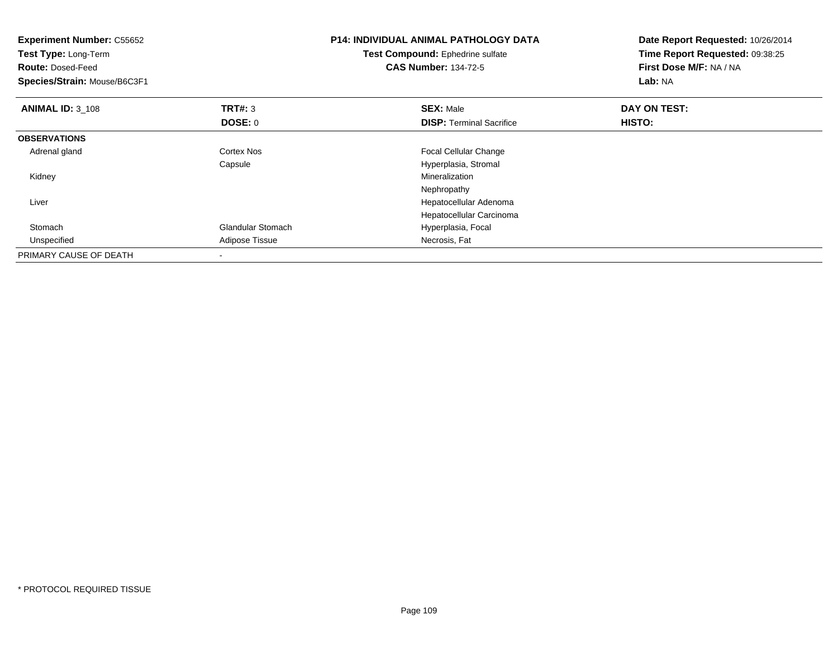| <b>Experiment Number: C55652</b><br>Test Type: Long-Term<br><b>Route: Dosed-Feed</b><br>Species/Strain: Mouse/B6C3F1 |                          | <b>P14: INDIVIDUAL ANIMAL PATHOLOGY DATA</b><br>Test Compound: Ephedrine sulfate<br><b>CAS Number: 134-72-5</b> | Date Report Requested: 10/26/2014<br>Time Report Requested: 09:38:25<br>First Dose M/F: NA / NA<br>Lab: NA |
|----------------------------------------------------------------------------------------------------------------------|--------------------------|-----------------------------------------------------------------------------------------------------------------|------------------------------------------------------------------------------------------------------------|
| <b>ANIMAL ID: 3 108</b>                                                                                              | TRT#: 3                  | <b>SEX: Male</b>                                                                                                | DAY ON TEST:                                                                                               |
|                                                                                                                      | DOSE: 0                  | <b>DISP: Terminal Sacrifice</b>                                                                                 | HISTO:                                                                                                     |
| <b>OBSERVATIONS</b>                                                                                                  |                          |                                                                                                                 |                                                                                                            |
| Adrenal gland                                                                                                        | <b>Cortex Nos</b>        | Focal Cellular Change                                                                                           |                                                                                                            |
|                                                                                                                      | Capsule                  | Hyperplasia, Stromal                                                                                            |                                                                                                            |
| Kidney                                                                                                               |                          | Mineralization                                                                                                  |                                                                                                            |
|                                                                                                                      |                          | Nephropathy                                                                                                     |                                                                                                            |
| Liver                                                                                                                |                          | Hepatocellular Adenoma                                                                                          |                                                                                                            |
|                                                                                                                      |                          | Hepatocellular Carcinoma                                                                                        |                                                                                                            |
| Stomach                                                                                                              | <b>Glandular Stomach</b> | Hyperplasia, Focal                                                                                              |                                                                                                            |
| Unspecified                                                                                                          | Adipose Tissue           | Necrosis, Fat                                                                                                   |                                                                                                            |
| PRIMARY CAUSE OF DEATH                                                                                               |                          |                                                                                                                 |                                                                                                            |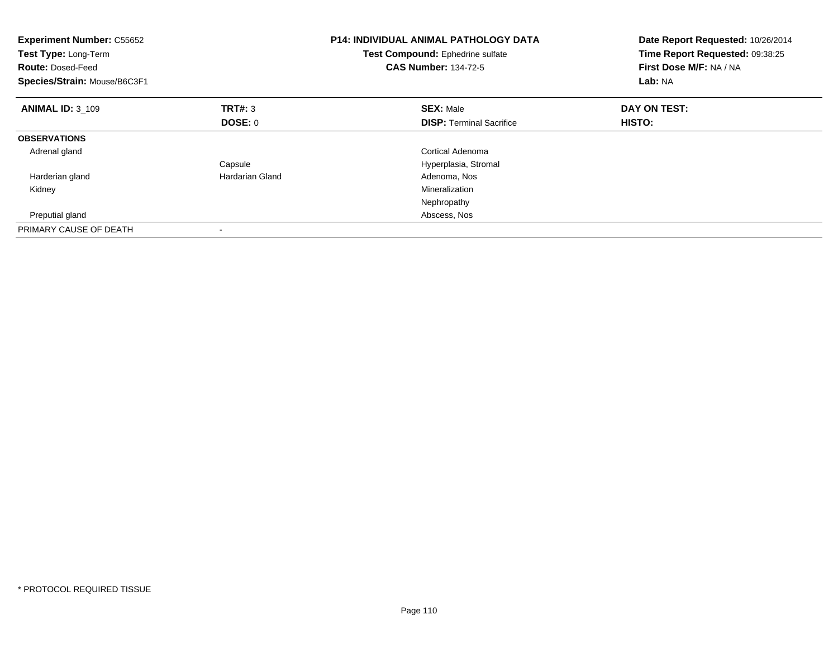| <b>Experiment Number: C55652</b><br>Test Type: Long-Term<br><b>Route: Dosed-Feed</b><br>Species/Strain: Mouse/B6C3F1 |                 | <b>P14: INDIVIDUAL ANIMAL PATHOLOGY DATA</b><br>Test Compound: Ephedrine sulfate<br><b>CAS Number: 134-72-5</b> | Date Report Requested: 10/26/2014<br>Time Report Requested: 09:38:25<br>First Dose M/F: NA / NA<br>Lab: NA |
|----------------------------------------------------------------------------------------------------------------------|-----------------|-----------------------------------------------------------------------------------------------------------------|------------------------------------------------------------------------------------------------------------|
| <b>ANIMAL ID: 3 109</b>                                                                                              | TRT#: 3         | <b>SEX: Male</b>                                                                                                | DAY ON TEST:                                                                                               |
|                                                                                                                      | DOSE: 0         | <b>DISP:</b> Terminal Sacrifice                                                                                 | HISTO:                                                                                                     |
| <b>OBSERVATIONS</b>                                                                                                  |                 |                                                                                                                 |                                                                                                            |
| Adrenal gland                                                                                                        |                 | Cortical Adenoma                                                                                                |                                                                                                            |
|                                                                                                                      | Capsule         | Hyperplasia, Stromal                                                                                            |                                                                                                            |
| Harderian gland                                                                                                      | Hardarian Gland | Adenoma, Nos                                                                                                    |                                                                                                            |
| Kidney                                                                                                               |                 | Mineralization                                                                                                  |                                                                                                            |
|                                                                                                                      |                 | Nephropathy                                                                                                     |                                                                                                            |
| Preputial gland                                                                                                      |                 | Abscess, Nos                                                                                                    |                                                                                                            |
| PRIMARY CAUSE OF DEATH                                                                                               |                 |                                                                                                                 |                                                                                                            |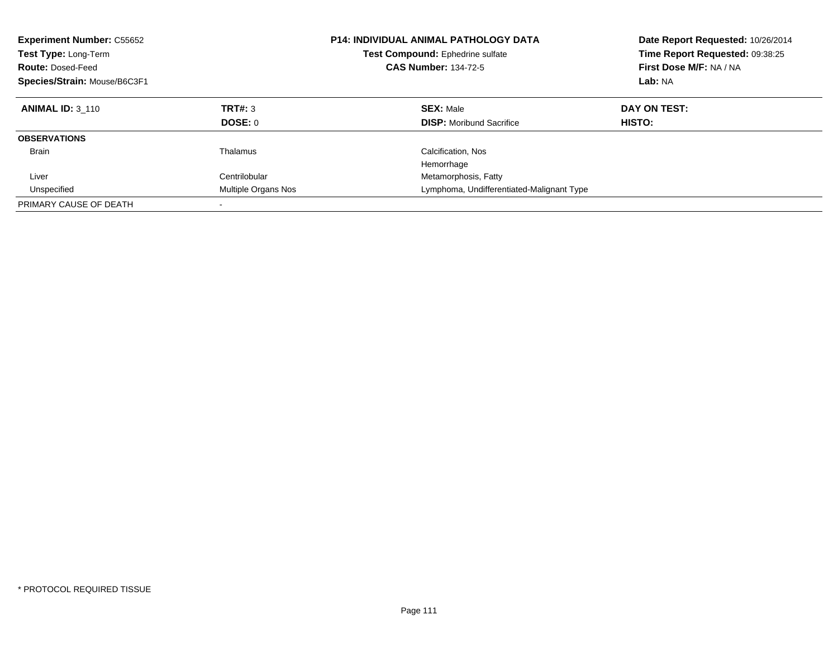| <b>Experiment Number: C55652</b><br>Test Type: Long-Term<br><b>Route: Dosed-Feed</b><br>Species/Strain: Mouse/B6C3F1 |                           | <b>P14: INDIVIDUAL ANIMAL PATHOLOGY DATA</b><br>Test Compound: Ephedrine sulfate<br><b>CAS Number: 134-72-5</b> | Date Report Requested: 10/26/2014<br>Time Report Requested: 09:38:25<br>First Dose M/F: NA / NA<br>Lab: NA |
|----------------------------------------------------------------------------------------------------------------------|---------------------------|-----------------------------------------------------------------------------------------------------------------|------------------------------------------------------------------------------------------------------------|
| <b>ANIMAL ID: 3 110</b>                                                                                              | <b>TRT#: 3</b><br>DOSE: 0 | <b>SEX: Male</b><br><b>DISP:</b> Moribund Sacrifice                                                             | DAY ON TEST:<br>HISTO:                                                                                     |
| <b>OBSERVATIONS</b>                                                                                                  |                           |                                                                                                                 |                                                                                                            |
| <b>Brain</b>                                                                                                         | Thalamus                  | Calcification, Nos<br>Hemorrhage                                                                                |                                                                                                            |
| Liver                                                                                                                | Centrilobular             | Metamorphosis, Fatty                                                                                            |                                                                                                            |
| Unspecified                                                                                                          | Multiple Organs Nos       | Lymphoma, Undifferentiated-Malignant Type                                                                       |                                                                                                            |
| PRIMARY CAUSE OF DEATH                                                                                               |                           |                                                                                                                 |                                                                                                            |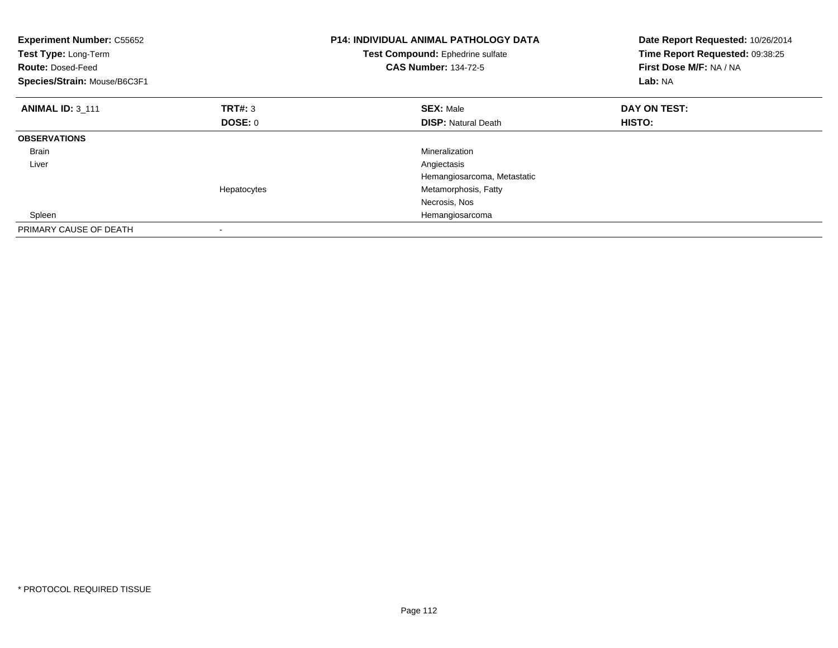| <b>Experiment Number: C55652</b><br>Test Type: Long-Term<br><b>Route: Dosed-Feed</b><br>Species/Strain: Mouse/B6C3F1 |             | <b>P14: INDIVIDUAL ANIMAL PATHOLOGY DATA</b><br>Test Compound: Ephedrine sulfate<br><b>CAS Number: 134-72-5</b> | Date Report Requested: 10/26/2014<br>Time Report Requested: 09:38:25<br>First Dose M/F: NA / NA<br>Lab: NA |
|----------------------------------------------------------------------------------------------------------------------|-------------|-----------------------------------------------------------------------------------------------------------------|------------------------------------------------------------------------------------------------------------|
| <b>ANIMAL ID: 3 111</b>                                                                                              | TRT#: 3     | <b>SEX: Male</b>                                                                                                | DAY ON TEST:                                                                                               |
|                                                                                                                      | DOSE: 0     | <b>DISP: Natural Death</b>                                                                                      | <b>HISTO:</b>                                                                                              |
| <b>OBSERVATIONS</b>                                                                                                  |             |                                                                                                                 |                                                                                                            |
| Brain                                                                                                                |             | Mineralization                                                                                                  |                                                                                                            |
| Liver                                                                                                                |             | Angiectasis                                                                                                     |                                                                                                            |
|                                                                                                                      |             | Hemangiosarcoma, Metastatic                                                                                     |                                                                                                            |
|                                                                                                                      | Hepatocytes | Metamorphosis, Fatty                                                                                            |                                                                                                            |
|                                                                                                                      |             | Necrosis, Nos                                                                                                   |                                                                                                            |
| Spleen                                                                                                               |             | Hemangiosarcoma                                                                                                 |                                                                                                            |
| PRIMARY CAUSE OF DEATH                                                                                               |             |                                                                                                                 |                                                                                                            |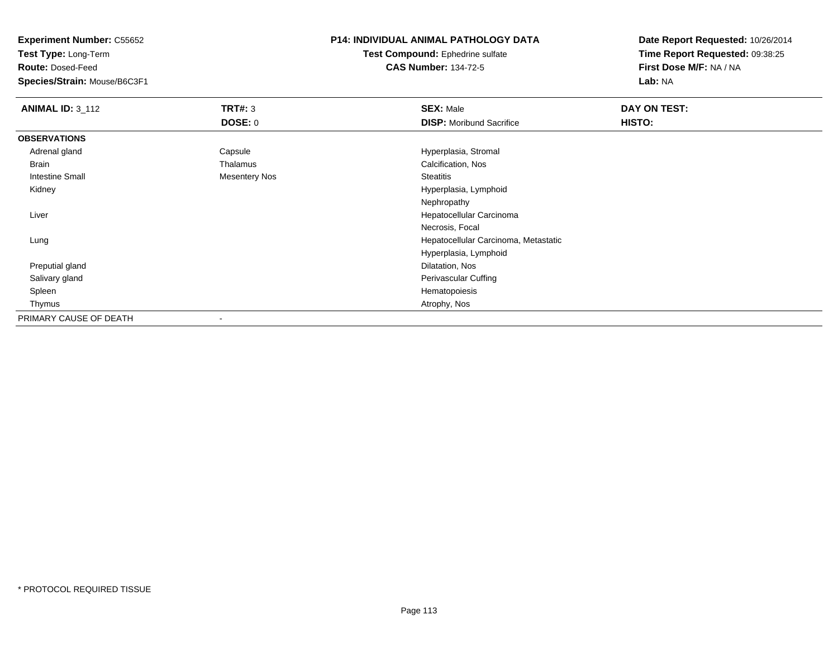**Test Type:** Long-Term

**Route:** Dosed-Feed

**Species/Strain:** Mouse/B6C3F1

### **P14: INDIVIDUAL ANIMAL PATHOLOGY DATA**

**Test Compound:** Ephedrine sulfate**CAS Number:** 134-72-5

| <b>ANIMAL ID: 3_112</b> | <b>TRT#: 3</b>       | <b>SEX: Male</b>                     | DAY ON TEST:  |
|-------------------------|----------------------|--------------------------------------|---------------|
|                         | <b>DOSE: 0</b>       | <b>DISP:</b> Moribund Sacrifice      | <b>HISTO:</b> |
| <b>OBSERVATIONS</b>     |                      |                                      |               |
| Adrenal gland           | Capsule              | Hyperplasia, Stromal                 |               |
| Brain                   | Thalamus             | Calcification, Nos                   |               |
| <b>Intestine Small</b>  | <b>Mesentery Nos</b> | <b>Steatitis</b>                     |               |
| Kidney                  |                      | Hyperplasia, Lymphoid                |               |
|                         |                      | Nephropathy                          |               |
| Liver                   |                      | Hepatocellular Carcinoma             |               |
|                         |                      | Necrosis, Focal                      |               |
| Lung                    |                      | Hepatocellular Carcinoma, Metastatic |               |
|                         |                      | Hyperplasia, Lymphoid                |               |
| Preputial gland         |                      | Dilatation, Nos                      |               |
| Salivary gland          |                      | Perivascular Cuffing                 |               |
| Spleen                  |                      | Hematopoiesis                        |               |
| Thymus                  |                      | Atrophy, Nos                         |               |
| PRIMARY CAUSE OF DEATH  |                      |                                      |               |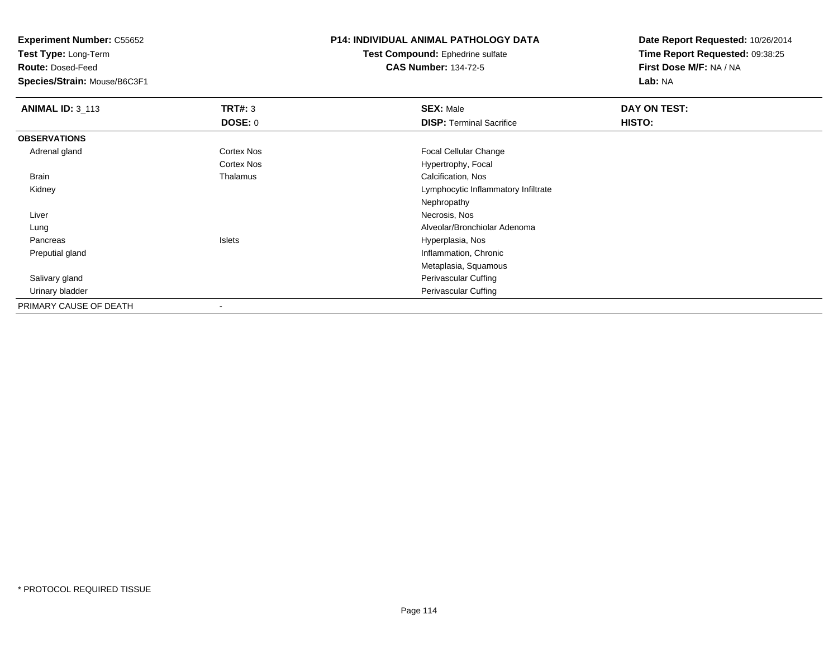**Test Type:** Long-Term

**Route:** Dosed-Feed

**Species/Strain:** Mouse/B6C3F1

# **P14: INDIVIDUAL ANIMAL PATHOLOGY DATA**

**Test Compound:** Ephedrine sulfate**CAS Number:** 134-72-5

| <b>ANIMAL ID: 3_113</b> | TRT#: 3           | <b>SEX: Male</b>                    | DAY ON TEST: |  |
|-------------------------|-------------------|-------------------------------------|--------------|--|
|                         | <b>DOSE: 0</b>    | <b>DISP: Terminal Sacrifice</b>     | HISTO:       |  |
| <b>OBSERVATIONS</b>     |                   |                                     |              |  |
| Adrenal gland           | <b>Cortex Nos</b> | <b>Focal Cellular Change</b>        |              |  |
|                         | <b>Cortex Nos</b> | Hypertrophy, Focal                  |              |  |
| Brain                   | Thalamus          | Calcification, Nos                  |              |  |
| Kidney                  |                   | Lymphocytic Inflammatory Infiltrate |              |  |
|                         |                   | Nephropathy                         |              |  |
| Liver                   |                   | Necrosis, Nos                       |              |  |
| Lung                    |                   | Alveolar/Bronchiolar Adenoma        |              |  |
| Pancreas                | Islets            | Hyperplasia, Nos                    |              |  |
| Preputial gland         |                   | Inflammation, Chronic               |              |  |
|                         |                   | Metaplasia, Squamous                |              |  |
| Salivary gland          |                   | Perivascular Cuffing                |              |  |
| Urinary bladder         |                   | Perivascular Cuffing                |              |  |
| PRIMARY CAUSE OF DEATH  |                   |                                     |              |  |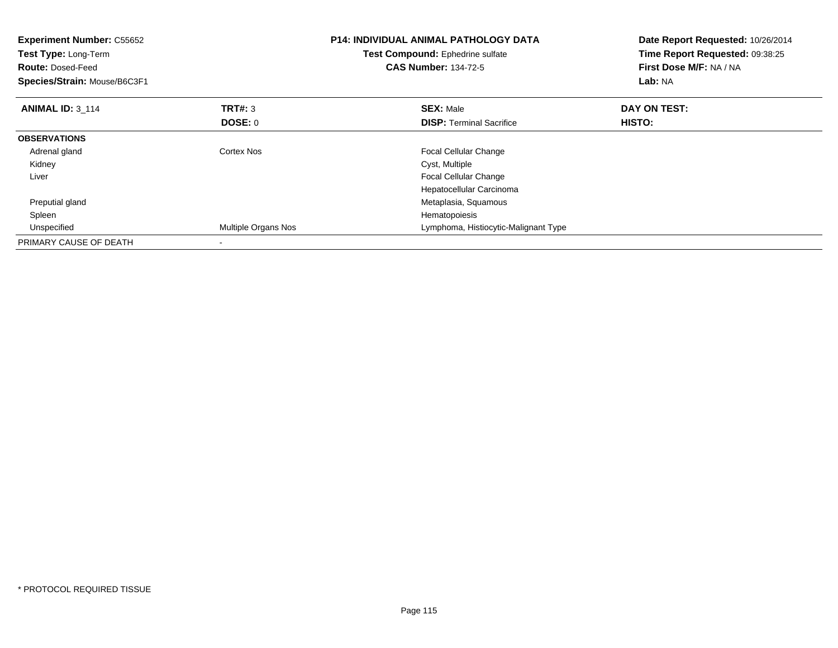| <b>Experiment Number: C55652</b><br>Test Type: Long-Term<br><b>Route: Dosed-Feed</b><br>Species/Strain: Mouse/B6C3F1 |                     | <b>P14: INDIVIDUAL ANIMAL PATHOLOGY DATA</b><br>Test Compound: Ephedrine sulfate<br><b>CAS Number: 134-72-5</b> | Date Report Requested: 10/26/2014<br>Time Report Requested: 09:38:25<br>First Dose M/F: NA / NA<br>Lab: NA |
|----------------------------------------------------------------------------------------------------------------------|---------------------|-----------------------------------------------------------------------------------------------------------------|------------------------------------------------------------------------------------------------------------|
| <b>ANIMAL ID: 3 114</b>                                                                                              | <b>TRT#: 3</b>      | <b>SEX: Male</b>                                                                                                | DAY ON TEST:                                                                                               |
|                                                                                                                      | DOSE: 0             | <b>DISP:</b> Terminal Sacrifice                                                                                 | <b>HISTO:</b>                                                                                              |
| <b>OBSERVATIONS</b>                                                                                                  |                     |                                                                                                                 |                                                                                                            |
| Adrenal gland                                                                                                        | Cortex Nos          | <b>Focal Cellular Change</b>                                                                                    |                                                                                                            |
| Kidney                                                                                                               |                     | Cyst, Multiple                                                                                                  |                                                                                                            |
| Liver                                                                                                                |                     | <b>Focal Cellular Change</b>                                                                                    |                                                                                                            |
|                                                                                                                      |                     | Hepatocellular Carcinoma                                                                                        |                                                                                                            |
| Preputial gland                                                                                                      |                     | Metaplasia, Squamous                                                                                            |                                                                                                            |
| Spleen                                                                                                               |                     | Hematopoiesis                                                                                                   |                                                                                                            |
| Unspecified                                                                                                          | Multiple Organs Nos | Lymphoma, Histiocytic-Malignant Type                                                                            |                                                                                                            |
| PRIMARY CAUSE OF DEATH                                                                                               |                     |                                                                                                                 |                                                                                                            |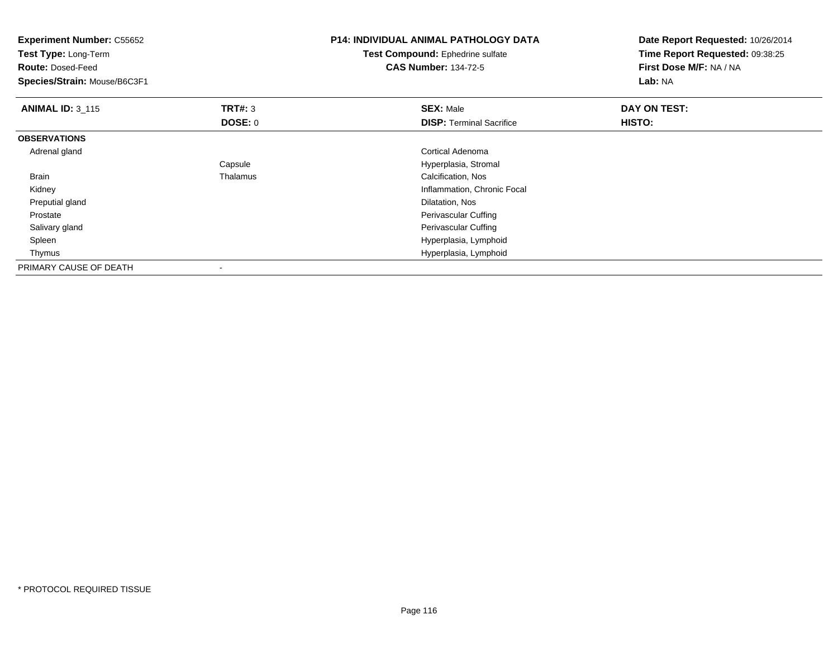| <b>Experiment Number: C55652</b><br>Test Type: Long-Term<br><b>Route: Dosed-Feed</b><br>Species/Strain: Mouse/B6C3F1 |          | <b>P14: INDIVIDUAL ANIMAL PATHOLOGY DATA</b><br><b>Test Compound: Ephedrine sulfate</b><br><b>CAS Number: 134-72-5</b> | Date Report Requested: 10/26/2014<br>Time Report Requested: 09:38:25<br>First Dose M/F: NA / NA<br>Lab: NA |
|----------------------------------------------------------------------------------------------------------------------|----------|------------------------------------------------------------------------------------------------------------------------|------------------------------------------------------------------------------------------------------------|
| <b>ANIMAL ID: 3_115</b>                                                                                              | TRT#: 3  | <b>SEX: Male</b>                                                                                                       | DAY ON TEST:                                                                                               |
|                                                                                                                      | DOSE: 0  | <b>DISP:</b> Terminal Sacrifice                                                                                        | HISTO:                                                                                                     |
| <b>OBSERVATIONS</b>                                                                                                  |          |                                                                                                                        |                                                                                                            |
| Adrenal gland                                                                                                        |          | Cortical Adenoma                                                                                                       |                                                                                                            |
|                                                                                                                      | Capsule  | Hyperplasia, Stromal                                                                                                   |                                                                                                            |
| Brain                                                                                                                | Thalamus | Calcification, Nos                                                                                                     |                                                                                                            |
| Kidney                                                                                                               |          | Inflammation, Chronic Focal                                                                                            |                                                                                                            |
| Preputial gland                                                                                                      |          | Dilatation, Nos                                                                                                        |                                                                                                            |
| Prostate                                                                                                             |          | Perivascular Cuffing                                                                                                   |                                                                                                            |
| Salivary gland                                                                                                       |          | Perivascular Cuffing                                                                                                   |                                                                                                            |
| Spleen                                                                                                               |          | Hyperplasia, Lymphoid                                                                                                  |                                                                                                            |
| Thymus                                                                                                               |          | Hyperplasia, Lymphoid                                                                                                  |                                                                                                            |
| PRIMARY CAUSE OF DEATH                                                                                               |          |                                                                                                                        |                                                                                                            |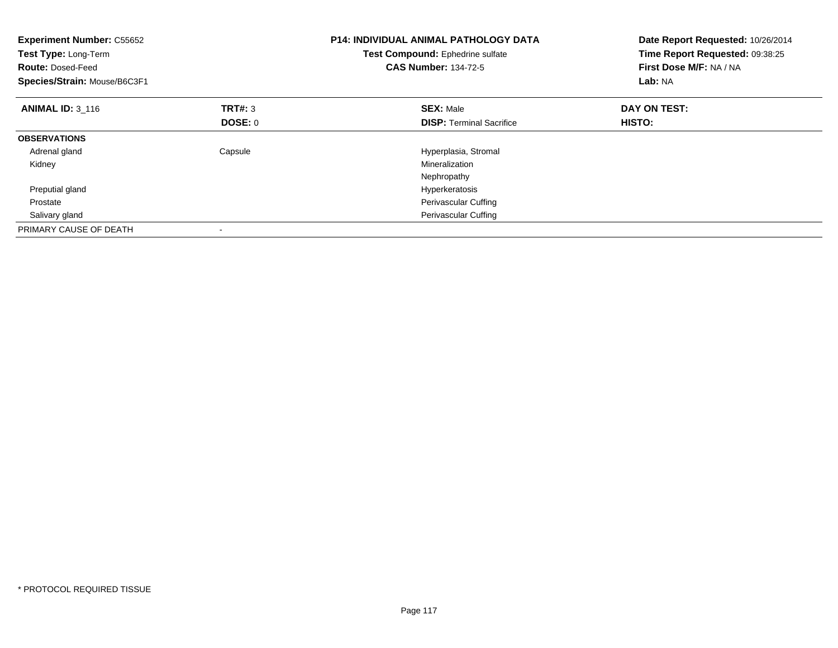| <b>Experiment Number: C55652</b><br>Test Type: Long-Term<br><b>Route: Dosed-Feed</b><br>Species/Strain: Mouse/B6C3F1 |                | <b>P14: INDIVIDUAL ANIMAL PATHOLOGY DATA</b><br>Test Compound: Ephedrine sulfate<br><b>CAS Number: 134-72-5</b> | Date Report Requested: 10/26/2014<br>Time Report Requested: 09:38:25<br>First Dose M/F: NA / NA<br>Lab: NA |
|----------------------------------------------------------------------------------------------------------------------|----------------|-----------------------------------------------------------------------------------------------------------------|------------------------------------------------------------------------------------------------------------|
| <b>ANIMAL ID: 3 116</b>                                                                                              | <b>TRT#: 3</b> | <b>SEX: Male</b>                                                                                                | DAY ON TEST:                                                                                               |
|                                                                                                                      | DOSE: 0        | <b>DISP:</b> Terminal Sacrifice                                                                                 | <b>HISTO:</b>                                                                                              |
| <b>OBSERVATIONS</b>                                                                                                  |                |                                                                                                                 |                                                                                                            |
| Adrenal gland                                                                                                        | Capsule        | Hyperplasia, Stromal                                                                                            |                                                                                                            |
| Kidney                                                                                                               |                | Mineralization                                                                                                  |                                                                                                            |
|                                                                                                                      |                | Nephropathy                                                                                                     |                                                                                                            |
| Preputial gland                                                                                                      |                | Hyperkeratosis                                                                                                  |                                                                                                            |
| Prostate                                                                                                             |                | <b>Perivascular Cuffing</b>                                                                                     |                                                                                                            |
| Salivary gland                                                                                                       |                | Perivascular Cuffing                                                                                            |                                                                                                            |
| PRIMARY CAUSE OF DEATH                                                                                               |                |                                                                                                                 |                                                                                                            |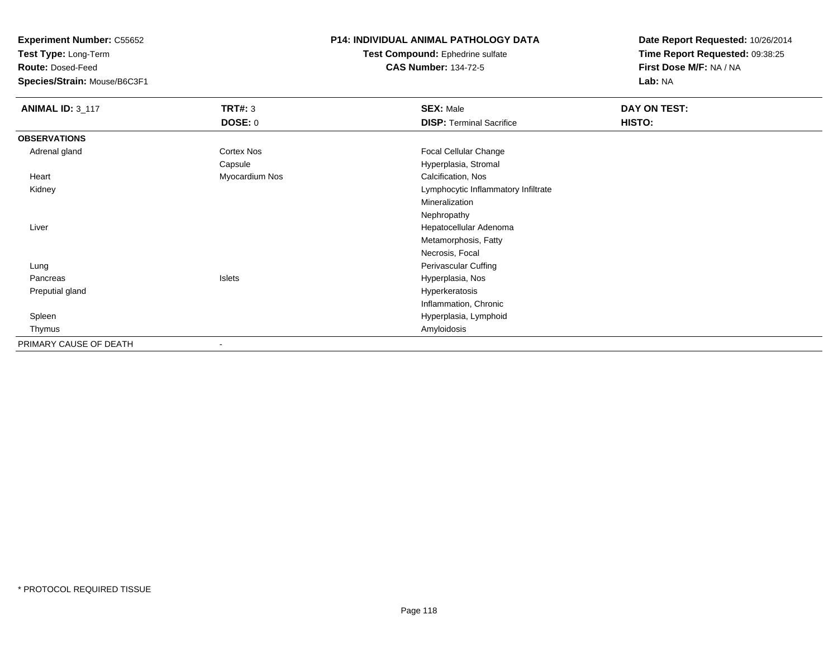**Test Type:** Long-Term

**Route:** Dosed-Feed

**Species/Strain:** Mouse/B6C3F1

### **P14: INDIVIDUAL ANIMAL PATHOLOGY DATA**

**Test Compound:** Ephedrine sulfate**CAS Number:** 134-72-5

| <b>ANIMAL ID: 3_117</b> | <b>TRT#: 3</b> | <b>SEX: Male</b>                    | DAY ON TEST: |  |
|-------------------------|----------------|-------------------------------------|--------------|--|
|                         | <b>DOSE: 0</b> | <b>DISP: Terminal Sacrifice</b>     | HISTO:       |  |
| <b>OBSERVATIONS</b>     |                |                                     |              |  |
| Adrenal gland           | Cortex Nos     | <b>Focal Cellular Change</b>        |              |  |
|                         | Capsule        | Hyperplasia, Stromal                |              |  |
| Heart                   | Myocardium Nos | Calcification, Nos                  |              |  |
| Kidney                  |                | Lymphocytic Inflammatory Infiltrate |              |  |
|                         |                | Mineralization                      |              |  |
|                         |                | Nephropathy                         |              |  |
| Liver                   |                | Hepatocellular Adenoma              |              |  |
|                         |                | Metamorphosis, Fatty                |              |  |
|                         |                | Necrosis, Focal                     |              |  |
| Lung                    |                | Perivascular Cuffing                |              |  |
| Pancreas                | Islets         | Hyperplasia, Nos                    |              |  |
| Preputial gland         |                | Hyperkeratosis                      |              |  |
|                         |                | Inflammation, Chronic               |              |  |
| Spleen                  |                | Hyperplasia, Lymphoid               |              |  |
| Thymus                  |                | Amyloidosis                         |              |  |
| PRIMARY CAUSE OF DEATH  |                |                                     |              |  |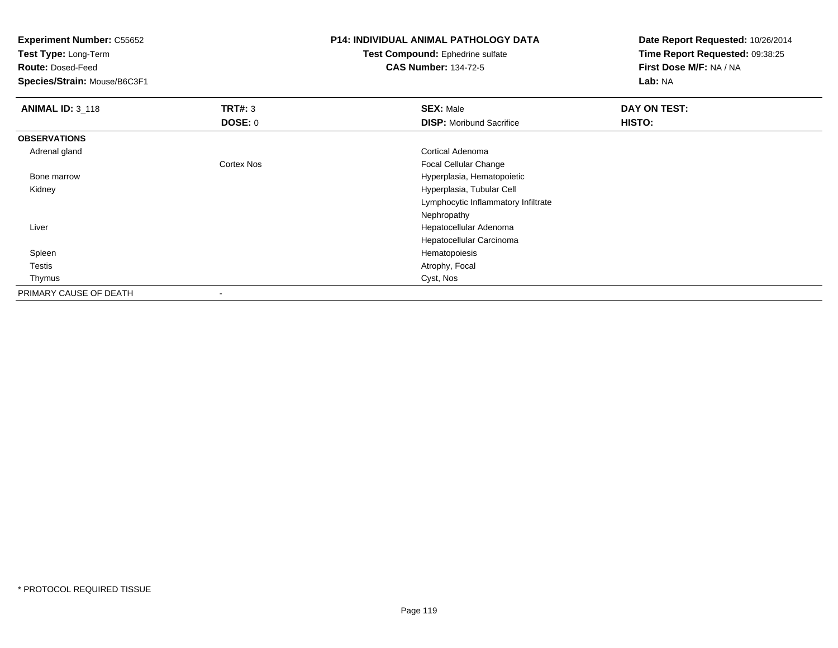**Test Type:** Long-Term

**Route:** Dosed-Feed

**Species/Strain:** Mouse/B6C3F1

## **P14: INDIVIDUAL ANIMAL PATHOLOGY DATA**

**Test Compound:** Ephedrine sulfate**CAS Number:** 134-72-5

| <b>ANIMAL ID: 3_118</b> | TRT#: 3                  | <b>SEX: Male</b>                    | DAY ON TEST:  |  |
|-------------------------|--------------------------|-------------------------------------|---------------|--|
|                         | DOSE: 0                  | <b>DISP:</b> Moribund Sacrifice     | <b>HISTO:</b> |  |
| <b>OBSERVATIONS</b>     |                          |                                     |               |  |
| Adrenal gland           |                          | Cortical Adenoma                    |               |  |
|                         | <b>Cortex Nos</b>        | Focal Cellular Change               |               |  |
| Bone marrow             |                          | Hyperplasia, Hematopoietic          |               |  |
| Kidney                  |                          | Hyperplasia, Tubular Cell           |               |  |
|                         |                          | Lymphocytic Inflammatory Infiltrate |               |  |
|                         |                          | Nephropathy                         |               |  |
| Liver                   |                          | Hepatocellular Adenoma              |               |  |
|                         |                          | Hepatocellular Carcinoma            |               |  |
| Spleen                  |                          | Hematopoiesis                       |               |  |
| Testis                  |                          | Atrophy, Focal                      |               |  |
| Thymus                  |                          | Cyst, Nos                           |               |  |
| PRIMARY CAUSE OF DEATH  | $\overline{\phantom{a}}$ |                                     |               |  |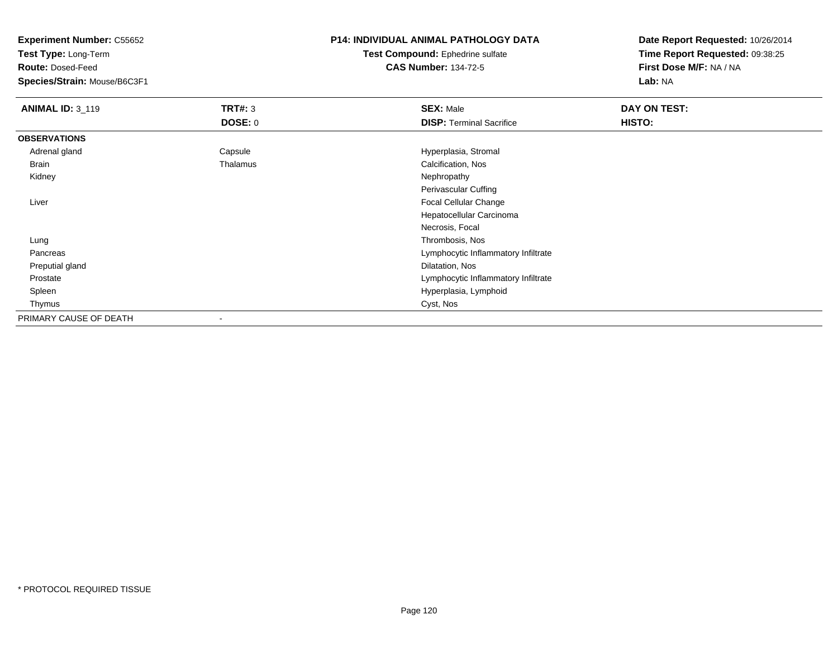**Test Type:** Long-Term

**Route:** Dosed-Feed

**Species/Strain:** Mouse/B6C3F1

### **P14: INDIVIDUAL ANIMAL PATHOLOGY DATA**

**Test Compound:** Ephedrine sulfate**CAS Number:** 134-72-5

| <b>ANIMAL ID: 3_119</b> | <b>TRT#: 3</b> | <b>SEX: Male</b>                    | DAY ON TEST: |  |
|-------------------------|----------------|-------------------------------------|--------------|--|
|                         | <b>DOSE: 0</b> | <b>DISP: Terminal Sacrifice</b>     | HISTO:       |  |
| <b>OBSERVATIONS</b>     |                |                                     |              |  |
| Adrenal gland           | Capsule        | Hyperplasia, Stromal                |              |  |
| <b>Brain</b>            | Thalamus       | Calcification, Nos                  |              |  |
| Kidney                  |                | Nephropathy                         |              |  |
|                         |                | Perivascular Cuffing                |              |  |
| Liver                   |                | Focal Cellular Change               |              |  |
|                         |                | Hepatocellular Carcinoma            |              |  |
|                         |                | Necrosis, Focal                     |              |  |
| Lung                    |                | Thrombosis, Nos                     |              |  |
| Pancreas                |                | Lymphocytic Inflammatory Infiltrate |              |  |
| Preputial gland         |                | Dilatation, Nos                     |              |  |
| Prostate                |                | Lymphocytic Inflammatory Infiltrate |              |  |
| Spleen                  |                | Hyperplasia, Lymphoid               |              |  |
| Thymus                  |                | Cyst, Nos                           |              |  |
| PRIMARY CAUSE OF DEATH  |                |                                     |              |  |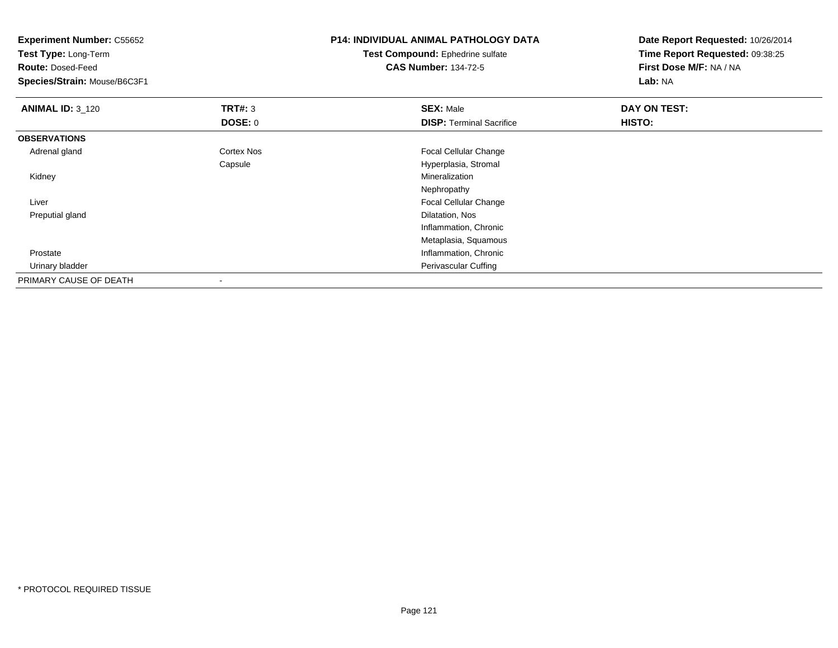| <b>Experiment Number: C55652</b><br>Test Type: Long-Term |                   | <b>P14: INDIVIDUAL ANIMAL PATHOLOGY DATA</b> | Date Report Requested: 10/26/2014 |
|----------------------------------------------------------|-------------------|----------------------------------------------|-----------------------------------|
|                                                          |                   | <b>Test Compound: Ephedrine sulfate</b>      | Time Report Requested: 09:38:25   |
| <b>Route: Dosed-Feed</b>                                 |                   | <b>CAS Number: 134-72-5</b>                  | First Dose M/F: NA / NA           |
| Species/Strain: Mouse/B6C3F1                             |                   |                                              | Lab: NA                           |
| <b>ANIMAL ID: 3_120</b>                                  | TRT#: 3           | <b>SEX: Male</b>                             | DAY ON TEST:                      |
|                                                          | <b>DOSE: 0</b>    | <b>DISP: Terminal Sacrifice</b>              | HISTO:                            |
| <b>OBSERVATIONS</b>                                      |                   |                                              |                                   |
| Adrenal gland                                            | <b>Cortex Nos</b> | Focal Cellular Change                        |                                   |
|                                                          | Capsule           | Hyperplasia, Stromal                         |                                   |
| Kidney                                                   |                   | Mineralization                               |                                   |
|                                                          |                   | Nephropathy                                  |                                   |
| Liver                                                    |                   | Focal Cellular Change                        |                                   |
| Preputial gland                                          |                   | Dilatation, Nos                              |                                   |
|                                                          |                   | Inflammation, Chronic                        |                                   |
|                                                          |                   | Metaplasia, Squamous                         |                                   |
| Prostate                                                 |                   | Inflammation, Chronic                        |                                   |
| Urinary bladder                                          |                   | Perivascular Cuffing                         |                                   |
| PRIMARY CAUSE OF DEATH                                   |                   |                                              |                                   |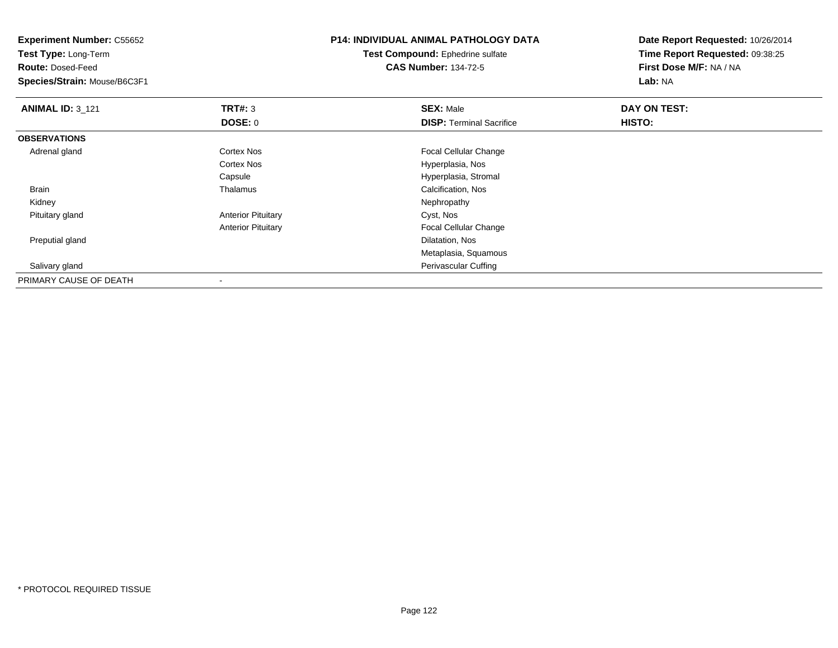| <b>Experiment Number: C55652</b><br>Test Type: Long-Term |                           | <b>P14: INDIVIDUAL ANIMAL PATHOLOGY DATA</b> | Date Report Requested: 10/26/2014 |
|----------------------------------------------------------|---------------------------|----------------------------------------------|-----------------------------------|
|                                                          |                           | Test Compound: Ephedrine sulfate             | Time Report Requested: 09:38:25   |
| <b>Route: Dosed-Feed</b>                                 |                           | <b>CAS Number: 134-72-5</b>                  | First Dose M/F: NA / NA           |
| Species/Strain: Mouse/B6C3F1                             |                           |                                              | Lab: NA                           |
| <b>ANIMAL ID: 3_121</b>                                  | TRT#: 3                   | <b>SEX: Male</b>                             | DAY ON TEST:                      |
|                                                          | <b>DOSE: 0</b>            | <b>DISP: Terminal Sacrifice</b>              | HISTO:                            |
| <b>OBSERVATIONS</b>                                      |                           |                                              |                                   |
| Adrenal gland                                            | Cortex Nos                | Focal Cellular Change                        |                                   |
|                                                          | <b>Cortex Nos</b>         | Hyperplasia, Nos                             |                                   |
|                                                          | Capsule                   | Hyperplasia, Stromal                         |                                   |
| Brain                                                    | Thalamus                  | Calcification, Nos                           |                                   |
| Kidney                                                   |                           | Nephropathy                                  |                                   |
| Pituitary gland                                          | <b>Anterior Pituitary</b> | Cyst, Nos                                    |                                   |
|                                                          | <b>Anterior Pituitary</b> | Focal Cellular Change                        |                                   |
| Preputial gland                                          |                           | Dilatation, Nos                              |                                   |
|                                                          |                           | Metaplasia, Squamous                         |                                   |
| Salivary gland                                           |                           | Perivascular Cuffing                         |                                   |
| PRIMARY CAUSE OF DEATH                                   |                           |                                              |                                   |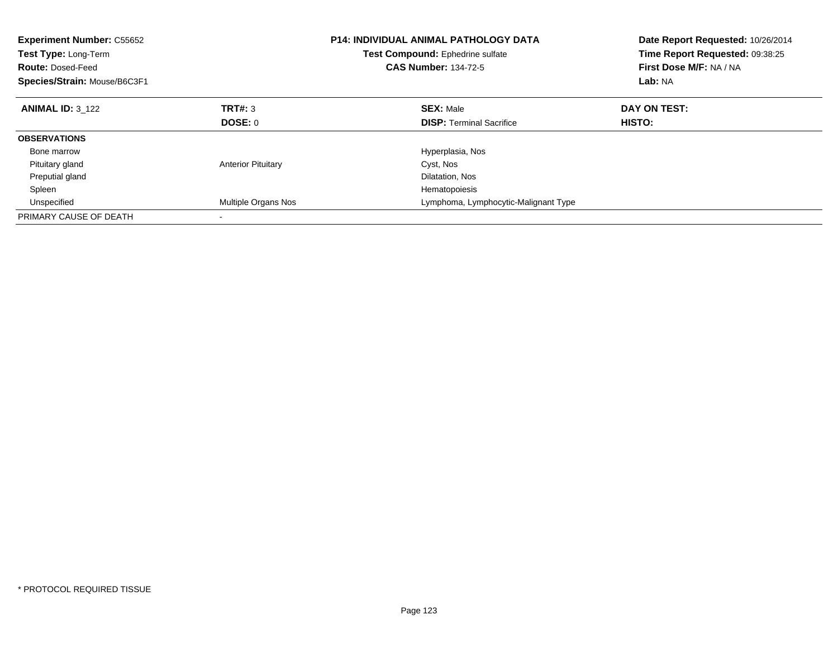| <b>Experiment Number: C55652</b><br>Test Type: Long-Term<br><b>Route: Dosed-Feed</b><br>Species/Strain: Mouse/B6C3F1 |                           | <b>P14: INDIVIDUAL ANIMAL PATHOLOGY DATA</b><br>Test Compound: Ephedrine sulfate<br><b>CAS Number: 134-72-5</b> | Date Report Requested: 10/26/2014<br>Time Report Requested: 09:38:25<br>First Dose M/F: NA / NA<br>Lab: NA |
|----------------------------------------------------------------------------------------------------------------------|---------------------------|-----------------------------------------------------------------------------------------------------------------|------------------------------------------------------------------------------------------------------------|
| <b>ANIMAL ID: 3 122</b>                                                                                              | TRT#: 3                   | <b>SEX: Male</b>                                                                                                | DAY ON TEST:                                                                                               |
|                                                                                                                      | DOSE: 0                   | <b>DISP:</b> Terminal Sacrifice                                                                                 | <b>HISTO:</b>                                                                                              |
| <b>OBSERVATIONS</b>                                                                                                  |                           |                                                                                                                 |                                                                                                            |
| Bone marrow                                                                                                          |                           | Hyperplasia, Nos                                                                                                |                                                                                                            |
| Pituitary gland                                                                                                      | <b>Anterior Pituitary</b> | Cyst, Nos                                                                                                       |                                                                                                            |
| Preputial gland                                                                                                      |                           | Dilatation, Nos                                                                                                 |                                                                                                            |
| Spleen                                                                                                               |                           | Hematopoiesis                                                                                                   |                                                                                                            |
| Unspecified                                                                                                          | Multiple Organs Nos       | Lymphoma, Lymphocytic-Malignant Type                                                                            |                                                                                                            |
| PRIMARY CAUSE OF DEATH                                                                                               |                           |                                                                                                                 |                                                                                                            |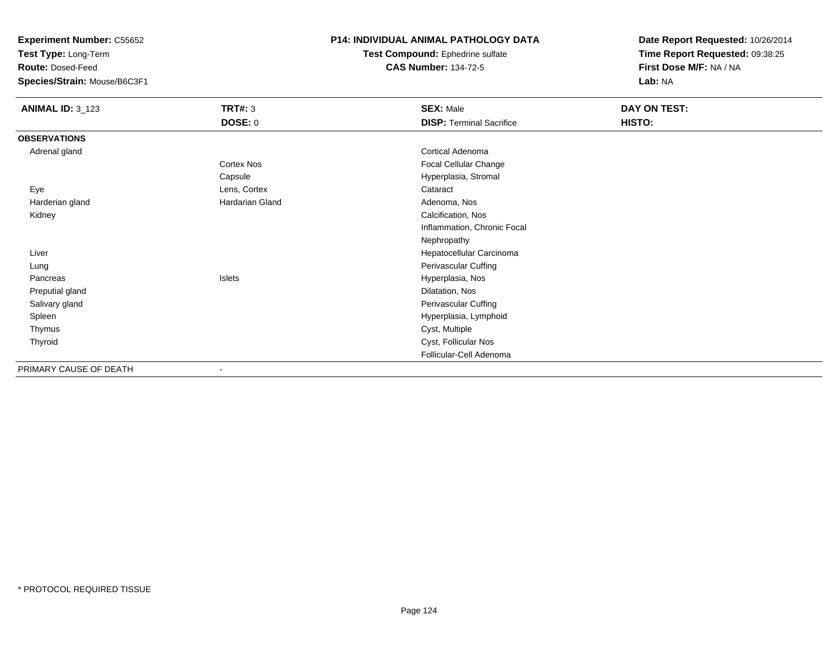**Test Type:** Long-Term

**Route:** Dosed-Feed

**Species/Strain:** Mouse/B6C3F1

#### **P14: INDIVIDUAL ANIMAL PATHOLOGY DATA**

**Test Compound:** Ephedrine sulfate**CAS Number:** 134-72-5

| <b>ANIMAL ID: 3_123</b> | <b>TRT#: 3</b>  | <b>SEX: Male</b>                | DAY ON TEST: |
|-------------------------|-----------------|---------------------------------|--------------|
|                         | <b>DOSE: 0</b>  | <b>DISP: Terminal Sacrifice</b> | HISTO:       |
| <b>OBSERVATIONS</b>     |                 |                                 |              |
| Adrenal gland           |                 | Cortical Adenoma                |              |
|                         | Cortex Nos      | Focal Cellular Change           |              |
|                         | Capsule         | Hyperplasia, Stromal            |              |
| Eye                     | Lens, Cortex    | Cataract                        |              |
| Harderian gland         | Hardarian Gland | Adenoma, Nos                    |              |
| Kidney                  |                 | Calcification, Nos              |              |
|                         |                 | Inflammation, Chronic Focal     |              |
|                         |                 | Nephropathy                     |              |
| Liver                   |                 | Hepatocellular Carcinoma        |              |
| Lung                    |                 | Perivascular Cuffing            |              |
| Pancreas                | Islets          | Hyperplasia, Nos                |              |
| Preputial gland         |                 | Dilatation, Nos                 |              |
| Salivary gland          |                 | Perivascular Cuffing            |              |
| Spleen                  |                 | Hyperplasia, Lymphoid           |              |
| Thymus                  |                 | Cyst, Multiple                  |              |
| Thyroid                 |                 | Cyst, Follicular Nos            |              |
|                         |                 | Follicular-Cell Adenoma         |              |
| PRIMARY CAUSE OF DEATH  |                 |                                 |              |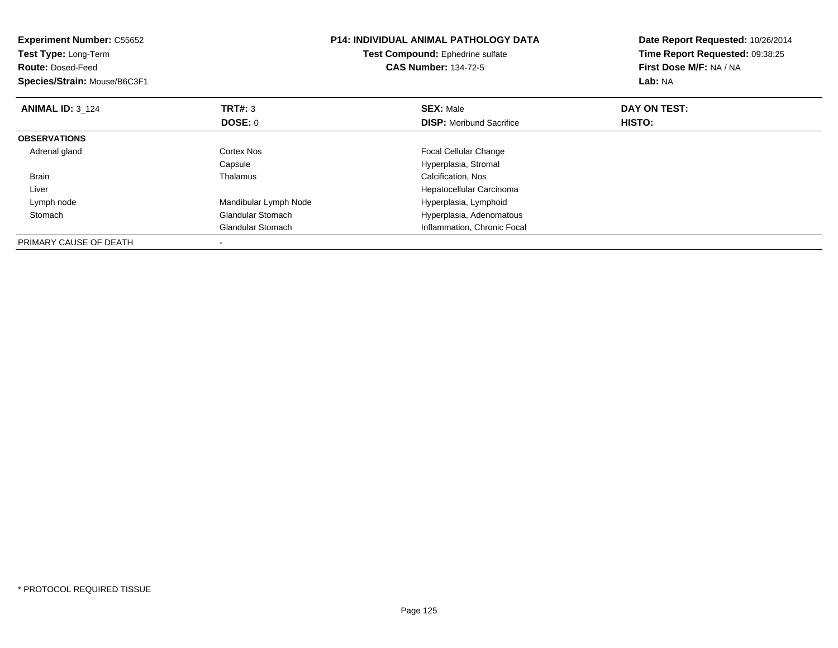| <b>Experiment Number: C55652</b><br>Test Type: Long-Term<br><b>Route: Dosed-Feed</b><br>Species/Strain: Mouse/B6C3F1 |                          | <b>P14: INDIVIDUAL ANIMAL PATHOLOGY DATA</b><br>Test Compound: Ephedrine sulfate<br><b>CAS Number: 134-72-5</b> | Date Report Requested: 10/26/2014<br>Time Report Requested: 09:38:25<br>First Dose M/F: NA / NA<br><b>Lab: NA</b> |
|----------------------------------------------------------------------------------------------------------------------|--------------------------|-----------------------------------------------------------------------------------------------------------------|-------------------------------------------------------------------------------------------------------------------|
| <b>ANIMAL ID: 3 124</b>                                                                                              | TRT#: 3                  | <b>SEX: Male</b>                                                                                                | DAY ON TEST:                                                                                                      |
|                                                                                                                      | DOSE: 0                  | <b>DISP:</b> Moribund Sacrifice                                                                                 | HISTO:                                                                                                            |
| <b>OBSERVATIONS</b>                                                                                                  |                          |                                                                                                                 |                                                                                                                   |
| Adrenal gland                                                                                                        | Cortex Nos               | <b>Focal Cellular Change</b>                                                                                    |                                                                                                                   |
|                                                                                                                      | Capsule                  | Hyperplasia, Stromal                                                                                            |                                                                                                                   |
| <b>Brain</b>                                                                                                         | Thalamus                 | Calcification, Nos                                                                                              |                                                                                                                   |
| Liver                                                                                                                |                          | Hepatocellular Carcinoma                                                                                        |                                                                                                                   |
| Lymph node                                                                                                           | Mandibular Lymph Node    | Hyperplasia, Lymphoid                                                                                           |                                                                                                                   |
| Stomach                                                                                                              | <b>Glandular Stomach</b> | Hyperplasia, Adenomatous                                                                                        |                                                                                                                   |
|                                                                                                                      | <b>Glandular Stomach</b> | Inflammation, Chronic Focal                                                                                     |                                                                                                                   |
| PRIMARY CAUSE OF DEATH                                                                                               |                          |                                                                                                                 |                                                                                                                   |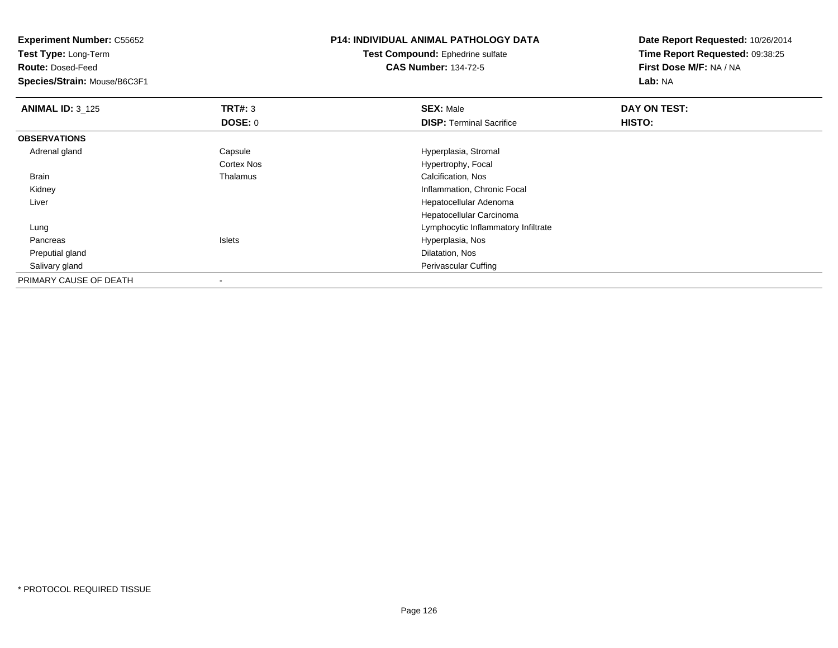**Experiment Number:** C55652**Test Type:** Long-Term**Route:** Dosed-Feed **Species/Strain:** Mouse/B6C3F1**P14: INDIVIDUAL ANIMAL PATHOLOGY DATATest Compound:** Ephedrine sulfate**CAS Number:** 134-72-5**Date Report Requested:** 10/26/2014**Time Report Requested:** 09:38:25**First Dose M/F:** NA / NA**Lab:** NA**ANIMAL ID:** 3\_125 **TRT#:** <sup>3</sup> **SEX:** Male **DAY ON TEST: DOSE:** 0**DISP:** Terminal Sacrifice **HISTO: OBSERVATIONS** Adrenal glandCapsule **Capsule Capsule Capsule Capsule Capsule Capsule Capsule Capsule Capsule Capsule Capsule Capsule Capsule Capsule Capsule Capsule Capsule Capsule Capsule Capsule Capsule Cap** Cortex Nos Hypertrophy, Focal BrainThalamus **Calcification**, Nos Kidney Inflammation, Chronic Focal Liver Hepatocellular Adenoma Hepatocellular Carcinomag and the state of the state of the state of the state of the state of the Lymphocytic Inflammatory Infiltrate Lung Pancreas Islets Hyperplasia, Nos Preputial gland Dilatation, Nos Salivary gland Perivascular Cuffing PRIMARY CAUSE OF DEATH-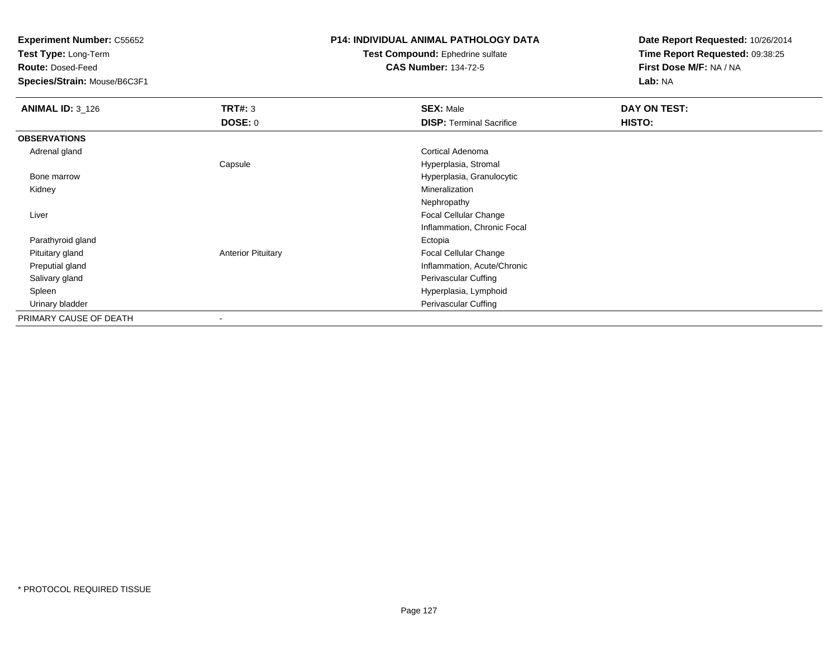**Test Type:** Long-Term

**Route:** Dosed-Feed

**Species/Strain:** Mouse/B6C3F1

### **P14: INDIVIDUAL ANIMAL PATHOLOGY DATA**

#### **Test Compound:** Ephedrine sulfate**CAS Number:** 134-72-5

| <b>ANIMAL ID: 3_126</b> | <b>TRT#: 3</b>            | <b>SEX: Male</b>                | DAY ON TEST: |  |
|-------------------------|---------------------------|---------------------------------|--------------|--|
|                         | DOSE: 0                   | <b>DISP: Terminal Sacrifice</b> | HISTO:       |  |
| <b>OBSERVATIONS</b>     |                           |                                 |              |  |
| Adrenal gland           |                           | Cortical Adenoma                |              |  |
|                         | Capsule                   | Hyperplasia, Stromal            |              |  |
| Bone marrow             |                           | Hyperplasia, Granulocytic       |              |  |
| Kidney                  |                           | Mineralization                  |              |  |
|                         |                           | Nephropathy                     |              |  |
| Liver                   |                           | Focal Cellular Change           |              |  |
|                         |                           | Inflammation, Chronic Focal     |              |  |
| Parathyroid gland       |                           | Ectopia                         |              |  |
| Pituitary gland         | <b>Anterior Pituitary</b> | <b>Focal Cellular Change</b>    |              |  |
| Preputial gland         |                           | Inflammation, Acute/Chronic     |              |  |
| Salivary gland          |                           | Perivascular Cuffing            |              |  |
| Spleen                  |                           | Hyperplasia, Lymphoid           |              |  |
| Urinary bladder         |                           | Perivascular Cuffing            |              |  |
| PRIMARY CAUSE OF DEATH  | -                         |                                 |              |  |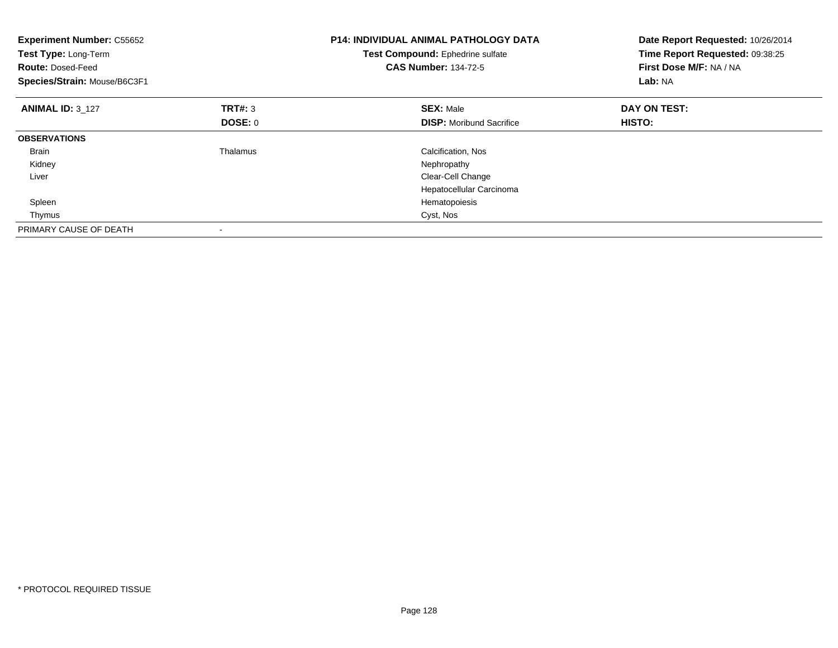| <b>Experiment Number: C55652</b><br>Test Type: Long-Term<br><b>Route: Dosed-Feed</b><br>Species/Strain: Mouse/B6C3F1 |                | <b>P14: INDIVIDUAL ANIMAL PATHOLOGY DATA</b><br>Test Compound: Ephedrine sulfate<br><b>CAS Number: 134-72-5</b> | Date Report Requested: 10/26/2014<br>Time Report Requested: 09:38:25<br>First Dose M/F: NA / NA<br>Lab: NA |
|----------------------------------------------------------------------------------------------------------------------|----------------|-----------------------------------------------------------------------------------------------------------------|------------------------------------------------------------------------------------------------------------|
| <b>ANIMAL ID: 3 127</b>                                                                                              | <b>TRT#: 3</b> | <b>SEX: Male</b>                                                                                                | DAY ON TEST:                                                                                               |
|                                                                                                                      | DOSE: 0        | <b>DISP:</b> Moribund Sacrifice                                                                                 | HISTO:                                                                                                     |
| <b>OBSERVATIONS</b>                                                                                                  |                |                                                                                                                 |                                                                                                            |
| <b>Brain</b>                                                                                                         | Thalamus       | Calcification, Nos                                                                                              |                                                                                                            |
| Kidney                                                                                                               |                | Nephropathy                                                                                                     |                                                                                                            |
| Liver                                                                                                                |                | Clear-Cell Change                                                                                               |                                                                                                            |
|                                                                                                                      |                | Hepatocellular Carcinoma                                                                                        |                                                                                                            |
| Spleen                                                                                                               |                | Hematopoiesis                                                                                                   |                                                                                                            |
| Thymus                                                                                                               |                | Cyst, Nos                                                                                                       |                                                                                                            |
| PRIMARY CAUSE OF DEATH                                                                                               |                |                                                                                                                 |                                                                                                            |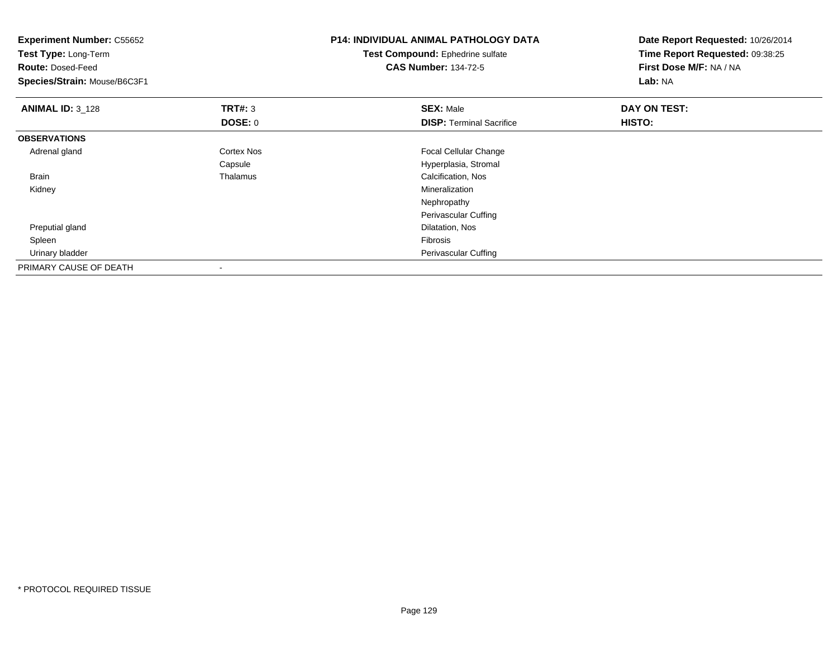| <b>Experiment Number: C55652</b><br>Test Type: Long-Term<br><b>Route: Dosed-Feed</b><br>Species/Strain: Mouse/B6C3F1 |                   | <b>P14: INDIVIDUAL ANIMAL PATHOLOGY DATA</b><br>Test Compound: Ephedrine sulfate<br><b>CAS Number: 134-72-5</b> | Date Report Requested: 10/26/2014<br>Time Report Requested: 09:38:25<br>First Dose M/F: NA / NA<br>Lab: NA |
|----------------------------------------------------------------------------------------------------------------------|-------------------|-----------------------------------------------------------------------------------------------------------------|------------------------------------------------------------------------------------------------------------|
| <b>ANIMAL ID: 3_128</b>                                                                                              | <b>TRT#: 3</b>    | <b>SEX: Male</b>                                                                                                | DAY ON TEST:                                                                                               |
|                                                                                                                      | DOSE: 0           | <b>DISP: Terminal Sacrifice</b>                                                                                 | HISTO:                                                                                                     |
| <b>OBSERVATIONS</b>                                                                                                  |                   |                                                                                                                 |                                                                                                            |
| Adrenal gland                                                                                                        | <b>Cortex Nos</b> | Focal Cellular Change                                                                                           |                                                                                                            |
|                                                                                                                      | Capsule           | Hyperplasia, Stromal                                                                                            |                                                                                                            |
| <b>Brain</b>                                                                                                         | Thalamus          | Calcification, Nos                                                                                              |                                                                                                            |
| Kidney                                                                                                               |                   | Mineralization                                                                                                  |                                                                                                            |
|                                                                                                                      |                   | Nephropathy                                                                                                     |                                                                                                            |
|                                                                                                                      |                   | Perivascular Cuffing                                                                                            |                                                                                                            |
| Preputial gland                                                                                                      |                   | Dilatation, Nos                                                                                                 |                                                                                                            |
| Spleen                                                                                                               |                   | Fibrosis                                                                                                        |                                                                                                            |
| Urinary bladder                                                                                                      |                   | Perivascular Cuffing                                                                                            |                                                                                                            |
| PRIMARY CAUSE OF DEATH                                                                                               |                   |                                                                                                                 |                                                                                                            |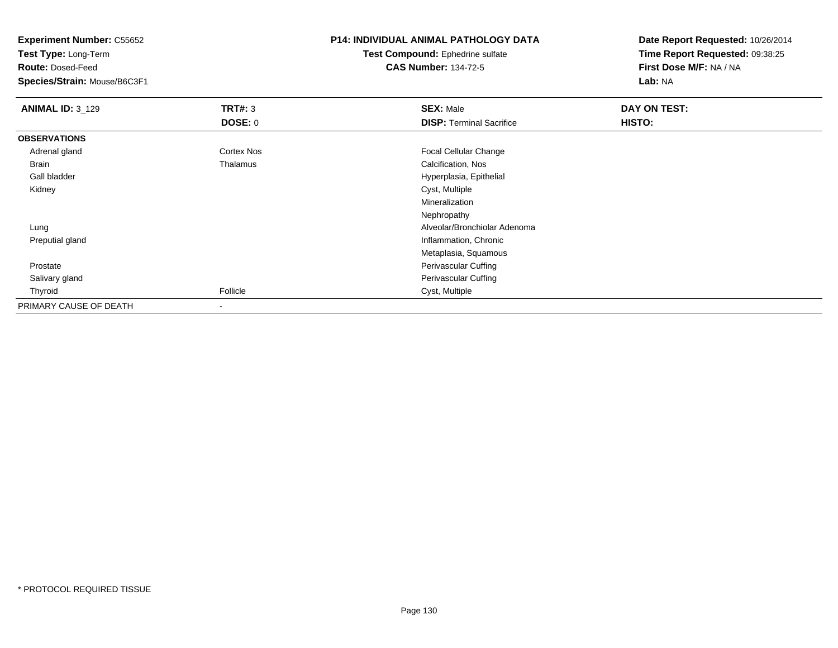**Test Type:** Long-Term

**Route:** Dosed-Feed

**Species/Strain:** Mouse/B6C3F1

# **P14: INDIVIDUAL ANIMAL PATHOLOGY DATA**

**Test Compound:** Ephedrine sulfate**CAS Number:** 134-72-5

| <b>ANIMAL ID: 3 129</b> | TRT#: 3                  | <b>SEX: Male</b>                | DAY ON TEST: |  |
|-------------------------|--------------------------|---------------------------------|--------------|--|
|                         | <b>DOSE: 0</b>           | <b>DISP: Terminal Sacrifice</b> | HISTO:       |  |
| <b>OBSERVATIONS</b>     |                          |                                 |              |  |
| Adrenal gland           | <b>Cortex Nos</b>        | <b>Focal Cellular Change</b>    |              |  |
| Brain                   | Thalamus                 | Calcification, Nos              |              |  |
| Gall bladder            |                          | Hyperplasia, Epithelial         |              |  |
| Kidney                  |                          | Cyst, Multiple                  |              |  |
|                         |                          | Mineralization                  |              |  |
|                         |                          | Nephropathy                     |              |  |
| Lung                    |                          | Alveolar/Bronchiolar Adenoma    |              |  |
| Preputial gland         |                          | Inflammation, Chronic           |              |  |
|                         |                          | Metaplasia, Squamous            |              |  |
| Prostate                |                          | Perivascular Cuffing            |              |  |
| Salivary gland          |                          | Perivascular Cuffing            |              |  |
| Thyroid                 | Follicle                 | Cyst, Multiple                  |              |  |
| PRIMARY CAUSE OF DEATH  | $\overline{\phantom{a}}$ |                                 |              |  |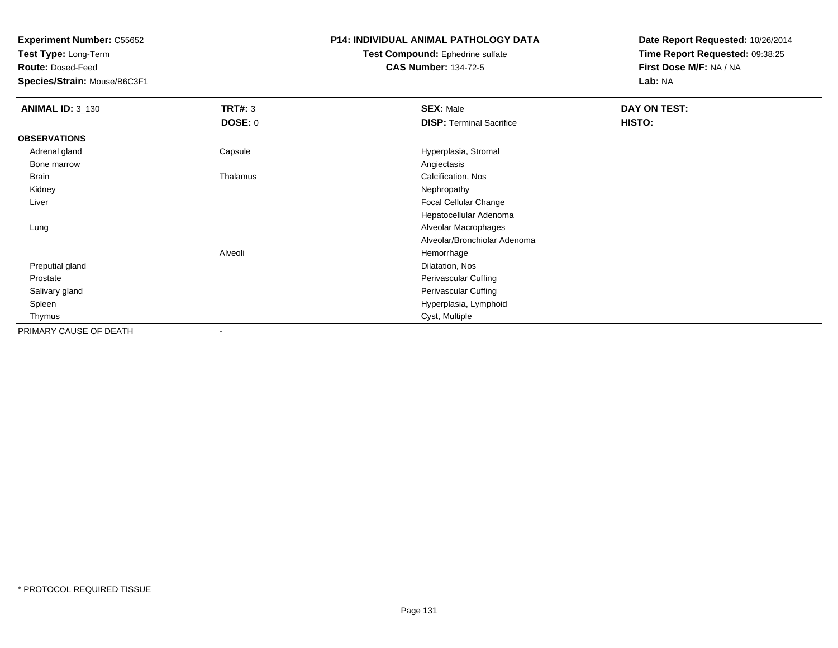**Test Type:** Long-Term

**Route:** Dosed-Feed

**Species/Strain:** Mouse/B6C3F1

# **P14: INDIVIDUAL ANIMAL PATHOLOGY DATA**

**Test Compound:** Ephedrine sulfate**CAS Number:** 134-72-5

| <b>ANIMAL ID: 3_130</b> | <b>TRT#: 3</b>           | <b>SEX: Male</b>                | DAY ON TEST: |  |
|-------------------------|--------------------------|---------------------------------|--------------|--|
|                         | DOSE: 0                  | <b>DISP: Terminal Sacrifice</b> | HISTO:       |  |
| <b>OBSERVATIONS</b>     |                          |                                 |              |  |
| Adrenal gland           | Capsule                  | Hyperplasia, Stromal            |              |  |
| Bone marrow             |                          | Angiectasis                     |              |  |
| Brain                   | Thalamus                 | Calcification, Nos              |              |  |
| Kidney                  |                          | Nephropathy                     |              |  |
| Liver                   |                          | Focal Cellular Change           |              |  |
|                         |                          | Hepatocellular Adenoma          |              |  |
| Lung                    |                          | Alveolar Macrophages            |              |  |
|                         |                          | Alveolar/Bronchiolar Adenoma    |              |  |
|                         | Alveoli                  | Hemorrhage                      |              |  |
| Preputial gland         |                          | Dilatation, Nos                 |              |  |
| Prostate                |                          | Perivascular Cuffing            |              |  |
| Salivary gland          |                          | Perivascular Cuffing            |              |  |
| Spleen                  |                          | Hyperplasia, Lymphoid           |              |  |
| Thymus                  |                          | Cyst, Multiple                  |              |  |
| PRIMARY CAUSE OF DEATH  | $\overline{\phantom{a}}$ |                                 |              |  |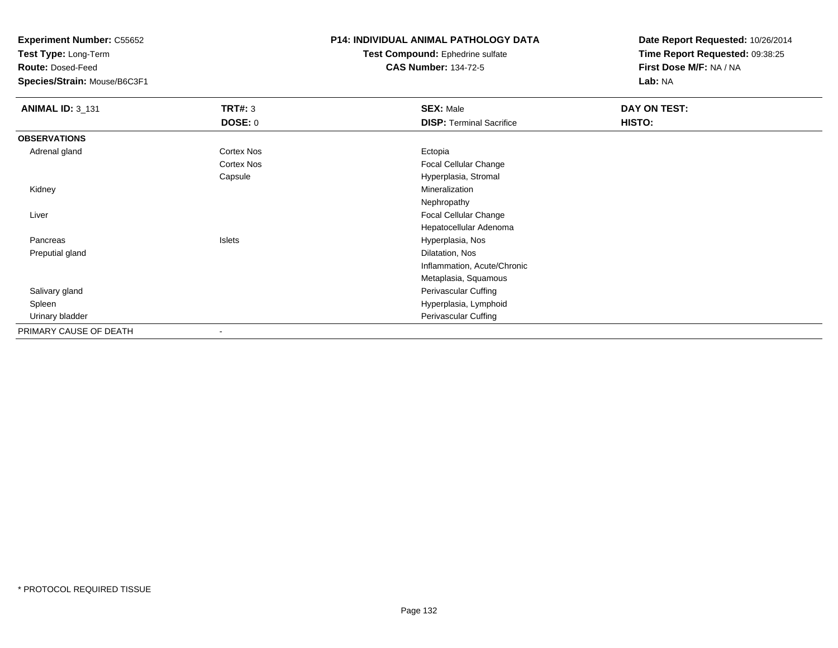**Test Type:** Long-Term

**Route:** Dosed-Feed

**Species/Strain:** Mouse/B6C3F1

### **P14: INDIVIDUAL ANIMAL PATHOLOGY DATA**

#### **Test Compound:** Ephedrine sulfate**CAS Number:** 134-72-5

| <b>ANIMAL ID: 3_131</b> | <b>TRT#: 3</b>           | <b>SEX: Male</b>                | DAY ON TEST: |  |
|-------------------------|--------------------------|---------------------------------|--------------|--|
|                         | <b>DOSE: 0</b>           | <b>DISP: Terminal Sacrifice</b> | HISTO:       |  |
| <b>OBSERVATIONS</b>     |                          |                                 |              |  |
| Adrenal gland           | Cortex Nos               | Ectopia                         |              |  |
|                         | Cortex Nos               | Focal Cellular Change           |              |  |
|                         | Capsule                  | Hyperplasia, Stromal            |              |  |
| Kidney                  |                          | Mineralization                  |              |  |
|                         |                          | Nephropathy                     |              |  |
| Liver                   |                          | Focal Cellular Change           |              |  |
|                         |                          | Hepatocellular Adenoma          |              |  |
| Pancreas                | Islets                   | Hyperplasia, Nos                |              |  |
| Preputial gland         |                          | Dilatation, Nos                 |              |  |
|                         |                          | Inflammation, Acute/Chronic     |              |  |
|                         |                          | Metaplasia, Squamous            |              |  |
| Salivary gland          |                          | Perivascular Cuffing            |              |  |
| Spleen                  |                          | Hyperplasia, Lymphoid           |              |  |
| Urinary bladder         |                          | Perivascular Cuffing            |              |  |
| PRIMARY CAUSE OF DEATH  | $\overline{\phantom{a}}$ |                                 |              |  |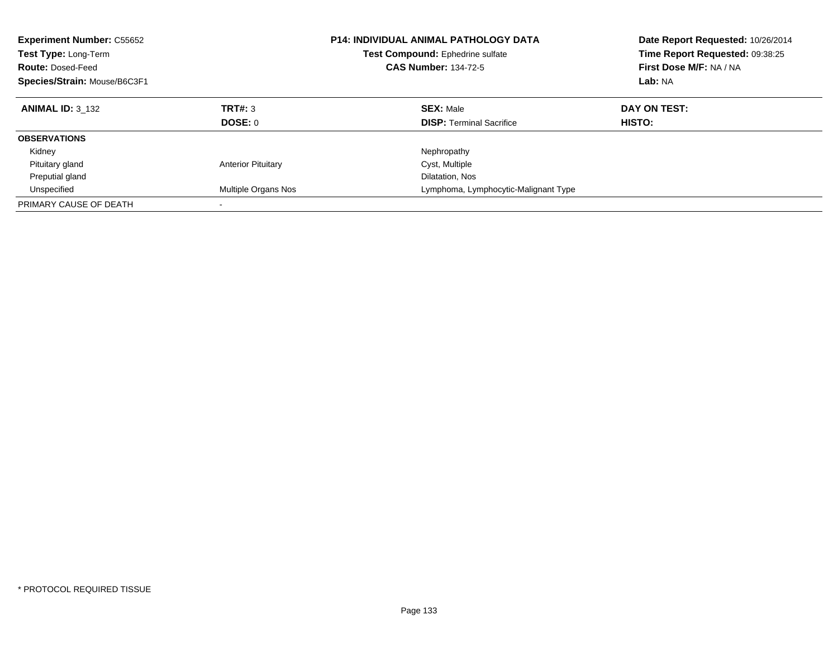| <b>Experiment Number: C55652</b><br>Test Type: Long-Term<br><b>Route: Dosed-Feed</b><br>Species/Strain: Mouse/B6C3F1 |                           | <b>P14: INDIVIDUAL ANIMAL PATHOLOGY DATA</b><br>Test Compound: Ephedrine sulfate<br><b>CAS Number: 134-72-5</b> | Date Report Requested: 10/26/2014<br>Time Report Requested: 09:38:25<br>First Dose M/F: NA / NA<br>Lab: NA |
|----------------------------------------------------------------------------------------------------------------------|---------------------------|-----------------------------------------------------------------------------------------------------------------|------------------------------------------------------------------------------------------------------------|
| <b>ANIMAL ID: 3 132</b>                                                                                              | <b>TRT#: 3</b><br>DOSE: 0 | <b>SEX: Male</b><br><b>DISP:</b> Terminal Sacrifice                                                             | DAY ON TEST:<br>HISTO:                                                                                     |
| <b>OBSERVATIONS</b>                                                                                                  |                           |                                                                                                                 |                                                                                                            |
| Kidney                                                                                                               |                           | Nephropathy                                                                                                     |                                                                                                            |
| Pituitary gland                                                                                                      | <b>Anterior Pituitary</b> | Cyst, Multiple                                                                                                  |                                                                                                            |
| Preputial gland                                                                                                      |                           | Dilatation, Nos                                                                                                 |                                                                                                            |
| Unspecified                                                                                                          | Multiple Organs Nos       | Lymphoma, Lymphocytic-Malignant Type                                                                            |                                                                                                            |
| PRIMARY CAUSE OF DEATH                                                                                               |                           |                                                                                                                 |                                                                                                            |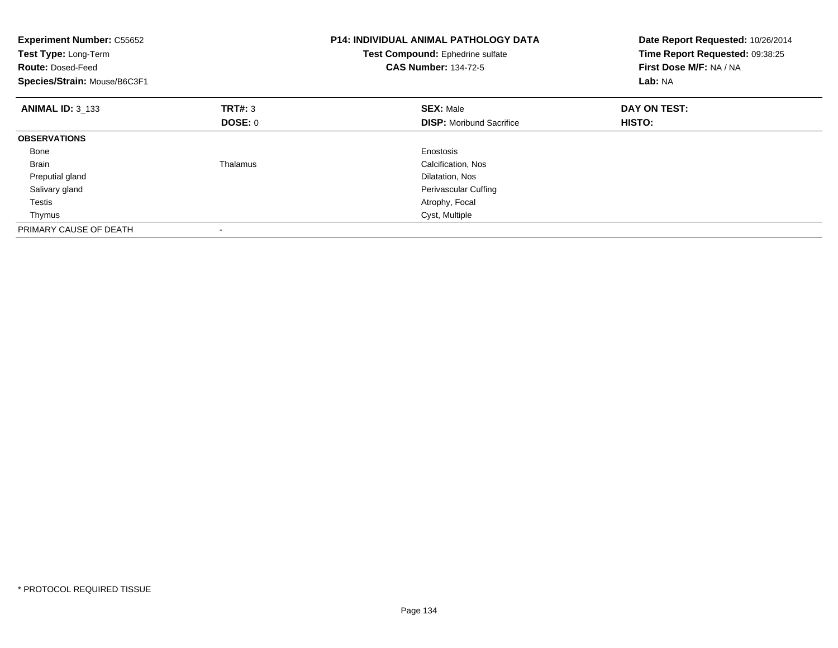| <b>Experiment Number: C55652</b><br>Test Type: Long-Term<br><b>Route: Dosed-Feed</b><br>Species/Strain: Mouse/B6C3F1 |                | <b>P14: INDIVIDUAL ANIMAL PATHOLOGY DATA</b><br>Test Compound: Ephedrine sulfate<br><b>CAS Number: 134-72-5</b> | Date Report Requested: 10/26/2014<br>Time Report Requested: 09:38:25<br>First Dose M/F: NA / NA<br>Lab: NA |
|----------------------------------------------------------------------------------------------------------------------|----------------|-----------------------------------------------------------------------------------------------------------------|------------------------------------------------------------------------------------------------------------|
| <b>ANIMAL ID: 3 133</b>                                                                                              | TRT#: 3        | <b>SEX: Male</b>                                                                                                | DAY ON TEST:                                                                                               |
|                                                                                                                      | <b>DOSE: 0</b> | <b>DISP:</b> Moribund Sacrifice                                                                                 | HISTO:                                                                                                     |
| <b>OBSERVATIONS</b>                                                                                                  |                |                                                                                                                 |                                                                                                            |
| Bone                                                                                                                 |                | Enostosis                                                                                                       |                                                                                                            |
| <b>Brain</b>                                                                                                         | Thalamus       | Calcification, Nos                                                                                              |                                                                                                            |
| Preputial gland                                                                                                      |                | Dilatation, Nos                                                                                                 |                                                                                                            |
| Salivary gland                                                                                                       |                | Perivascular Cuffing                                                                                            |                                                                                                            |
| Testis                                                                                                               |                | Atrophy, Focal                                                                                                  |                                                                                                            |
| Thymus                                                                                                               |                | Cyst, Multiple                                                                                                  |                                                                                                            |
| PRIMARY CAUSE OF DEATH                                                                                               |                |                                                                                                                 |                                                                                                            |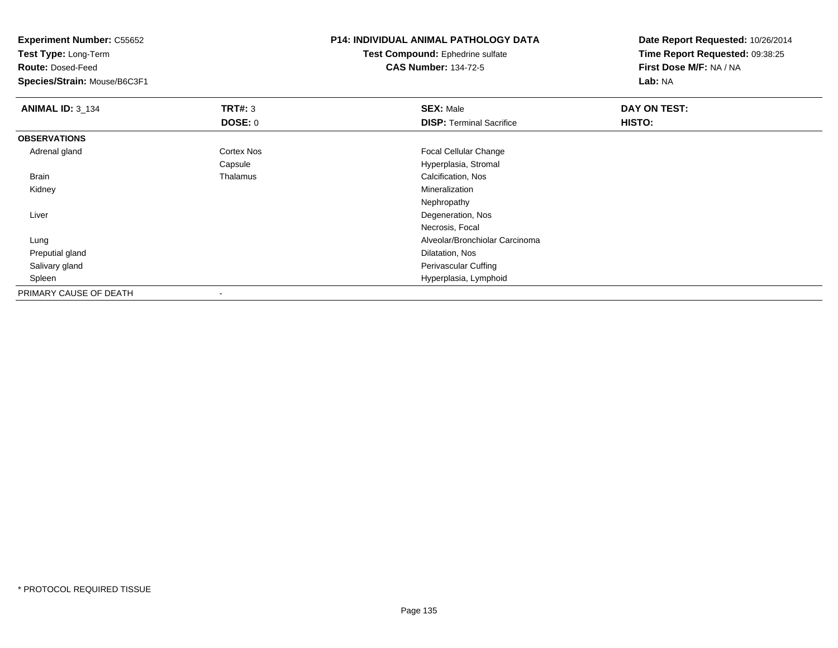**Experiment Number:** C55652**Test Type:** Long-Term**Route:** Dosed-Feed **Species/Strain:** Mouse/B6C3F1**P14: INDIVIDUAL ANIMAL PATHOLOGY DATATest Compound:** Ephedrine sulfate**CAS Number:** 134-72-5**Date Report Requested:** 10/26/2014**Time Report Requested:** 09:38:25**First Dose M/F:** NA / NA**Lab:** NA**ANIMAL ID:** 3\_134 **TRT#:** <sup>3</sup> **SEX:** Male **DAY ON TEST: DOSE:** 0**DISP:** Terminal Sacrifice **HISTO: OBSERVATIONS** Adrenal glandCortex Nos **Focal Cellular Change** CapsuleCapsule Capsular Capsular Capsular Capsular Capsular Calcification, Nos<br>
Calcification, Nos BrainCalcification, Nos<br>Mineralization Kidneyy with the control of the control of the control of the control of the control of the control of the control of the control of the control of the control of the control of the control of the control of the control of the c Nephropathy Degeneration, Nos LiverNecrosis, Focal Lung Alveolar/Bronchiolar Carcinoma Preputial glandd and the control of the control of the control of the control of the control of the control of the control of the control of the control of the control of the control of the control of the control of the control of the co Salivary gland Perivascular Cuffing Spleen Hyperplasia, Lymphoid PRIMARY CAUSE OF DEATH-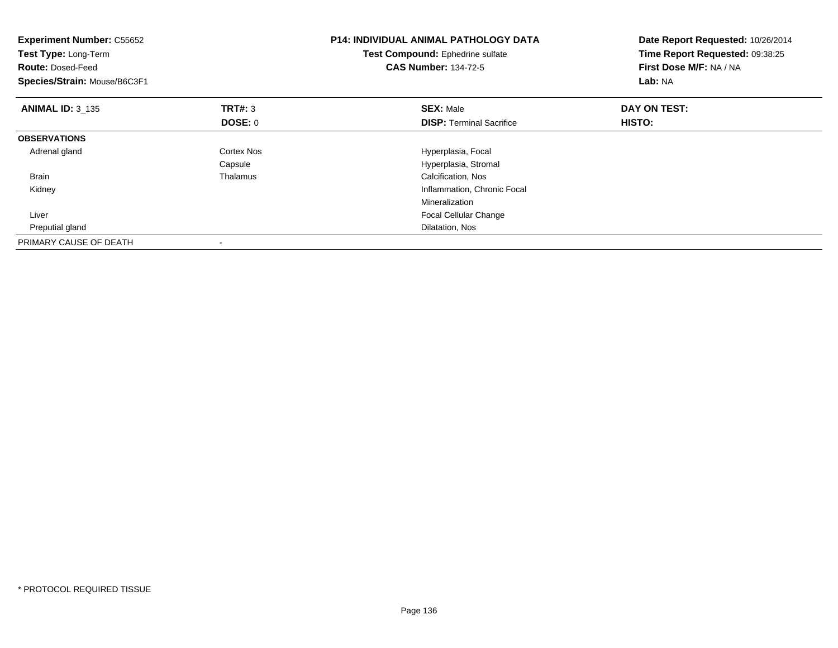| <b>Experiment Number: C55652</b><br>Test Type: Long-Term<br><b>Route: Dosed-Feed</b><br>Species/Strain: Mouse/B6C3F1 |                | <b>P14: INDIVIDUAL ANIMAL PATHOLOGY DATA</b><br>Test Compound: Ephedrine sulfate<br><b>CAS Number: 134-72-5</b> | Date Report Requested: 10/26/2014<br>Time Report Requested: 09:38:25<br>First Dose M/F: NA / NA<br>Lab: NA |
|----------------------------------------------------------------------------------------------------------------------|----------------|-----------------------------------------------------------------------------------------------------------------|------------------------------------------------------------------------------------------------------------|
| <b>ANIMAL ID: 3_135</b>                                                                                              | <b>TRT#: 3</b> | <b>SEX: Male</b>                                                                                                | DAY ON TEST:                                                                                               |
|                                                                                                                      | DOSE: 0        | <b>DISP:</b> Terminal Sacrifice                                                                                 | HISTO:                                                                                                     |
| <b>OBSERVATIONS</b>                                                                                                  |                |                                                                                                                 |                                                                                                            |
| Adrenal gland                                                                                                        | Cortex Nos     | Hyperplasia, Focal                                                                                              |                                                                                                            |
|                                                                                                                      | Capsule        | Hyperplasia, Stromal                                                                                            |                                                                                                            |
| Brain                                                                                                                | Thalamus       | Calcification, Nos                                                                                              |                                                                                                            |
| Kidney                                                                                                               |                | Inflammation, Chronic Focal                                                                                     |                                                                                                            |
|                                                                                                                      |                | Mineralization                                                                                                  |                                                                                                            |
| Liver                                                                                                                |                | Focal Cellular Change                                                                                           |                                                                                                            |
| Preputial gland                                                                                                      |                | Dilatation, Nos                                                                                                 |                                                                                                            |
| PRIMARY CAUSE OF DEATH                                                                                               |                |                                                                                                                 |                                                                                                            |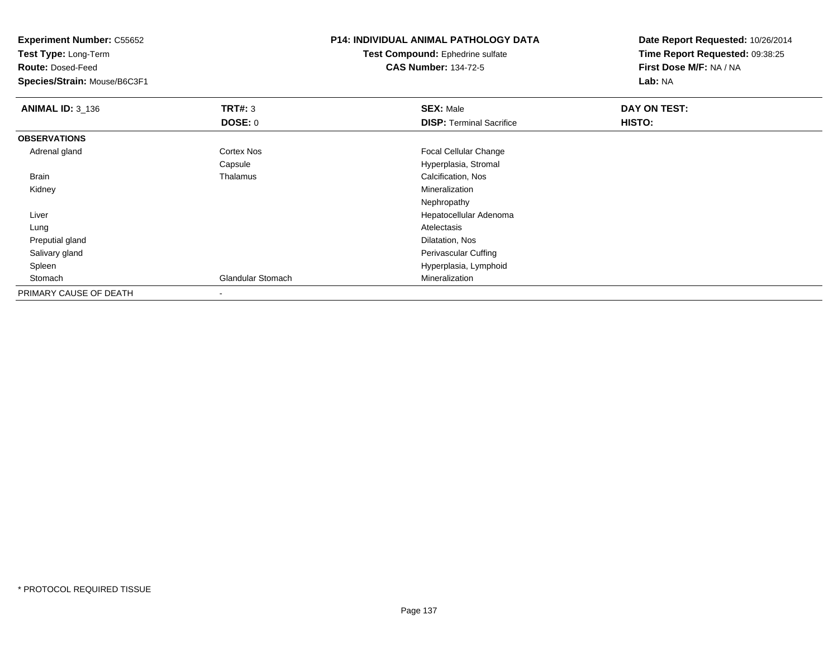**Experiment Number:** C55652**Test Type:** Long-Term**Route:** Dosed-Feed **Species/Strain:** Mouse/B6C3F1**P14: INDIVIDUAL ANIMAL PATHOLOGY DATATest Compound:** Ephedrine sulfate**CAS Number:** 134-72-5**Date Report Requested:** 10/26/2014**Time Report Requested:** 09:38:25**First Dose M/F:** NA / NA**Lab:** NA**ANIMAL ID:** 3\_136 **TRT#:** <sup>3</sup> **SEX:** Male **DAY ON TEST: DOSE:** 0**DISP:** Terminal Sacrifice **HISTO: OBSERVATIONS** Adrenal glandCortex Nos **Focal Cellular Change** CapsuleCapsule Capsular Capsular Capsular Capsular Capsular Calcification, Nos<br>
Calcification, Nos BrainCalcification, Nos<br>Mineralization Kidneyy with the control of the control of the control of the control of the control of the control of the control of the control of the control of the control of the control of the control of the control of the control of the c Nephropathy Hepatocellular Adenoma Liver Lungg and the control of the control of the control of the control of the control of the control of the control of the control of the control of the control of the control of the control of the control of the control of the co Preputial glandd and the control of the control of the control of the control of the control of the control of the control of the control of the control of the control of the control of the control of the control of the control of the co Salivary gland Perivascular Cuffing Spleen Hyperplasia, Lymphoid StomachGlandular Stomach Mineralization PRIMARY CAUSE OF DEATH-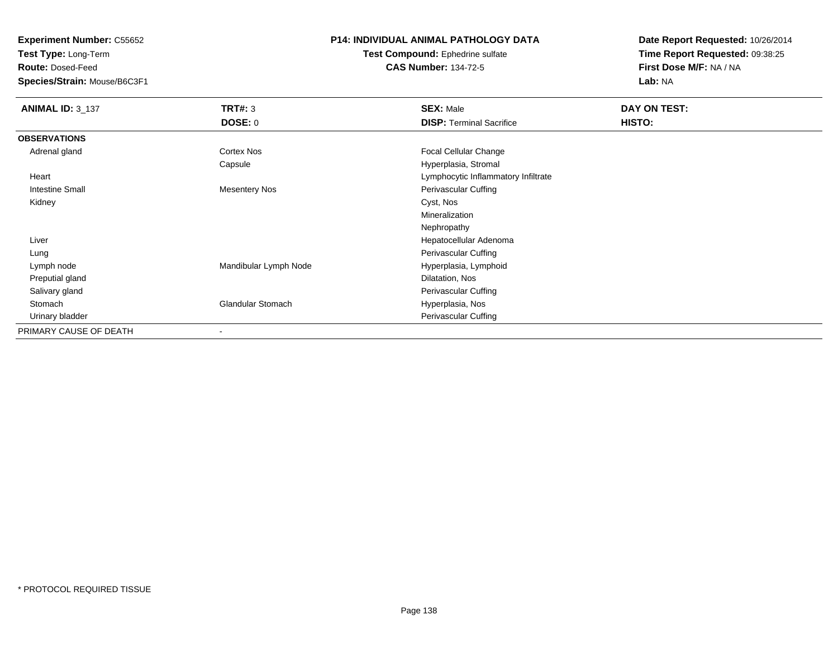**Test Type:** Long-Term

**Route:** Dosed-Feed

**Species/Strain:** Mouse/B6C3F1

# **P14: INDIVIDUAL ANIMAL PATHOLOGY DATA**

**Test Compound:** Ephedrine sulfate**CAS Number:** 134-72-5

| <b>ANIMAL ID: 3_137</b> | TRT#: 3                  | <b>SEX: Male</b>                    | DAY ON TEST: |  |
|-------------------------|--------------------------|-------------------------------------|--------------|--|
|                         | <b>DOSE: 0</b>           | <b>DISP: Terminal Sacrifice</b>     | HISTO:       |  |
| <b>OBSERVATIONS</b>     |                          |                                     |              |  |
| Adrenal gland           | Cortex Nos               | Focal Cellular Change               |              |  |
|                         | Capsule                  | Hyperplasia, Stromal                |              |  |
| Heart                   |                          | Lymphocytic Inflammatory Infiltrate |              |  |
| <b>Intestine Small</b>  | <b>Mesentery Nos</b>     | Perivascular Cuffing                |              |  |
| Kidney                  |                          | Cyst, Nos                           |              |  |
|                         |                          | Mineralization                      |              |  |
|                         |                          | Nephropathy                         |              |  |
| Liver                   |                          | Hepatocellular Adenoma              |              |  |
| Lung                    |                          | Perivascular Cuffing                |              |  |
| Lymph node              | Mandibular Lymph Node    | Hyperplasia, Lymphoid               |              |  |
| Preputial gland         |                          | Dilatation, Nos                     |              |  |
| Salivary gland          |                          | Perivascular Cuffing                |              |  |
| Stomach                 | Glandular Stomach        | Hyperplasia, Nos                    |              |  |
| Urinary bladder         |                          | Perivascular Cuffing                |              |  |
| PRIMARY CAUSE OF DEATH  | $\overline{\phantom{a}}$ |                                     |              |  |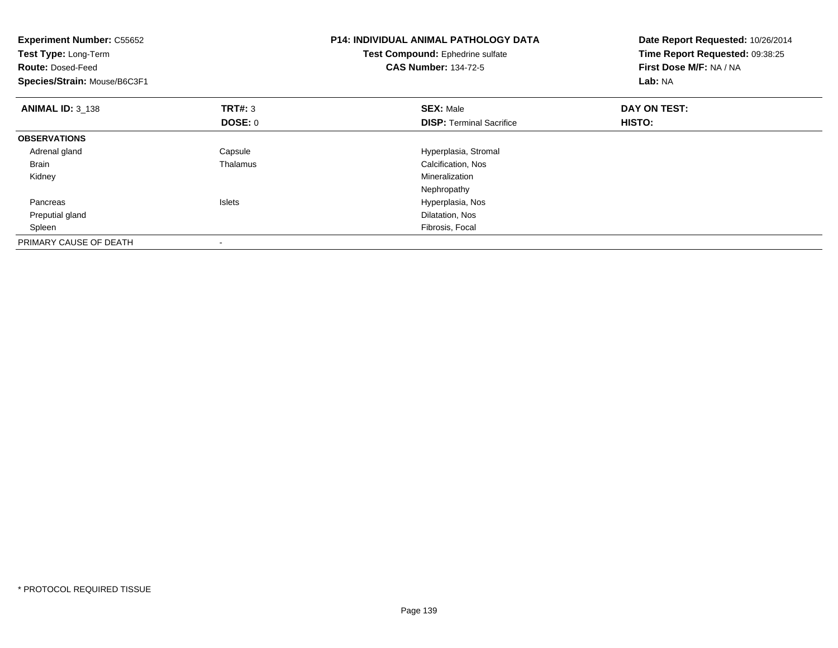| <b>Experiment Number: C55652</b><br>Test Type: Long-Term<br><b>Route: Dosed-Feed</b><br>Species/Strain: Mouse/B6C3F1 |                | <b>P14: INDIVIDUAL ANIMAL PATHOLOGY DATA</b><br>Test Compound: Ephedrine sulfate<br><b>CAS Number: 134-72-5</b> | Date Report Requested: 10/26/2014<br>Time Report Requested: 09:38:25<br>First Dose M/F: NA / NA<br>Lab: NA |
|----------------------------------------------------------------------------------------------------------------------|----------------|-----------------------------------------------------------------------------------------------------------------|------------------------------------------------------------------------------------------------------------|
| <b>ANIMAL ID: 3 138</b>                                                                                              | <b>TRT#: 3</b> | <b>SEX: Male</b>                                                                                                | DAY ON TEST:                                                                                               |
|                                                                                                                      | <b>DOSE: 0</b> | <b>DISP:</b> Terminal Sacrifice                                                                                 | HISTO:                                                                                                     |
| <b>OBSERVATIONS</b>                                                                                                  |                |                                                                                                                 |                                                                                                            |
| Adrenal gland                                                                                                        | Capsule        | Hyperplasia, Stromal                                                                                            |                                                                                                            |
| <b>Brain</b>                                                                                                         | Thalamus       | Calcification, Nos                                                                                              |                                                                                                            |
| Kidney                                                                                                               |                | Mineralization                                                                                                  |                                                                                                            |
|                                                                                                                      |                | Nephropathy                                                                                                     |                                                                                                            |
| Pancreas                                                                                                             | <b>Islets</b>  | Hyperplasia, Nos                                                                                                |                                                                                                            |
| Preputial gland                                                                                                      |                | Dilatation, Nos                                                                                                 |                                                                                                            |
| Spleen                                                                                                               |                | Fibrosis, Focal                                                                                                 |                                                                                                            |
| PRIMARY CAUSE OF DEATH                                                                                               |                |                                                                                                                 |                                                                                                            |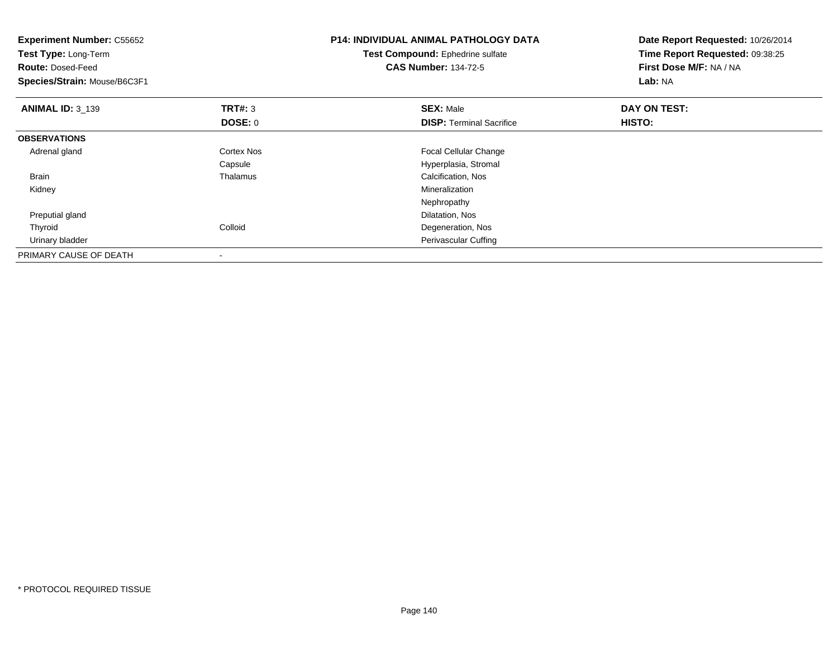| <b>Experiment Number: C55652</b><br>Test Type: Long-Term<br><b>Route: Dosed-Feed</b><br>Species/Strain: Mouse/B6C3F1 |                | <b>P14: INDIVIDUAL ANIMAL PATHOLOGY DATA</b><br>Test Compound: Ephedrine sulfate<br><b>CAS Number: 134-72-5</b> | Date Report Requested: 10/26/2014<br>Time Report Requested: 09:38:25<br>First Dose M/F: NA / NA<br>Lab: NA |
|----------------------------------------------------------------------------------------------------------------------|----------------|-----------------------------------------------------------------------------------------------------------------|------------------------------------------------------------------------------------------------------------|
| <b>ANIMAL ID:</b> $3_{139}$                                                                                          | TRT#: 3        | <b>SEX: Male</b>                                                                                                | DAY ON TEST:                                                                                               |
|                                                                                                                      | <b>DOSE: 0</b> | <b>DISP:</b> Terminal Sacrifice                                                                                 | HISTO:                                                                                                     |
| <b>OBSERVATIONS</b>                                                                                                  |                |                                                                                                                 |                                                                                                            |
| Adrenal gland                                                                                                        | Cortex Nos     | Focal Cellular Change                                                                                           |                                                                                                            |
|                                                                                                                      | Capsule        | Hyperplasia, Stromal                                                                                            |                                                                                                            |
| <b>Brain</b>                                                                                                         | Thalamus       | Calcification, Nos                                                                                              |                                                                                                            |
| Kidney                                                                                                               |                | <b>Mineralization</b>                                                                                           |                                                                                                            |
|                                                                                                                      |                | Nephropathy                                                                                                     |                                                                                                            |
| Preputial gland                                                                                                      |                | Dilatation, Nos                                                                                                 |                                                                                                            |
| Thyroid                                                                                                              | Colloid        | Degeneration, Nos                                                                                               |                                                                                                            |
| Urinary bladder                                                                                                      |                | Perivascular Cuffing                                                                                            |                                                                                                            |
| PRIMARY CAUSE OF DEATH                                                                                               |                |                                                                                                                 |                                                                                                            |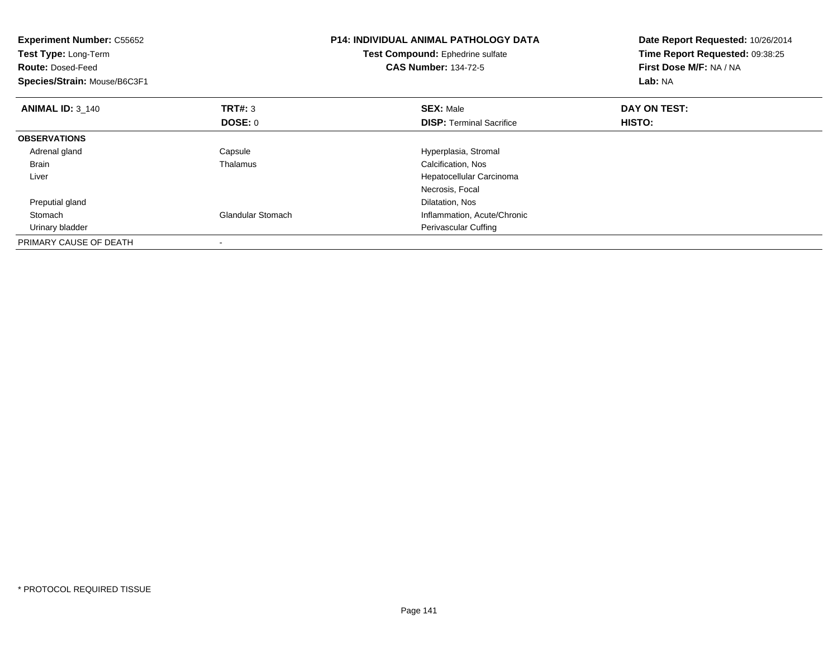| <b>Experiment Number: C55652</b><br>Test Type: Long-Term<br><b>Route: Dosed-Feed</b><br>Species/Strain: Mouse/B6C3F1 |                          | <b>P14: INDIVIDUAL ANIMAL PATHOLOGY DATA</b><br>Test Compound: Ephedrine sulfate<br><b>CAS Number: 134-72-5</b> | Date Report Requested: 10/26/2014<br>Time Report Requested: 09:38:25<br>First Dose M/F: NA / NA<br>Lab: NA |
|----------------------------------------------------------------------------------------------------------------------|--------------------------|-----------------------------------------------------------------------------------------------------------------|------------------------------------------------------------------------------------------------------------|
| <b>ANIMAL ID: 3 140</b>                                                                                              | <b>TRT#:</b> 3           | <b>SEX: Male</b>                                                                                                | DAY ON TEST:                                                                                               |
|                                                                                                                      | <b>DOSE: 0</b>           | <b>DISP:</b> Terminal Sacrifice                                                                                 | HISTO:                                                                                                     |
| <b>OBSERVATIONS</b>                                                                                                  |                          |                                                                                                                 |                                                                                                            |
| Adrenal gland                                                                                                        | Capsule                  | Hyperplasia, Stromal                                                                                            |                                                                                                            |
| <b>Brain</b>                                                                                                         | Thalamus                 | Calcification, Nos                                                                                              |                                                                                                            |
| Liver                                                                                                                |                          | Hepatocellular Carcinoma                                                                                        |                                                                                                            |
|                                                                                                                      |                          | Necrosis, Focal                                                                                                 |                                                                                                            |
| Preputial gland                                                                                                      |                          | Dilatation, Nos                                                                                                 |                                                                                                            |
| Stomach                                                                                                              | <b>Glandular Stomach</b> | Inflammation, Acute/Chronic                                                                                     |                                                                                                            |
| Urinary bladder                                                                                                      |                          | Perivascular Cuffing                                                                                            |                                                                                                            |
| PRIMARY CAUSE OF DEATH                                                                                               |                          |                                                                                                                 |                                                                                                            |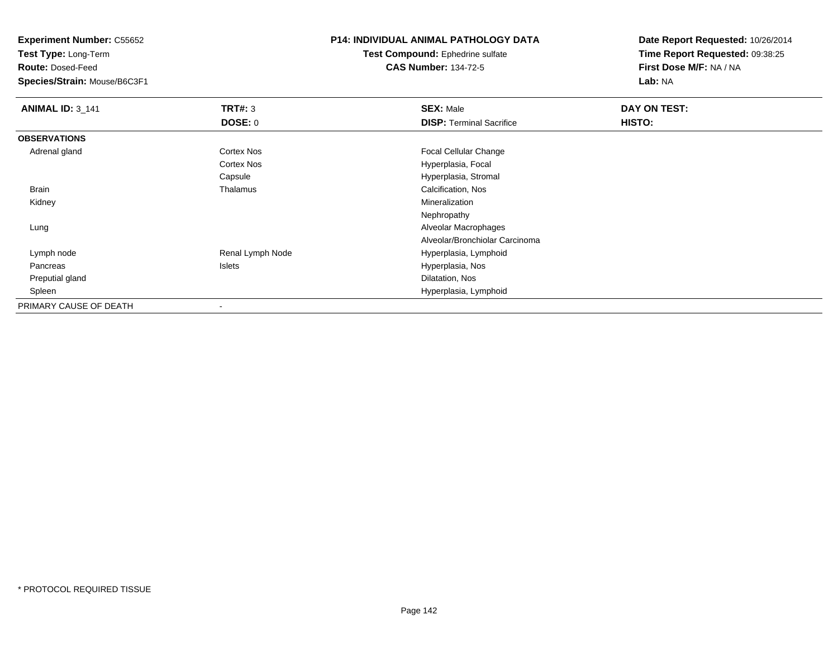**Test Type:** Long-Term

**Route:** Dosed-Feed

**Species/Strain:** Mouse/B6C3F1

# **P14: INDIVIDUAL ANIMAL PATHOLOGY DATA**

**Test Compound:** Ephedrine sulfate**CAS Number:** 134-72-5

| <b>ANIMAL ID: 3_141</b> | TRT#: 3          | <b>SEX: Male</b>                | DAY ON TEST: |  |
|-------------------------|------------------|---------------------------------|--------------|--|
|                         | <b>DOSE: 0</b>   | <b>DISP: Terminal Sacrifice</b> | HISTO:       |  |
| <b>OBSERVATIONS</b>     |                  |                                 |              |  |
| Adrenal gland           | Cortex Nos       | <b>Focal Cellular Change</b>    |              |  |
|                         | Cortex Nos       | Hyperplasia, Focal              |              |  |
|                         | Capsule          | Hyperplasia, Stromal            |              |  |
| <b>Brain</b>            | Thalamus         | Calcification, Nos              |              |  |
| Kidney                  |                  | Mineralization                  |              |  |
|                         |                  | Nephropathy                     |              |  |
| Lung                    |                  | Alveolar Macrophages            |              |  |
|                         |                  | Alveolar/Bronchiolar Carcinoma  |              |  |
| Lymph node              | Renal Lymph Node | Hyperplasia, Lymphoid           |              |  |
| Pancreas                | Islets           | Hyperplasia, Nos                |              |  |
| Preputial gland         |                  | Dilatation, Nos                 |              |  |
| Spleen                  |                  | Hyperplasia, Lymphoid           |              |  |
| PRIMARY CAUSE OF DEATH  |                  |                                 |              |  |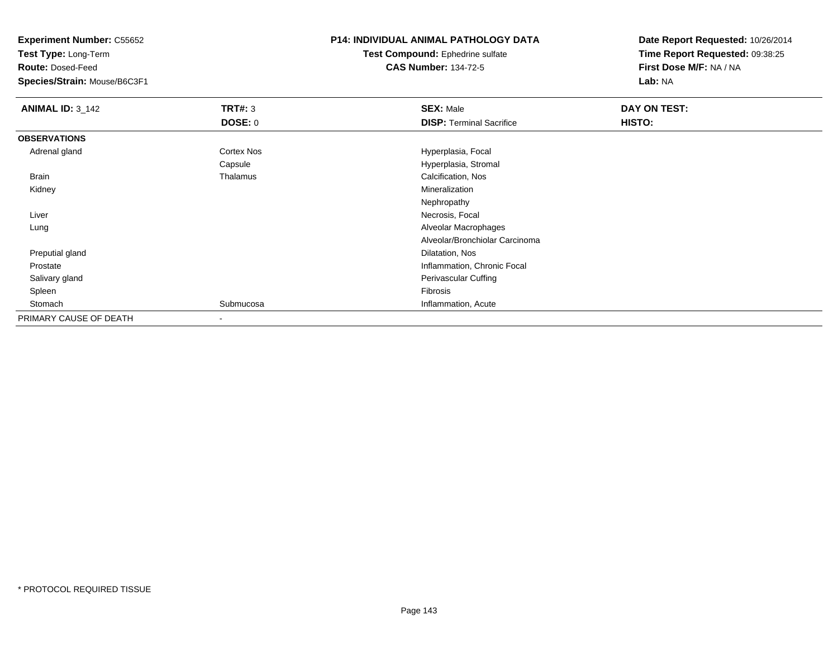**Test Type:** Long-Term

**Route:** Dosed-Feed

**Species/Strain:** Mouse/B6C3F1

## **P14: INDIVIDUAL ANIMAL PATHOLOGY DATA**

**Test Compound:** Ephedrine sulfate**CAS Number:** 134-72-5

| <b>ANIMAL ID: 3_142</b> | TRT#: 3                  | <b>SEX: Male</b>                | DAY ON TEST: |  |
|-------------------------|--------------------------|---------------------------------|--------------|--|
|                         | <b>DOSE: 0</b>           | <b>DISP: Terminal Sacrifice</b> | HISTO:       |  |
| <b>OBSERVATIONS</b>     |                          |                                 |              |  |
| Adrenal gland           | Cortex Nos               | Hyperplasia, Focal              |              |  |
|                         | Capsule                  | Hyperplasia, Stromal            |              |  |
| Brain                   | Thalamus                 | Calcification, Nos              |              |  |
| Kidney                  |                          | Mineralization                  |              |  |
|                         |                          | Nephropathy                     |              |  |
| Liver                   |                          | Necrosis, Focal                 |              |  |
| Lung                    |                          | Alveolar Macrophages            |              |  |
|                         |                          | Alveolar/Bronchiolar Carcinoma  |              |  |
| Preputial gland         |                          | Dilatation, Nos                 |              |  |
| Prostate                |                          | Inflammation, Chronic Focal     |              |  |
| Salivary gland          |                          | Perivascular Cuffing            |              |  |
| Spleen                  |                          | Fibrosis                        |              |  |
| Stomach                 | Submucosa                | Inflammation, Acute             |              |  |
| PRIMARY CAUSE OF DEATH  | $\overline{\phantom{a}}$ |                                 |              |  |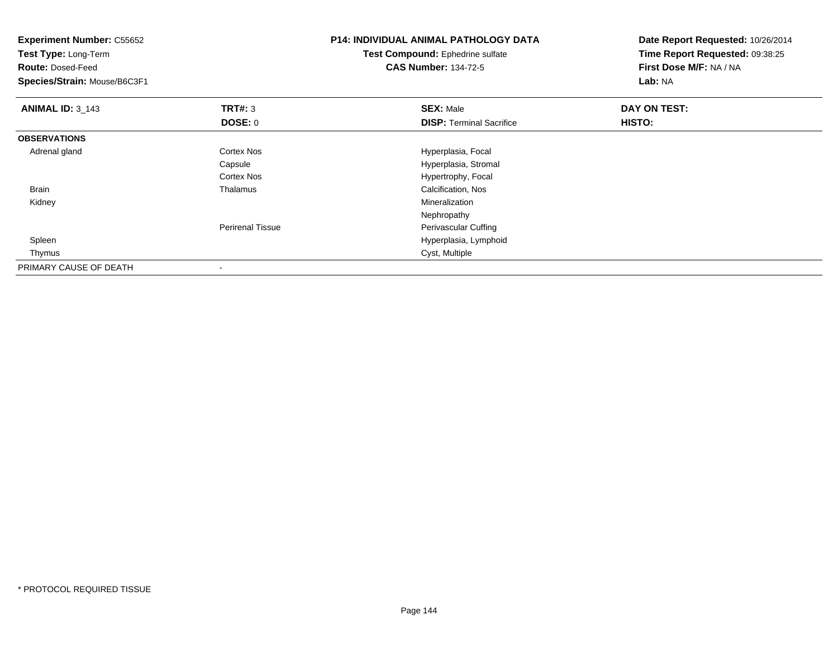| <b>Experiment Number: C55652</b><br>Test Type: Long-Term<br><b>Route: Dosed-Feed</b><br>Species/Strain: Mouse/B6C3F1 |                         | <b>P14: INDIVIDUAL ANIMAL PATHOLOGY DATA</b><br>Test Compound: Ephedrine sulfate<br><b>CAS Number: 134-72-5</b> | Date Report Requested: 10/26/2014<br>Time Report Requested: 09:38:25<br>First Dose M/F: NA / NA<br>Lab: NA |
|----------------------------------------------------------------------------------------------------------------------|-------------------------|-----------------------------------------------------------------------------------------------------------------|------------------------------------------------------------------------------------------------------------|
| <b>ANIMAL ID: 3_143</b>                                                                                              | TRT#: 3                 | <b>SEX: Male</b>                                                                                                | DAY ON TEST:                                                                                               |
|                                                                                                                      | DOSE: 0                 | <b>DISP: Terminal Sacrifice</b>                                                                                 | HISTO:                                                                                                     |
| <b>OBSERVATIONS</b>                                                                                                  |                         |                                                                                                                 |                                                                                                            |
| Adrenal gland                                                                                                        | Cortex Nos              | Hyperplasia, Focal                                                                                              |                                                                                                            |
|                                                                                                                      | Capsule                 | Hyperplasia, Stromal                                                                                            |                                                                                                            |
|                                                                                                                      | <b>Cortex Nos</b>       | Hypertrophy, Focal                                                                                              |                                                                                                            |
| Brain                                                                                                                | Thalamus                | Calcification, Nos                                                                                              |                                                                                                            |
| Kidney                                                                                                               |                         | Mineralization                                                                                                  |                                                                                                            |
|                                                                                                                      |                         | Nephropathy                                                                                                     |                                                                                                            |
|                                                                                                                      | <b>Perirenal Tissue</b> | Perivascular Cuffing                                                                                            |                                                                                                            |
| Spleen                                                                                                               |                         | Hyperplasia, Lymphoid                                                                                           |                                                                                                            |
| Thymus                                                                                                               |                         | Cyst, Multiple                                                                                                  |                                                                                                            |
| PRIMARY CAUSE OF DEATH                                                                                               |                         |                                                                                                                 |                                                                                                            |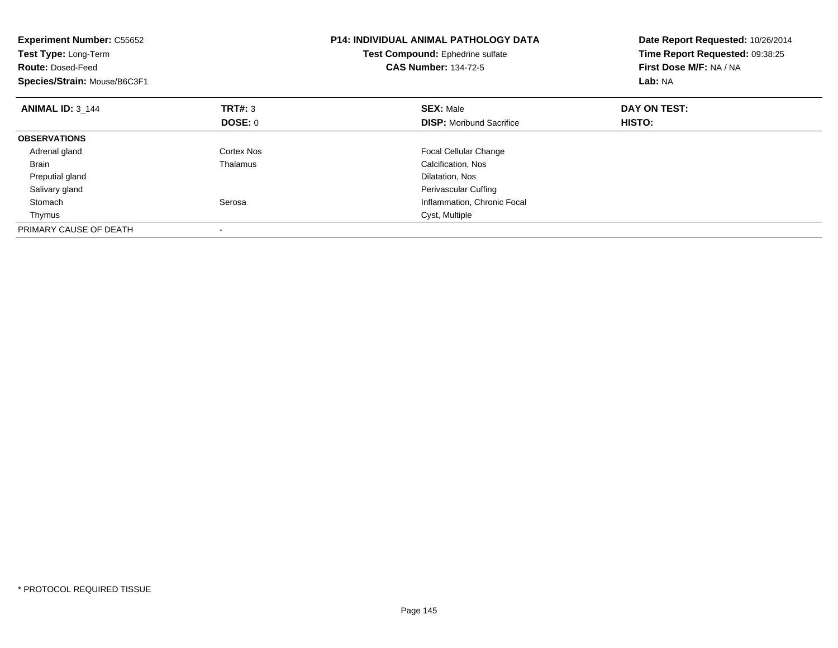| <b>Experiment Number: C55652</b><br>Test Type: Long-Term<br><b>Route: Dosed-Feed</b><br>Species/Strain: Mouse/B6C3F1 |                | <b>P14: INDIVIDUAL ANIMAL PATHOLOGY DATA</b><br>Test Compound: Ephedrine sulfate<br><b>CAS Number: 134-72-5</b> | Date Report Requested: 10/26/2014<br>Time Report Requested: 09:38:25<br>First Dose M/F: NA / NA<br>Lab: NA |  |
|----------------------------------------------------------------------------------------------------------------------|----------------|-----------------------------------------------------------------------------------------------------------------|------------------------------------------------------------------------------------------------------------|--|
| <b>ANIMAL ID: 3 144</b>                                                                                              | <b>TRT#: 3</b> | <b>SEX: Male</b>                                                                                                | DAY ON TEST:                                                                                               |  |
|                                                                                                                      | <b>DOSE: 0</b> | <b>DISP:</b> Moribund Sacrifice                                                                                 | HISTO:                                                                                                     |  |
| <b>OBSERVATIONS</b>                                                                                                  |                |                                                                                                                 |                                                                                                            |  |
| Adrenal gland                                                                                                        | Cortex Nos     | <b>Focal Cellular Change</b>                                                                                    |                                                                                                            |  |
| <b>Brain</b>                                                                                                         | Thalamus       | Calcification, Nos                                                                                              |                                                                                                            |  |
| Preputial gland                                                                                                      |                | Dilatation, Nos                                                                                                 |                                                                                                            |  |
| Salivary gland                                                                                                       |                | Perivascular Cuffing                                                                                            |                                                                                                            |  |
| Stomach                                                                                                              | Serosa         | Inflammation, Chronic Focal                                                                                     |                                                                                                            |  |
| Thymus                                                                                                               |                | Cyst, Multiple                                                                                                  |                                                                                                            |  |
| PRIMARY CAUSE OF DEATH                                                                                               |                |                                                                                                                 |                                                                                                            |  |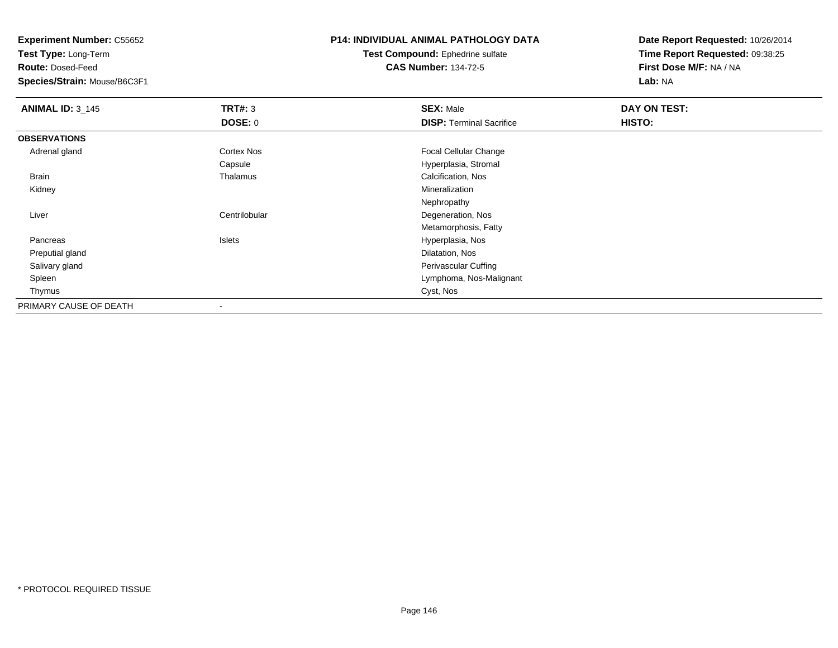**Experiment Number:** C55652

**Test Type:** Long-Term

**Route:** Dosed-Feed

**Species/Strain:** Mouse/B6C3F1

## **P14: INDIVIDUAL ANIMAL PATHOLOGY DATA**

**Test Compound:** Ephedrine sulfate**CAS Number:** 134-72-5

**Date Report Requested:** 10/26/2014**Time Report Requested:** 09:38:25**First Dose M/F:** NA / NA**Lab:** NA

| <b>ANIMAL ID: 3_145</b> | TRT#: 3           | <b>SEX: Male</b>                | DAY ON TEST: |  |
|-------------------------|-------------------|---------------------------------|--------------|--|
|                         | <b>DOSE: 0</b>    | <b>DISP: Terminal Sacrifice</b> | HISTO:       |  |
| <b>OBSERVATIONS</b>     |                   |                                 |              |  |
| Adrenal gland           | <b>Cortex Nos</b> | Focal Cellular Change           |              |  |
|                         | Capsule           | Hyperplasia, Stromal            |              |  |
| Brain                   | Thalamus          | Calcification, Nos              |              |  |
| Kidney                  |                   | Mineralization                  |              |  |
|                         |                   | Nephropathy                     |              |  |
| Liver                   | Centrilobular     | Degeneration, Nos               |              |  |
|                         |                   | Metamorphosis, Fatty            |              |  |
| Pancreas                | Islets            | Hyperplasia, Nos                |              |  |
| Preputial gland         |                   | Dilatation, Nos                 |              |  |
| Salivary gland          |                   | Perivascular Cuffing            |              |  |
| Spleen                  |                   | Lymphoma, Nos-Malignant         |              |  |
| Thymus                  |                   | Cyst, Nos                       |              |  |
| PRIMARY CAUSE OF DEATH  |                   |                                 |              |  |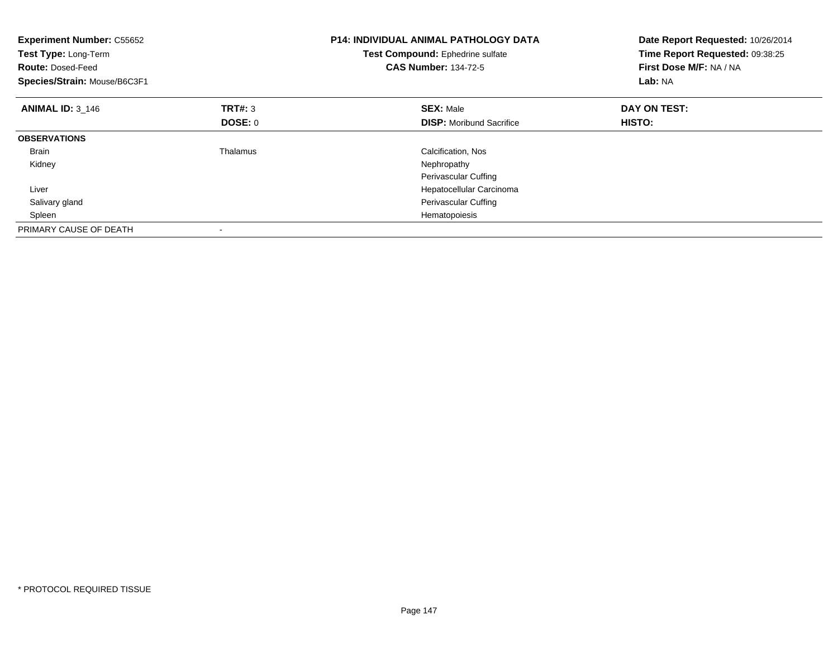| <b>Experiment Number: C55652</b><br>Test Type: Long-Term<br><b>Route: Dosed-Feed</b><br>Species/Strain: Mouse/B6C3F1 |                | <b>P14: INDIVIDUAL ANIMAL PATHOLOGY DATA</b><br>Test Compound: Ephedrine sulfate<br><b>CAS Number: 134-72-5</b> | Date Report Requested: 10/26/2014<br>Time Report Requested: 09:38:25<br>First Dose M/F: NA / NA<br>Lab: NA |  |
|----------------------------------------------------------------------------------------------------------------------|----------------|-----------------------------------------------------------------------------------------------------------------|------------------------------------------------------------------------------------------------------------|--|
| <b>ANIMAL ID: 3 146</b>                                                                                              | TRT#: 3        | <b>SEX: Male</b>                                                                                                | DAY ON TEST:                                                                                               |  |
|                                                                                                                      | <b>DOSE: 0</b> | <b>DISP:</b> Moribund Sacrifice                                                                                 | HISTO:                                                                                                     |  |
| <b>OBSERVATIONS</b>                                                                                                  |                |                                                                                                                 |                                                                                                            |  |
| <b>Brain</b>                                                                                                         | Thalamus       | Calcification, Nos                                                                                              |                                                                                                            |  |
| Kidney                                                                                                               |                | Nephropathy                                                                                                     |                                                                                                            |  |
|                                                                                                                      |                | Perivascular Cuffing                                                                                            |                                                                                                            |  |
| Liver                                                                                                                |                | Hepatocellular Carcinoma                                                                                        |                                                                                                            |  |
| Salivary gland                                                                                                       |                | Perivascular Cuffing                                                                                            |                                                                                                            |  |
| Spleen                                                                                                               |                | Hematopoiesis                                                                                                   |                                                                                                            |  |
| PRIMARY CAUSE OF DEATH                                                                                               |                |                                                                                                                 |                                                                                                            |  |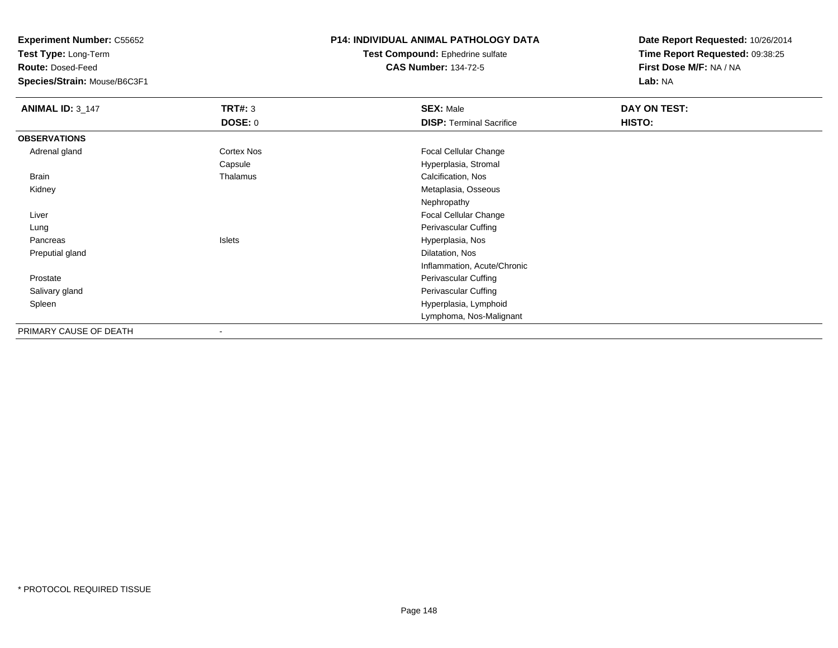**Experiment Number:** C55652

**Test Type:** Long-Term

**Route:** Dosed-Feed

**Species/Strain:** Mouse/B6C3F1

## **P14: INDIVIDUAL ANIMAL PATHOLOGY DATA**

**Test Compound:** Ephedrine sulfate**CAS Number:** 134-72-5

**Date Report Requested:** 10/26/2014**Time Report Requested:** 09:38:25**First Dose M/F:** NA / NA**Lab:** NA

| <b>ANIMAL ID: 3_147</b> | <b>TRT#: 3</b> | <b>SEX: Male</b>                | DAY ON TEST: |  |
|-------------------------|----------------|---------------------------------|--------------|--|
|                         | <b>DOSE: 0</b> | <b>DISP: Terminal Sacrifice</b> | HISTO:       |  |
| <b>OBSERVATIONS</b>     |                |                                 |              |  |
| Adrenal gland           | Cortex Nos     | Focal Cellular Change           |              |  |
|                         | Capsule        | Hyperplasia, Stromal            |              |  |
| Brain                   | Thalamus       | Calcification, Nos              |              |  |
| Kidney                  |                | Metaplasia, Osseous             |              |  |
|                         |                | Nephropathy                     |              |  |
| Liver                   |                | Focal Cellular Change           |              |  |
| Lung                    |                | Perivascular Cuffing            |              |  |
| Pancreas                | Islets         | Hyperplasia, Nos                |              |  |
| Preputial gland         |                | Dilatation, Nos                 |              |  |
|                         |                | Inflammation, Acute/Chronic     |              |  |
| Prostate                |                | Perivascular Cuffing            |              |  |
| Salivary gland          |                | Perivascular Cuffing            |              |  |
| Spleen                  |                | Hyperplasia, Lymphoid           |              |  |
|                         |                | Lymphoma, Nos-Malignant         |              |  |
| PRIMARY CAUSE OF DEATH  | -              |                                 |              |  |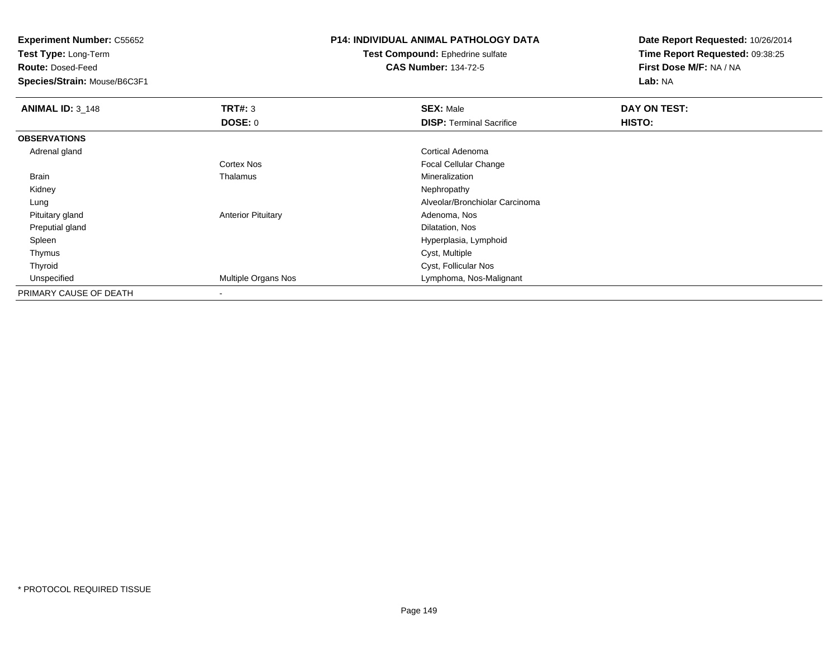**Experiment Number:** C55652

**Test Type:** Long-Term

**Route:** Dosed-Feed

**Species/Strain:** Mouse/B6C3F1

## **P14: INDIVIDUAL ANIMAL PATHOLOGY DATA**

**Test Compound:** Ephedrine sulfate**CAS Number:** 134-72-5

**Date Report Requested:** 10/26/2014**Time Report Requested:** 09:38:25**First Dose M/F:** NA / NA**Lab:** NA

| <b>ANIMAL ID: 3_148</b> | TRT#: 3                   | <b>SEX: Male</b>                | DAY ON TEST: |  |
|-------------------------|---------------------------|---------------------------------|--------------|--|
|                         | DOSE: 0                   | <b>DISP: Terminal Sacrifice</b> | HISTO:       |  |
| <b>OBSERVATIONS</b>     |                           |                                 |              |  |
| Adrenal gland           |                           | Cortical Adenoma                |              |  |
|                         | Cortex Nos                | <b>Focal Cellular Change</b>    |              |  |
| Brain                   | Thalamus                  | Mineralization                  |              |  |
| Kidney                  |                           | Nephropathy                     |              |  |
| Lung                    |                           | Alveolar/Bronchiolar Carcinoma  |              |  |
| Pituitary gland         | <b>Anterior Pituitary</b> | Adenoma, Nos                    |              |  |
| Preputial gland         |                           | Dilatation, Nos                 |              |  |
| Spleen                  |                           | Hyperplasia, Lymphoid           |              |  |
| Thymus                  |                           | Cyst, Multiple                  |              |  |
| Thyroid                 |                           | Cyst, Follicular Nos            |              |  |
| Unspecified             | Multiple Organs Nos       | Lymphoma, Nos-Malignant         |              |  |
| PRIMARY CAUSE OF DEATH  |                           |                                 |              |  |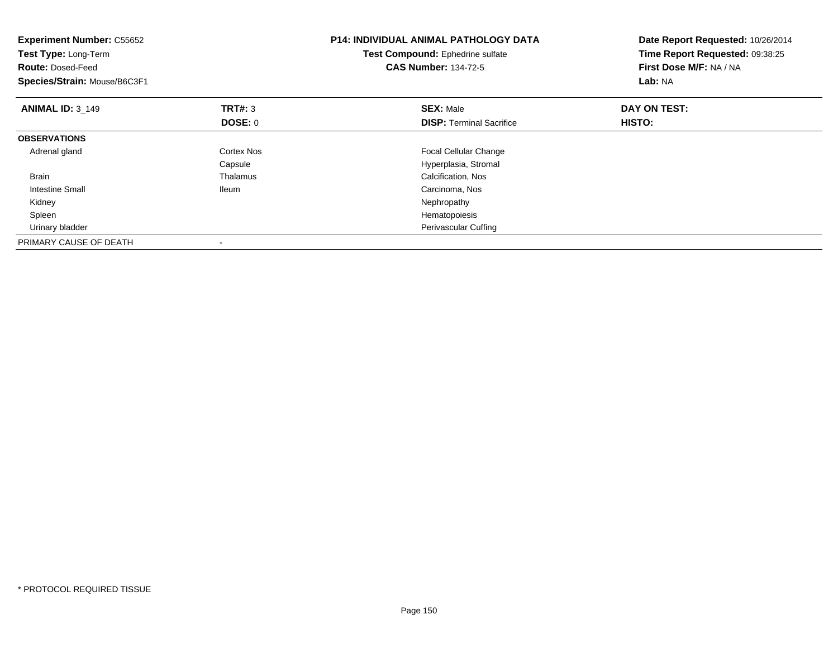| <b>Experiment Number: C55652</b><br>Test Type: Long-Term<br><b>Route: Dosed-Feed</b><br>Species/Strain: Mouse/B6C3F1 |                | <b>P14: INDIVIDUAL ANIMAL PATHOLOGY DATA</b><br>Test Compound: Ephedrine sulfate<br><b>CAS Number: 134-72-5</b> | Date Report Requested: 10/26/2014<br>Time Report Requested: 09:38:25<br>First Dose M/F: NA / NA<br>Lab: NA |  |
|----------------------------------------------------------------------------------------------------------------------|----------------|-----------------------------------------------------------------------------------------------------------------|------------------------------------------------------------------------------------------------------------|--|
| <b>ANIMAL ID: 3 149</b>                                                                                              | <b>TRT#: 3</b> | <b>SEX: Male</b>                                                                                                | DAY ON TEST:                                                                                               |  |
|                                                                                                                      | <b>DOSE: 0</b> | <b>DISP:</b> Terminal Sacrifice                                                                                 | HISTO:                                                                                                     |  |
| <b>OBSERVATIONS</b>                                                                                                  |                |                                                                                                                 |                                                                                                            |  |
| Adrenal gland                                                                                                        | Cortex Nos     | Focal Cellular Change                                                                                           |                                                                                                            |  |
|                                                                                                                      | Capsule        | Hyperplasia, Stromal                                                                                            |                                                                                                            |  |
| <b>Brain</b>                                                                                                         | Thalamus       | Calcification, Nos                                                                                              |                                                                                                            |  |
| Intestine Small                                                                                                      | <b>Ileum</b>   | Carcinoma, Nos                                                                                                  |                                                                                                            |  |
| Kidney                                                                                                               |                | Nephropathy                                                                                                     |                                                                                                            |  |
| Spleen                                                                                                               |                | Hematopoiesis                                                                                                   |                                                                                                            |  |
| Urinary bladder                                                                                                      |                | Perivascular Cuffing                                                                                            |                                                                                                            |  |
| PRIMARY CAUSE OF DEATH                                                                                               |                |                                                                                                                 |                                                                                                            |  |